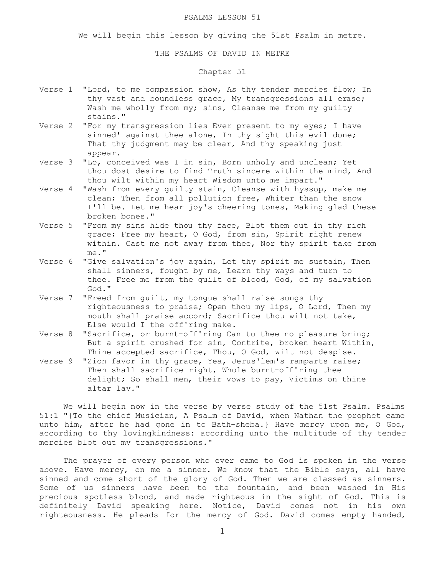### PSALMS LESSON 51

We will begin this lesson by giving the 51st Psalm in metre.

## THE PSALMS OF DAVID IN METRE

# Chapter 51

- Verse 1 "Lord, to me compassion show, As thy tender mercies flow; In thy vast and boundless grace, My transgressions all erase; Wash me wholly from my; sins, Cleanse me from my quilty stains."
- Verse 2 "For my transgression lies Ever present to my eyes; I have sinned' against thee alone, In thy sight this evil done; That thy judgment may be clear, And thy speaking just appear.
- Verse 3 "Lo, conceived was I in sin, Born unholy and unclean; Yet thou dost desire to find Truth sincere within the mind, And thou wilt within my heart Wisdom unto me impart."
- Verse 4 "Wash from every guilty stain, Cleanse with hyssop, make me clean; Then from all pollution free, Whiter than the snow I'll be. Let me hear joy's cheering tones, Making glad these broken bones."
- Verse 5 "From my sins hide thou thy face, Blot them out in thy rich grace; Free my heart, O God, from sin, Spirit right renew within. Cast me not away from thee, Nor thy spirit take from me."
- Verse 6 "Give salvation's joy again, Let thy spirit me sustain, Then shall sinners, fought by me, Learn thy ways and turn to thee. Free me from the guilt of blood, God, of my salvation God."
- Verse 7 "Freed from guilt, my tongue shall raise songs thy righteousness to praise; Open thou my lips, O Lord, Then my mouth shall praise accord; Sacrifice thou wilt not take, Else would I the off'ring make.
- Verse 8 "Sacrifice, or burnt-off'ring Can to thee no pleasure bring; But a spirit crushed for sin, Contrite, broken heart Within, Thine accepted sacrifice, Thou, O God, wilt not despise.
- Verse 9 "Zion favor in thy grace, Yea, Jerus'lem's ramparts raise; Then shall sacrifice right, Whole burnt-off'ring thee delight; So shall men, their vows to pay, Victims on thine altar lay."

 We will begin now in the verse by verse study of the 51st Psalm. Psalms 51:1 "{To the chief Musician, A Psalm of David, when Nathan the prophet came unto him, after he had gone in to Bath-sheba.} Have mercy upon me, O God, according to thy lovingkindness: according unto the multitude of thy tender mercies blot out my transgressions."

 The prayer of every person who ever came to God is spoken in the verse above. Have mercy, on me a sinner. We know that the Bible says, all have sinned and come short of the glory of God. Then we are classed as sinners. Some of us sinners have been to the fountain, and been washed in His precious spotless blood, and made righteous in the sight of God. This is definitely David speaking here. Notice, David comes not in his own righteousness. He pleads for the mercy of God. David comes empty handed,

1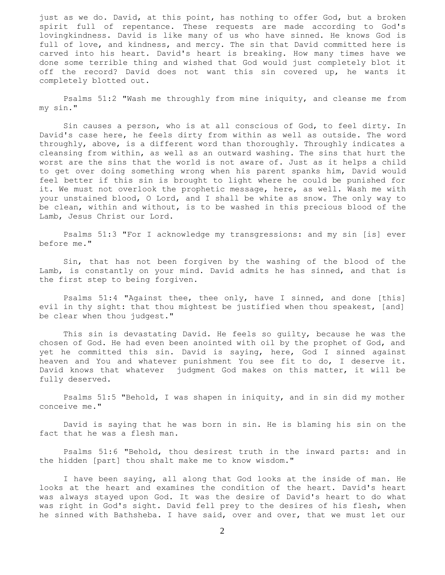just as we do. David, at this point, has nothing to offer God, but a broken spirit full of repentance. These requests are made according to God's lovingkindness. David is like many of us who have sinned. He knows God is full of love, and kindness, and mercy. The sin that David committed here is carved into his heart. David's heart is breaking. How many times have we done some terrible thing and wished that God would just completely blot it off the record? David does not want this sin covered up, he wants it completely blotted out.

 Psalms 51:2 "Wash me throughly from mine iniquity, and cleanse me from my sin."

 Sin causes a person, who is at all conscious of God, to feel dirty. In David's case here, he feels dirty from within as well as outside. The word throughly, above, is a different word than thoroughly. Throughly indicates a cleansing from within, as well as an outward washing. The sins that hurt the worst are the sins that the world is not aware of. Just as it helps a child to get over doing something wrong when his parent spanks him, David would feel better if this sin is brought to light where he could be punished for it. We must not overlook the prophetic message, here, as well. Wash me with your unstained blood, O Lord, and I shall be white as snow. The only way to be clean, within and without, is to be washed in this precious blood of the Lamb, Jesus Christ our Lord.

 Psalms 51:3 "For I acknowledge my transgressions: and my sin [is] ever before me."

 Sin, that has not been forgiven by the washing of the blood of the Lamb, is constantly on your mind. David admits he has sinned, and that is the first step to being forgiven.

 Psalms 51:4 "Against thee, thee only, have I sinned, and done [this] evil in thy sight: that thou mightest be justified when thou speakest, [and] be clear when thou judgest."

 This sin is devastating David. He feels so guilty, because he was the chosen of God. He had even been anointed with oil by the prophet of God, and yet he committed this sin. David is saying, here, God I sinned against heaven and You and whatever punishment You see fit to do, I deserve it. David knows that whatever judgment God makes on this matter, it will be fully deserved.

 Psalms 51:5 "Behold, I was shapen in iniquity, and in sin did my mother conceive me."

 David is saying that he was born in sin. He is blaming his sin on the fact that he was a flesh man.

 Psalms 51:6 "Behold, thou desirest truth in the inward parts: and in the hidden [part] thou shalt make me to know wisdom."

 I have been saying, all along that God looks at the inside of man. He looks at the heart and examines the condition of the heart. David's heart was always stayed upon God. It was the desire of David's heart to do what was right in God's sight. David fell prey to the desires of his flesh, when he sinned with Bathsheba. I have said, over and over, that we must let our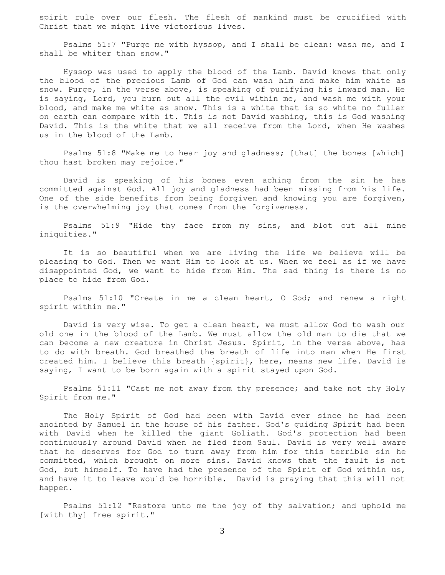spirit rule over our flesh. The flesh of mankind must be crucified with Christ that we might live victorious lives.

 Psalms 51:7 "Purge me with hyssop, and I shall be clean: wash me, and I shall be whiter than snow."

 Hyssop was used to apply the blood of the Lamb. David knows that only the blood of the precious Lamb of God can wash him and make him white as snow. Purge, in the verse above, is speaking of purifying his inward man. He is saying, Lord, you burn out all the evil within me, and wash me with your blood, and make me white as snow. This is a white that is so white no fuller on earth can compare with it. This is not David washing, this is God washing David. This is the white that we all receive from the Lord, when He washes us in the blood of the Lamb.

 Psalms 51:8 "Make me to hear joy and gladness; [that] the bones [which] thou hast broken may rejoice."

 David is speaking of his bones even aching from the sin he has committed against God. All joy and gladness had been missing from his life. One of the side benefits from being forgiven and knowing you are forgiven, is the overwhelming joy that comes from the forgiveness.

 Psalms 51:9 "Hide thy face from my sins, and blot out all mine iniquities."

 It is so beautiful when we are living the life we believe will be pleasing to God. Then we want Him to look at us. When we feel as if we have disappointed God, we want to hide from Him. The sad thing is there is no place to hide from God.

 Psalms 51:10 "Create in me a clean heart, O God; and renew a right spirit within me."

 David is very wise. To get a clean heart, we must allow God to wash our old one in the blood of the Lamb. We must allow the old man to die that we can become a new creature in Christ Jesus. Spirit, in the verse above, has to do with breath. God breathed the breath of life into man when He first created him. I believe this breath {spirit}, here, means new life. David is saying, I want to be born again with a spirit stayed upon God.

 Psalms 51:11 "Cast me not away from thy presence; and take not thy Holy Spirit from me."

 The Holy Spirit of God had been with David ever since he had been anointed by Samuel in the house of his father. God's guiding Spirit had been with David when he killed the giant Goliath. God's protection had been continuously around David when he fled from Saul. David is very well aware that he deserves for God to turn away from him for this terrible sin he committed, which brought on more sins. David knows that the fault is not God, but himself. To have had the presence of the Spirit of God within us, and have it to leave would be horrible. David is praying that this will not happen.

 Psalms 51:12 "Restore unto me the joy of thy salvation; and uphold me [with thy] free spirit."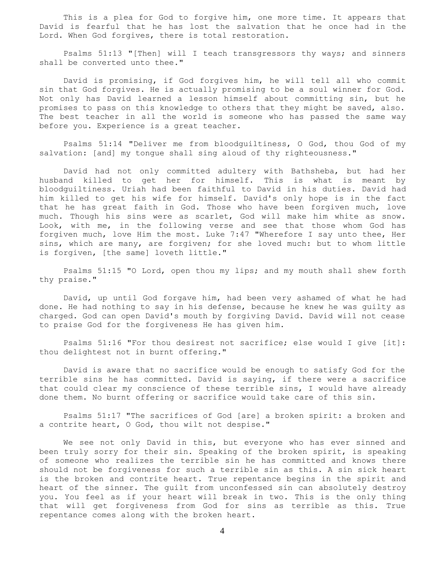This is a plea for God to forgive him, one more time. It appears that David is fearful that he has lost the salvation that he once had in the Lord. When God forgives, there is total restoration.

 Psalms 51:13 "[Then] will I teach transgressors thy ways; and sinners shall be converted unto thee."

 David is promising, if God forgives him, he will tell all who commit sin that God forgives. He is actually promising to be a soul winner for God. Not only has David learned a lesson himself about committing sin, but he promises to pass on this knowledge to others that they might be saved, also. The best teacher in all the world is someone who has passed the same way before you. Experience is a great teacher.

 Psalms 51:14 "Deliver me from bloodguiltiness, O God, thou God of my salvation: [and] my tongue shall sing aloud of thy righteousness."

 David had not only committed adultery with Bathsheba, but had her husband killed to get her for himself. This is what is meant by bloodguiltiness. Uriah had been faithful to David in his duties. David had him killed to get his wife for himself. David's only hope is in the fact that he has great faith in God. Those who have been forgiven much, love much. Though his sins were as scarlet, God will make him white as snow. Look, with me, in the following verse and see that those whom God has forgiven much, love Him the most. Luke 7:47 "Wherefore I say unto thee, Her sins, which are many, are forgiven; for she loved much: but to whom little is forgiven, [the same] loveth little."

 Psalms 51:15 "O Lord, open thou my lips; and my mouth shall shew forth thy praise."

 David, up until God forgave him, had been very ashamed of what he had done. He had nothing to say in his defense, because he knew he was guilty as charged. God can open David's mouth by forgiving David. David will not cease to praise God for the forgiveness He has given him.

 Psalms 51:16 "For thou desirest not sacrifice; else would I give [it]: thou delightest not in burnt offering."

 David is aware that no sacrifice would be enough to satisfy God for the terrible sins he has committed. David is saying, if there were a sacrifice that could clear my conscience of these terrible sins, I would have already done them. No burnt offering or sacrifice would take care of this sin.

 Psalms 51:17 "The sacrifices of God [are] a broken spirit: a broken and a contrite heart, O God, thou wilt not despise."

 We see not only David in this, but everyone who has ever sinned and been truly sorry for their sin. Speaking of the broken spirit, is speaking of someone who realizes the terrible sin he has committed and knows there should not be forgiveness for such a terrible sin as this. A sin sick heart is the broken and contrite heart. True repentance begins in the spirit and heart of the sinner. The guilt from unconfessed sin can absolutely destroy you. You feel as if your heart will break in two. This is the only thing that will get forgiveness from God for sins as terrible as this. True repentance comes along with the broken heart.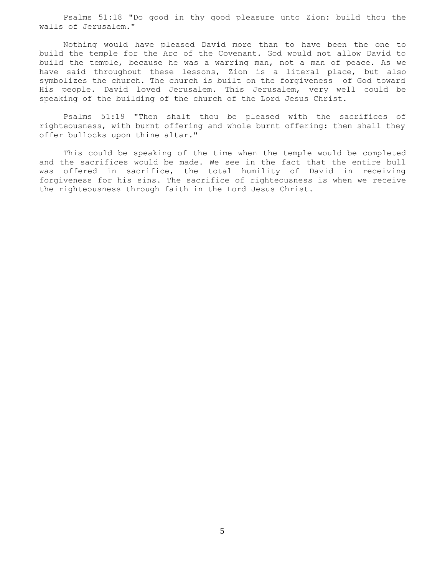Psalms 51:18 "Do good in thy good pleasure unto Zion: build thou the walls of Jerusalem."

 Nothing would have pleased David more than to have been the one to build the temple for the Arc of the Covenant. God would not allow David to build the temple, because he was a warring man, not a man of peace. As we have said throughout these lessons, Zion is a literal place, but also symbolizes the church. The church is built on the forgiveness of God toward His people. David loved Jerusalem. This Jerusalem, very well could be speaking of the building of the church of the Lord Jesus Christ.

 Psalms 51:19 "Then shalt thou be pleased with the sacrifices of righteousness, with burnt offering and whole burnt offering: then shall they offer bullocks upon thine altar."

 This could be speaking of the time when the temple would be completed and the sacrifices would be made. We see in the fact that the entire bull was offered in sacrifice, the total humility of David in receiving forgiveness for his sins. The sacrifice of righteousness is when we receive the righteousness through faith in the Lord Jesus Christ.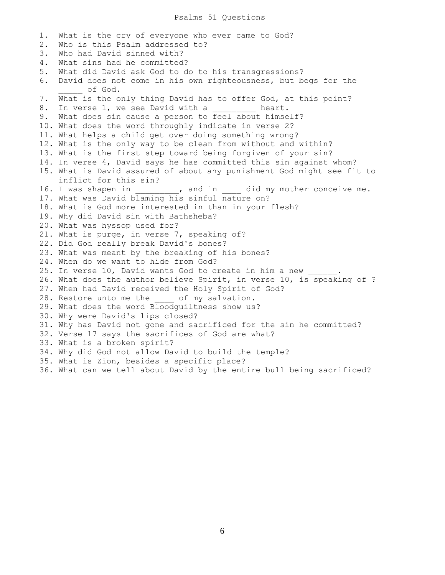1. What is the cry of everyone who ever came to God? 2. Who is this Psalm addressed to? 3. Who had David sinned with? 4. What sins had he committed? 5. What did David ask God to do to his transgressions? 6. David does not come in his own righteousness, but begs for the \_\_\_\_\_ of God. 7. What is the only thing David has to offer God, at this point? 8. In verse 1, we see David with a heart. 9. What does sin cause a person to feel about himself? 10. What does the word throughly indicate in verse 2? 11. What helps a child get over doing something wrong? 12. What is the only way to be clean from without and within? 13. What is the first step toward being forgiven of your sin? 14. In verse 4, David says he has committed this sin against whom? 15. What is David assured of about any punishment God might see fit to inflict for this sin? 16. I was shapen in \_\_\_\_\_\_\_\_, and in \_\_\_\_ did my mother conceive me. 17. What was David blaming his sinful nature on? 18. What is God more interested in than in your flesh? 19. Why did David sin with Bathsheba? 20. What was hyssop used for? 21. What is purge, in verse 7, speaking of? 22. Did God really break David's bones? 23. What was meant by the breaking of his bones? 24. When do we want to hide from God? 25. In verse 10, David wants God to create in him a new 26. What does the author believe Spirit, in verse 10, is speaking of ? 27. When had David received the Holy Spirit of God? 28. Restore unto me the of my salvation. 29. What does the word Bloodguiltness show us? 30. Why were David's lips closed? 31. Why has David not gone and sacrificed for the sin he committed? 32. Verse 17 says the sacrifices of God are what? 33. What is a broken spirit? 34. Why did God not allow David to build the temple? 35. What is Zion, besides a specific place? 36. What can we tell about David by the entire bull being sacrificed?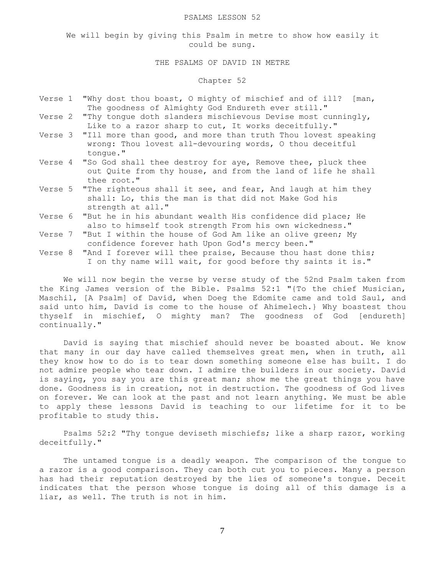#### PSALMS LESSON 52

We will begin by giving this Psalm in metre to show how easily it could be sung.

# THE PSALMS OF DAVID IN METRE

# Chapter 52

- Verse 1 "Why dost thou boast, O mighty of mischief and of ill? [man, The goodness of Almighty God Endureth ever still."
- Verse 2 "Thy tongue doth slanders mischievous Devise most cunningly, Like to a razor sharp to cut, It works deceitfully."
- Verse 3 "Ill more than good, and more than truth Thou lovest speaking wrong: Thou lovest all-devouring words, O thou deceitful tongue."
- Verse 4 "So God shall thee destroy for aye, Remove thee, pluck thee out Quite from thy house, and from the land of life he shall thee root."
- Verse 5 "The righteous shall it see, and fear, And laugh at him they shall: Lo, this the man is that did not Make God his strength at all."
- Verse 6 "But he in his abundant wealth His confidence did place; He also to himself took strength From his own wickedness."
- Verse 7 "But I within the house of God Am like an olive green; My confidence forever hath Upon God's mercy been."
- Verse 8 "And I forever will thee praise, Because thou hast done this; I on thy name will wait, for good before thy saints it is."

 We will now begin the verse by verse study of the 52nd Psalm taken from the King James version of the Bible. Psalms 52:1 "{To the chief Musician, Maschil, [A Psalm] of David, when Doeg the Edomite came and told Saul, and said unto him, David is come to the house of Ahimelech.} Why boastest thou thyself in mischief, O mighty man? The goodness of God [endureth] continually."

 David is saying that mischief should never be boasted about. We know that many in our day have called themselves great men, when in truth, all they know how to do is to tear down something someone else has built. I do not admire people who tear down. I admire the builders in our society. David is saying, you say you are this great man; show me the great things you have done. Goodness is in creation, not in destruction. The goodness of God lives on forever. We can look at the past and not learn anything. We must be able to apply these lessons David is teaching to our lifetime for it to be profitable to study this.

 Psalms 52:2 "Thy tongue deviseth mischiefs; like a sharp razor, working deceitfully."

 The untamed tongue is a deadly weapon. The comparison of the tongue to a razor is a good comparison. They can both cut you to pieces. Many a person has had their reputation destroyed by the lies of someone's tongue. Deceit indicates that the person whose tongue is doing all of this damage is a liar, as well. The truth is not in him.

7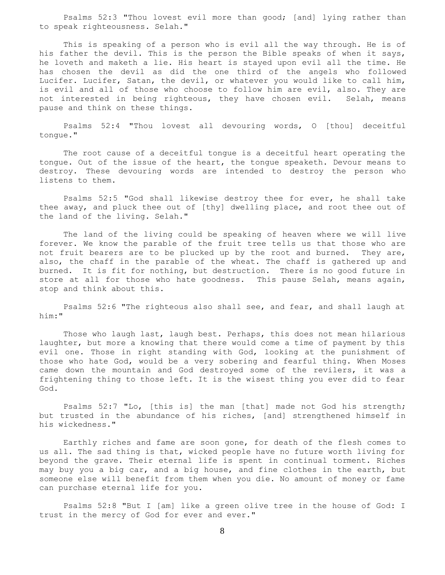Psalms 52:3 "Thou lovest evil more than good; [and] lying rather than to speak righteousness. Selah."

 This is speaking of a person who is evil all the way through. He is of his father the devil. This is the person the Bible speaks of when it says, he loveth and maketh a lie. His heart is stayed upon evil all the time. He has chosen the devil as did the one third of the angels who followed Lucifer. Lucifer, Satan, the devil, or whatever you would like to call him, is evil and all of those who choose to follow him are evil, also. They are not interested in being righteous, they have chosen evil. Selah, means pause and think on these things.

 Psalms 52:4 "Thou lovest all devouring words, O [thou] deceitful tongue."

 The root cause of a deceitful tongue is a deceitful heart operating the tongue. Out of the issue of the heart, the tongue speaketh. Devour means to destroy. These devouring words are intended to destroy the person who listens to them.

 Psalms 52:5 "God shall likewise destroy thee for ever, he shall take thee away, and pluck thee out of [thy] dwelling place, and root thee out of the land of the living. Selah."

 The land of the living could be speaking of heaven where we will live forever. We know the parable of the fruit tree tells us that those who are not fruit bearers are to be plucked up by the root and burned. They are, also, the chaff in the parable of the wheat. The chaff is gathered up and burned. It is fit for nothing, but destruction. There is no good future in store at all for those who hate goodness. This pause Selah, means again, stop and think about this.

 Psalms 52:6 "The righteous also shall see, and fear, and shall laugh at him:"

 Those who laugh last, laugh best. Perhaps, this does not mean hilarious laughter, but more a knowing that there would come a time of payment by this evil one. Those in right standing with God, looking at the punishment of those who hate God, would be a very sobering and fearful thing. When Moses came down the mountain and God destroyed some of the revilers, it was a frightening thing to those left. It is the wisest thing you ever did to fear God.

 Psalms 52:7 "Lo, [this is] the man [that] made not God his strength; but trusted in the abundance of his riches, [and] strengthened himself in his wickedness."

 Earthly riches and fame are soon gone, for death of the flesh comes to us all. The sad thing is that, wicked people have no future worth living for beyond the grave. Their eternal life is spent in continual torment. Riches may buy you a big car, and a big house, and fine clothes in the earth, but someone else will benefit from them when you die. No amount of money or fame can purchase eternal life for you.

 Psalms 52:8 "But I [am] like a green olive tree in the house of God: I trust in the mercy of God for ever and ever."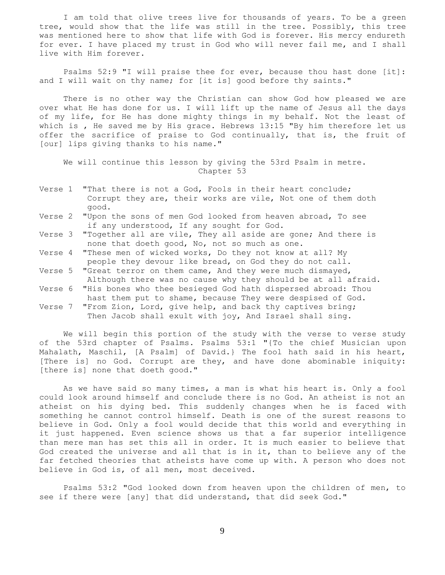I am told that olive trees live for thousands of years. To be a green tree, would show that the life was still in the tree. Possibly, this tree was mentioned here to show that life with God is forever. His mercy endureth for ever. I have placed my trust in God who will never fail me, and I shall live with Him forever.

 Psalms 52:9 "I will praise thee for ever, because thou hast done [it]: and I will wait on thy name; for [it is] good before thy saints."

 There is no other way the Christian can show God how pleased we are over what He has done for us. I will lift up the name of Jesus all the days of my life, for He has done mighty things in my behalf. Not the least of which is , He saved me by His grace. Hebrews 13:15 "By him therefore let us offer the sacrifice of praise to God continually, that is, the fruit of [our] lips giving thanks to his name."

 We will continue this lesson by giving the 53rd Psalm in metre. Chapter 53

- Verse 1 "That there is not a God, Fools in their heart conclude; Corrupt they are, their works are vile, Not one of them doth good."
- Verse 2 "Upon the sons of men God looked from heaven abroad, To see if any understood, If any sought for God.
- Verse 3 "Together all are vile, They all aside are gone; And there is none that doeth good, No, not so much as one.
- Verse 4 "These men of wicked works, Do they not know at all? My people they devour like bread, on God they do not call.
- Verse 5 "Great terror on them came, And they were much dismayed, Although there was no cause why they should be at all afraid.
- Verse 6 "His bones who thee besieged God hath dispersed abroad: Thou hast them put to shame, because They were despised of God.
- Verse 7 "From Zion, Lord, give help, and back thy captives bring; Then Jacob shall exult with joy, And Israel shall sing.

 We will begin this portion of the study with the verse to verse study of the 53rd chapter of Psalms. Psalms 53:1 "{To the chief Musician upon Mahalath, Maschil, [A Psalm] of David.} The fool hath said in his heart, [There is] no God. Corrupt are they, and have done abominable iniquity: [there is] none that doeth good."

 As we have said so many times, a man is what his heart is. Only a fool could look around himself and conclude there is no God. An atheist is not an atheist on his dying bed. This suddenly changes when he is faced with something he cannot control himself. Death is one of the surest reasons to believe in God. Only a fool would decide that this world and everything in it just happened. Even science shows us that a far superior intelligence than mere man has set this all in order. It is much easier to believe that God created the universe and all that is in it, than to believe any of the far fetched theories that atheists have come up with. A person who does not believe in God is, of all men, most deceived.

 Psalms 53:2 "God looked down from heaven upon the children of men, to see if there were [any] that did understand, that did seek God."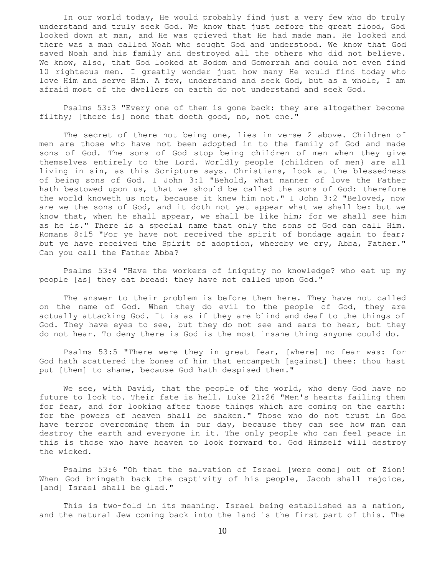In our world today, He would probably find just a very few who do truly understand and truly seek God. We know that just before the great flood, God looked down at man, and He was grieved that He had made man. He looked and there was a man called Noah who sought God and understood. We know that God saved Noah and his family and destroyed all the others who did not believe. We know, also, that God looked at Sodom and Gomorrah and could not even find 10 righteous men. I greatly wonder just how many He would find today who love Him and serve Him. A few, understand and seek God, but as a whole, I am afraid most of the dwellers on earth do not understand and seek God.

 Psalms 53:3 "Every one of them is gone back: they are altogether become filthy; [there is] none that doeth good, no, not one."

 The secret of there not being one, lies in verse 2 above. Children of men are those who have not been adopted in to the family of God and made sons of God. The sons of God stop being children of men when they give themselves entirely to the Lord. Worldly people {children of men} are all living in sin, as this Scripture says. Christians, look at the blessedness of being sons of God. I John 3:1 "Behold, what manner of love the Father hath bestowed upon us, that we should be called the sons of God: therefore the world knoweth us not, because it knew him not." I John 3:2 "Beloved, now are we the sons of God, and it doth not yet appear what we shall be: but we know that, when he shall appear, we shall be like him; for we shall see him as he is." There is a special name that only the sons of God can call Him. Romans 8:15 "For ye have not received the spirit of bondage again to fear; but ye have received the Spirit of adoption, whereby we cry, Abba, Father." Can you call the Father Abba?

 Psalms 53:4 "Have the workers of iniquity no knowledge? who eat up my people [as] they eat bread: they have not called upon God."

 The answer to their problem is before them here. They have not called on the name of God. When they do evil to the people of God, they are actually attacking God. It is as if they are blind and deaf to the things of God. They have eyes to see, but they do not see and ears to hear, but they do not hear. To deny there is God is the most insane thing anyone could do.

 Psalms 53:5 "There were they in great fear, [where] no fear was: for God hath scattered the bones of him that encampeth [against] thee: thou hast put [them] to shame, because God hath despised them."

We see, with David, that the people of the world, who deny God have no future to look to. Their fate is hell. Luke 21:26 "Men's hearts failing them for fear, and for looking after those things which are coming on the earth: for the powers of heaven shall be shaken." Those who do not trust in God have terror overcoming them in our day, because they can see how man can destroy the earth and everyone in it. The only people who can feel peace in this is those who have heaven to look forward to. God Himself will destroy the wicked.

 Psalms 53:6 "Oh that the salvation of Israel [were come] out of Zion! When God bringeth back the captivity of his people, Jacob shall rejoice, [and] Israel shall be glad."

 This is two-fold in its meaning. Israel being established as a nation, and the natural Jew coming back into the land is the first part of this. The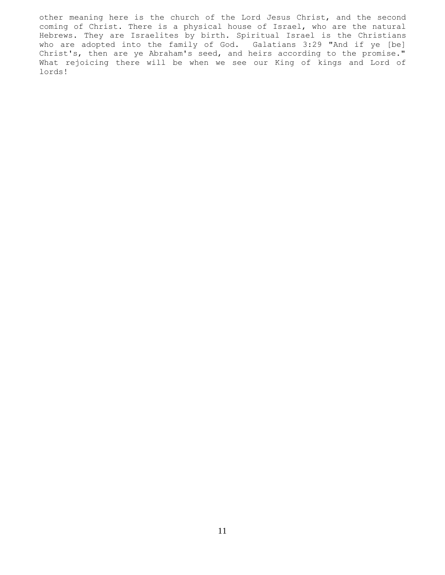other meaning here is the church of the Lord Jesus Christ, and the second coming of Christ. There is a physical house of Israel, who are the natural Hebrews. They are Israelites by birth. Spiritual Israel is the Christians who are adopted into the family of God. Galatians 3:29 "And if ye [be] Christ's, then are ye Abraham's seed, and heirs according to the promise." What rejoicing there will be when we see our King of kings and Lord of lords!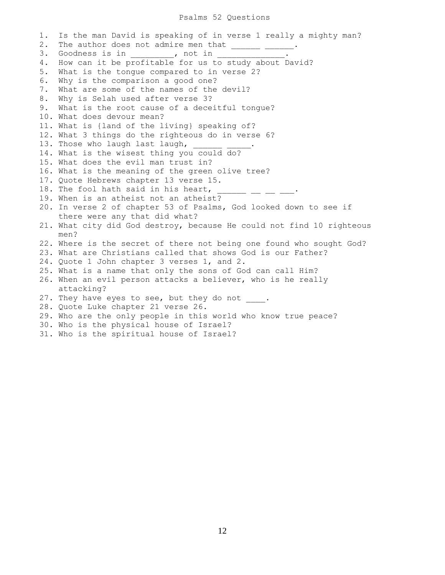### Psalms 52 Questions

1. Is the man David is speaking of in verse 1 really a mighty man? 2. The author does not admire men that \_\_\_\_\_\_ \_\_\_\_\_\_. 3. Goodness is in Theory and in 4. How can it be profitable for us to study about David? 5. What is the tongue compared to in verse 2? 6. Why is the comparison a good one? 7. What are some of the names of the devil? 8. Why is Selah used after verse 3? 9. What is the root cause of a deceitful tongue? 10. What does devour mean? 11. What is {land of the living} speaking of? 12. What 3 things do the righteous do in verse 6? 13. Those who laugh last laugh, 14. What is the wisest thing you could do? 15. What does the evil man trust in? 16. What is the meaning of the green olive tree? 17. Quote Hebrews chapter 13 verse 15. 18. The fool hath said in his heart,  $\frac{1}{2}$  \_\_\_\_\_\_\_ \_\_ \_\_\_\_. 19. When is an atheist not an atheist? 20. In verse 2 of chapter 53 of Psalms, God looked down to see if there were any that did what? 21. What city did God destroy, because He could not find 10 righteous men? 22. Where is the secret of there not being one found who sought God? 23. What are Christians called that shows God is our Father? 24. Quote 1 John chapter 3 verses 1, and 2. 25. What is a name that only the sons of God can call Him? 26. When an evil person attacks a believer, who is he really attacking? 27. They have eyes to see, but they do not . 28. Quote Luke chapter 21 verse 26. 29. Who are the only people in this world who know true peace? 30. Who is the physical house of Israel?

31. Who is the spiritual house of Israel?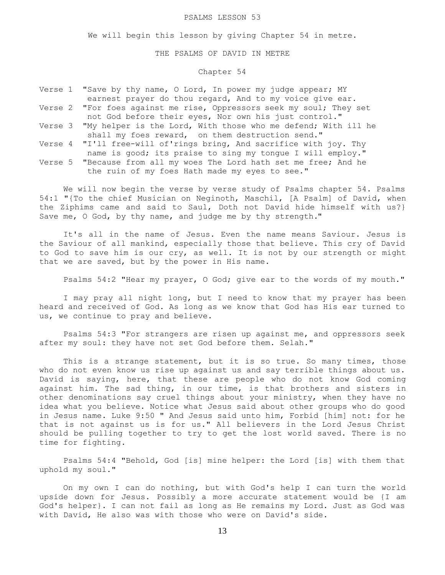### PSALMS LESSON 53

We will begin this lesson by giving Chapter 54 in metre.

### THE PSALMS OF DAVID IN METRE

# Chapter 54

|  | Verse 1 "Save by thy name, O Lord, In power my judge appear; MY       |
|--|-----------------------------------------------------------------------|
|  | earnest prayer do thou regard, And to my voice give ear.              |
|  | Verse 2 "For foes against me rise, Oppressors seek my soul; They set  |
|  | not God before their eyes, Nor own his just control."                 |
|  | Verse 3 "My helper is the Lord, With those who me defend; With ill he |
|  | shall my foes reward, on them destruction send."                      |
|  | Verse 4 "I'll free-will of'rings bring, And sacrifice with joy. Thy   |
|  | name is good; its praise to sing my tonque I will employ."            |
|  | Verse 5 "Because from all my woes The Lord hath set me free; And he   |

the ruin of my foes Hath made my eyes to see."

 We will now begin the verse by verse study of Psalms chapter 54. Psalms 54:1 "{To the chief Musician on Neginoth, Maschil, [A Psalm] of David, when the Ziphims came and said to Saul, Doth not David hide himself with us?} Save me, O God, by thy name, and judge me by thy strength."

 It's all in the name of Jesus. Even the name means Saviour. Jesus is the Saviour of all mankind, especially those that believe. This cry of David to God to save him is our cry, as well. It is not by our strength or might that we are saved, but by the power in His name.

Psalms 54:2 "Hear my prayer, O God; give ear to the words of my mouth."

 I may pray all night long, but I need to know that my prayer has been heard and received of God. As long as we know that God has His ear turned to us, we continue to pray and believe.

 Psalms 54:3 "For strangers are risen up against me, and oppressors seek after my soul: they have not set God before them. Selah."

This is a strange statement, but it is so true. So many times, those who do not even know us rise up against us and say terrible things about us. David is saying, here, that these are people who do not know God coming against him. The sad thing, in our time, is that brothers and sisters in other denominations say cruel things about your ministry, when they have no idea what you believe. Notice what Jesus said about other groups who do good in Jesus name. Luke 9:50 " And Jesus said unto him, Forbid [him] not: for he that is not against us is for us." All believers in the Lord Jesus Christ should be pulling together to try to get the lost world saved. There is no time for fighting.

 Psalms 54:4 "Behold, God [is] mine helper: the Lord [is] with them that uphold my soul."

 On my own I can do nothing, but with God's help I can turn the world upside down for Jesus. Possibly a more accurate statement would be {I am God's helper}. I can not fail as long as He remains my Lord. Just as God was with David, He also was with those who were on David's side.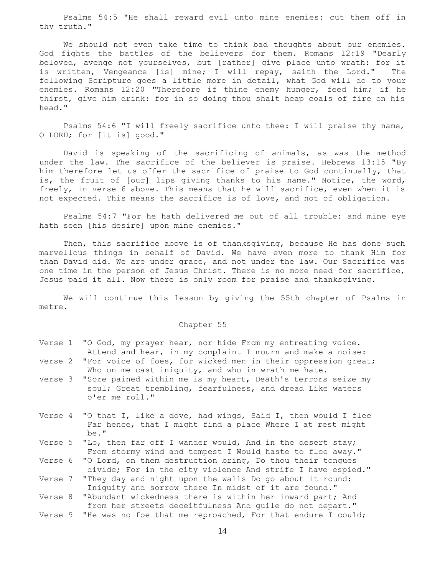Psalms 54:5 "He shall reward evil unto mine enemies: cut them off in thy truth."

 We should not even take time to think bad thoughts about our enemies. God fights the battles of the believers for them. Romans 12:19 "Dearly beloved, avenge not yourselves, but [rather] give place unto wrath: for it is written, Vengeance [is] mine; I will repay, saith the Lord." The following Scripture goes a little more in detail, what God will do to your enemies. Romans 12:20 "Therefore if thine enemy hunger, feed him; if he thirst, give him drink: for in so doing thou shalt heap coals of fire on his head."

 Psalms 54:6 "I will freely sacrifice unto thee: I will praise thy name, O LORD; for [it is] good."

 David is speaking of the sacrificing of animals, as was the method under the law. The sacrifice of the believer is praise. Hebrews 13:15 "By him therefore let us offer the sacrifice of praise to God continually, that is, the fruit of [our] lips giving thanks to his name." Notice, the word, freely, in verse 6 above. This means that he will sacrifice, even when it is not expected. This means the sacrifice is of love, and not of obligation.

 Psalms 54:7 "For he hath delivered me out of all trouble: and mine eye hath seen [his desire] upon mine enemies."

 Then, this sacrifice above is of thanksgiving, because He has done such marvellous things in behalf of David. We have even more to thank Him for than David did. We are under grace, and not under the law. Our Sacrifice was one time in the person of Jesus Christ. There is no more need for sacrifice, Jesus paid it all. Now there is only room for praise and thanksgiving.

 We will continue this lesson by giving the 55th chapter of Psalms in metre.

### Chapter 55

| $    -$ |                                                                    |  |  |  |  |  | ,一个人的人都是一个人,一个人的人,一个人都是一个人的人,一个人都是一个人的人,一个人都是一个人的人,一个人都是一个人的人,一个人都是一个人的人,一个人都是一个 |  |
|---------|--------------------------------------------------------------------|--|--|--|--|--|----------------------------------------------------------------------------------|--|
|         | Attend and hear, in my complaint I mourn and make a noise:         |  |  |  |  |  |                                                                                  |  |
|         | Verse 1 "O God, my prayer hear, nor hide From my entreating voice. |  |  |  |  |  |                                                                                  |  |

- Verse 2 "For voice of foes, for wicked men in their oppression great; Who on me cast iniquity, and who in wrath me hate.
- Verse 3 "Sore pained within me is my heart, Death's terrors seize my soul; Great trembling, fearfulness, and dread Like waters o'er me roll."
- Verse 4 "O that I, like a dove, had wings, Said I, then would I flee Far hence, that I might find a place Where I at rest might be."
- Verse 5 "Lo, then far off I wander would, And in the desert stay; From stormy wind and tempest I Would haste to flee away."
- Verse 6 "O Lord, on them destruction bring, Do thou their tongues divide; For in the city violence And strife I have espied."
- Verse 7 "They day and night upon the walls Do go about it round: Iniquity and sorrow there In midst of it are found."
- Verse 8 "Abundant wickedness there is within her inward part; And from her streets deceitfulness And guile do not depart."
- Verse 9 "He was no foe that me reproached, For that endure I could;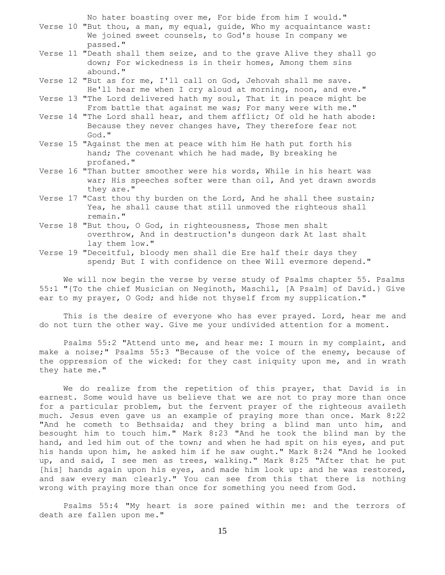No hater boasting over me, For bide from him I would."

- Verse 10 "But thou, a man, my equal, guide, Who my acquaintance wast: We joined sweet counsels, to God's house In company we passed."
- Verse 11 "Death shall them seize, and to the grave Alive they shall go down; For wickedness is in their homes, Among them sins abound."
- Verse 12 "But as for me, I'll call on God, Jehovah shall me save. He'll hear me when I cry aloud at morning, noon, and eve."
- Verse 13 "The Lord delivered hath my soul, That it in peace might be From battle that against me was; For many were with me."
- Verse 14 "The Lord shall hear, and them afflict; Of old he hath abode: Because they never changes have, They therefore fear not God."
- Verse 15 "Against the men at peace with him He hath put forth his hand; The covenant which he had made, By breaking he profaned."
- Verse 16 "Than butter smoother were his words, While in his heart was war; His speeches softer were than oil, And yet drawn swords they are."
- Verse 17 "Cast thou thy burden on the Lord, And he shall thee sustain; Yea, he shall cause that still unmoved the righteous shall remain."
- Verse 18 "But thou, O God, in righteousness, Those men shalt overthrow, And in destruction's dungeon dark At last shalt lay them low."
- Verse 19 "Deceitful, bloody men shall die Ere half their days they spend; But I with confidence on thee Will evermore depend."

 We will now begin the verse by verse study of Psalms chapter 55. Psalms 55:1 "{To the chief Musician on Neginoth, Maschil, [A Psalm] of David.} Give ear to my prayer, O God; and hide not thyself from my supplication."

 This is the desire of everyone who has ever prayed. Lord, hear me and do not turn the other way. Give me your undivided attention for a moment.

 Psalms 55:2 "Attend unto me, and hear me: I mourn in my complaint, and make a noise;" Psalms 55:3 "Because of the voice of the enemy, because of the oppression of the wicked: for they cast iniquity upon me, and in wrath they hate me."

 We do realize from the repetition of this prayer, that David is in earnest. Some would have us believe that we are not to pray more than once for a particular problem, but the fervent prayer of the righteous availeth much. Jesus even gave us an example of praying more than once. Mark 8:22 "And he cometh to Bethsaida; and they bring a blind man unto him, and besought him to touch him." Mark 8:23 "And he took the blind man by the hand, and led him out of the town; and when he had spit on his eyes, and put his hands upon him, he asked him if he saw ought." Mark 8:24 "And he looked up, and said, I see men as trees, walking." Mark 8:25 "After that he put [his] hands again upon his eyes, and made him look up: and he was restored, and saw every man clearly." You can see from this that there is nothing wrong with praying more than once for something you need from God.

 Psalms 55:4 "My heart is sore pained within me: and the terrors of death are fallen upon me."

15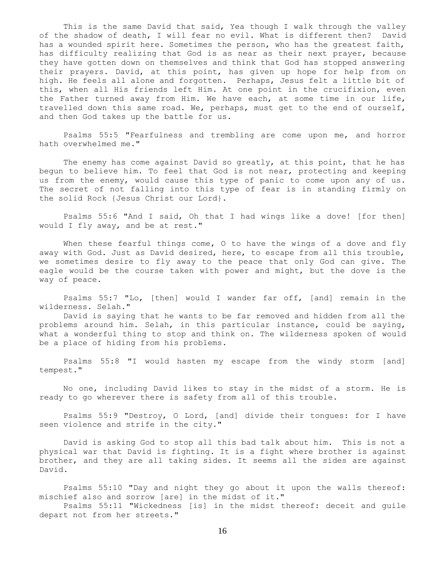This is the same David that said, Yea though I walk through the valley of the shadow of death, I will fear no evil. What is different then? David has a wounded spirit here. Sometimes the person, who has the greatest faith, has difficulty realizing that God is as near as their next prayer, because they have gotten down on themselves and think that God has stopped answering their prayers. David, at this point, has given up hope for help from on high. He feels all alone and forgotten. Perhaps, Jesus felt a little bit of this, when all His friends left Him. At one point in the crucifixion, even the Father turned away from Him. We have each, at some time in our life, travelled down this same road. We, perhaps, must get to the end of ourself, and then God takes up the battle for us.

 Psalms 55:5 "Fearfulness and trembling are come upon me, and horror hath overwhelmed me."

The enemy has come against David so greatly, at this point, that he has begun to believe him. To feel that God is not near, protecting and keeping us from the enemy, would cause this type of panic to come upon any of us. The secret of not falling into this type of fear is in standing firmly on the solid Rock {Jesus Christ our Lord}.

 Psalms 55:6 "And I said, Oh that I had wings like a dove! [for then] would I fly away, and be at rest."

When these fearful things come, O to have the wings of a dove and fly away with God. Just as David desired, here, to escape from all this trouble, we sometimes desire to fly away to the peace that only God can give. The eagle would be the course taken with power and might, but the dove is the way of peace.

 Psalms 55:7 "Lo, [then] would I wander far off, [and] remain in the wilderness. Selah."

 David is saying that he wants to be far removed and hidden from all the problems around him. Selah, in this particular instance, could be saying, what a wonderful thing to stop and think on. The wilderness spoken of would be a place of hiding from his problems.

 Psalms 55:8 "I would hasten my escape from the windy storm [and] tempest."

 No one, including David likes to stay in the midst of a storm. He is ready to go wherever there is safety from all of this trouble.

 Psalms 55:9 "Destroy, O Lord, [and] divide their tongues: for I have seen violence and strife in the city."

 David is asking God to stop all this bad talk about him. This is not a physical war that David is fighting. It is a fight where brother is against brother, and they are all taking sides. It seems all the sides are against David.

 Psalms 55:10 "Day and night they go about it upon the walls thereof: mischief also and sorrow [are] in the midst of it."

 Psalms 55:11 "Wickedness [is] in the midst thereof: deceit and guile depart not from her streets."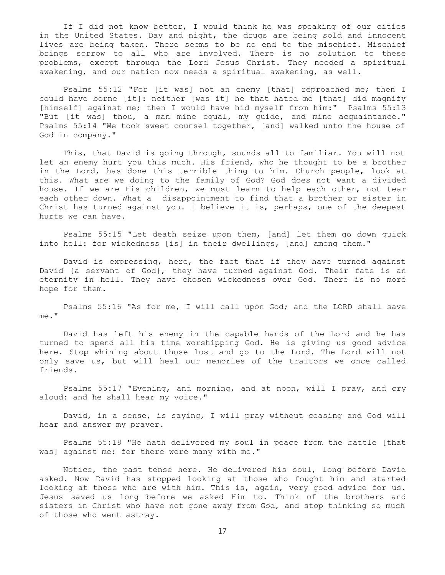If I did not know better, I would think he was speaking of our cities in the United States. Day and night, the drugs are being sold and innocent lives are being taken. There seems to be no end to the mischief. Mischief brings sorrow to all who are involved. There is no solution to these problems, except through the Lord Jesus Christ. They needed a spiritual awakening, and our nation now needs a spiritual awakening, as well.

 Psalms 55:12 "For [it was] not an enemy [that] reproached me; then I could have borne [it]: neither [was it] he that hated me [that] did magnify [himself] against me; then I would have hid myself from him:" Psalms 55:13 "But [it was] thou, a man mine equal, my guide, and mine acquaintance." Psalms 55:14 "We took sweet counsel together, [and] walked unto the house of God in company."

 This, that David is going through, sounds all to familiar. You will not let an enemy hurt you this much. His friend, who he thought to be a brother in the Lord, has done this terrible thing to him. Church people, look at this. What are we doing to the family of God? God does not want a divided house. If we are His children, we must learn to help each other, not tear each other down. What a disappointment to find that a brother or sister in Christ has turned against you. I believe it is, perhaps, one of the deepest hurts we can have.

 Psalms 55:15 "Let death seize upon them, [and] let them go down quick into hell: for wickedness [is] in their dwellings, [and] among them."

 David is expressing, here, the fact that if they have turned against David {a servant of God}, they have turned against God. Their fate is an eternity in hell. They have chosen wickedness over God. There is no more hope for them.

 Psalms 55:16 "As for me, I will call upon God; and the LORD shall save me."

 David has left his enemy in the capable hands of the Lord and he has turned to spend all his time worshipping God. He is giving us good advice here. Stop whining about those lost and go to the Lord. The Lord will not only save us, but will heal our memories of the traitors we once called friends.

 Psalms 55:17 "Evening, and morning, and at noon, will I pray, and cry aloud: and he shall hear my voice."

 David, in a sense, is saying, I will pray without ceasing and God will hear and answer my prayer.

 Psalms 55:18 "He hath delivered my soul in peace from the battle [that was] against me: for there were many with me."

 Notice, the past tense here. He delivered his soul, long before David asked. Now David has stopped looking at those who fought him and started looking at those who are with him. This is, again, very good advice for us. Jesus saved us long before we asked Him to. Think of the brothers and sisters in Christ who have not gone away from God, and stop thinking so much of those who went astray.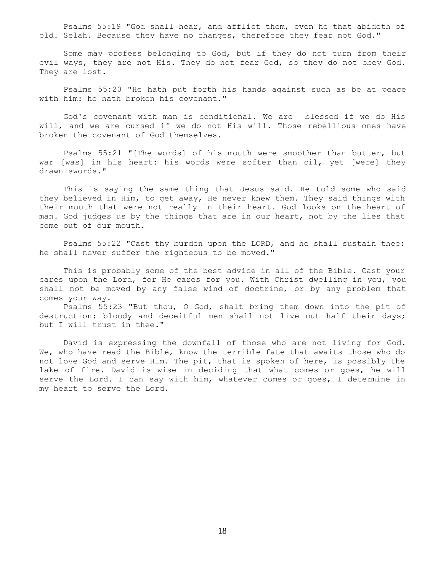Psalms 55:19 "God shall hear, and afflict them, even he that abideth of old. Selah. Because they have no changes, therefore they fear not God."

 Some may profess belonging to God, but if they do not turn from their evil ways, they are not His. They do not fear God, so they do not obey God. They are lost.

 Psalms 55:20 "He hath put forth his hands against such as be at peace with him: he hath broken his covenant."

 God's covenant with man is conditional. We are blessed if we do His will, and we are cursed if we do not His will. Those rebellious ones have broken the covenant of God themselves.

 Psalms 55:21 "[The words] of his mouth were smoother than butter, but war [was] in his heart: his words were softer than oil, yet [were] they drawn swords."

 This is saying the same thing that Jesus said. He told some who said they believed in Him, to get away, He never knew them. They said things with their mouth that were not really in their heart. God looks on the heart of man. God judges us by the things that are in our heart, not by the lies that come out of our mouth.

 Psalms 55:22 "Cast thy burden upon the LORD, and he shall sustain thee: he shall never suffer the righteous to be moved."

 This is probably some of the best advice in all of the Bible. Cast your cares upon the Lord, for He cares for you. With Christ dwelling in you, you shall not be moved by any false wind of doctrine, or by any problem that comes your way.

 Psalms 55:23 "But thou, O God, shalt bring them down into the pit of destruction: bloody and deceitful men shall not live out half their days; but I will trust in thee."

 David is expressing the downfall of those who are not living for God. We, who have read the Bible, know the terrible fate that awaits those who do not love God and serve Him. The pit, that is spoken of here, is possibly the lake of fire. David is wise in deciding that what comes or goes, he will serve the Lord. I can say with him, whatever comes or goes, I determine in my heart to serve the Lord.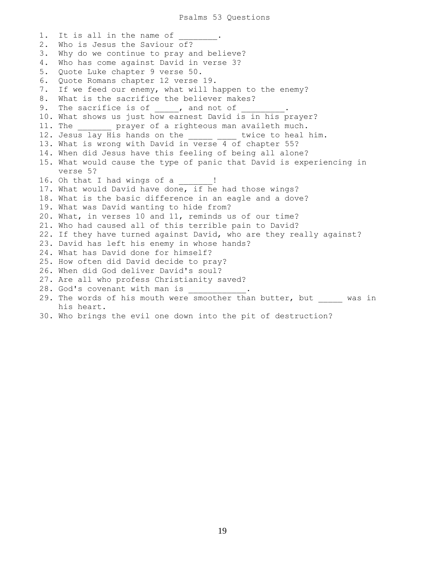1. It is all in the name of 2. Who is Jesus the Saviour of? 3. Why do we continue to pray and believe? 4. Who has come against David in verse 3? 5. Quote Luke chapter 9 verse 50. 6. Quote Romans chapter 12 verse 19. 7. If we feed our enemy, what will happen to the enemy? 8. What is the sacrifice the believer makes? 9. The sacrifice is of , and not of 10. What shows us just how earnest David is in his prayer? 11. The \_\_\_\_\_\_\_ prayer of a righteous man availeth much. 12. Jesus lay His hands on the \_\_\_\_\_\_ \_\_\_\_ twice to heal him. 13. What is wrong with David in verse 4 of chapter 55? 14. When did Jesus have this feeling of being all alone? 15. What would cause the type of panic that David is experiencing in verse 5? 16. Oh that I had wings of a  $\frac{1}{2}$ 17. What would David have done, if he had those wings? 18. What is the basic difference in an eagle and a dove? 19. What was David wanting to hide from? 20. What, in verses 10 and 11, reminds us of our time? 21. Who had caused all of this terrible pain to David? 22. If they have turned against David, who are they really against? 23. David has left his enemy in whose hands? 24. What has David done for himself? 25. How often did David decide to pray? 26. When did God deliver David's soul? 27. Are all who profess Christianity saved? 28. God's covenant with man is 29. The words of his mouth were smoother than butter, but was in his heart. 30. Who brings the evil one down into the pit of destruction?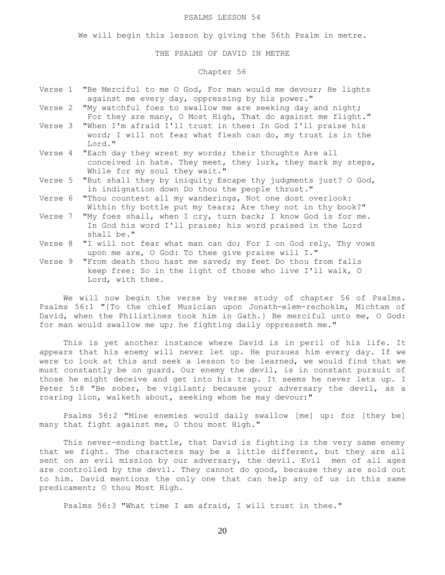### PSALMS LESSON 54

We will begin this lesson by giving the 56th Psalm in metre.

## THE PSALMS OF DAVID IN METRE

# Chapter 56

- Verse 1 "Be Merciful to me O God, For man would me devour; He lights against me every day, oppressing by his power."
- Verse 2 "My watchful foes to swallow me are seeking day and night; For they are many, O Most High, That do against me flight."
- Verse 3 "When I'm afraid I'll trust in thee: In God I'll praise his word; I will not fear what flesh can do, my trust is in the Lord."
- Verse 4 "Each day they wrest my words; their thoughts Are all conceived in hate. They meet, they lurk, they mark my steps, While for my soul they wait."
- Verse 5 "But shall they by iniquity Escape thy judgments just? O God, in indignation down Do thou the people thrust."
- Verse 6 "Thou countest all my wanderings, Not one dost overlook: Within thy bottle put my tears; Are they not in thy book?"
- Verse 7 "My foes shall, when I cry, turn back; I know God is for me. In God his word I'll praise; his word praised in the Lord shall be."
- Verse 8 "I will not fear what man can do; For I on God rely. Thy vows upon me are, O God: To thee give praise will I."
- Verse 9 "From death thou hast me saved; my feet Do thou from falls keep free: So in the light of those who live I'll walk, O Lord, with thee.

 We will now begin the verse by verse study of chapter 56 of Psalms. Psalms 56:1 "{To the chief Musician upon Jonath-elem-rechokim, Michtam of David, when the Philistines took him in Gath.} Be merciful unto me, O God: for man would swallow me up; he fighting daily oppresseth me."

 This is yet another instance where David is in peril of his life. It appears that his enemy will never let up. He pursues him every day. If we were to look at this and seek a lesson to be learned, we would find that we must constantly be on guard. Our enemy the devil, is in constant pursuit of those he might deceive and get into his trap. It seems he never lets up. I Peter 5:8 "Be sober, be vigilant; because your adversary the devil, as a roaring lion, walketh about, seeking whom he may devour:"

 Psalms 56:2 "Mine enemies would daily swallow [me] up: for [they be] many that fight against me, O thou most High."

 This never-ending battle, that David is fighting is the very same enemy that we fight. The characters may be a little different, but they are all sent on an evil mission by our adversary, the devil. Evil men of all ages are controlled by the devil. They cannot do good, because they are sold out to him. David mentions the only one that can help any of us in this same predicament; O thou Most High.

Psalms 56:3 "What time I am afraid, I will trust in thee."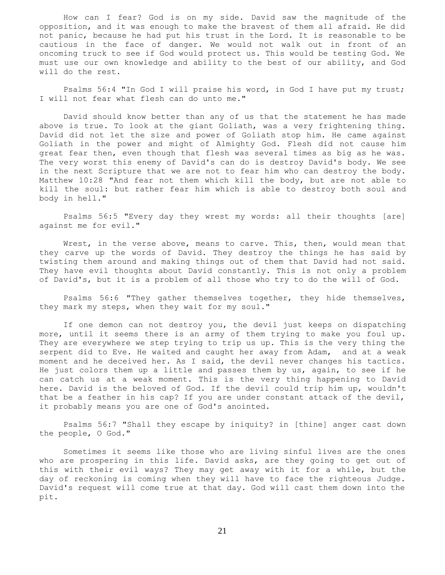How can I fear? God is on my side. David saw the magnitude of the opposition, and it was enough to make the bravest of them all afraid. He did not panic, because he had put his trust in the Lord. It is reasonable to be cautious in the face of danger. We would not walk out in front of an oncoming truck to see if God would protect us. This would be testing God. We must use our own knowledge and ability to the best of our ability, and God will do the rest.

 Psalms 56:4 "In God I will praise his word, in God I have put my trust; I will not fear what flesh can do unto me."

 David should know better than any of us that the statement he has made above is true. To look at the giant Goliath, was a very frightening thing. David did not let the size and power of Goliath stop him. He came against Goliath in the power and might of Almighty God. Flesh did not cause him great fear then, even though that flesh was several times as big as he was. The very worst this enemy of David's can do is destroy David's body. We see in the next Scripture that we are not to fear him who can destroy the body. Matthew 10:28 "And fear not them which kill the body, but are not able to kill the soul: but rather fear him which is able to destroy both soul and body in hell."

 Psalms 56:5 "Every day they wrest my words: all their thoughts [are] against me for evil."

 Wrest, in the verse above, means to carve. This, then, would mean that they carve up the words of David. They destroy the things he has said by twisting them around and making things out of them that David had not said. They have evil thoughts about David constantly. This is not only a problem of David's, but it is a problem of all those who try to do the will of God.

 Psalms 56:6 "They gather themselves together, they hide themselves, they mark my steps, when they wait for my soul."

 If one demon can not destroy you, the devil just keeps on dispatching more, until it seems there is an army of them trying to make you foul up. They are everywhere we step trying to trip us up. This is the very thing the serpent did to Eve. He waited and caught her away from Adam, and at a weak moment and he deceived her. As I said, the devil never changes his tactics. He just colors them up a little and passes them by us, again, to see if he can catch us at a weak moment. This is the very thing happening to David here. David is the beloved of God. If the devil could trip him up, wouldn't that be a feather in his cap? If you are under constant attack of the devil, it probably means you are one of God's anointed.

 Psalms 56:7 "Shall they escape by iniquity? in [thine] anger cast down the people, O God."

 Sometimes it seems like those who are living sinful lives are the ones who are prospering in this life. David asks, are they going to get out of this with their evil ways? They may get away with it for a while, but the day of reckoning is coming when they will have to face the righteous Judge. David's request will come true at that day. God will cast them down into the pit.

21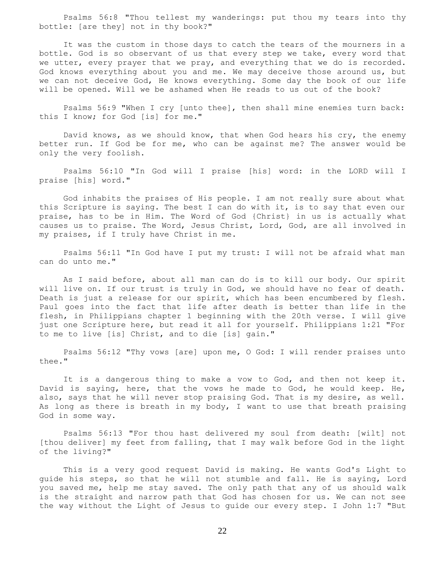Psalms 56:8 "Thou tellest my wanderings: put thou my tears into thy bottle: [are they] not in thy book?"

 It was the custom in those days to catch the tears of the mourners in a bottle. God is so observant of us that every step we take, every word that we utter, every prayer that we pray, and everything that we do is recorded. God knows everything about you and me. We may deceive those around us, but we can not deceive God, He knows everything. Some day the book of our life will be opened. Will we be ashamed when He reads to us out of the book?

 Psalms 56:9 "When I cry [unto thee], then shall mine enemies turn back: this I know; for God [is] for me."

 David knows, as we should know, that when God hears his cry, the enemy better run. If God be for me, who can be against me? The answer would be only the very foolish.

 Psalms 56:10 "In God will I praise [his] word: in the LORD will I praise [his] word."

 God inhabits the praises of His people. I am not really sure about what this Scripture is saying. The best I can do with it, is to say that even our praise, has to be in Him. The Word of God {Christ} in us is actually what causes us to praise. The Word, Jesus Christ, Lord, God, are all involved in my praises, if I truly have Christ in me.

 Psalms 56:11 "In God have I put my trust: I will not be afraid what man can do unto me."

 As I said before, about all man can do is to kill our body. Our spirit will live on. If our trust is truly in God, we should have no fear of death. Death is just a release for our spirit, which has been encumbered by flesh. Paul goes into the fact that life after death is better than life in the flesh, in Philippians chapter 1 beginning with the 20th verse. I will give just one Scripture here, but read it all for yourself. Philippians 1:21 "For to me to live [is] Christ, and to die [is] gain."

 Psalms 56:12 "Thy vows [are] upon me, O God: I will render praises unto thee."

It is a dangerous thing to make a vow to God, and then not keep it. David is saying, here, that the vows he made to God, he would keep. He, also, says that he will never stop praising God. That is my desire, as well. As long as there is breath in my body, I want to use that breath praising God in some way.

 Psalms 56:13 "For thou hast delivered my soul from death: [wilt] not [thou deliver] my feet from falling, that I may walk before God in the light of the living?"

 This is a very good request David is making. He wants God's Light to guide his steps, so that he will not stumble and fall. He is saying, Lord you saved me, help me stay saved. The only path that any of us should walk is the straight and narrow path that God has chosen for us. We can not see the way without the Light of Jesus to guide our every step. I John 1:7 "But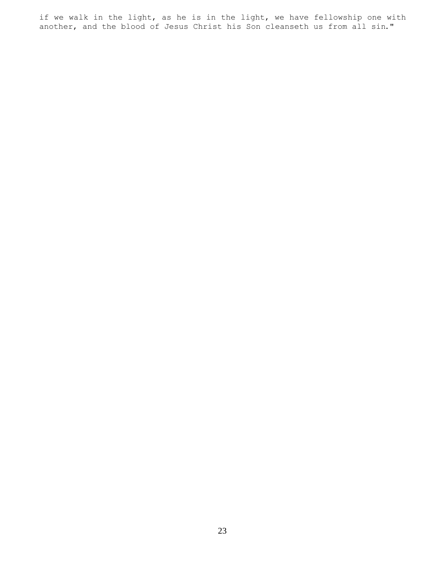if we walk in the light, as he is in the light, we have fellowship one with another, and the blood of Jesus Christ his Son cleanseth us from all sin."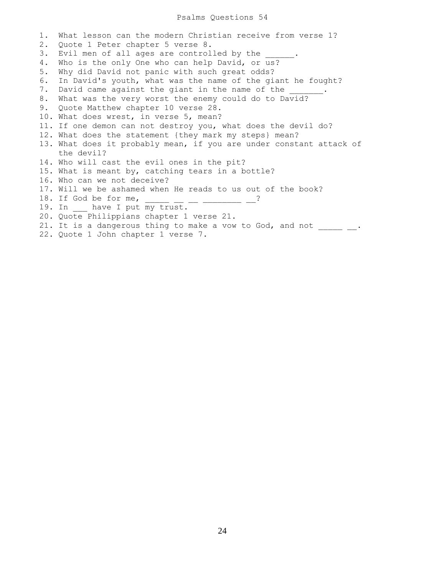### Psalms Questions 54

1. What lesson can the modern Christian receive from verse 1? 2. Quote 1 Peter chapter 5 verse 8. 3. Evil men of all ages are controlled by the 4. Who is the only One who can help David, or us? 5. Why did David not panic with such great odds? 6. In David's youth, what was the name of the giant he fought? 7. David came against the giant in the name of the 8. What was the very worst the enemy could do to David? 9. Quote Matthew chapter 10 verse 28. 10. What does wrest, in verse 5, mean? 11. If one demon can not destroy you, what does the devil do? 12. What does the statement {they mark my steps} mean? 13. What does it probably mean, if you are under constant attack of the devil? 14. Who will cast the evil ones in the pit? 15. What is meant by, catching tears in a bottle? 16. Who can we not deceive? 17. Will we be ashamed when He reads to us out of the book? 18. If God be for me, \_\_\_\_\_ \_\_ \_\_ \_\_ \_\_\_\_\_\_ \_\_? 19. In have I put my trust. 20. Quote Philippians chapter 1 verse 21. 21. It is a dangerous thing to make a vow to God, and not  $\frac{1}{\sqrt{2}}$ 22. Quote 1 John chapter 1 verse 7.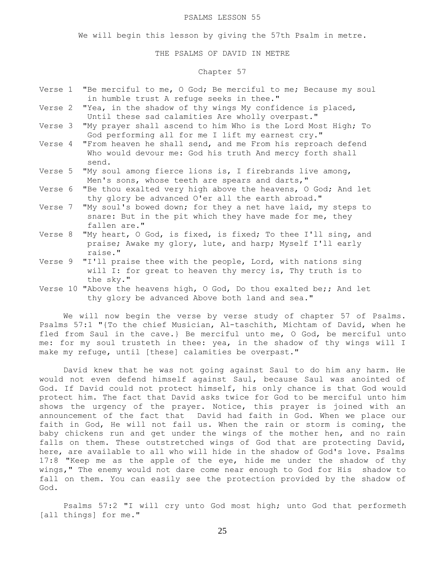### PSALMS LESSON 55

We will begin this lesson by giving the 57th Psalm in metre.

THE PSALMS OF DAVID IN METRE

Chapter 57

- Verse 1 "Be merciful to me, O God; Be merciful to me; Because my soul in humble trust A refuge seeks in thee."
- Verse 2 "Yea, in the shadow of thy wings My confidence is placed, Until these sad calamities Are wholly overpast."
- Verse 3 "My prayer shall ascend to him Who is the Lord Most High; To God performing all for me I lift my earnest cry."
- Verse 4 "From heaven he shall send, and me From his reproach defend Who would devour me: God his truth And mercy forth shall send.
- Verse 5 "My soul among fierce lions is, I firebrands live among, Men's sons, whose teeth are spears and darts,"
- Verse 6 "Be thou exalted very high above the heavens, O God; And let thy glory be advanced O'er all the earth abroad."
- Verse 7 "My soul's bowed down; for they a net have laid, my steps to snare: But in the pit which they have made for me, they fallen are."
- Verse 8 "My heart, O God, is fixed, is fixed; To thee I'll sing, and praise; Awake my glory, lute, and harp; Myself I'll early raise."
- Verse 9 "I'll praise thee with the people, Lord, with nations sing will I: for great to heaven thy mercy is, Thy truth is to the sky."
- Verse 10 "Above the heavens high, O God, Do thou exalted be;; And let thy glory be advanced Above both land and sea."

 We will now begin the verse by verse study of chapter 57 of Psalms. Psalms 57:1 "{To the chief Musician, Al-taschith, Michtam of David, when he fled from Saul in the cave.} Be merciful unto me, O God, be merciful unto me: for my soul trusteth in thee: yea, in the shadow of thy wings will I make my refuge, until [these] calamities be overpast."

 David knew that he was not going against Saul to do him any harm. He would not even defend himself against Saul, because Saul was anointed of God. If David could not protect himself, his only chance is that God would protect him. The fact that David asks twice for God to be merciful unto him shows the urgency of the prayer. Notice, this prayer is joined with an announcement of the fact that David had faith in God. When we place our faith in God, He will not fail us. When the rain or storm is coming, the baby chickens run and get under the wings of the mother hen, and no rain falls on them. These outstretched wings of God that are protecting David, here, are available to all who will hide in the shadow of God's love. Psalms 17:8 "Keep me as the apple of the eye, hide me under the shadow of thy wings," The enemy would not dare come near enough to God for His shadow to fall on them. You can easily see the protection provided by the shadow of God.

 Psalms 57:2 "I will cry unto God most high; unto God that performeth [all things] for me."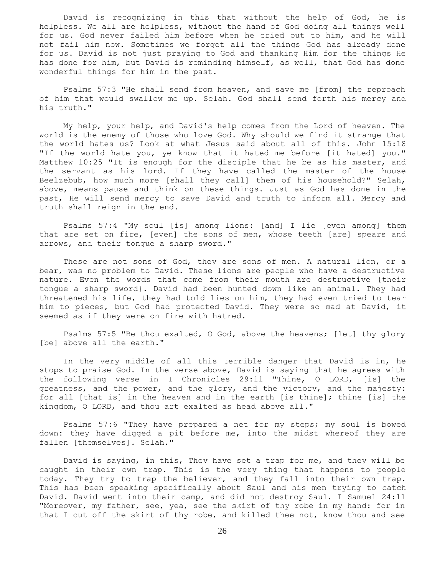David is recognizing in this that without the help of God, he is helpless. We all are helpless, without the hand of God doing all things well for us. God never failed him before when he cried out to him, and he will not fail him now. Sometimes we forget all the things God has already done for us. David is not just praying to God and thanking Him for the things He has done for him, but David is reminding himself, as well, that God has done wonderful things for him in the past.

 Psalms 57:3 "He shall send from heaven, and save me [from] the reproach of him that would swallow me up. Selah. God shall send forth his mercy and his truth."

 My help, your help, and David's help comes from the Lord of heaven. The world is the enemy of those who love God. Why should we find it strange that the world hates us? Look at what Jesus said about all of this. John 15:18 "If the world hate you, ye know that it hated me before [it hated] you." Matthew 10:25 "It is enough for the disciple that he be as his master, and the servant as his lord. If they have called the master of the house Beelzebub, how much more [shall they call] them of his household?" Selah, above, means pause and think on these things. Just as God has done in the past, He will send mercy to save David and truth to inform all. Mercy and truth shall reign in the end.

 Psalms 57:4 "My soul [is] among lions: [and] I lie [even among] them that are set on fire, [even] the sons of men, whose teeth [are] spears and arrows, and their tongue a sharp sword."

These are not sons of God, they are sons of men. A natural lion, or a bear, was no problem to David. These lions are people who have a destructive nature. Even the words that come from their mouth are destructive {their tongue a sharp sword}. David had been hunted down like an animal. They had threatened his life, they had told lies on him, they had even tried to tear him to pieces, but God had protected David. They were so mad at David, it seemed as if they were on fire with hatred.

 Psalms 57:5 "Be thou exalted, O God, above the heavens; [let] thy glory [be] above all the earth."

 In the very middle of all this terrible danger that David is in, he stops to praise God. In the verse above, David is saying that he agrees with the following verse in I Chronicles 29:11 "Thine, O LORD, [is] the greatness, and the power, and the glory, and the victory, and the majesty: for all [that is] in the heaven and in the earth [is thine]; thine [is] the kingdom, O LORD, and thou art exalted as head above all."

 Psalms 57:6 "They have prepared a net for my steps; my soul is bowed down: they have digged a pit before me, into the midst whereof they are fallen [themselves]. Selah."

 David is saying, in this, They have set a trap for me, and they will be caught in their own trap. This is the very thing that happens to people today. They try to trap the believer, and they fall into their own trap. This has been speaking specifically about Saul and his men trying to catch David. David went into their camp, and did not destroy Saul. I Samuel 24:11 "Moreover, my father, see, yea, see the skirt of thy robe in my hand: for in that I cut off the skirt of thy robe, and killed thee not, know thou and see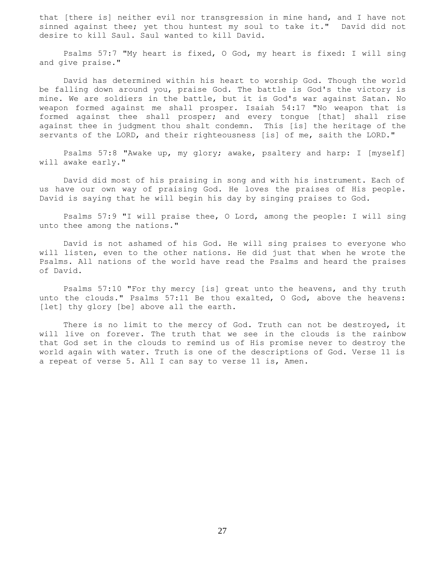that [there is] neither evil nor transgression in mine hand, and I have not sinned against thee; yet thou huntest my soul to take it." David did not desire to kill Saul. Saul wanted to kill David.

 Psalms 57:7 "My heart is fixed, O God, my heart is fixed: I will sing and give praise."

 David has determined within his heart to worship God. Though the world be falling down around you, praise God. The battle is God's the victory is mine. We are soldiers in the battle, but it is God's war against Satan. No weapon formed against me shall prosper. Isaiah 54:17 "No weapon that is formed against thee shall prosper; and every tongue [that] shall rise against thee in judgment thou shalt condemn. This [is] the heritage of the servants of the LORD, and their righteousness [is] of me, saith the LORD."

 Psalms 57:8 "Awake up, my glory; awake, psaltery and harp: I [myself] will awake early."

 David did most of his praising in song and with his instrument. Each of us have our own way of praising God. He loves the praises of His people. David is saying that he will begin his day by singing praises to God.

 Psalms 57:9 "I will praise thee, O Lord, among the people: I will sing unto thee among the nations."

 David is not ashamed of his God. He will sing praises to everyone who will listen, even to the other nations. He did just that when he wrote the Psalms. All nations of the world have read the Psalms and heard the praises of David.

 Psalms 57:10 "For thy mercy [is] great unto the heavens, and thy truth unto the clouds." Psalms 57:11 Be thou exalted, O God, above the heavens: [let] thy glory [be] above all the earth.

There is no limit to the mercy of God. Truth can not be destroyed, it will live on forever. The truth that we see in the clouds is the rainbow that God set in the clouds to remind us of His promise never to destroy the world again with water. Truth is one of the descriptions of God. Verse 11 is a repeat of verse 5. All I can say to verse 11 is, Amen.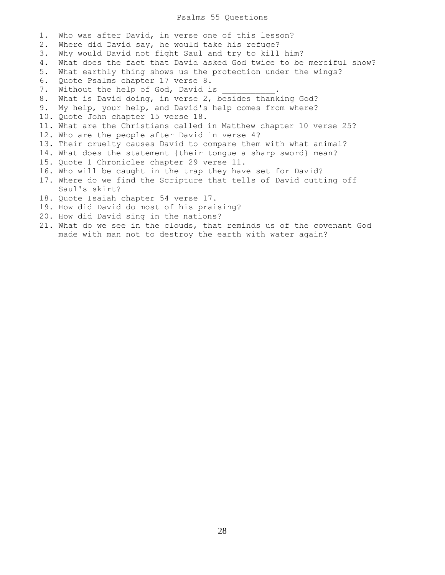### Psalms 55 Questions

- 1. Who was after David, in verse one of this lesson? 2. Where did David say, he would take his refuge? 3. Why would David not fight Saul and try to kill him? 4. What does the fact that David asked God twice to be merciful show? 5. What earthly thing shows us the protection under the wings? 6. Quote Psalms chapter 17 verse 8. 7. Without the help of God, David is 8. What is David doing, in verse 2, besides thanking God? 9. My help, your help, and David's help comes from where? 10. Quote John chapter 15 verse 18. 11. What are the Christians called in Matthew chapter 10 verse 25? 12. Who are the people after David in verse 4? 13. Their cruelty causes David to compare them with what animal? 14. What does the statement {their tongue a sharp sword} mean? 15. Quote 1 Chronicles chapter 29 verse 11. 16. Who will be caught in the trap they have set for David? 17. Where do we find the Scripture that tells of David cutting off Saul's skirt?
- 18. Quote Isaiah chapter 54 verse 17.
- 19. How did David do most of his praising?
- 20. How did David sing in the nations?
- 21. What do we see in the clouds, that reminds us of the covenant God made with man not to destroy the earth with water again?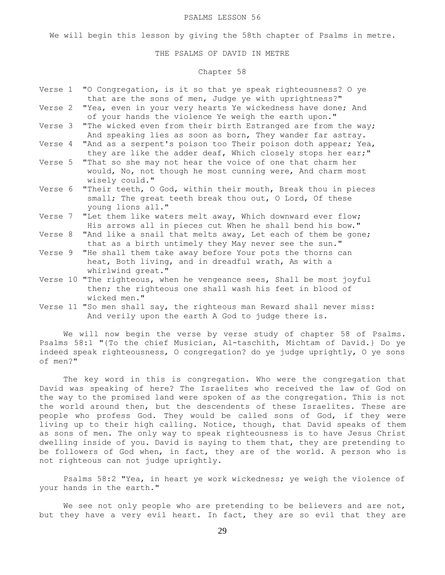### PSALMS LESSON 56

We will begin this lesson by giving the 58th chapter of Psalms in metre.

## THE PSALMS OF DAVID IN METRE

## Chapter 58

|  | Verse 1 "O Congregation, is it so that ye speak righteousness? O ye<br>that are the sons of men, Judge ye with uprightness?"                                            |
|--|-------------------------------------------------------------------------------------------------------------------------------------------------------------------------|
|  | Verse 2 "Yea, even in your very hearts Ye wickedness have done; And<br>of your hands the violence Ye weigh the earth upon."                                             |
|  | Verse 3 "The wicked even from their birth Estranged are from the way;<br>And speaking lies as soon as born, They wander far astray.                                     |
|  | Verse 4 "And as a serpent's poison too Their poison doth appear; Yea,<br>they are like the adder deaf, Which closely stops her ear;"                                    |
|  | Verse 5 "That so she may not hear the voice of one that charm her<br>would, No, not though he most cunning were, And charm most                                         |
|  | wisely could."<br>Verse 6 "Their teeth, O God, within their mouth, Break thou in pieces<br>small; The great teeth break thou out, O Lord, Of these<br>young lions all." |
|  | Verse 7 "Let them like waters melt away, Which downward ever flow;<br>His arrows all in pieces cut When he shall bend his bow."                                         |
|  | Verse 8 "And like a snail that melts away, Let each of them be gone;<br>that as a birth untimely they May never see the sun."                                           |
|  | Verse 9 "He shall them take away before Your pots the thorns can<br>heat, Both living, and in dreadful wrath, As with a<br>whirlwind great."                            |
|  | Verse 10 "The righteous, when he vengeance sees, Shall be most joyful<br>then; the righteous one shall wash his feet in blood of                                        |

wicked men."

Verse 11 "So men shall say, the righteous man Reward shall never miss: And verily upon the earth A God to judge there is.

 We will now begin the verse by verse study of chapter 58 of Psalms. Psalms 58:1 "{To the chief Musician, Al-taschith, Michtam of David.} Do ye indeed speak righteousness, O congregation? do ye judge uprightly, O ye sons of men?"

 The key word in this is congregation. Who were the congregation that David was speaking of here? The Israelites who received the law of God on the way to the promised land were spoken of as the congregation. This is not the world around then, but the descendents of these Israelites. These are people who profess God. They would be called sons of God, if they were living up to their high calling. Notice, though, that David speaks of them as sons of men. The only way to speak righteousness is to have Jesus Christ dwelling inside of you. David is saying to them that, they are pretending to be followers of God when, in fact, they are of the world. A person who is not righteous can not judge uprightly.

 Psalms 58:2 "Yea, in heart ye work wickedness; ye weigh the violence of your hands in the earth."

We see not only people who are pretending to be believers and are not, but they have a very evil heart. In fact, they are so evil that they are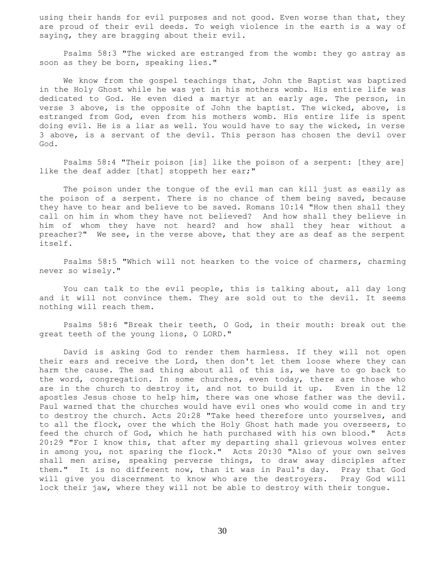using their hands for evil purposes and not good. Even worse than that, they are proud of their evil deeds. To weigh violence in the earth is a way of saying, they are bragging about their evil.

 Psalms 58:3 "The wicked are estranged from the womb: they go astray as soon as they be born, speaking lies."

 We know from the gospel teachings that, John the Baptist was baptized in the Holy Ghost while he was yet in his mothers womb. His entire life was dedicated to God. He even died a martyr at an early age. The person, in verse 3 above, is the opposite of John the baptist. The wicked, above, is estranged from God, even from his mothers womb. His entire life is spent doing evil. He is a liar as well. You would have to say the wicked, in verse 3 above, is a servant of the devil. This person has chosen the devil over God.

 Psalms 58:4 "Their poison [is] like the poison of a serpent: [they are] like the deaf adder [that] stoppeth her ear;"

 The poison under the tongue of the evil man can kill just as easily as the poison of a serpent. There is no chance of them being saved, because they have to hear and believe to be saved. Romans 10:14 "How then shall they call on him in whom they have not believed? And how shall they believe in him of whom they have not heard? and how shall they hear without a preacher?" We see, in the verse above, that they are as deaf as the serpent itself.

 Psalms 58:5 "Which will not hearken to the voice of charmers, charming never so wisely."

 You can talk to the evil people, this is talking about, all day long and it will not convince them. They are sold out to the devil. It seems nothing will reach them.

 Psalms 58:6 "Break their teeth, O God, in their mouth: break out the great teeth of the young lions, O LORD."

 David is asking God to render them harmless. If they will not open their ears and receive the Lord, then don't let them loose where they can harm the cause. The sad thing about all of this is, we have to go back to the word, congregation. In some churches, even today, there are those who are in the church to destroy it, and not to build it up. Even in the 12 apostles Jesus chose to help him, there was one whose father was the devil. Paul warned that the churches would have evil ones who would come in and try to destroy the church. Acts 20:28 "Take heed therefore unto yourselves, and to all the flock, over the which the Holy Ghost hath made you overseers, to feed the church of God, which he hath purchased with his own blood." Acts 20:29 "For I know this, that after my departing shall grievous wolves enter in among you, not sparing the flock." Acts 20:30 "Also of your own selves shall men arise, speaking perverse things, to draw away disciples after them." It is no different now, than it was in Paul's day. Pray that God will give you discernment to know who are the destroyers. Pray God will lock their jaw, where they will not be able to destroy with their tongue.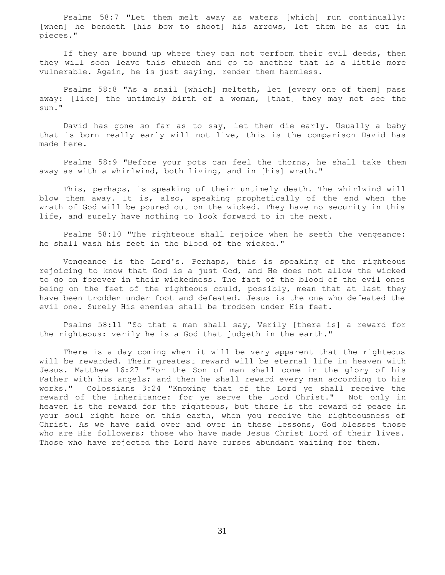Psalms 58:7 "Let them melt away as waters [which] run continually: [when] he bendeth [his bow to shoot] his arrows, let them be as cut in pieces."

If they are bound up where they can not perform their evil deeds, then they will soon leave this church and go to another that is a little more vulnerable. Again, he is just saying, render them harmless.

 Psalms 58:8 "As a snail [which] melteth, let [every one of them] pass away: [like] the untimely birth of a woman, [that] they may not see the sun."

 David has gone so far as to say, let them die early. Usually a baby that is born really early will not live, this is the comparison David has made here.

 Psalms 58:9 "Before your pots can feel the thorns, he shall take them away as with a whirlwind, both living, and in [his] wrath."

 This, perhaps, is speaking of their untimely death. The whirlwind will blow them away. It is, also, speaking prophetically of the end when the wrath of God will be poured out on the wicked. They have no security in this life, and surely have nothing to look forward to in the next.

 Psalms 58:10 "The righteous shall rejoice when he seeth the vengeance: he shall wash his feet in the blood of the wicked."

 Vengeance is the Lord's. Perhaps, this is speaking of the righteous rejoicing to know that God is a just God, and He does not allow the wicked to go on forever in their wickedness. The fact of the blood of the evil ones being on the feet of the righteous could, possibly, mean that at last they have been trodden under foot and defeated. Jesus is the one who defeated the evil one. Surely His enemies shall be trodden under His feet.

 Psalms 58:11 "So that a man shall say, Verily [there is] a reward for the righteous: verily he is a God that judgeth in the earth."

 There is a day coming when it will be very apparent that the righteous will be rewarded. Their greatest reward will be eternal life in heaven with Jesus. Matthew 16:27 "For the Son of man shall come in the glory of his Father with his angels; and then he shall reward every man according to his works." Colossians 3:24 "Knowing that of the Lord ye shall receive the reward of the inheritance: for ye serve the Lord Christ." Not only in heaven is the reward for the righteous, but there is the reward of peace in your soul right here on this earth, when you receive the righteousness of Christ. As we have said over and over in these lessons, God blesses those who are His followers; those who have made Jesus Christ Lord of their lives. Those who have rejected the Lord have curses abundant waiting for them.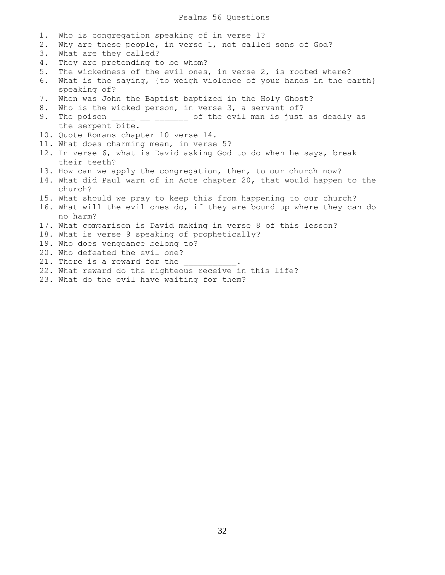Psalms 56 Questions

- 1. Who is congregation speaking of in verse 1?
- 2. Why are these people, in verse 1, not called sons of God?
- 3. What are they called?
- 4. They are pretending to be whom?
- 5. The wickedness of the evil ones, in verse 2, is rooted where?
- 6. What is the saying, {to weigh violence of your hands in the earth} speaking of?
- 7. When was John the Baptist baptized in the Holy Ghost?
- 8. Who is the wicked person, in verse 3, a servant of?
- 9. The poison  $\frac{1}{\sqrt{2}}$  =  $\frac{1}{\sqrt{2}}$  of the evil man is just as deadly as the serpent bite.
- 10. Quote Romans chapter 10 verse 14.
- 11. What does charming mean, in verse 5?
- 12. In verse 6, what is David asking God to do when he says, break their teeth?
- 13. How can we apply the congregation, then, to our church now?
- 14. What did Paul warn of in Acts chapter 20, that would happen to the church?
- 15. What should we pray to keep this from happening to our church?
- 16. What will the evil ones do, if they are bound up where they can do no harm?
- 17. What comparison is David making in verse 8 of this lesson?
- 18. What is verse 9 speaking of prophetically?
- 19. Who does vengeance belong to?
- 20. Who defeated the evil one?
- 21. There is a reward for the
- 22. What reward do the righteous receive in this life?
- 23. What do the evil have waiting for them?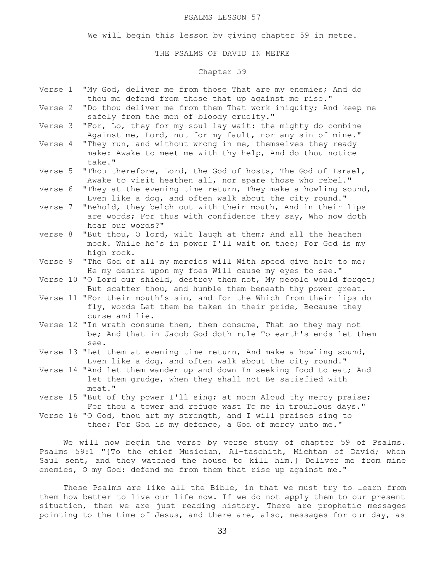### PSALMS LESSON 57

We will begin this lesson by giving chapter 59 in metre.

THE PSALMS OF DAVID IN METRE

## Chapter 59

- Verse 1 "My God, deliver me from those That are my enemies; And do thou me defend from those that up against me rise."
- Verse 2 "Do thou deliver me from them That work iniquity; And keep me safely from the men of bloody cruelty."
- Verse 3 "For, Lo, they for my soul lay wait: the mighty do combine Against me, Lord, not for my fault, nor any sin of mine."
- Verse 4 "They run, and without wrong in me, themselves they ready make: Awake to meet me with thy help, And do thou notice take."
- Verse 5 "Thou therefore, Lord, the God of hosts, The God of Israel, Awake to visit heathen all, nor spare those who rebel."
- Verse 6 "They at the evening time return, They make a howling sound, Even like a dog, and often walk about the city round."
- Verse 7 "Behold, they belch out with their mouth, And in their lips are words; For thus with confidence they say, Who now doth hear our words?"
- verse 8 "But thou, O lord, wilt laugh at them; And all the heathen mock. While he's in power I'll wait on thee; For God is my high rock.
- Verse 9 "The God of all my mercies will With speed give help to me; He my desire upon my foes Will cause my eyes to see."
- Verse 10 "O Lord our shield, destroy them not, My people would forget; But scatter thou, and humble them beneath thy power great.
- Verse 11 "For their mouth's sin, and for the Which from their lips do fly, words Let them be taken in their pride, Because they curse and lie.
- Verse 12 "In wrath consume them, them consume, That so they may not be; And that in Jacob God doth rule To earth's ends let them see.
- Verse 13 "Let them at evening time return, And make a howling sound, Even like a dog, and often walk about the city round."
- Verse 14 "And let them wander up and down In seeking food to eat; And let them grudge, when they shall not Be satisfied with meat."
- Verse 15 "But of thy power I'll sing; at morn Aloud thy mercy praise; For thou a tower and refuge wast To me in troublous days."
- Verse 16 "O God, thou art my strength, and I will praises sing to thee; For God is my defence, a God of mercy unto me."

 We will now begin the verse by verse study of chapter 59 of Psalms. Psalms 59:1 "{To the chief Musician, Al-taschith, Michtam of David; when Saul sent, and they watched the house to kill him.} Deliver me from mine enemies, O my God: defend me from them that rise up against me."

 These Psalms are like all the Bible, in that we must try to learn from them how better to live our life now. If we do not apply them to our present situation, then we are just reading history. There are prophetic messages pointing to the time of Jesus, and there are, also, messages for our day, as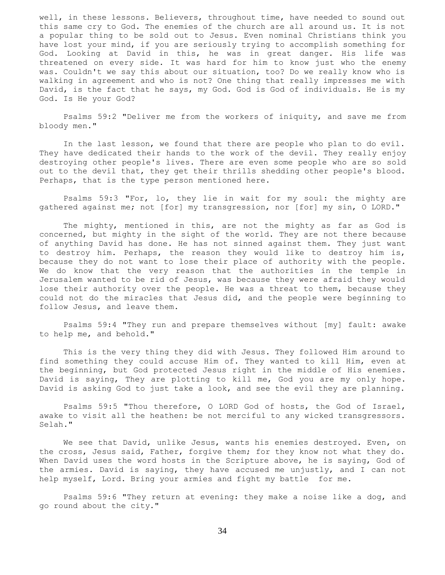well, in these lessons. Believers, throughout time, have needed to sound out this same cry to God. The enemies of the church are all around us. It is not a popular thing to be sold out to Jesus. Even nominal Christians think you have lost your mind, if you are seriously trying to accomplish something for God. Looking at David in this, he was in great danger. His life was threatened on every side. It was hard for him to know just who the enemy was. Couldn't we say this about our situation, too? Do we really know who is walking in agreement and who is not? One thing that really impresses me with David, is the fact that he says, my God. God is God of individuals. He is my God. Is He your God?

 Psalms 59:2 "Deliver me from the workers of iniquity, and save me from bloody men."

 In the last lesson, we found that there are people who plan to do evil. They have dedicated their hands to the work of the devil. They really enjoy destroying other people's lives. There are even some people who are so sold out to the devil that, they get their thrills shedding other people's blood. Perhaps, that is the type person mentioned here.

 Psalms 59:3 "For, lo, they lie in wait for my soul: the mighty are gathered against me; not [for] my transgression, nor [for] my sin, O LORD."

 The mighty, mentioned in this, are not the mighty as far as God is concerned, but mighty in the sight of the world. They are not there because of anything David has done. He has not sinned against them. They just want to destroy him. Perhaps, the reason they would like to destroy him is, because they do not want to lose their place of authority with the people. We do know that the very reason that the authorities in the temple in Jerusalem wanted to be rid of Jesus, was because they were afraid they would lose their authority over the people. He was a threat to them, because they could not do the miracles that Jesus did, and the people were beginning to follow Jesus, and leave them.

 Psalms 59:4 "They run and prepare themselves without [my] fault: awake to help me, and behold."

 This is the very thing they did with Jesus. They followed Him around to find something they could accuse Him of. They wanted to kill Him, even at the beginning, but God protected Jesus right in the middle of His enemies. David is saying, They are plotting to kill me, God you are my only hope. David is asking God to just take a look, and see the evil they are planning.

 Psalms 59:5 "Thou therefore, O LORD God of hosts, the God of Israel, awake to visit all the heathen: be not merciful to any wicked transgressors. Selah."

 We see that David, unlike Jesus, wants his enemies destroyed. Even, on the cross, Jesus said, Father, forgive them; for they know not what they do. When David uses the word hosts in the Scripture above, he is saying, God of the armies. David is saying, they have accused me unjustly, and I can not help myself, Lord. Bring your armies and fight my battle for me.

 Psalms 59:6 "They return at evening: they make a noise like a dog, and go round about the city."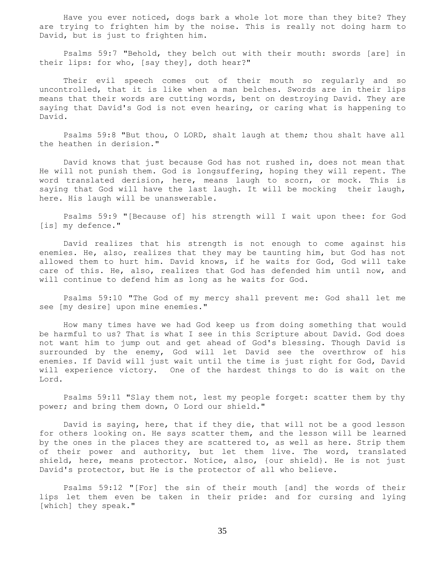Have you ever noticed, dogs bark a whole lot more than they bite? They are trying to frighten him by the noise. This is really not doing harm to David, but is just to frighten him.

 Psalms 59:7 "Behold, they belch out with their mouth: swords [are] in their lips: for who, [say they], doth hear?"

 Their evil speech comes out of their mouth so regularly and so uncontrolled, that it is like when a man belches. Swords are in their lips means that their words are cutting words, bent on destroying David. They are saying that David's God is not even hearing, or caring what is happening to David.

 Psalms 59:8 "But thou, O LORD, shalt laugh at them; thou shalt have all the heathen in derision."

 David knows that just because God has not rushed in, does not mean that He will not punish them. God is longsuffering, hoping they will repent. The word translated derision, here, means laugh to scorn, or mock. This is saying that God will have the last laugh. It will be mocking their laugh, here. His laugh will be unanswerable.

 Psalms 59:9 "[Because of] his strength will I wait upon thee: for God [is] my defence."

 David realizes that his strength is not enough to come against his enemies. He, also, realizes that they may be taunting him, but God has not allowed them to hurt him. David knows, if he waits for God, God will take care of this. He, also, realizes that God has defended him until now, and will continue to defend him as long as he waits for God.

 Psalms 59:10 "The God of my mercy shall prevent me: God shall let me see [my desire] upon mine enemies."

 How many times have we had God keep us from doing something that would be harmful to us? That is what I see in this Scripture about David. God does not want him to jump out and get ahead of God's blessing. Though David is surrounded by the enemy, God will let David see the overthrow of his enemies. If David will just wait until the time is just right for God, David will experience victory. One of the hardest things to do is wait on the Lord.

 Psalms 59:11 "Slay them not, lest my people forget: scatter them by thy power; and bring them down, O Lord our shield."

 David is saying, here, that if they die, that will not be a good lesson for others looking on. He says scatter them, and the lesson will be learned by the ones in the places they are scattered to, as well as here. Strip them of their power and authority, but let them live. The word, translated shield, here, means protector. Notice, also, {our shield}. He is not just David's protector, but He is the protector of all who believe.

 Psalms 59:12 "[For] the sin of their mouth [and] the words of their lips let them even be taken in their pride: and for cursing and lying [which] they speak."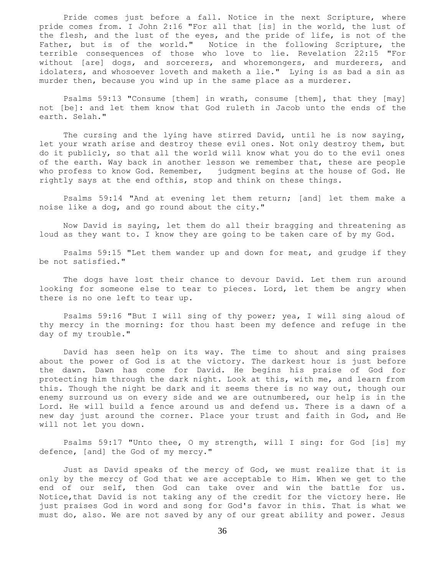Pride comes just before a fall. Notice in the next Scripture, where pride comes from. I John 2:16 "For all that [is] in the world, the lust of the flesh, and the lust of the eyes, and the pride of life, is not of the Father, but is of the world." Notice in the following Scripture, the terrible consequences of those who love to lie. Revelation 22:15 "For without [are] dogs, and sorcerers, and whoremongers, and murderers, and idolaters, and whosoever loveth and maketh a lie." Lying is as bad a sin as murder then, because you wind up in the same place as a murderer.

 Psalms 59:13 "Consume [them] in wrath, consume [them], that they [may] not [be]: and let them know that God ruleth in Jacob unto the ends of the earth. Selah."

 The cursing and the lying have stirred David, until he is now saying, let your wrath arise and destroy these evil ones. Not only destroy them, but do it publicly, so that all the world will know what you do to the evil ones of the earth. Way back in another lesson we remember that, these are people who profess to know God. Remember, judgment begins at the house of God. He rightly says at the end ofthis, stop and think on these things.

 Psalms 59:14 "And at evening let them return; [and] let them make a noise like a dog, and go round about the city."

 Now David is saying, let them do all their bragging and threatening as loud as they want to. I know they are going to be taken care of by my God.

 Psalms 59:15 "Let them wander up and down for meat, and grudge if they be not satisfied."

 The dogs have lost their chance to devour David. Let them run around looking for someone else to tear to pieces. Lord, let them be angry when there is no one left to tear up.

 Psalms 59:16 "But I will sing of thy power; yea, I will sing aloud of thy mercy in the morning: for thou hast been my defence and refuge in the day of my trouble."

 David has seen help on its way. The time to shout and sing praises about the power of God is at the victory. The darkest hour is just before the dawn. Dawn has come for David. He begins his praise of God for protecting him through the dark night. Look at this, with me, and learn from this. Though the night be dark and it seems there is no way out, though our enemy surround us on every side and we are outnumbered, our help is in the Lord. He will build a fence around us and defend us. There is a dawn of a new day just around the corner. Place your trust and faith in God, and He will not let you down.

 Psalms 59:17 "Unto thee, O my strength, will I sing: for God [is] my defence, [and] the God of my mercy."

 Just as David speaks of the mercy of God, we must realize that it is only by the mercy of God that we are acceptable to Him. When we get to the end of our self, then God can take over and win the battle for us. Notice,that David is not taking any of the credit for the victory here. He just praises God in word and song for God's favor in this. That is what we must do, also. We are not saved by any of our great ability and power. Jesus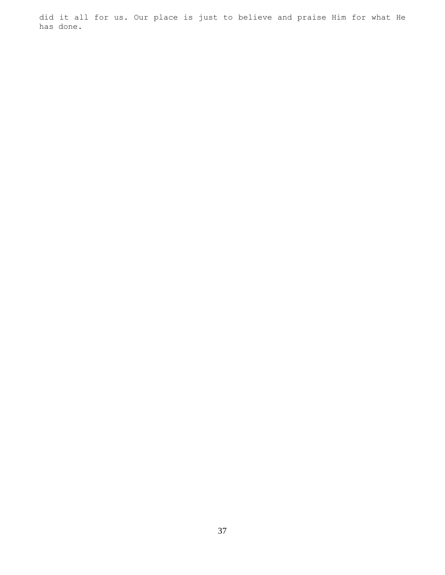did it all for us. Our place is just to believe and praise Him for what He has done.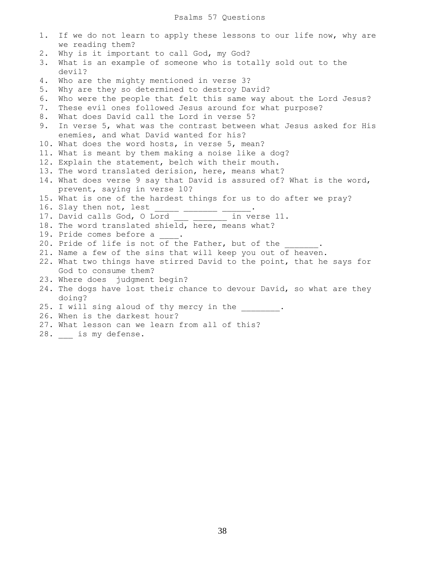| 1. | If we do not learn to apply these lessons to our life now, why are    |
|----|-----------------------------------------------------------------------|
|    | we reading them?                                                      |
| 2. | Why is it important to call God, my God?                              |
| 3. | What is an example of someone who is totally sold out to the          |
|    | devil?                                                                |
| 4. | Who are the mighty mentioned in verse 3?                              |
| 5. | Why are they so determined to destroy David?                          |
| 6. | Who were the people that felt this same way about the Lord Jesus?     |
| 7. | These evil ones followed Jesus around for what purpose?               |
| 8. | What does David call the Lord in verse 5?                             |
| 9. | In verse 5, what was the contrast between what Jesus asked for His    |
|    | enemies, and what David wanted for his?                               |
|    | 10. What does the word hosts, in verse 5, mean?                       |
|    | 11. What is meant by them making a noise like a dog?                  |
|    | 12. Explain the statement, belch with their mouth.                    |
|    | 13. The word translated derision, here, means what?                   |
|    | 14. What does verse 9 say that David is assured of? What is the word, |
|    | prevent, saying in verse 10?                                          |
|    | 15. What is one of the hardest things for us to do after we pray?     |
|    |                                                                       |
|    |                                                                       |
|    | 18. The word translated shield, here, means what?                     |
|    | 19. Pride comes before a .                                            |
|    | 20. Pride of life is not of the Father, but of the .                  |
|    | 21. Name a few of the sins that will keep you out of heaven.          |
|    | 22. What two things have stirred David to the point, that he says for |
|    | God to consume them?                                                  |
|    | 23. Where does judgment begin?                                        |
|    | 24. The dogs have lost their chance to devour David, so what are they |
|    | doing?                                                                |
|    | 25. I will sing aloud of thy mercy in the _______.                    |
|    | 26. When is the darkest hour?                                         |
|    | 27. What lesson can we learn from all of this?                        |
|    | 28. is my defense.                                                    |

38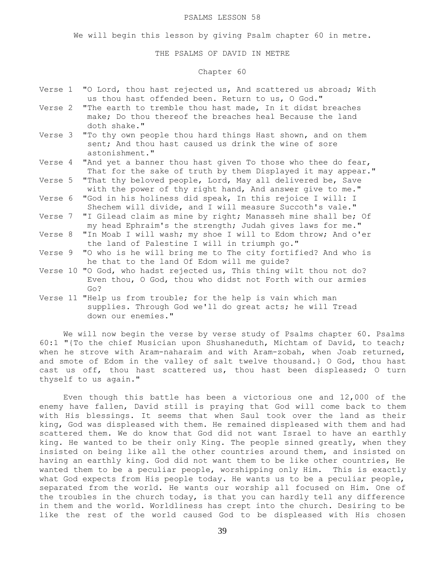We will begin this lesson by giving Psalm chapter 60 in metre.

## THE PSALMS OF DAVID IN METRE

# Chapter 60

- Verse 1 "O Lord, thou hast rejected us, And scattered us abroad; With us thou hast offended been. Return to us, O God."
- Verse 2 "The earth to tremble thou hast made, In it didst breaches make; Do thou thereof the breaches heal Because the land doth shake."
- Verse 3 "To thy own people thou hard things Hast shown, and on them sent; And thou hast caused us drink the wine of sore astonishment."
- Verse 4 "And yet a banner thou hast given To those who thee do fear, That for the sake of truth by them Displayed it may appear."
- Verse 5 "That thy beloved people, Lord, May all delivered be, Save with the power of thy right hand, And answer give to me."
- Verse 6 "God in his holiness did speak, In this rejoice I will: I Shechem will divide, and I will measure Succoth's vale."
- Verse 7 "I Gilead claim as mine by right; Manasseh mine shall be; Of my head Ephraim's the strength; Judah gives laws for me."
- Verse 8 "In Moab I will wash; my shoe I will to Edom throw; And o'er the land of Palestine I will in triumph go."
- Verse 9 "O who is he will bring me to The city fortified? And who is he that to the land Of Edom will me guide?
- Verse 10 "O God, who hadst rejected us, This thing wilt thou not do? Even thou, O God, thou who didst not Forth with our armies Go?
- Verse 11 "Help us from trouble; for the help is vain which man supplies. Through God we'll do great acts; he will Tread down our enemies."

 We will now begin the verse by verse study of Psalms chapter 60. Psalms 60:1 "{To the chief Musician upon Shushaneduth, Michtam of David, to teach; when he strove with Aram-naharaim and with Aram-zobah, when Joab returned, and smote of Edom in the valley of salt twelve thousand.} O God, thou hast cast us off, thou hast scattered us, thou hast been displeased; O turn thyself to us again."

 Even though this battle has been a victorious one and 12,000 of the enemy have fallen, David still is praying that God will come back to them with His blessings. It seems that when Saul took over the land as their king, God was displeased with them. He remained displeased with them and had scattered them. We do know that God did not want Israel to have an earthly king. He wanted to be their only King. The people sinned greatly, when they insisted on being like all the other countries around them, and insisted on having an earthly king. God did not want them to be like other countries, He wanted them to be a peculiar people, worshipping only Him. This is exactly what God expects from His people today. He wants us to be a peculiar people, separated from the world. He wants our worship all focused on Him. One of the troubles in the church today, is that you can hardly tell any difference in them and the world. Worldliness has crept into the church. Desiring to be like the rest of the world caused God to be displeased with His chosen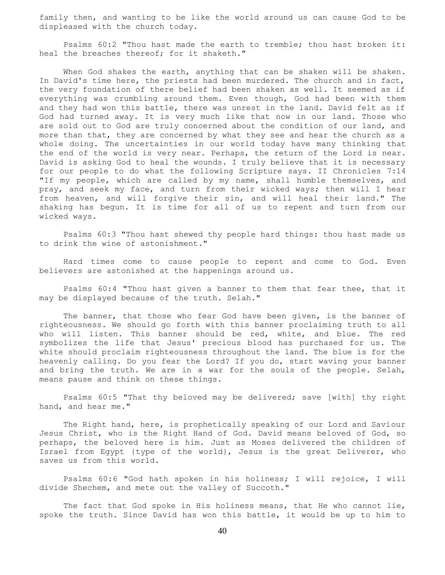family then, and wanting to be like the world around us can cause God to be displeased with the church today.

 Psalms 60:2 "Thou hast made the earth to tremble; thou hast broken it: heal the breaches thereof; for it shaketh."

When God shakes the earth, anything that can be shaken will be shaken. In David's time here, the priests had been murdered. The church and in fact, the very foundation of there belief had been shaken as well. It seemed as if everything was crumbling around them. Even though, God had been with them and they had won this battle, there was unrest in the land. David felt as if God had turned away. It is very much like that now in our land. Those who are sold out to God are truly concerned about the condition of our land, and more than that, they are concerned by what they see and hear the church as a whole doing. The uncertainties in our world today have many thinking that the end of the world is very near. Perhaps, the return of the Lord is near. David is asking God to heal the wounds. I truly believe that it is necessary for our people to do what the following Scripture says. II Chronicles 7:14 "If my people, which are called by my name, shall humble themselves, and pray, and seek my face, and turn from their wicked ways; then will I hear from heaven, and will forgive their sin, and will heal their land." The shaking has begun. It is time for all of us to repent and turn from our wicked ways.

 Psalms 60:3 "Thou hast shewed thy people hard things: thou hast made us to drink the wine of astonishment."

 Hard times come to cause people to repent and come to God. Even believers are astonished at the happenings around us.

 Psalms 60:4 "Thou hast given a banner to them that fear thee, that it may be displayed because of the truth. Selah."

The banner, that those who fear God have been given, is the banner of righteousness. We should go forth with this banner proclaiming truth to all who will listen. This banner should be red, white, and blue. The red symbolizes the life that Jesus' precious blood has purchased for us. The white should proclaim righteousness throughout the land. The blue is for the heavenly calling. Do you fear the Lord? If you do, start waving your banner and bring the truth. We are in a war for the souls of the people. Selah, means pause and think on these things.

 Psalms 60:5 "That thy beloved may be delivered; save [with] thy right hand, and hear me."

 The Right hand, here, is prophetically speaking of our Lord and Saviour Jesus Christ, who is the Right Hand of God. David means beloved of God, so perhaps, the beloved here is him. Just as Moses delivered the children of Israel from Egypt {type of the world}, Jesus is the great Deliverer, who saves us from this world.

 Psalms 60:6 "God hath spoken in his holiness; I will rejoice, I will divide Shechem, and mete out the valley of Succoth."

 The fact that God spoke in His holiness means, that He who cannot lie, spoke the truth. Since David has won this battle, it would be up to him to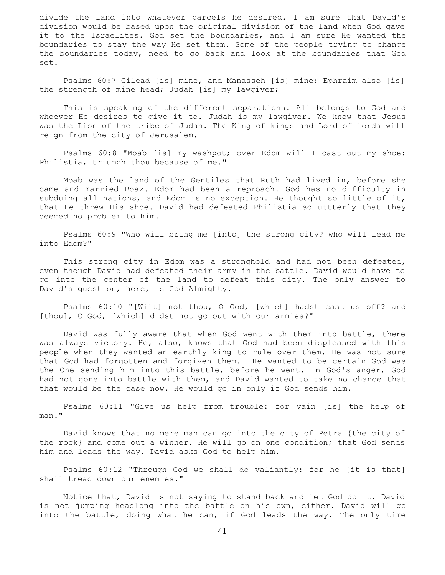divide the land into whatever parcels he desired. I am sure that David's division would be based upon the original division of the land when God gave it to the Israelites. God set the boundaries, and I am sure He wanted the boundaries to stay the way He set them. Some of the people trying to change the boundaries today, need to go back and look at the boundaries that God set.

 Psalms 60:7 Gilead [is] mine, and Manasseh [is] mine; Ephraim also [is] the strength of mine head; Judah [is] my lawgiver;

 This is speaking of the different separations. All belongs to God and whoever He desires to give it to. Judah is my lawgiver. We know that Jesus was the Lion of the tribe of Judah. The King of kings and Lord of lords will reign from the city of Jerusalem.

 Psalms 60:8 "Moab [is] my washpot; over Edom will I cast out my shoe: Philistia, triumph thou because of me."

 Moab was the land of the Gentiles that Ruth had lived in, before she came and married Boaz. Edom had been a reproach. God has no difficulty in subduing all nations, and Edom is no exception. He thought so little of it, that He threw His shoe. David had defeated Philistia so uttterly that they deemed no problem to him.

 Psalms 60:9 "Who will bring me [into] the strong city? who will lead me into Edom?"

 This strong city in Edom was a stronghold and had not been defeated, even though David had defeated their army in the battle. David would have to go into the center of the land to defeat this city. The only answer to David's question, here, is God Almighty.

 Psalms 60:10 "[Wilt] not thou, O God, [which] hadst cast us off? and [thou], O God, [which] didst not go out with our armies?"

 David was fully aware that when God went with them into battle, there was always victory. He, also, knows that God had been displeased with this people when they wanted an earthly king to rule over them. He was not sure that God had forgotten and forgiven them. He wanted to be certain God was the One sending him into this battle, before he went. In God's anger, God had not gone into battle with them, and David wanted to take no chance that that would be the case now. He would go in only if God sends him.

 Psalms 60:11 "Give us help from trouble: for vain [is] the help of man."

 David knows that no mere man can go into the city of Petra {the city of the rock} and come out a winner. He will go on one condition; that God sends him and leads the way. David asks God to help him.

 Psalms 60:12 "Through God we shall do valiantly: for he [it is that] shall tread down our enemies."

 Notice that, David is not saying to stand back and let God do it. David is not jumping headlong into the battle on his own, either. David will go into the battle, doing what he can, if God leads the way. The only time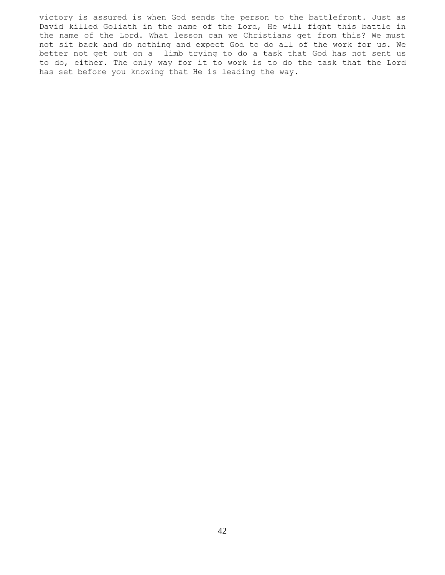victory is assured is when God sends the person to the battlefront. Just as David killed Goliath in the name of the Lord, He will fight this battle in the name of the Lord. What lesson can we Christians get from this? We must not sit back and do nothing and expect God to do all of the work for us. We better not get out on a limb trying to do a task that God has not sent us to do, either. The only way for it to work is to do the task that the Lord has set before you knowing that He is leading the way.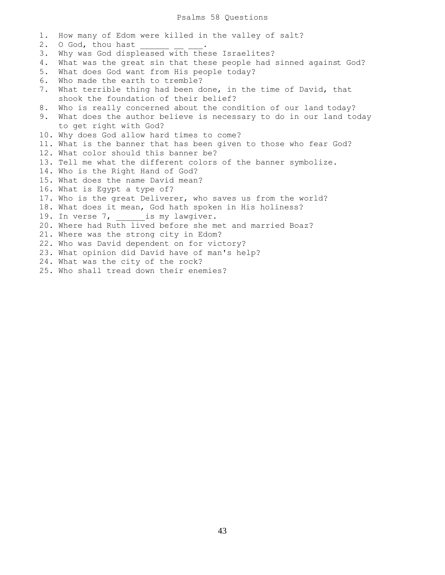1. How many of Edom were killed in the valley of salt? 2. O God, thou hast 3. Why was God displeased with these Israelites? 4. What was the great sin that these people had sinned against God? 5. What does God want from His people today? 6. Who made the earth to tremble? 7. What terrible thing had been done, in the time of David, that shook the foundation of their belief? 8. Who is really concerned about the condition of our land today? 9. What does the author believe is necessary to do in our land today to get right with God? 10. Why does God allow hard times to come? 11. What is the banner that has been given to those who fear God? 12. What color should this banner be? 13. Tell me what the different colors of the banner symbolize. 14. Who is the Right Hand of God? 15. What does the name David mean? 16. What is Egypt a type of? 17. Who is the great Deliverer, who saves us from the world? 18. What does it mean, God hath spoken in His holiness? 19. In verse 7, is my lawgiver. 20. Where had Ruth lived before she met and married Boaz? 21. Where was the strong city in Edom? 22. Who was David dependent on for victory? 23. What opinion did David have of man's help? 24. What was the city of the rock?

25. Who shall tread down their enemies?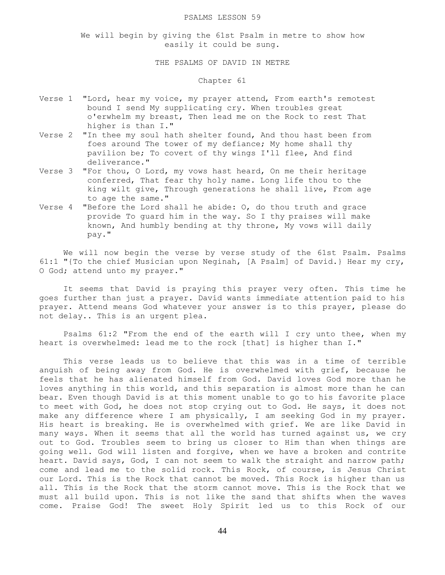We will begin by giving the 61st Psalm in metre to show how easily it could be sung.

THE PSALMS OF DAVID IN METRE

### Chapter 61

- Verse 1 "Lord, hear my voice, my prayer attend, From earth's remotest bound I send My supplicating cry. When troubles great o'erwhelm my breast, Then lead me on the Rock to rest That higher is than I."
- Verse 2 "In thee my soul hath shelter found, And thou hast been from foes around The tower of my defiance; My home shall thy pavilion be; To covert of thy wings I'll flee, And find deliverance."
- Verse 3 "For thou, O Lord, my vows hast heard, On me their heritage conferred, That fear thy holy name. Long life thou to the king wilt give, Through generations he shall live, From age to age the same."
- Verse 4 "Before the Lord shall he abide: O, do thou truth and grace provide To guard him in the way. So I thy praises will make known, And humbly bending at thy throne, My vows will daily pay."

 We will now begin the verse by verse study of the 61st Psalm. Psalms 61:1 "{To the chief Musician upon Neginah, [A Psalm] of David.} Hear my cry, O God; attend unto my prayer."

 It seems that David is praying this prayer very often. This time he goes further than just a prayer. David wants immediate attention paid to his prayer. Attend means God whatever your answer is to this prayer, please do not delay.. This is an urgent plea.

 Psalms 61:2 "From the end of the earth will I cry unto thee, when my heart is overwhelmed: lead me to the rock [that] is higher than I."

 This verse leads us to believe that this was in a time of terrible anguish of being away from God. He is overwhelmed with grief, because he feels that he has alienated himself from God. David loves God more than he loves anything in this world, and this separation is almost more than he can bear. Even though David is at this moment unable to go to his favorite place to meet with God, he does not stop crying out to God. He says, it does not make any difference where I am physically, I am seeking God in my prayer. His heart is breaking. He is overwhelmed with grief. We are like David in many ways. When it seems that all the world has turned against us, we cry out to God. Troubles seem to bring us closer to Him than when things are going well. God will listen and forgive, when we have a broken and contrite heart. David says, God, I can not seem to walk the straight and narrow path; come and lead me to the solid rock. This Rock, of course, is Jesus Christ our Lord. This is the Rock that cannot be moved. This Rock is higher than us all. This is the Rock that the storm cannot move. This is the Rock that we must all build upon. This is not like the sand that shifts when the waves come. Praise God! The sweet Holy Spirit led us to this Rock of our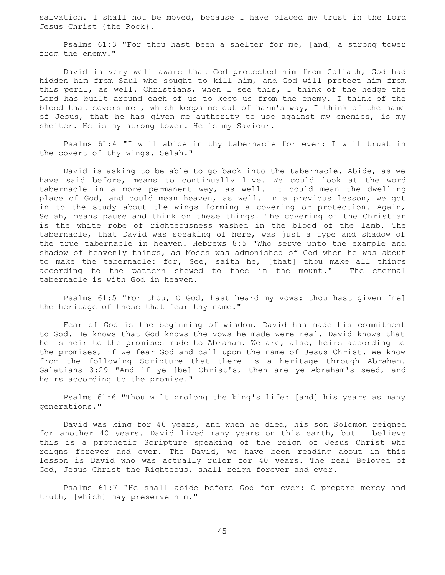salvation. I shall not be moved, because I have placed my trust in the Lord Jesus Christ {the Rock}.

 Psalms 61:3 "For thou hast been a shelter for me, [and] a strong tower from the enemy."

 David is very well aware that God protected him from Goliath, God had hidden him from Saul who sought to kill him, and God will protect him from this peril, as well. Christians, when I see this, I think of the hedge the Lord has built around each of us to keep us from the enemy. I think of the blood that covers me , which keeps me out of harm's way, I think of the name of Jesus, that he has given me authority to use against my enemies, is my shelter. He is my strong tower. He is my Saviour.

 Psalms 61:4 "I will abide in thy tabernacle for ever: I will trust in the covert of thy wings. Selah."

 David is asking to be able to go back into the tabernacle. Abide, as we have said before, means to continually live. We could look at the word tabernacle in a more permanent way, as well. It could mean the dwelling place of God, and could mean heaven, as well. In a previous lesson, we got in to the study about the wings forming a covering or protection. Again, Selah, means pause and think on these things. The covering of the Christian is the white robe of righteousness washed in the blood of the lamb. The tabernacle, that David was speaking of here, was just a type and shadow of the true tabernacle in heaven. Hebrews 8:5 "Who serve unto the example and shadow of heavenly things, as Moses was admonished of God when he was about to make the tabernacle: for, See, saith he, [that] thou make all things according to the pattern shewed to thee in the mount." The eternal tabernacle is with God in heaven.

 Psalms 61:5 "For thou, O God, hast heard my vows: thou hast given [me] the heritage of those that fear thy name."

 Fear of God is the beginning of wisdom. David has made his commitment to God. He knows that God knows the vows he made were real. David knows that he is heir to the promises made to Abraham. We are, also, heirs according to the promises, if we fear God and call upon the name of Jesus Christ. We know from the following Scripture that there is a heritage through Abraham. Galatians 3:29 "And if ye [be] Christ's, then are ye Abraham's seed, and heirs according to the promise."

 Psalms 61:6 "Thou wilt prolong the king's life: [and] his years as many generations."

 David was king for 40 years, and when he died, his son Solomon reigned for another 40 years. David lived many years on this earth, but I believe this is a prophetic Scripture speaking of the reign of Jesus Christ who reigns forever and ever. The David, we have been reading about in this lesson is David who was actually ruler for 40 years. The real Beloved of God, Jesus Christ the Righteous, shall reign forever and ever.

 Psalms 61:7 "He shall abide before God for ever: O prepare mercy and truth, [which] may preserve him."

45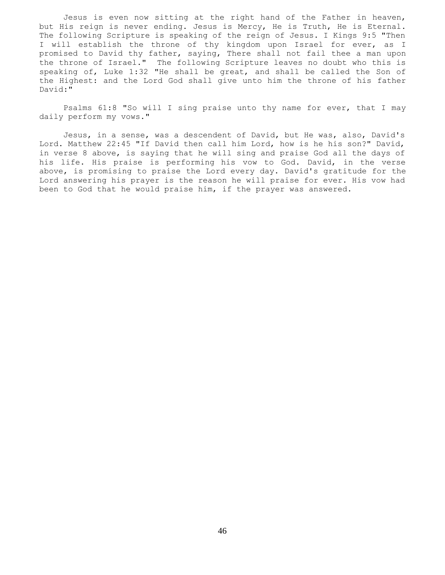Jesus is even now sitting at the right hand of the Father in heaven, but His reign is never ending. Jesus is Mercy, He is Truth, He is Eternal. The following Scripture is speaking of the reign of Jesus. I Kings 9:5 "Then I will establish the throne of thy kingdom upon Israel for ever, as I promised to David thy father, saying, There shall not fail thee a man upon the throne of Israel." The following Scripture leaves no doubt who this is speaking of, Luke 1:32 "He shall be great, and shall be called the Son of the Highest: and the Lord God shall give unto him the throne of his father David:"

 Psalms 61:8 "So will I sing praise unto thy name for ever, that I may daily perform my vows."

 Jesus, in a sense, was a descendent of David, but He was, also, David's Lord. Matthew 22:45 "If David then call him Lord, how is he his son?" David, in verse 8 above, is saying that he will sing and praise God all the days of his life. His praise is performing his vow to God. David, in the verse above, is promising to praise the Lord every day. David's gratitude for the Lord answering his prayer is the reason he will praise for ever. His vow had been to God that he would praise him, if the prayer was answered.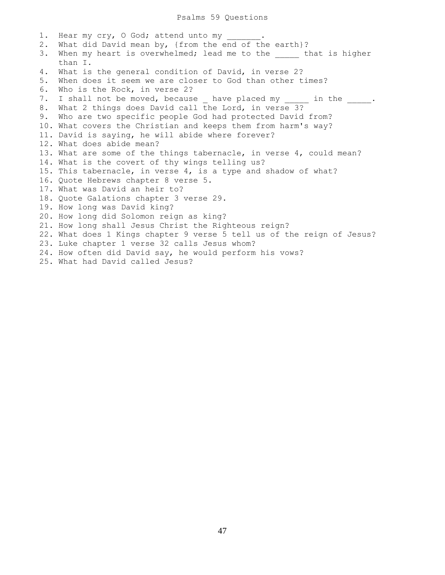1. Hear my cry, O God; attend unto my 2. What did David mean by, {from the end of the earth}? 3. When my heart is overwhelmed; lead me to the that is higher than I. 4. What is the general condition of David, in verse 2? 5. When does it seem we are closer to God than other times? 6. Who is the Rock, in verse 2? 7. I shall not be moved, because \_ have placed my \_\_\_\_\_ in the \_\_\_\_\_. 8. What 2 things does David call the Lord, in verse 3? 9. Who are two specific people God had protected David from? 10. What covers the Christian and keeps them from harm's way? 11. David is saying, he will abide where forever? 12. What does abide mean? 13. What are some of the things tabernacle, in verse 4, could mean? 14. What is the covert of thy wings telling us? 15. This tabernacle, in verse 4, is a type and shadow of what? 16. Quote Hebrews chapter 8 verse 5. 17. What was David an heir to? 18. Quote Galations chapter 3 verse 29. 19. How long was David king? 20. How long did Solomon reign as king? 21. How long shall Jesus Christ the Righteous reign? 22. What does 1 Kings chapter 9 verse 5 tell us of the reign of Jesus? 23. Luke chapter 1 verse 32 calls Jesus whom? 24. How often did David say, he would perform his vows? 25. What had David called Jesus?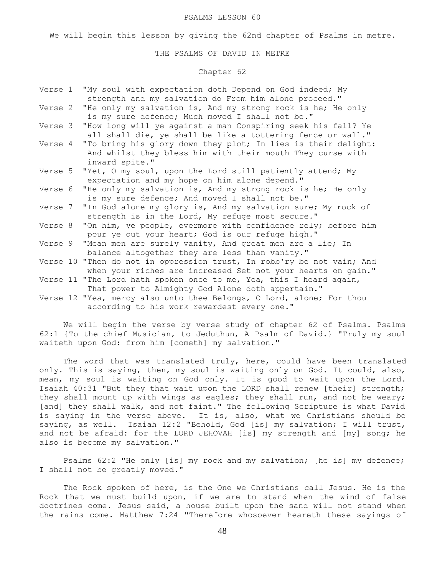We will begin this lesson by giving the 62nd chapter of Psalms in metre.

THE PSALMS OF DAVID IN METRE

Chapter 62

|         | Verse 1 "My soul with expectation doth Depend on God indeed; My<br>strength and my salvation do From him alone proceed."                      |
|---------|-----------------------------------------------------------------------------------------------------------------------------------------------|
|         | Verse 2 "He only my salvation is, And my strong rock is he; He only<br>is my sure defence; Much moved I shall not be."                        |
|         | Verse 3 "How long will ye against a man Conspiring seek his fall? Ye<br>all shall die, ye shall be like a tottering fence or wall."           |
| Verse 4 | "To bring his glory down they plot; In lies is their delight:<br>And whilst they bless him with their mouth They curse with<br>inward spite." |
|         | Verse 5 "Yet, O my soul, upon the Lord still patiently attend; My<br>expectation and my hope on him alone depend."                            |
|         | Verse 6 "He only my salvation is, And my strong rock is he; He only<br>is my sure defence; And moved I shall not be."                         |
|         | Verse 7 "In God alone my glory is, And my salvation sure; My rock of<br>strength is in the Lord, My refuge most secure."                      |
|         | Verse 8 "On him, ye people, evermore with confidence rely; before him<br>pour ye out your heart; God is our refuge high."                     |
|         | Verse 9 "Mean men are surely vanity, And great men are a lie; In<br>balance altogether they are less than vanity."                            |
|         | Verse 10 "Then do not in oppression trust, In robb'ry be not vain; And<br>when your riches are increased Set not your hearts on gain."        |
|         | Verse 11 "The Lord hath spoken once to me, Yea, this I heard again,<br>That power to Almighty God Alone doth appertain."                      |
|         | Verse 12 "Yea, mercy also unto thee Belongs, O Lord, alone; For thou<br>according to his work rewardest every one."                           |

 We will begin the verse by verse study of chapter 62 of Psalms. Psalms 62:1 {To the chief Musician, to Jeduthun, A Psalm of David.} "Truly my soul waiteth upon God: from him [cometh] my salvation."

 The word that was translated truly, here, could have been translated only. This is saying, then, my soul is waiting only on God. It could, also, mean, my soul is waiting on God only. It is good to wait upon the Lord. Isaiah 40:31 "But they that wait upon the LORD shall renew [their] strength; they shall mount up with wings as eagles; they shall run, and not be weary; [and] they shall walk, and not faint." The following Scripture is what David is saying in the verse above. It is, also, what we Christians should be saying, as well. Isaiah 12:2 "Behold, God [is] my salvation; I will trust, and not be afraid: for the LORD JEHOVAH [is] my strength and [my] song; he also is become my salvation."

 Psalms 62:2 "He only [is] my rock and my salvation; [he is] my defence; I shall not be greatly moved."

 The Rock spoken of here, is the One we Christians call Jesus. He is the Rock that we must build upon, if we are to stand when the wind of false doctrines come. Jesus said, a house built upon the sand will not stand when the rains come. Matthew 7:24 "Therefore whosoever heareth these sayings of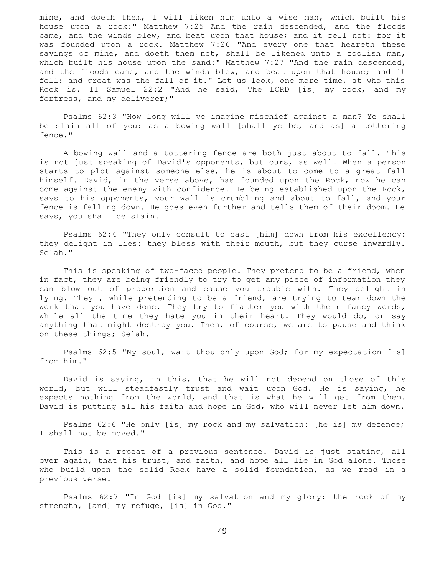mine, and doeth them, I will liken him unto a wise man, which built his house upon a rock:" Matthew 7:25 And the rain descended, and the floods came, and the winds blew, and beat upon that house; and it fell not: for it was founded upon a rock. Matthew 7:26 "And every one that heareth these sayings of mine, and doeth them not, shall be likened unto a foolish man, which built his house upon the sand:" Matthew 7:27 "And the rain descended, and the floods came, and the winds blew, and beat upon that house; and it fell: and great was the fall of it." Let us look, one more time, at who this Rock is. II Samuel 22:2 "And he said, The LORD [is] my rock, and my fortress, and my deliverer;"

 Psalms 62:3 "How long will ye imagine mischief against a man? Ye shall be slain all of you: as a bowing wall [shall ye be, and as] a tottering fence."

 A bowing wall and a tottering fence are both just about to fall. This is not just speaking of David's opponents, but ours, as well. When a person starts to plot against someone else, he is about to come to a great fall himself. David, in the verse above, has founded upon the Rock, now he can come against the enemy with confidence. He being established upon the Rock, says to his opponents, your wall is crumbling and about to fall, and your fence is falling down. He goes even further and tells them of their doom. He says, you shall be slain.

 Psalms 62:4 "They only consult to cast [him] down from his excellency: they delight in lies: they bless with their mouth, but they curse inwardly. Selah."

This is speaking of two-faced people. They pretend to be a friend, when in fact, they are being friendly to try to get any piece of information they can blow out of proportion and cause you trouble with. They delight in lying. They , while pretending to be a friend, are trying to tear down the work that you have done. They try to flatter you with their fancy words, while all the time they hate you in their heart. They would do, or say anything that might destroy you. Then, of course, we are to pause and think on these things; Selah.

 Psalms 62:5 "My soul, wait thou only upon God; for my expectation [is] from him."

 David is saying, in this, that he will not depend on those of this world, but will steadfastly trust and wait upon God. He is saying, he expects nothing from the world, and that is what he will get from them. David is putting all his faith and hope in God, who will never let him down.

 Psalms 62:6 "He only [is] my rock and my salvation: [he is] my defence; I shall not be moved."

 This is a repeat of a previous sentence. David is just stating, all over again, that his trust, and faith, and hope all lie in God alone. Those who build upon the solid Rock have a solid foundation, as we read in a previous verse.

 Psalms 62:7 "In God [is] my salvation and my glory: the rock of my strength, [and] my refuge, [is] in God."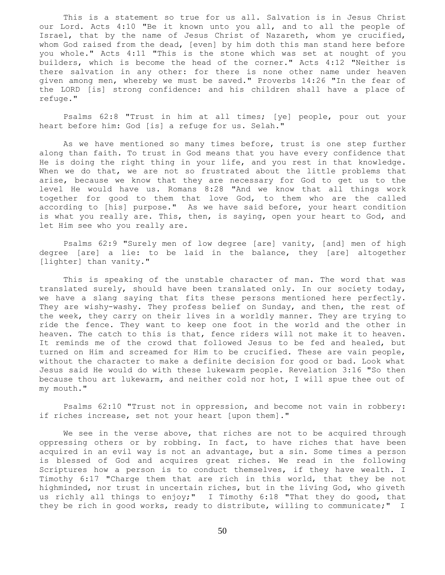This is a statement so true for us all. Salvation is in Jesus Christ our Lord. Acts 4:10 "Be it known unto you all, and to all the people of Israel, that by the name of Jesus Christ of Nazareth, whom ye crucified, whom God raised from the dead, [even] by him doth this man stand here before you whole." Acts 4:11 "This is the stone which was set at nought of you builders, which is become the head of the corner." Acts 4:12 "Neither is there salvation in any other: for there is none other name under heaven given among men, whereby we must be saved." Proverbs 14:26 "In the fear of the LORD [is] strong confidence: and his children shall have a place of refuge."

 Psalms 62:8 "Trust in him at all times; [ye] people, pour out your heart before him: God [is] a refuge for us. Selah."

 As we have mentioned so many times before, trust is one step further along than faith. To trust in God means that you have every confidence that He is doing the right thing in your life, and you rest in that knowledge. When we do that, we are not so frustrated about the little problems that arise, because we know that they are necessary for God to get us to the level He would have us. Romans 8:28 "And we know that all things work together for good to them that love God, to them who are the called according to [his] purpose." As we have said before, your heart condition is what you really are. This, then, is saying, open your heart to God, and let Him see who you really are.

 Psalms 62:9 "Surely men of low degree [are] vanity, [and] men of high degree [are] a lie: to be laid in the balance, they [are] altogether [lighter] than vanity."

 This is speaking of the unstable character of man. The word that was translated surely, should have been translated only. In our society today, we have a slang saying that fits these persons mentioned here perfectly. They are wishy-washy. They profess belief on Sunday, and then, the rest of the week, they carry on their lives in a worldly manner. They are trying to ride the fence. They want to keep one foot in the world and the other in heaven. The catch to this is that, fence riders will not make it to heaven. It reminds me of the crowd that followed Jesus to be fed and healed, but turned on Him and screamed for Him to be crucified. These are vain people, without the character to make a definite decision for good or bad. Look what Jesus said He would do with these lukewarm people. Revelation 3:16 "So then because thou art lukewarm, and neither cold nor hot, I will spue thee out of my mouth."

 Psalms 62:10 "Trust not in oppression, and become not vain in robbery: if riches increase, set not your heart [upon them]."

We see in the verse above, that riches are not to be acquired through oppressing others or by robbing. In fact, to have riches that have been acquired in an evil way is not an advantage, but a sin. Some times a person is blessed of God and acquires great riches. We read in the following Scriptures how a person is to conduct themselves, if they have wealth. I Timothy 6:17 "Charge them that are rich in this world, that they be not highminded, nor trust in uncertain riches, but in the living God, who giveth us richly all things to enjoy;" I Timothy 6:18 "That they do good, that they be rich in good works, ready to distribute, willing to communicate;" I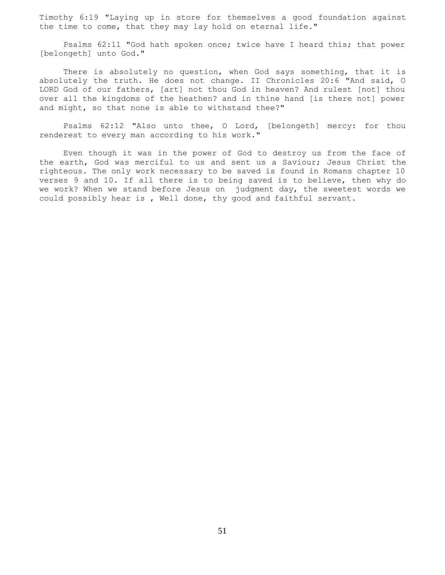Timothy 6:19 "Laying up in store for themselves a good foundation against the time to come, that they may lay hold on eternal life."

 Psalms 62:11 "God hath spoken once; twice have I heard this; that power [belongeth] unto God."

There is absolutely no question, when God says something, that it is absolutely the truth. He does not change. II Chronicles 20:6 "And said, O LORD God of our fathers, [art] not thou God in heaven? And rulest [not] thou over all the kingdoms of the heathen? and in thine hand [is there not] power and might, so that none is able to withstand thee?"

 Psalms 62:12 "Also unto thee, O Lord, [belongeth] mercy: for thou renderest to every man according to his work."

 Even though it was in the power of God to destroy us from the face of the earth, God was merciful to us and sent us a Saviour; Jesus Christ the righteous. The only work necessary to be saved is found in Romans chapter 10 verses 9 and 10. If all there is to being saved is to believe, then why do we work? When we stand before Jesus on judgment day, the sweetest words we could possibly hear is , Well done, thy good and faithful servant.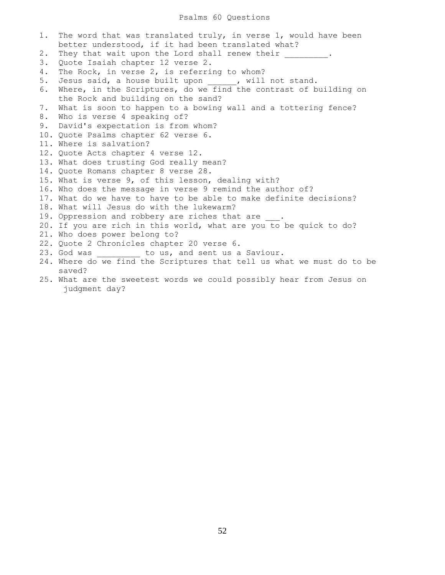### Psalms 60 Questions

1. The word that was translated truly, in verse 1, would have been better understood, if it had been translated what? 2. They that wait upon the Lord shall renew their 3. Quote Isaiah chapter 12 verse 2. 4. The Rock, in verse 2, is referring to whom? 5. Jesus said, a house built upon \_\_\_\_\_, will not stand. 6. Where, in the Scriptures, do we find the contrast of building on the Rock and building on the sand? 7. What is soon to happen to a bowing wall and a tottering fence? 8. Who is verse 4 speaking of? 9. David's expectation is from whom? 10. Quote Psalms chapter 62 verse 6. 11. Where is salvation? 12. Quote Acts chapter 4 verse 12. 13. What does trusting God really mean? 14. Quote Romans chapter 8 verse 28. 15. What is verse 9, of this lesson, dealing with? 16. Who does the message in verse 9 remind the author of? 17. What do we have to have to be able to make definite decisions? 18. What will Jesus do with the lukewarm? 19. Oppression and robbery are riches that are 20. If you are rich in this world, what are you to be quick to do? 21. Who does power belong to? 22. Quote 2 Chronicles chapter 20 verse 6. 23. God was \_\_\_\_\_\_\_ to us, and sent us a Saviour. 24. Where do we find the Scriptures that tell us what we must do to be saved? 25. What are the sweetest words we could possibly hear from Jesus on judgment day?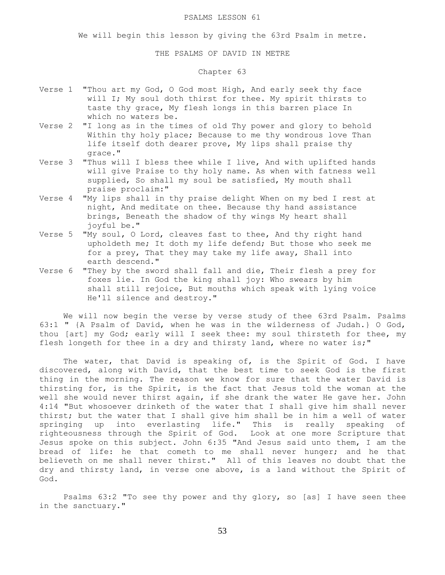We will begin this lesson by giving the 63rd Psalm in metre.

## THE PSALMS OF DAVID IN METRE

# Chapter 63

- Verse 1 "Thou art my God, O God most High, And early seek thy face will I; My soul doth thirst for thee. My spirit thirsts to taste thy grace, My flesh longs in this barren place In which no waters be.
- Verse 2 "I long as in the times of old Thy power and glory to behold Within thy holy place; Because to me thy wondrous love Than life itself doth dearer prove, My lips shall praise thy grace."
- Verse 3 "Thus will I bless thee while I live, And with uplifted hands will give Praise to thy holy name. As when with fatness well supplied, So shall my soul be satisfied, My mouth shall praise proclaim:"
- Verse 4 "My lips shall in thy praise delight When on my bed I rest at night, And meditate on thee. Because thy hand assistance brings, Beneath the shadow of thy wings My heart shall joyful be."
- Verse 5 "My soul, O Lord, cleaves fast to thee, And thy right hand upholdeth me; It doth my life defend; But those who seek me for a prey, That they may take my life away, Shall into earth descend."
- Verse 6 "They by the sword shall fall and die, Their flesh a prey for foxes lie. In God the king shall joy: Who swears by him shall still rejoice, But mouths which speak with lying voice He'll silence and destroy."

 We will now begin the verse by verse study of thee 63rd Psalm. Psalms 63:1 " {A Psalm of David, when he was in the wilderness of Judah.} O God, thou [art] my God; early will I seek thee: my soul thirsteth for thee, my flesh longeth for thee in a dry and thirsty land, where no water is;"

 The water, that David is speaking of, is the Spirit of God. I have discovered, along with David, that the best time to seek God is the first thing in the morning. The reason we know for sure that the water David is thirsting for, is the Spirit, is the fact that Jesus told the woman at the well she would never thirst again, if she drank the water He gave her. John 4:14 "But whosoever drinketh of the water that I shall give him shall never thirst; but the water that I shall give him shall be in him a well of water springing up into everlasting life." This is really speaking of righteousness through the Spirit of God. Look at one more Scripture that Jesus spoke on this subject. John 6:35 "And Jesus said unto them, I am the bread of life: he that cometh to me shall never hunger; and he that believeth on me shall never thirst." All of this leaves no doubt that the dry and thirsty land, in verse one above, is a land without the Spirit of God.

 Psalms 63:2 "To see thy power and thy glory, so [as] I have seen thee in the sanctuary."

53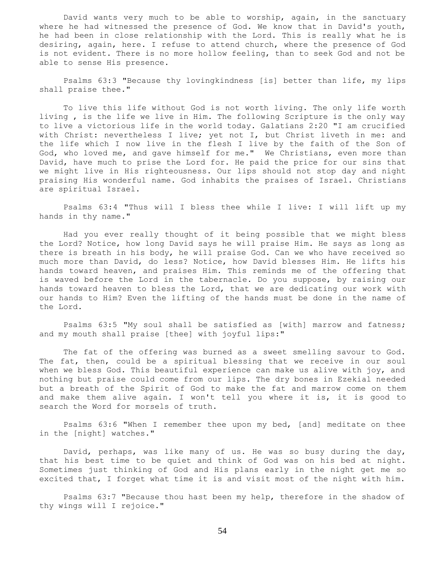David wants very much to be able to worship, again, in the sanctuary where he had witnessed the presence of God. We know that in David's youth, he had been in close relationship with the Lord. This is really what he is desiring, again, here. I refuse to attend church, where the presence of God is not evident. There is no more hollow feeling, than to seek God and not be able to sense His presence.

 Psalms 63:3 "Because thy lovingkindness [is] better than life, my lips shall praise thee."

 To live this life without God is not worth living. The only life worth living , is the life we live in Him. The following Scripture is the only way to live a victorious life in the world today. Galatians 2:20 "I am crucified with Christ: nevertheless I live; yet not I, but Christ liveth in me: and the life which I now live in the flesh I live by the faith of the Son of God, who loved me, and gave himself for me." We Christians, even more than David, have much to prise the Lord for. He paid the price for our sins that we might live in His righteousness. Our lips should not stop day and night praising His wonderful name. God inhabits the praises of Israel. Christians are spiritual Israel.

 Psalms 63:4 "Thus will I bless thee while I live: I will lift up my hands in thy name."

 Had you ever really thought of it being possible that we might bless the Lord? Notice, how long David says he will praise Him. He says as long as there is breath in his body, he will praise God. Can we who have received so much more than David, do less? Notice, how David blesses Him. He lifts his hands toward heaven, and praises Him. This reminds me of the offering that is waved before the Lord in the tabernacle. Do you suppose, by raising our hands toward heaven to bless the Lord, that we are dedicating our work with our hands to Him? Even the lifting of the hands must be done in the name of the Lord.

 Psalms 63:5 "My soul shall be satisfied as [with] marrow and fatness; and my mouth shall praise [thee] with joyful lips:"

 The fat of the offering was burned as a sweet smelling savour to God. The fat, then, could be a spiritual blessing that we receive in our soul when we bless God. This beautiful experience can make us alive with joy, and nothing but praise could come from our lips. The dry bones in Ezekial needed but a breath of the Spirit of God to make the fat and marrow come on them and make them alive again. I won't tell you where it is, it is good to search the Word for morsels of truth.

 Psalms 63:6 "When I remember thee upon my bed, [and] meditate on thee in the [night] watches."

 David, perhaps, was like many of us. He was so busy during the day, that his best time to be quiet and think of God was on his bed at night. Sometimes just thinking of God and His plans early in the night get me so excited that, I forget what time it is and visit most of the night with him.

 Psalms 63:7 "Because thou hast been my help, therefore in the shadow of thy wings will I rejoice."

54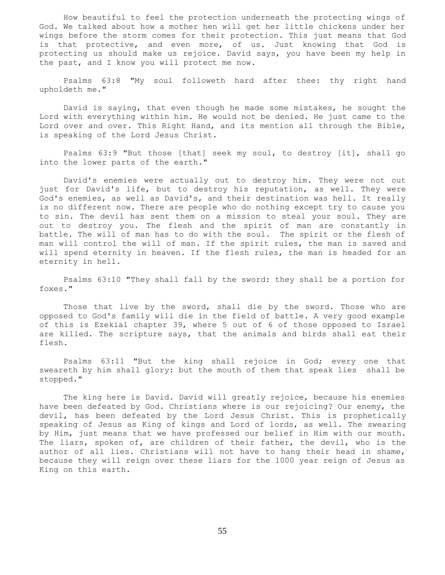How beautiful to feel the protection underneath the protecting wings of God. We talked about how a mother hen will get her little chickens under her wings before the storm comes for their protection. This just means that God is that protective, and even more, of us. Just knowing that God is protecting us should make us rejoice. David says, you have been my help in the past, and I know you will protect me now.

 Psalms 63:8 "My soul followeth hard after thee: thy right hand upholdeth me."

 David is saying, that even though he made some mistakes, he sought the Lord with everything within him. He would not be denied. He just came to the Lord over and over. This Right Hand, and its mention all through the Bible, is speaking of the Lord Jesus Christ.

 Psalms 63:9 "But those [that] seek my soul, to destroy [it], shall go into the lower parts of the earth."

 David's enemies were actually out to destroy him. They were not out just for David's life, but to destroy his reputation, as well. They were God's enemies, as well as David's, and their destination was hell. It really is no different now. There are people who do nothing except try to cause you to sin. The devil has sent them on a mission to steal your soul. They are out to destroy you. The flesh and the spirit of man are constantly in battle. The will of man has to do with the soul. The spirit or the flesh of man will control the will of man. If the spirit rules, the man is saved and will spend eternity in heaven. If the flesh rules, the man is headed for an eternity in hell.

 Psalms 63:10 "They shall fall by the sword: they shall be a portion for foxes."

Those that live by the sword, shall die by the sword. Those who are opposed to God's family will die in the field of battle. A very good example of this is Ezekial chapter 39, where 5 out of 6 of those opposed to Israel are killed. The scripture says, that the animals and birds shall eat their flesh.

 Psalms 63:11 "But the king shall rejoice in God; every one that sweareth by him shall glory: but the mouth of them that speak lies shall be stopped."

 The king here is David. David will greatly rejoice, because his enemies have been defeated by God. Christians where is our rejoicing? Our enemy, the devil, has been defeated by the Lord Jesus Christ. This is prophetically speaking of Jesus as King of kings and Lord of lords, as well. The swearing by Him, just means that we have professed our belief in Him with our mouth. The liars, spoken of, are children of their father, the devil, who is the author of all lies. Christians will not have to hang their head in shame, because they will reign over these liars for the 1000 year reign of Jesus as King on this earth.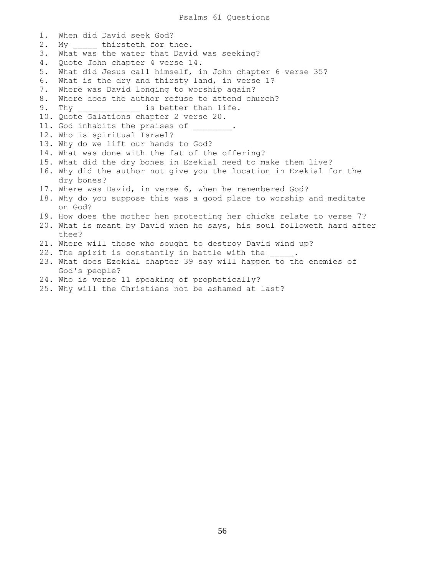1. When did David seek God? 2. My thirsteth for thee. 3. What was the water that David was seeking? 4. Quote John chapter 4 verse 14. 5. What did Jesus call himself, in John chapter 6 verse 35? 6. What is the dry and thirsty land, in verse 1? 7. Where was David longing to worship again? 8. Where does the author refuse to attend church? 9. Thy \_\_\_\_\_\_\_\_\_\_\_\_\_ is better than life. 10. Quote Galations chapter 2 verse 20. 11. God inhabits the praises of 12. Who is spiritual Israel? 13. Why do we lift our hands to God? 14. What was done with the fat of the offering? 15. What did the dry bones in Ezekial need to make them live? 16. Why did the author not give you the location in Ezekial for the dry bones? 17. Where was David, in verse 6, when he remembered God? 18. Why do you suppose this was a good place to worship and meditate on God? 19. How does the mother hen protecting her chicks relate to verse 7? 20. What is meant by David when he says, his soul followeth hard after thee? 21. Where will those who sought to destroy David wind up? 22. The spirit is constantly in battle with the 23. What does Ezekial chapter 39 say will happen to the enemies of God's people? 24. Who is verse 11 speaking of prophetically?

25. Why will the Christians not be ashamed at last?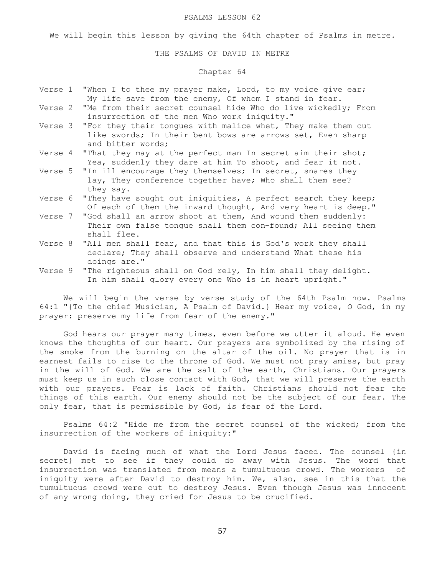We will begin this lesson by giving the 64th chapter of Psalms in metre.

## THE PSALMS OF DAVID IN METRE

# Chapter 64

- Verse 1 "When I to thee my prayer make, Lord, to my voice give ear; My life save from the enemy, Of whom I stand in fear.
- Verse 2 "Me from their secret counsel hide Who do live wickedly; From insurrection of the men Who work iniquity."
- Verse 3 "For they their tongues with malice whet, They make them cut like swords; In their bent bows are arrows set, Even sharp and bitter words;
- Verse 4 "That they may at the perfect man In secret aim their shot; Yea, suddenly they dare at him To shoot, and fear it not.
- Verse 5 "In ill encourage they themselves; In secret, snares they lay, They conference together have; Who shall them see? they say.
- Verse 6 "They have sought out iniquities, A perfect search they keep; Of each of them the inward thought, And very heart is deep."
- Verse 7 "God shall an arrow shoot at them, And wound them suddenly: Their own false tongue shall them con-found; All seeing them shall flee.
- Verse 8 "All men shall fear, and that this is God's work they shall declare; They shall observe and understand What these his doings are."
- Verse 9 "The righteous shall on God rely, In him shall they delight. In him shall glory every one Who is in heart upright."

We will begin the verse by verse study of the 64th Psalm now. Psalms 64:1 "{To the chief Musician, A Psalm of David.} Hear my voice, O God, in my prayer: preserve my life from fear of the enemy."

 God hears our prayer many times, even before we utter it aloud. He even knows the thoughts of our heart. Our prayers are symbolized by the rising of the smoke from the burning on the altar of the oil. No prayer that is in earnest fails to rise to the throne of God. We must not pray amiss, but pray in the will of God. We are the salt of the earth, Christians. Our prayers must keep us in such close contact with God, that we will preserve the earth with our prayers. Fear is lack of faith. Christians should not fear the things of this earth. Our enemy should not be the subject of our fear. The only fear, that is permissible by God, is fear of the Lord.

 Psalms 64:2 "Hide me from the secret counsel of the wicked; from the insurrection of the workers of iniquity:"

 David is facing much of what the Lord Jesus faced. The counsel {in secret} met to see if they could do away with Jesus. The word that insurrection was translated from means a tumultuous crowd. The workers of iniquity were after David to destroy him. We, also, see in this that the tumultuous crowd were out to destroy Jesus. Even though Jesus was innocent of any wrong doing, they cried for Jesus to be crucified.

57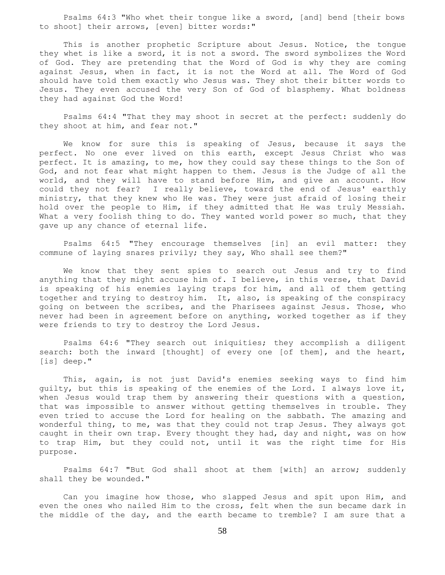Psalms 64:3 "Who whet their tongue like a sword, [and] bend [their bows to shoot] their arrows, [even] bitter words:"

 This is another prophetic Scripture about Jesus. Notice, the tongue they whet is like a sword, it is not a sword. The sword symbolizes the Word of God. They are pretending that the Word of God is why they are coming against Jesus, when in fact, it is not the Word at all. The Word of God should have told them exactly who Jesus was. They shot their bitter words to Jesus. They even accused the very Son of God of blasphemy. What boldness they had against God the Word!

 Psalms 64:4 "That they may shoot in secret at the perfect: suddenly do they shoot at him, and fear not."

 We know for sure this is speaking of Jesus, because it says the perfect. No one ever lived on this earth, except Jesus Christ who was perfect. It is amazing, to me, how they could say these things to the Son of God, and not fear what might happen to them. Jesus is the Judge of all the world, and they will have to stand before Him, and give an account. How could they not fear? I really believe, toward the end of Jesus' earthly ministry, that they knew who He was. They were just afraid of losing their hold over the people to Him, if they admitted that He was truly Messiah. What a very foolish thing to do. They wanted world power so much, that they gave up any chance of eternal life.

 Psalms 64:5 "They encourage themselves [in] an evil matter: they commune of laying snares privily; they say, Who shall see them?"

 We know that they sent spies to search out Jesus and try to find anything that they might accuse him of. I believe, in this verse, that David is speaking of his enemies laying traps for him, and all of them getting together and trying to destroy him. It, also, is speaking of the conspiracy going on between the scribes, and the Pharisees against Jesus. Those, who never had been in agreement before on anything, worked together as if they were friends to try to destroy the Lord Jesus.

 Psalms 64:6 "They search out iniquities; they accomplish a diligent search: both the inward [thought] of every one [of them], and the heart, [is] deep."

 This, again, is not just David's enemies seeking ways to find him guilty, but this is speaking of the enemies of the Lord. I always love it, when Jesus would trap them by answering their questions with a question, that was impossible to answer without getting themselves in trouble. They even tried to accuse the Lord for healing on the sabbath. The amazing and wonderful thing, to me, was that they could not trap Jesus. They always got caught in their own trap. Every thought they had, day and night, was on how to trap Him, but they could not, until it was the right time for His purpose.

 Psalms 64:7 "But God shall shoot at them [with] an arrow; suddenly shall they be wounded."

 Can you imagine how those, who slapped Jesus and spit upon Him, and even the ones who nailed Him to the cross, felt when the sun became dark in the middle of the day, and the earth became to tremble? I am sure that a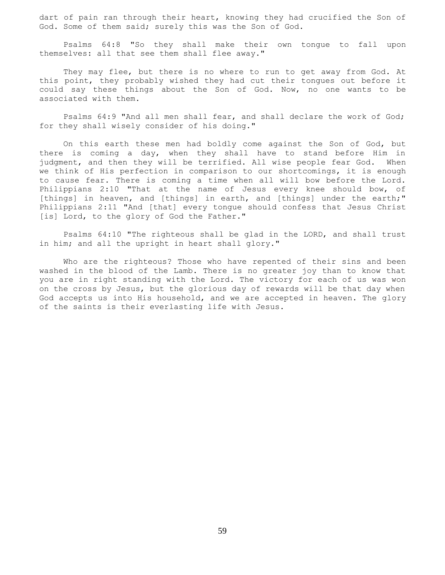dart of pain ran through their heart, knowing they had crucified the Son of God. Some of them said; surely this was the Son of God.

 Psalms 64:8 "So they shall make their own tongue to fall upon themselves: all that see them shall flee away."

They may flee, but there is no where to run to get away from God. At this point, they probably wished they had cut their tongues out before it could say these things about the Son of God. Now, no one wants to be associated with them.

 Psalms 64:9 "And all men shall fear, and shall declare the work of God; for they shall wisely consider of his doing."

 On this earth these men had boldly come against the Son of God, but there is coming a day, when they shall have to stand before Him in judgment, and then they will be terrified. All wise people fear God. When we think of His perfection in comparison to our shortcomings, it is enough to cause fear. There is coming a time when all will bow before the Lord. Philippians 2:10 "That at the name of Jesus every knee should bow, of [things] in heaven, and [things] in earth, and [things] under the earth;" Philippians 2:11 "And [that] every tongue should confess that Jesus Christ [is] Lord, to the glory of God the Father."

 Psalms 64:10 "The righteous shall be glad in the LORD, and shall trust in him; and all the upright in heart shall glory."

 Who are the righteous? Those who have repented of their sins and been washed in the blood of the Lamb. There is no greater joy than to know that you are in right standing with the Lord. The victory for each of us was won on the cross by Jesus, but the glorious day of rewards will be that day when God accepts us into His household, and we are accepted in heaven. The glory of the saints is their everlasting life with Jesus.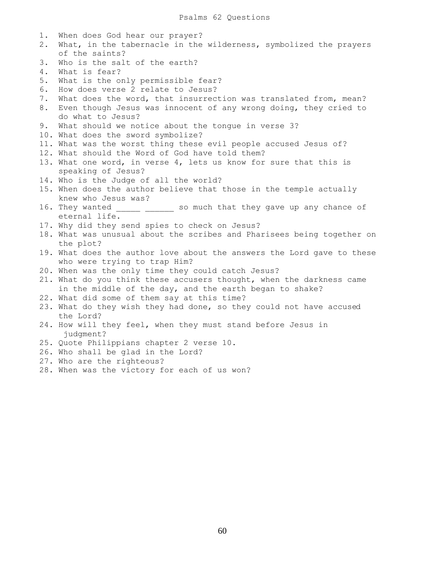1. When does God hear our prayer? 2. What, in the tabernacle in the wilderness, symbolized the prayers of the saints? 3. Who is the salt of the earth? 4. What is fear? 5. What is the only permissible fear? 6. How does verse 2 relate to Jesus? 7. What does the word, that insurrection was translated from, mean? 8. Even though Jesus was innocent of any wrong doing, they cried to do what to Jesus? 9. What should we notice about the tongue in verse 3? 10. What does the sword symbolize? 11. What was the worst thing these evil people accused Jesus of? 12. What should the Word of God have told them? 13. What one word, in verse 4, lets us know for sure that this is speaking of Jesus? 14. Who is the Judge of all the world? 15. When does the author believe that those in the temple actually knew who Jesus was? 16. They wanted so much that they gave up any chance of eternal life. 17. Why did they send spies to check on Jesus? 18. What was unusual about the scribes and Pharisees being together on the plot? 19. What does the author love about the answers the Lord gave to these who were trying to trap Him? 20. When was the only time they could catch Jesus? 21. What do you think these accusers thought, when the darkness came in the middle of the day, and the earth began to shake? 22. What did some of them say at this time? 23. What do they wish they had done, so they could not have accused the Lord? 24. How will they feel, when they must stand before Jesus in judgment? 25. Quote Philippians chapter 2 verse 10. 26. Who shall be glad in the Lord? 27. Who are the righteous? 28. When was the victory for each of us won?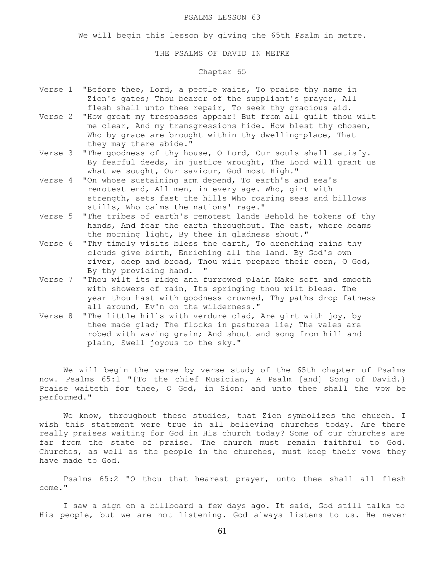We will begin this lesson by giving the 65th Psalm in metre.

## THE PSALMS OF DAVID IN METRE

# Chapter 65

- Verse 1 "Before thee, Lord, a people waits, To praise thy name in Zion's gates; Thou bearer of the suppliant's prayer, All flesh shall unto thee repair, To seek thy gracious aid.
- Verse 2 "How great my trespasses appear! But from all guilt thou wilt me clear, And my transgressions hide. How blest thy chosen, Who by grace are brought within thy dwelling-place, That they may there abide."
- Verse 3 "The goodness of thy house, O Lord, Our souls shall satisfy. By fearful deeds, in justice wrought, The Lord will grant us what we sought, Our saviour, God most High."
- Verse 4 "On whose sustaining arm depend, To earth's and sea's remotest end, All men, in every age. Who, girt with strength, sets fast the hills Who roaring seas and billows stills, Who calms the nations' rage."
- Verse 5 "The tribes of earth's remotest lands Behold he tokens of thy hands, And fear the earth throughout. The east, where beams the morning light, By thee in gladness shout."
- Verse 6 "Thy timely visits bless the earth, To drenching rains thy clouds give birth, Enriching all the land. By God's own river, deep and broad, Thou wilt prepare their corn, O God, By thy providing hand. "
- Verse 7 "Thou wilt its ridge and furrowed plain Make soft and smooth with showers of rain, Its springing thou wilt bless. The year thou hast with goodness crowned, Thy paths drop fatness all around, Ev'n on the wilderness."
- Verse 8 "The little hills with verdure clad, Are girt with joy, by thee made glad; The flocks in pastures lie; The vales are robed with waving grain; And shout and song from hill and plain, Swell joyous to the sky."

 We will begin the verse by verse study of the 65th chapter of Psalms now. Psalms 65:1 "{To the chief Musician, A Psalm [and] Song of David.} Praise waiteth for thee, O God, in Sion: and unto thee shall the vow be performed."

We know, throughout these studies, that Zion symbolizes the church. I wish this statement were true in all believing churches today. Are there really praises waiting for God in His church today? Some of our churches are far from the state of praise. The church must remain faithful to God. Churches, as well as the people in the churches, must keep their vows they have made to God.

 Psalms 65:2 "O thou that hearest prayer, unto thee shall all flesh come."

 I saw a sign on a billboard a few days ago. It said, God still talks to His people, but we are not listening. God always listens to us. He never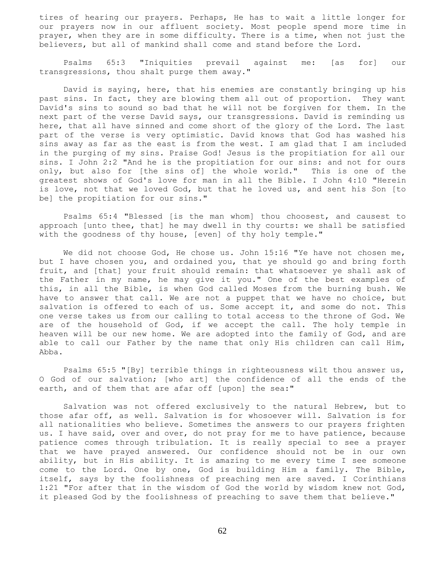tires of hearing our prayers. Perhaps, He has to wait a little longer for our prayers now in our affluent society. Most people spend more time in prayer, when they are in some difficulty. There is a time, when not just the believers, but all of mankind shall come and stand before the Lord.

 Psalms 65:3 "Iniquities prevail against me: [as for] our transgressions, thou shalt purge them away."

 David is saying, here, that his enemies are constantly bringing up his past sins. In fact, they are blowing them all out of proportion. They want David's sins to sound so bad that he will not be forgiven for them. In the next part of the verse David says, our transgressions. David is reminding us here, that all have sinned and come short of the glory of the Lord. The last part of the verse is very optimistic. David knows that God has washed his sins away as far as the east is from the west. I am glad that I am included in the purging of my sins. Praise God! Jesus is the propitiation for all our sins. I John 2:2 "And he is the propitiation for our sins: and not for ours only, but also for [the sins of] the whole world." This is one of the greatest shows of God's love for man in all the Bible. I John 4:10 "Herein is love, not that we loved God, but that he loved us, and sent his Son [to be] the propitiation for our sins."

 Psalms 65:4 "Blessed [is the man whom] thou choosest, and causest to approach [unto thee, that] he may dwell in thy courts: we shall be satisfied with the goodness of thy house, [even] of thy holy temple."

We did not choose God, He chose us. John 15:16 "Ye have not chosen me, but I have chosen you, and ordained you, that ye should go and bring forth fruit, and [that] your fruit should remain: that whatsoever ye shall ask of the Father in my name, he may give it you." One of the best examples of this, in all the Bible, is when God called Moses from the burning bush. We have to answer that call. We are not a puppet that we have no choice, but salvation is offered to each of us. Some accept it, and some do not. This one verse takes us from our calling to total access to the throne of God. We are of the household of God, if we accept the call. The holy temple in heaven will be our new home. We are adopted into the family of God, and are able to call our Father by the name that only His children can call Him, Abba.

 Psalms 65:5 "[By] terrible things in righteousness wilt thou answer us, O God of our salvation; [who art] the confidence of all the ends of the earth, and of them that are afar off [upon] the sea:"

 Salvation was not offered exclusively to the natural Hebrew, but to those afar off, as well. Salvation is for whosoever will. Salvation is for all nationalities who believe. Sometimes the answers to our prayers frighten us. I have said, over and over, do not pray for me to have patience, because patience comes through tribulation. It is really special to see a prayer that we have prayed answered. Our confidence should not be in our own ability, but in His ability. It is amazing to me every time I see someone come to the Lord. One by one, God is building Him a family. The Bible, itself, says by the foolishness of preaching men are saved. I Corinthians 1:21 "For after that in the wisdom of God the world by wisdom knew not God, it pleased God by the foolishness of preaching to save them that believe."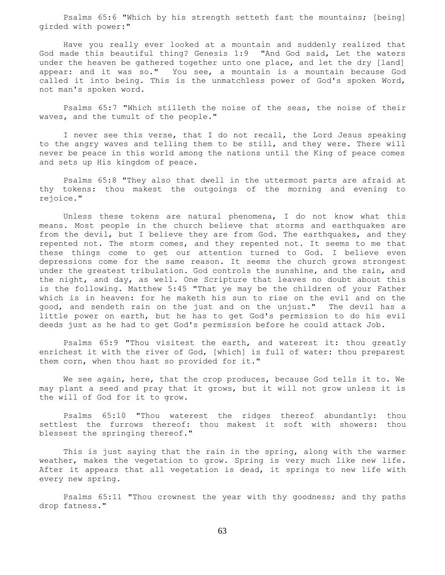Psalms 65:6 "Which by his strength setteth fast the mountains; [being] girded with power:"

 Have you really ever looked at a mountain and suddenly realized that God made this beautiful thing? Genesis 1:9 "And God said, Let the waters under the heaven be gathered together unto one place, and let the dry [land] appear: and it was so." You see, a mountain is a mountain because God called it into being. This is the unmatchless power of God's spoken Word, not man's spoken word.

 Psalms 65:7 "Which stilleth the noise of the seas, the noise of their waves, and the tumult of the people."

 I never see this verse, that I do not recall, the Lord Jesus speaking to the angry waves and telling them to be still, and they were. There will never be peace in this world among the nations until the King of peace comes and sets up His kingdom of peace.

 Psalms 65:8 "They also that dwell in the uttermost parts are afraid at thy tokens: thou makest the outgoings of the morning and evening to rejoice."

 Unless these tokens are natural phenomena, I do not know what this means. Most people in the church believe that storms and earthquakes are from the devil, but I believe they are from God. The earthquakes, and they repented not. The storm comes, and they repented not. It seems to me that these things come to get our attention turned to God. I believe even depressions come for the same reason. It seems the church grows strongest under the greatest tribulation. God controls the sunshine, and the rain, and the night, and day, as well. One Scripture that leaves no doubt about this is the following. Matthew 5:45 "That ye may be the children of your Father which is in heaven: for he maketh his sun to rise on the evil and on the good, and sendeth rain on the just and on the unjust." The devil has a little power on earth, but he has to get God's permission to do his evil deeds just as he had to get God's permission before he could attack Job.

 Psalms 65:9 "Thou visitest the earth, and waterest it: thou greatly enrichest it with the river of God, [which] is full of water: thou preparest them corn, when thou hast so provided for it."

 We see again, here, that the crop produces, because God tells it to. We may plant a seed and pray that it grows, but it will not grow unless it is the will of God for it to grow.

 Psalms 65:10 "Thou waterest the ridges thereof abundantly: thou settlest the furrows thereof: thou makest it soft with showers: thou blessest the springing thereof."

 This is just saying that the rain in the spring, along with the warmer weather, makes the vegetation to grow. Spring is very much like new life. After it appears that all vegetation is dead, it springs to new life with every new spring.

 Psalms 65:11 "Thou crownest the year with thy goodness; and thy paths drop fatness."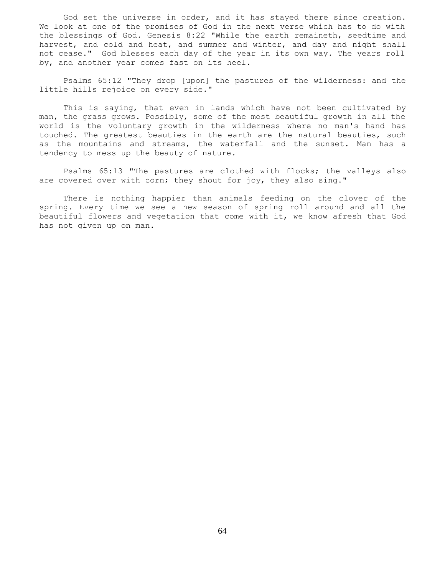God set the universe in order, and it has stayed there since creation. We look at one of the promises of God in the next verse which has to do with the blessings of God. Genesis 8:22 "While the earth remaineth, seedtime and harvest, and cold and heat, and summer and winter, and day and night shall not cease." God blesses each day of the year in its own way. The years roll by, and another year comes fast on its heel.

 Psalms 65:12 "They drop [upon] the pastures of the wilderness: and the little hills rejoice on every side."

 This is saying, that even in lands which have not been cultivated by man, the grass grows. Possibly, some of the most beautiful growth in all the world is the voluntary growth in the wilderness where no man's hand has touched. The greatest beauties in the earth are the natural beauties, such as the mountains and streams, the waterfall and the sunset. Man has a tendency to mess up the beauty of nature.

 Psalms 65:13 "The pastures are clothed with flocks; the valleys also are covered over with corn; they shout for joy, they also sing."

 There is nothing happier than animals feeding on the clover of the spring. Every time we see a new season of spring roll around and all the beautiful flowers and vegetation that come with it, we know afresh that God has not given up on man.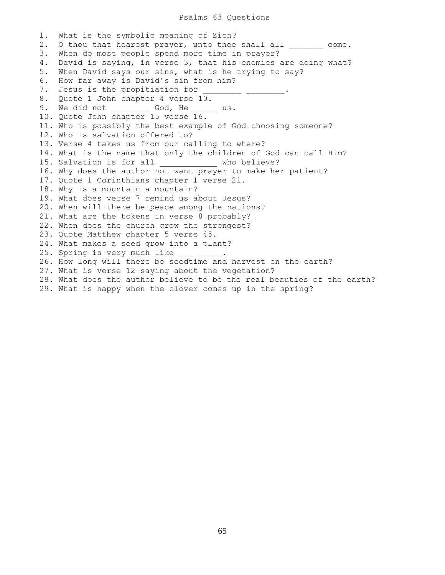### Psalms 63 Questions

1. What is the symbolic meaning of Zion? 2. O thou that hearest prayer, unto thee shall all come. 3. When do most people spend more time in prayer? 4. David is saying, in verse 3, that his enemies are doing what? 5. When David says our sins, what is he trying to say? 6. How far away is David's sin from him? 7. Jesus is the propitiation for 8. Quote 1 John chapter 4 verse 10. 9. We did not \_\_\_\_\_\_\_\_\_ God, He \_\_\_\_\_\_ us. 10. Quote John chapter 15 verse 16. 11. Who is possibly the best example of God choosing someone? 12. Who is salvation offered to? 13. Verse 4 takes us from our calling to where? 14. What is the name that only the children of God can call Him? 15. Salvation is for all \_\_\_\_\_\_\_\_\_\_\_\_ who believe? 16. Why does the author not want prayer to make her patient? 17. Quote 1 Corinthians chapter 1 verse 21. 18. Why is a mountain a mountain? 19. What does verse 7 remind us about Jesus? 20. When will there be peace among the nations? 21. What are the tokens in verse 8 probably? 22. When does the church grow the strongest? 23. Quote Matthew chapter 5 verse 45. 24. What makes a seed grow into a plant? 25. Spring is very much like  $\cdot$ 26. How long will there be seedtime and harvest on the earth? 27. What is verse 12 saying about the vegetation? 28. What does the author believe to be the real beauties of the earth? 29. What is happy when the clover comes up in the spring?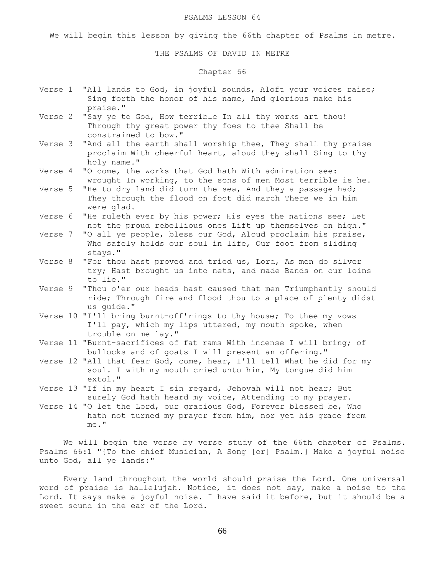We will begin this lesson by giving the 66th chapter of Psalms in metre.

THE PSALMS OF DAVID IN METRE

## Chapter 66

- Verse 1 "All lands to God, in joyful sounds, Aloft your voices raise; Sing forth the honor of his name, And glorious make his praise."
- Verse 2 "Say ye to God, How terrible In all thy works art thou! Through thy great power thy foes to thee Shall be constrained to bow."
- Verse 3 "And all the earth shall worship thee, They shall thy praise proclaim With cheerful heart, aloud they shall Sing to thy holy name."
- Verse 4 "O come, the works that God hath With admiration see: wrought In working, to the sons of men Most terrible is he.
- Verse 5 "He to dry land did turn the sea, And they a passage had; They through the flood on foot did march There we in him were glad.
- Verse 6 "He ruleth ever by his power; His eyes the nations see; Let not the proud rebellious ones Lift up themselves on high."
- Verse 7 "O all ye people, bless our God, Aloud proclaim his praise, Who safely holds our soul in life, Our foot from sliding stays."
- Verse 8 "For thou hast proved and tried us, Lord, As men do silver try; Hast brought us into nets, and made Bands on our loins to lie."
- Verse 9 "Thou o'er our heads hast caused that men Triumphantly should ride; Through fire and flood thou to a place of plenty didst us guide."
- Verse 10 "I'll bring burnt-off'rings to thy house; To thee my vows I'll pay, which my lips uttered, my mouth spoke, when trouble on me lay."
- Verse 11 "Burnt-sacrifices of fat rams With incense I will bring; of bullocks and of goats I will present an offering."
- Verse 12 "All that fear God, come, hear, I'll tell What he did for my soul. I with my mouth cried unto him, My tongue did him extol."
- Verse 13 "If in my heart I sin regard, Jehovah will not hear; But surely God hath heard my voice, Attending to my prayer.
- Verse 14 "O let the Lord, our gracious God, Forever blessed be, Who hath not turned my prayer from him, nor yet his grace from me."

 We will begin the verse by verse study of the 66th chapter of Psalms. Psalms 66:1 "{To the chief Musician, A Song [or] Psalm.} Make a joyful noise unto God, all ye lands:"

 Every land throughout the world should praise the Lord. One universal word of praise is hallelujah. Notice, it does not say, make a noise to the Lord. It says make a joyful noise. I have said it before, but it should be a sweet sound in the ear of the Lord.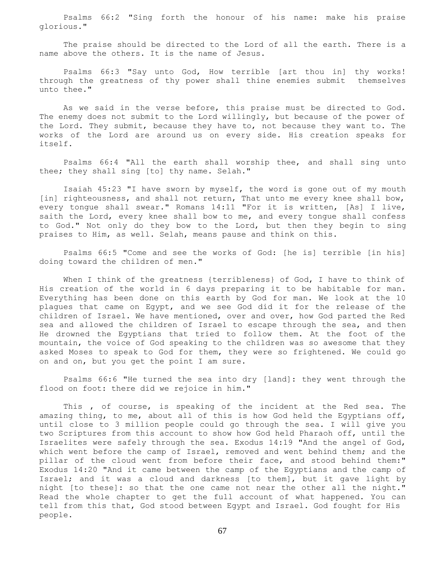Psalms 66:2 "Sing forth the honour of his name: make his praise glorious."

 The praise should be directed to the Lord of all the earth. There is a name above the others. It is the name of Jesus.

 Psalms 66:3 "Say unto God, How terrible [art thou in] thy works! through the greatness of thy power shall thine enemies submit themselves unto thee."

 As we said in the verse before, this praise must be directed to God. The enemy does not submit to the Lord willingly, but because of the power of the Lord. They submit, because they have to, not because they want to. The works of the Lord are around us on every side. His creation speaks for itself.

 Psalms 66:4 "All the earth shall worship thee, and shall sing unto thee; they shall sing [to] thy name. Selah."

 Isaiah 45:23 "I have sworn by myself, the word is gone out of my mouth [in] righteousness, and shall not return, That unto me every knee shall bow, every tongue shall swear." Romans 14:11 "For it is written, [As] I live, saith the Lord, every knee shall bow to me, and every tongue shall confess to God." Not only do they bow to the Lord, but then they begin to sing praises to Him, as well. Selah, means pause and think on this.

 Psalms 66:5 "Come and see the works of God: [he is] terrible [in his] doing toward the children of men."

When I think of the greatness {terribleness} of God, I have to think of His creation of the world in 6 days preparing it to be habitable for man. Everything has been done on this earth by God for man. We look at the 10 plagues that came on Egypt, and we see God did it for the release of the children of Israel. We have mentioned, over and over, how God parted the Red sea and allowed the children of Israel to escape through the sea, and then He drowned the Egyptians that tried to follow them. At the foot of the mountain, the voice of God speaking to the children was so awesome that they asked Moses to speak to God for them, they were so frightened. We could go on and on, but you get the point I am sure.

 Psalms 66:6 "He turned the sea into dry [land]: they went through the flood on foot: there did we rejoice in him."

 This , of course, is speaking of the incident at the Red sea. The amazing thing, to me, about all of this is how God held the Egyptians off, until close to 3 million people could go through the sea. I will give you two Scriptures from this account to show how God held Pharaoh off, until the Israelites were safely through the sea. Exodus 14:19 "And the angel of God, which went before the camp of Israel, removed and went behind them; and the pillar of the cloud went from before their face, and stood behind them:" Exodus 14:20 "And it came between the camp of the Egyptians and the camp of Israel; and it was a cloud and darkness [to them], but it gave light by night [to these]: so that the one came not near the other all the night." Read the whole chapter to get the full account of what happened. You can tell from this that, God stood between Egypt and Israel. God fought for His people.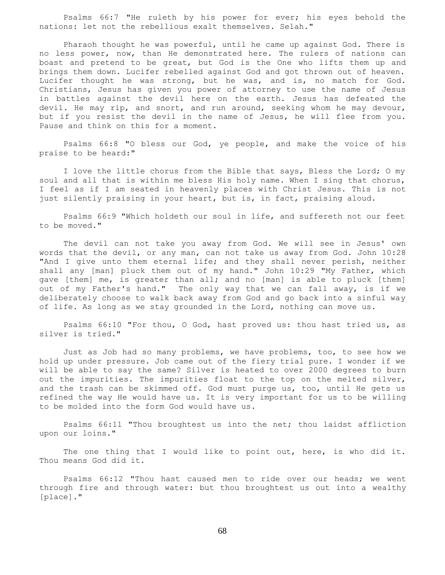Psalms 66:7 "He ruleth by his power for ever; his eyes behold the nations: let not the rebellious exalt themselves. Selah."

 Pharaoh thought he was powerful, until he came up against God. There is no less power, now, than He demonstrated here. The rulers of nations can boast and pretend to be great, but God is the One who lifts them up and brings them down. Lucifer rebelled against God and got thrown out of heaven. Lucifer thought he was strong, but he was, and is, no match for God. Christians, Jesus has given you power of attorney to use the name of Jesus in battles against the devil here on the earth. Jesus has defeated the devil. He may rip, and snort, and run around, seeking whom he may devour, but if you resist the devil in the name of Jesus, he will flee from you. Pause and think on this for a moment.

 Psalms 66:8 "O bless our God, ye people, and make the voice of his praise to be heard:"

I love the little chorus from the Bible that says, Bless the Lord; O my soul and all that is within me bless His holy name. When I sing that chorus, I feel as if I am seated in heavenly places with Christ Jesus. This is not just silently praising in your heart, but is, in fact, praising aloud.

 Psalms 66:9 "Which holdeth our soul in life, and suffereth not our feet to be moved."

 The devil can not take you away from God. We will see in Jesus' own words that the devil, or any man, can not take us away from God. John 10:28 "And I give unto them eternal life; and they shall never perish, neither shall any [man] pluck them out of my hand." John 10:29 "My Father, which gave [them] me, is greater than all; and no [man] is able to pluck [them] out of my Father's hand." The only way that we can fall away, is if we deliberately choose to walk back away from God and go back into a sinful way of life. As long as we stay grounded in the Lord, nothing can move us.

 Psalms 66:10 "For thou, O God, hast proved us: thou hast tried us, as silver is tried."

 Just as Job had so many problems, we have problems, too, to see how we hold up under pressure. Job came out of the fiery trial pure. I wonder if we will be able to say the same? Silver is heated to over 2000 degrees to burn out the impurities. The impurities float to the top on the melted silver, and the trash can be skimmed off. God must purge us, too, until He gets us refined the way He would have us. It is very important for us to be willing to be molded into the form God would have us.

 Psalms 66:11 "Thou broughtest us into the net; thou laidst affliction upon our loins."

The one thing that I would like to point out, here, is who did it. Thou means God did it.

 Psalms 66:12 "Thou hast caused men to ride over our heads; we went through fire and through water: but thou broughtest us out into a wealthy [place]."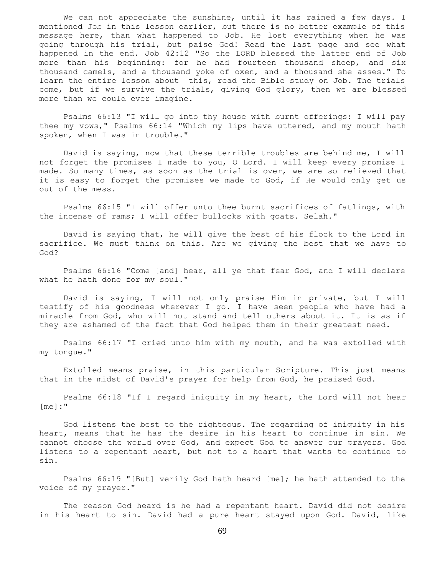We can not appreciate the sunshine, until it has rained a few days. I mentioned Job in this lesson earlier, but there is no better example of this message here, than what happened to Job. He lost everything when he was going through his trial, but paise God! Read the last page and see what happened in the end. Job 42:12 "So the LORD blessed the latter end of Job more than his beginning: for he had fourteen thousand sheep, and six thousand camels, and a thousand yoke of oxen, and a thousand she asses." To learn the entire lesson about this, read the Bible study on Job. The trials come, but if we survive the trials, giving God glory, then we are blessed more than we could ever imagine.

 Psalms 66:13 "I will go into thy house with burnt offerings: I will pay thee my vows," Psalms 66:14 "Which my lips have uttered, and my mouth hath spoken, when I was in trouble."

 David is saying, now that these terrible troubles are behind me, I will not forget the promises I made to you, O Lord. I will keep every promise I made. So many times, as soon as the trial is over, we are so relieved that it is easy to forget the promises we made to God, if He would only get us out of the mess.

 Psalms 66:15 "I will offer unto thee burnt sacrifices of fatlings, with the incense of rams; I will offer bullocks with goats. Selah."

 David is saying that, he will give the best of his flock to the Lord in sacrifice. We must think on this. Are we giving the best that we have to God?

 Psalms 66:16 "Come [and] hear, all ye that fear God, and I will declare what he hath done for my soul."

 David is saying, I will not only praise Him in private, but I will testify of his goodness wherever I go. I have seen people who have had a miracle from God, who will not stand and tell others about it. It is as if they are ashamed of the fact that God helped them in their greatest need.

 Psalms 66:17 "I cried unto him with my mouth, and he was extolled with my tongue."

 Extolled means praise, in this particular Scripture. This just means that in the midst of David's prayer for help from God, he praised God.

 Psalms 66:18 "If I regard iniquity in my heart, the Lord will not hear [me]:"

 God listens the best to the righteous. The regarding of iniquity in his heart, means that he has the desire in his heart to continue in sin. We cannot choose the world over God, and expect God to answer our prayers. God listens to a repentant heart, but not to a heart that wants to continue to sin.

 Psalms 66:19 "[But] verily God hath heard [me]; he hath attended to the voice of my prayer."

 The reason God heard is he had a repentant heart. David did not desire in his heart to sin. David had a pure heart stayed upon God. David, like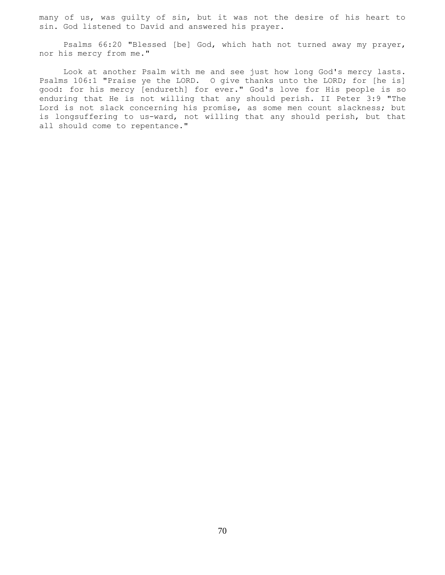many of us, was guilty of sin, but it was not the desire of his heart to sin. God listened to David and answered his prayer.

 Psalms 66:20 "Blessed [be] God, which hath not turned away my prayer, nor his mercy from me."

 Look at another Psalm with me and see just how long God's mercy lasts. Psalms 106:1 "Praise ye the LORD. O give thanks unto the LORD; for [he is] good: for his mercy [endureth] for ever." God's love for His people is so enduring that He is not willing that any should perish. II Peter 3:9 "The Lord is not slack concerning his promise, as some men count slackness; but is longsuffering to us-ward, not willing that any should perish, but that all should come to repentance."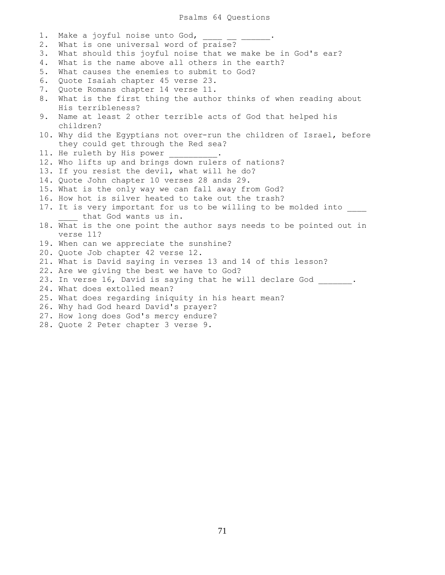Psalms 64 Questions

1. Make a joyful noise unto God, 2. What is one universal word of praise? 3. What should this joyful noise that we make be in God's ear? 4. What is the name above all others in the earth? 5. What causes the enemies to submit to God? 6. Quote Isaiah chapter 45 verse 23. 7. Quote Romans chapter 14 verse 11. 8. What is the first thing the author thinks of when reading about His terribleness? 9. Name at least 2 other terrible acts of God that helped his children? 10. Why did the Egyptians not over-run the children of Israel, before they could get through the Red sea? 11. He ruleth by His power \_\_\_\_\_\_\_. 12. Who lifts up and brings down rulers of nations? 13. If you resist the devil, what will he do? 14. Quote John chapter 10 verses 28 ands 29. 15. What is the only way we can fall away from God? 16. How hot is silver heated to take out the trash? 17. It is very important for us to be willing to be molded into that God wants us in. 18. What is the one point the author says needs to be pointed out in verse 11? 19. When can we appreciate the sunshine? 20. Quote Job chapter 42 verse 12. 21. What is David saying in verses 13 and 14 of this lesson? 22. Are we giving the best we have to God? 23. In verse 16, David is saying that he will declare God . 24. What does extolled mean? 25. What does regarding iniquity in his heart mean? 26. Why had God heard David's prayer? 27. How long does God's mercy endure? 28. Quote 2 Peter chapter 3 verse 9.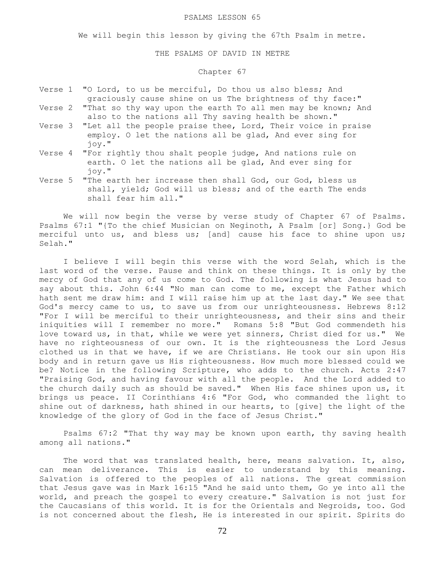We will begin this lesson by giving the 67th Psalm in metre.

## THE PSALMS OF DAVID IN METRE

# Chapter 67

- Verse 1 "O Lord, to us be merciful, Do thou us also bless; And graciously cause shine on us The brightness of thy face:" Verse 2 "That so thy way upon the earth To all men may be known; And
- also to the nations all Thy saving health be shown."
- Verse 3 "Let all the people praise thee, Lord, Their voice in praise employ. O let the nations all be glad, And ever sing for joy."
- Verse 4 "For rightly thou shalt people judge, And nations rule on earth. O let the nations all be glad, And ever sing for joy."
- Verse 5 "The earth her increase then shall God, our God, bless us shall, yield; God will us bless; and of the earth The ends shall fear him all."

 We will now begin the verse by verse study of Chapter 67 of Psalms. Psalms 67:1 "{To the chief Musician on Neginoth, A Psalm [or] Song.} God be merciful unto us, and bless us; [and] cause his face to shine upon us; Selah."

 I believe I will begin this verse with the word Selah, which is the last word of the verse. Pause and think on these things. It is only by the mercy of God that any of us come to God. The following is what Jesus had to say about this. John 6:44 "No man can come to me, except the Father which hath sent me draw him: and I will raise him up at the last day." We see that God's mercy came to us, to save us from our unrighteousness. Hebrews 8:12 "For I will be merciful to their unrighteousness, and their sins and their iniquities will I remember no more." Romans 5:8 "But God commendeth his love toward us, in that, while we were yet sinners, Christ died for us." We have no righteousness of our own. It is the righteousness the Lord Jesus clothed us in that we have, if we are Christians. He took our sin upon His body and in return gave us His righteousness. How much more blessed could we be? Notice in the following Scripture, who adds to the church. Acts 2:47 "Praising God, and having favour with all the people. And the Lord added to the church daily such as should be saved." When His face shines upon us, it brings us peace. II Corinthians 4:6 "For God, who commanded the light to shine out of darkness, hath shined in our hearts, to [give] the light of the knowledge of the glory of God in the face of Jesus Christ."

 Psalms 67:2 "That thy way may be known upon earth, thy saving health among all nations."

 The word that was translated health, here, means salvation. It, also, can mean deliverance. This is easier to understand by this meaning. Salvation is offered to the peoples of all nations. The great commission that Jesus gave was in Mark 16:15 "And he said unto them, Go ye into all the world, and preach the gospel to every creature." Salvation is not just for the Caucasians of this world. It is for the Orientals and Negroids, too. God is not concerned about the flesh, He is interested in our spirit. Spirits do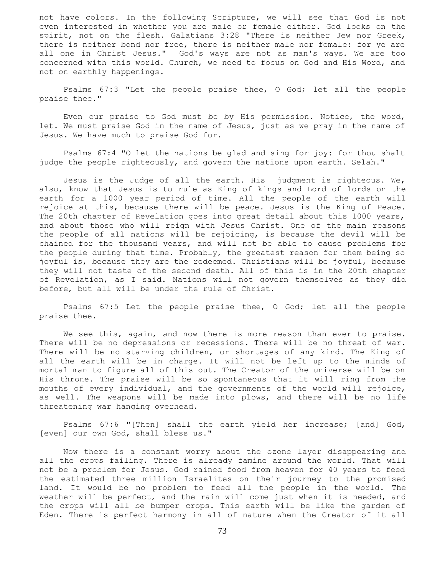not have colors. In the following Scripture, we will see that God is not even interested in whether you are male or female either. God looks on the spirit, not on the flesh. Galatians 3:28 "There is neither Jew nor Greek, there is neither bond nor free, there is neither male nor female: for ye are all one in Christ Jesus." God's ways are not as man's ways. We are too concerned with this world. Church, we need to focus on God and His Word, and not on earthly happenings.

 Psalms 67:3 "Let the people praise thee, O God; let all the people praise thee."

 Even our praise to God must be by His permission. Notice, the word, let. We must praise God in the name of Jesus, just as we pray in the name of Jesus. We have much to praise God for.

 Psalms 67:4 "O let the nations be glad and sing for joy: for thou shalt judge the people righteously, and govern the nations upon earth. Selah."

 Jesus is the Judge of all the earth. His judgment is righteous. We, also, know that Jesus is to rule as King of kings and Lord of lords on the earth for a 1000 year period of time. All the people of the earth will rejoice at this, because there will be peace. Jesus is the King of Peace. The 20th chapter of Revelation goes into great detail about this 1000 years, and about those who will reign with Jesus Christ. One of the main reasons the people of all nations will be rejoicing, is because the devil will be chained for the thousand years, and will not be able to cause problems for the people during that time. Probably, the greatest reason for them being so joyful is, because they are the redeemed. Christians will be joyful, because they will not taste of the second death. All of this is in the 20th chapter of Revelation, as I said. Nations will not govern themselves as they did before, but all will be under the rule of Christ.

 Psalms 67:5 Let the people praise thee, O God; let all the people praise thee.

 We see this, again, and now there is more reason than ever to praise. There will be no depressions or recessions. There will be no threat of war. There will be no starving children, or shortages of any kind. The King of all the earth will be in charge. It will not be left up to the minds of mortal man to figure all of this out. The Creator of the universe will be on His throne. The praise will be so spontaneous that it will ring from the mouths of every individual, and the governments of the world will rejoice, as well. The weapons will be made into plows, and there will be no life threatening war hanging overhead.

 Psalms 67:6 "[Then] shall the earth yield her increase; [and] God, [even] our own God, shall bless us."

 Now there is a constant worry about the ozone layer disappearing and all the crops failing. There is already famine around the world. That will not be a problem for Jesus. God rained food from heaven for 40 years to feed the estimated three million Israelites on their journey to the promised land. It would be no problem to feed all the people in the world. The weather will be perfect, and the rain will come just when it is needed, and the crops will all be bumper crops. This earth will be like the garden of Eden. There is perfect harmony in all of nature when the Creator of it all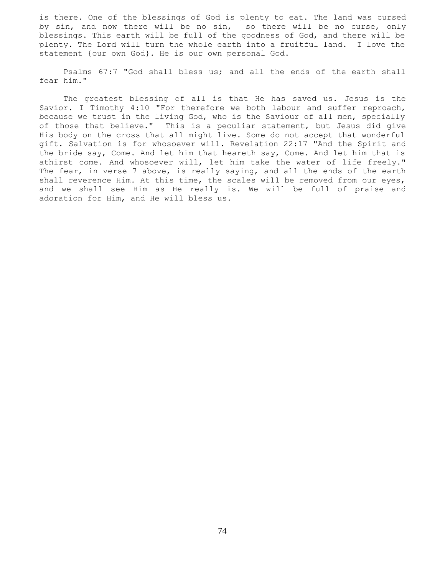is there. One of the blessings of God is plenty to eat. The land was cursed by sin, and now there will be no sin, so there will be no curse, only blessings. This earth will be full of the goodness of God, and there will be plenty. The Lord will turn the whole earth into a fruitful land. I love the statement {our own God}. He is our own personal God.

 Psalms 67:7 "God shall bless us; and all the ends of the earth shall fear him."

 The greatest blessing of all is that He has saved us. Jesus is the Savior. I Timothy 4:10 "For therefore we both labour and suffer reproach, because we trust in the living God, who is the Saviour of all men, specially of those that believe." This is a peculiar statement, but Jesus did give His body on the cross that all might live. Some do not accept that wonderful gift. Salvation is for whosoever will. Revelation 22:17 "And the Spirit and the bride say, Come. And let him that heareth say, Come. And let him that is athirst come. And whosoever will, let him take the water of life freely." The fear, in verse 7 above, is really saying, and all the ends of the earth shall reverence Him. At this time, the scales will be removed from our eyes, and we shall see Him as He really is. We will be full of praise and adoration for Him, and He will bless us.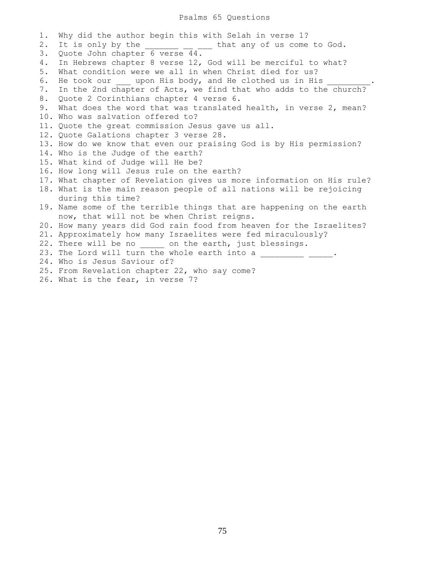### Psalms 65 Questions

1. Why did the author begin this with Selah in verse 1?<br>2. It is only by the \_\_\_\_\_\_\_\_\_\_ that any of us come \_\_ \_\_\_\_ that any of us come to God. 3. Quote John chapter 6 verse 44. 4. In Hebrews chapter 8 verse 12, God will be merciful to what? 5. What condition were we all in when Christ died for us? 6. He took our \_\_\_\_\_ upon His body, and He clothed us in His 7. In the 2nd chapter of Acts, we find that who adds to the church? 8. Quote 2 Corinthians chapter 4 verse 6. 9. What does the word that was translated health, in verse 2, mean? 10. Who was salvation offered to? 11. Quote the great commission Jesus gave us all. 12. Quote Galations chapter 3 verse 28. 13. How do we know that even our praising God is by His permission? 14. Who is the Judge of the earth? 15. What kind of Judge will He be? 16. How long will Jesus rule on the earth? 17. What chapter of Revelation gives us more information on His rule? 18. What is the main reason people of all nations will be rejoicing during this time? 19. Name some of the terrible things that are happening on the earth now, that will not be when Christ reigns. 20. How many years did God rain food from heaven for the Israelites? 21. Approximately how many Israelites were fed miraculously? 22. There will be no \_\_\_\_\_ on the earth, just blessings. 23. The Lord will turn the whole earth into a  $\frac{1}{\sqrt{2}}$   $\frac{1}{\sqrt{2}}$ . 24. Who is Jesus Saviour of? 25. From Revelation chapter 22, who say come? 26. What is the fear, in verse 7?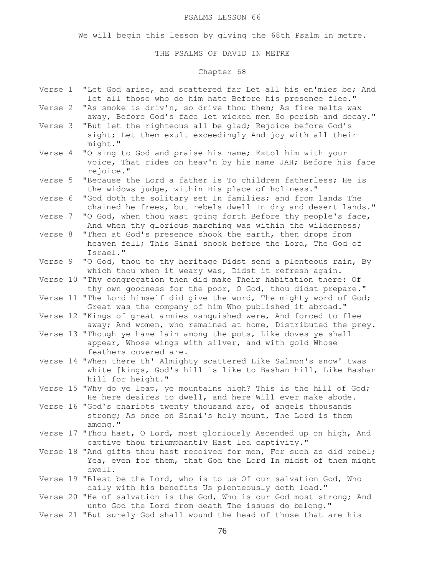# PSALMS LESSON 66

We will begin this lesson by giving the 68th Psalm in metre.

# THE PSALMS OF DAVID IN METRE

# Chapter 68

| Verse 1 | "Let God arise, and scattered far Let all his en'mies be; And<br>let all those who do him hate Before his presence flee."       |
|---------|---------------------------------------------------------------------------------------------------------------------------------|
| Verse 2 | "As smoke is driv'n, so drive thou them; As fire melts wax                                                                      |
|         | away, Before God's face let wicked men So perish and decay."                                                                    |
| Verse 3 | "But let the righteous all be glad; Rejoice before God's                                                                        |
|         | sight; Let them exult exceedingly And joy with all their                                                                        |
|         | might."                                                                                                                         |
| Verse 4 | "O sing to God and praise his name; Extol him with your                                                                         |
|         | voice, That rides on heav'n by his name JAH; Before his face                                                                    |
|         | rejoice."                                                                                                                       |
| Verse 5 | "Because the Lord a father is To children fatherless; He is                                                                     |
|         | the widows judge, within His place of holiness."                                                                                |
| Verse 6 | "God doth the solitary set In families; and from lands The<br>chained he frees, but rebels dwell In dry and desert lands."      |
| Verse 7 | "O God, when thou wast going forth Before thy people's face,                                                                    |
|         | And when thy glorious marching was within the wilderness;                                                                       |
| Verse 8 | "Then at God's presence shook the earth, then drops from                                                                        |
|         | heaven fell; This Sinai shook before the Lord, The God of                                                                       |
|         | Israel."                                                                                                                        |
| Verse 9 | "O God, thou to thy heritage Didst send a plenteous rain, By                                                                    |
|         | which thou when it weary was, Didst it refresh again.                                                                           |
|         | Verse 10 "Thy congregation then did make Their habitation there: Of                                                             |
|         | thy own goodness for the poor, O God, thou didst prepare."                                                                      |
|         | Verse 11 "The Lord himself did give the word, The mighty word of God;<br>Great was the company of him Who published it abroad." |
|         | Verse 12 "Kings of great armies vanquished were, And forced to flee                                                             |
|         | away; And women, who remained at home, Distributed the prey.                                                                    |
|         | Verse 13 "Though ye have lain among the pots, Like doves ye shall                                                               |
|         | appear, Whose wings with silver, and with gold Whose                                                                            |
|         | feathers covered are.                                                                                                           |
|         | Verse 14 "When there th' Almighty scattered Like Salmon's snow' twas                                                            |
|         | white [kings, God's hill is like to Bashan hill, Like Bashan                                                                    |
|         | hill for height."<br>Verse 15 "Why do ye leap, ye mountains high? This is the hill of God;                                      |
|         | He here desires to dwell, and here Will ever make abode.                                                                        |
|         | Verse 16 "God's chariots twenty thousand are, of angels thousands                                                               |
|         | strong; As once on Sinai's holy mount, The Lord is them                                                                         |
|         | among."                                                                                                                         |
|         | Verse 17 "Thou hast, O Lord, most gloriously Ascended up on high, And                                                           |
|         | captive thou triumphantly Hast led captivity."                                                                                  |
|         | Verse 18 "And gifts thou hast received for men, For such as did rebel;                                                          |
|         | Yea, even for them, that God the Lord In midst of them might                                                                    |
|         | dwell.                                                                                                                          |
|         | Verse 19 "Blest be the Lord, who is to us Of our salvation God, Who<br>daily with his benefits Us plenteously doth load."       |
|         | Verse 20 "He of salvation is the God, Who is our God most strong; And                                                           |
|         | unto God the Lord from death The issues do belong."                                                                             |
|         | Verse 21 "But surely God shall wound the head of those that are his                                                             |
|         |                                                                                                                                 |
|         |                                                                                                                                 |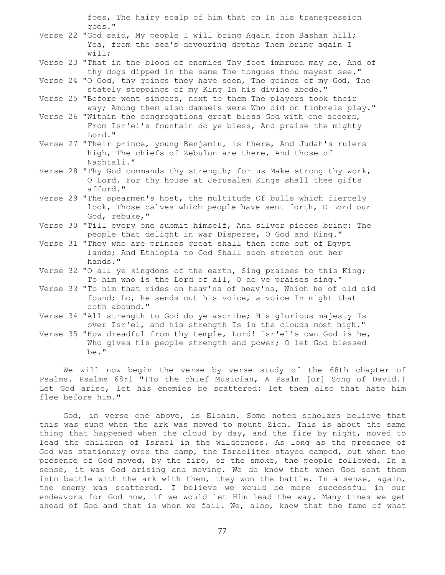foes, The hairy scalp of him that on In his transgression goes."

- Verse 22 "God said, My people I will bring Again from Bashan hill; Yea, from the sea's devouring depths Them bring again I will;
- Verse 23 "That in the blood of enemies Thy foot imbrued may be, And of thy dogs dipped in the same The tongues thou mayest see."
- Verse 24 "O God, thy goings they have seen, The goings of my God, The stately steppings of my King In his divine abode."
- Verse 25 "Before went singers, next to them The players took their way; Among them also damsels were Who did on timbrels play."
- Verse 26 "Within the congregations great bless God with one accord, From Isr'el's fountain do ye bless, And praise the mighty Lord."
- Verse 27 "Their prince, young Benjamin, is there, And Judah's rulers high, The chiefs of Zebulon are there, And those of Naphtali."
- Verse 28 "Thy God commands thy strength; for us Make strong thy work, O Lord. For thy house at Jerusalem Kings shall thee gifts afford."
- Verse 29 "The spearmen's host, the multitude Of bulls which fiercely look, Those calves which people have sent forth, O Lord our God, rebuke,"
- Verse 30 "Till every one submit himself, And silver pieces bring: The people that delight in war Disperse, O God and King."
- Verse 31 "They who are princes great shall then come out of Egypt lands; And Ethiopia to God Shall soon stretch out her hands."
- Verse 32 "O all ye kingdoms of the earth, Sing praises to this King; To him who is the Lord of all, O do ye praises sing."
- Verse 33 "To him that rides on heav'ns of heav'ns, Which he of old did found; Lo, he sends out his voice, a voice In might that doth abound."
- Verse 34 "All strength to God do ye ascribe; His glorious majesty Is over Isr'el, and his strength Is in the clouds most high."
- Verse 35 "How dreadful from thy temple, Lord! Isr'el's own God is he, Who gives his people strength and power; O let God blessed be."

 We will now begin the verse by verse study of the 68th chapter of Psalms. Psalms 68:1 "{To the chief Musician, A Psalm [or] Song of David.} Let God arise, let his enemies be scattered: let them also that hate him flee before him."

 God, in verse one above, is Elohim. Some noted scholars believe that this was sung when the ark was moved to mount Zion. This is about the same thing that happened when the cloud by day, and the fire by night, moved to lead the children of Israel in the wilderness. As long as the presence of God was stationary over the camp, the Israelites stayed camped, but when the presence of God moved, by the fire, or the smoke, the people followed. In a sense, it was God arising and moving. We do know that when God sent them into battle with the ark with them, they won the battle. In a sense, again, the enemy was scattered. I believe we would be more successful in our endeavors for God now, if we would let Him lead the way. Many times we get ahead of God and that is when we fail. We, also, know that the fame of what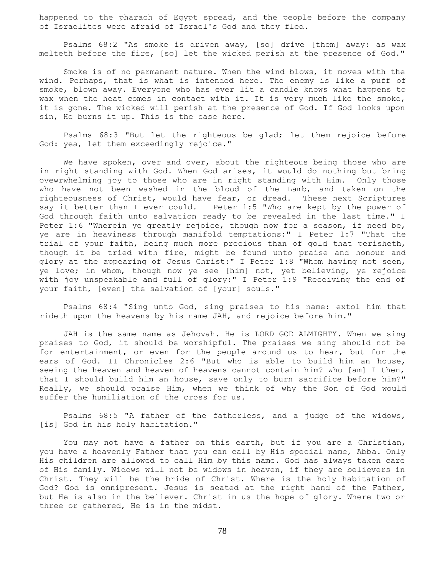happened to the pharaoh of Egypt spread, and the people before the company of Israelites were afraid of Israel's God and they fled.

 Psalms 68:2 "As smoke is driven away, [so] drive [them] away: as wax melteth before the fire, [so] let the wicked perish at the presence of God."

 Smoke is of no permanent nature. When the wind blows, it moves with the wind. Perhaps, that is what is intended here. The enemy is like a puff of smoke, blown away. Everyone who has ever lit a candle knows what happens to wax when the heat comes in contact with it. It is very much like the smoke, it is gone. The wicked will perish at the presence of God. If God looks upon sin, He burns it up. This is the case here.

 Psalms 68:3 "But let the righteous be glad; let them rejoice before God: yea, let them exceedingly rejoice."

We have spoken, over and over, about the righteous being those who are in right standing with God. When God arises, it would do nothing but bring ovewrwhelming joy to those who are in right standing with Him. Only those who have not been washed in the blood of the Lamb, and taken on the righteousness of Christ, would have fear, or dread. These next Scriptures say it better than I ever could. I Peter 1:5 "Who are kept by the power of God through faith unto salvation ready to be revealed in the last time." I Peter 1:6 "Wherein ye greatly rejoice, though now for a season, if need be, ye are in heaviness through manifold temptations:" I Peter 1:7 "That the trial of your faith, being much more precious than of gold that perisheth, though it be tried with fire, might be found unto praise and honour and glory at the appearing of Jesus Christ:" I Peter 1:8 "Whom having not seen, ye love; in whom, though now ye see [him] not, yet believing, ye rejoice with joy unspeakable and full of glory:" I Peter 1:9 "Receiving the end of your faith, [even] the salvation of [your] souls."

 Psalms 68:4 "Sing unto God, sing praises to his name: extol him that rideth upon the heavens by his name JAH, and rejoice before him."

 JAH is the same name as Jehovah. He is LORD GOD ALMIGHTY. When we sing praises to God, it should be worshipful. The praises we sing should not be for entertainment, or even for the people around us to hear, but for the ears of God. II Chronicles 2:6 "But who is able to build him an house, seeing the heaven and heaven of heavens cannot contain him? who [am] I then, that I should build him an house, save only to burn sacrifice before him?" Really, we should praise Him, when we think of why the Son of God would suffer the humiliation of the cross for us.

 Psalms 68:5 "A father of the fatherless, and a judge of the widows, [is] God in his holy habitation."

You may not have a father on this earth, but if you are a Christian, you have a heavenly Father that you can call by His special name, Abba. Only His children are allowed to call Him by this name. God has always taken care of His family. Widows will not be widows in heaven, if they are believers in Christ. They will be the bride of Christ. Where is the holy habitation of God? God is omnipresent. Jesus is seated at the right hand of the Father, but He is also in the believer. Christ in us the hope of glory. Where two or three or gathered, He is in the midst.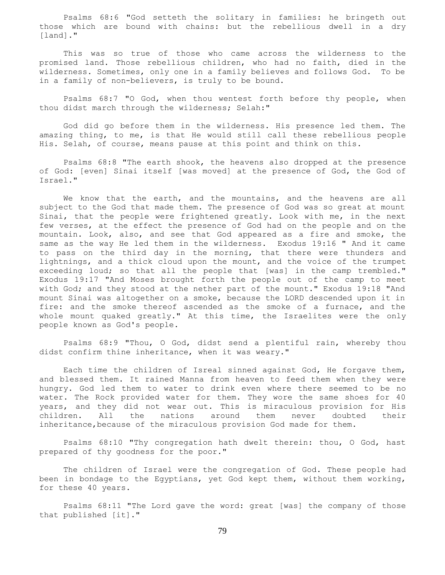Psalms 68:6 "God setteth the solitary in families: he bringeth out those which are bound with chains: but the rebellious dwell in a dry [land]."

 This was so true of those who came across the wilderness to the promised land. Those rebellious children, who had no faith, died in the wilderness. Sometimes, only one in a family believes and follows God. To be in a family of non-believers, is truly to be bound.

 Psalms 68:7 "O God, when thou wentest forth before thy people, when thou didst march through the wilderness; Selah:"

 God did go before them in the wilderness. His presence led them. The amazing thing, to me, is that He would still call these rebellious people His. Selah, of course, means pause at this point and think on this.

 Psalms 68:8 "The earth shook, the heavens also dropped at the presence of God: [even] Sinai itself [was moved] at the presence of God, the God of Israel."

 We know that the earth, and the mountains, and the heavens are all subject to the God that made them. The presence of God was so great at mount Sinai, that the people were frightened greatly. Look with me, in the next few verses, at the effect the presence of God had on the people and on the mountain. Look, also, and see that God appeared as a fire and smoke, the same as the way He led them in the wilderness. Exodus 19:16 " And it came to pass on the third day in the morning, that there were thunders and lightnings, and a thick cloud upon the mount, and the voice of the trumpet exceeding loud; so that all the people that [was] in the camp trembled." Exodus 19:17 "And Moses brought forth the people out of the camp to meet with God; and they stood at the nether part of the mount." Exodus 19:18 "And mount Sinai was altogether on a smoke, because the LORD descended upon it in fire: and the smoke thereof ascended as the smoke of a furnace, and the whole mount quaked greatly." At this time, the Israelites were the only people known as God's people.

 Psalms 68:9 "Thou, O God, didst send a plentiful rain, whereby thou didst confirm thine inheritance, when it was weary."

 Each time the children of Isreal sinned against God, He forgave them, and blessed them. It rained Manna from heaven to feed them when they were hungry. God led them to water to drink even where there seemed to be no water. The Rock provided water for them. They wore the same shoes for 40 years, and they did not wear out. This is miraculous provision for His children. All the nations around them never doubted their inheritance,because of the miraculous provision God made for them.

 Psalms 68:10 "Thy congregation hath dwelt therein: thou, O God, hast prepared of thy goodness for the poor."

 The children of Israel were the congregation of God. These people had been in bondage to the Egyptians, yet God kept them, without them working, for these 40 years.

 Psalms 68:11 "The Lord gave the word: great [was] the company of those that published [it]."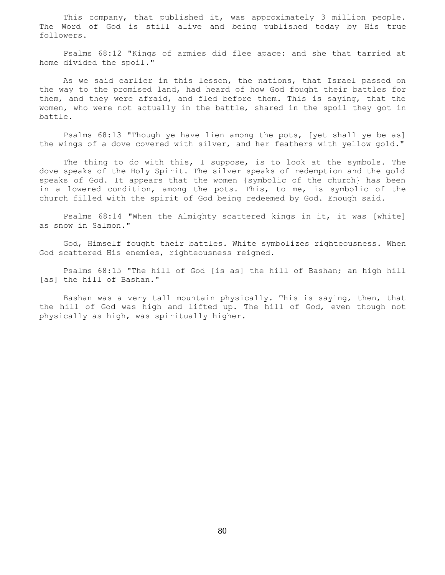This company, that published it, was approximately 3 million people. The Word of God is still alive and being published today by His true followers.

 Psalms 68:12 "Kings of armies did flee apace: and she that tarried at home divided the spoil."

 As we said earlier in this lesson, the nations, that Israel passed on the way to the promised land, had heard of how God fought their battles for them, and they were afraid, and fled before them. This is saying, that the women, who were not actually in the battle, shared in the spoil they got in battle.

 Psalms 68:13 "Though ye have lien among the pots, [yet shall ye be as] the wings of a dove covered with silver, and her feathers with yellow gold."

 The thing to do with this, I suppose, is to look at the symbols. The dove speaks of the Holy Spirit. The silver speaks of redemption and the gold speaks of God. It appears that the women {symbolic of the church} has been in a lowered condition, among the pots. This, to me, is symbolic of the church filled with the spirit of God being redeemed by God. Enough said.

 Psalms 68:14 "When the Almighty scattered kings in it, it was [white] as snow in Salmon."

 God, Himself fought their battles. White symbolizes righteousness. When God scattered His enemies, righteousness reigned.

 Psalms 68:15 "The hill of God [is as] the hill of Bashan; an high hill [as] the hill of Bashan."

 Bashan was a very tall mountain physically. This is saying, then, that the hill of God was high and lifted up. The hill of God, even though not physically as high, was spiritually higher.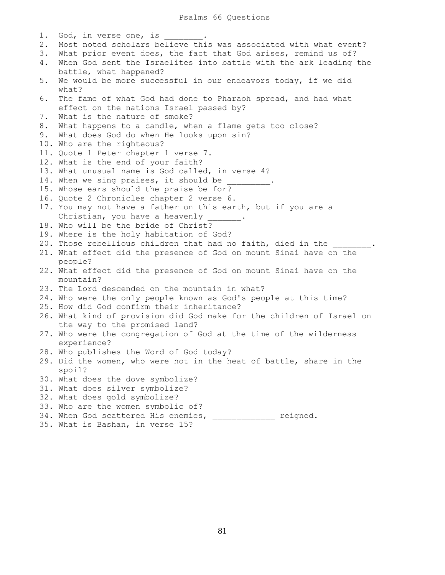1. God, in verse one, is 2. Most noted scholars believe this was associated with what event? 3. What prior event does, the fact that God arises, remind us of? 4. When God sent the Israelites into battle with the ark leading the battle, what happened? 5. We would be more successful in our endeavors today, if we did what? 6. The fame of what God had done to Pharaoh spread, and had what effect on the nations Israel passed by? 7. What is the nature of smoke? 8. What happens to a candle, when a flame gets too close? 9. What does God do when He looks upon sin? 10. Who are the righteous? 11. Quote 1 Peter chapter 1 verse 7. 12. What is the end of your faith? 13. What unusual name is God called, in verse 4? 14. When we sing praises, it should be 15. Whose ears should the praise be for? 16. Quote 2 Chronicles chapter 2 verse 6. 17. You may not have a father on this earth, but if you are a Christian, you have a heavenly 18. Who will be the bride of Christ? 19. Where is the holy habitation of God? 20. Those rebellious children that had no faith, died in the 21. What effect did the presence of God on mount Sinai have on the people? 22. What effect did the presence of God on mount Sinai have on the mountain? 23. The Lord descended on the mountain in what? 24. Who were the only people known as God's people at this time? 25. How did God confirm their inheritance? 26. What kind of provision did God make for the children of Israel on the way to the promised land? 27. Who were the congregation of God at the time of the wilderness experience? 28. Who publishes the Word of God today? 29. Did the women, who were not in the heat of battle, share in the spoil? 30. What does the dove symbolize? 31. What does silver symbolize? 32. What does gold symbolize? 33. Who are the women symbolic of? 34. When God scattered His enemies, encoded reigned. 35. What is Bashan, in verse 15?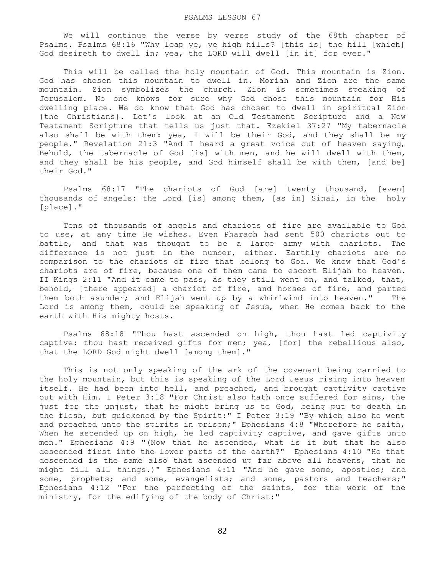### PSALMS LESSON 67

 We will continue the verse by verse study of the 68th chapter of Psalms. Psalms 68:16 "Why leap ye, ye high hills? [this is] the hill [which] God desireth to dwell in; yea, the LORD will dwell [in it] for ever."

This will be called the holy mountain of God. This mountain is Zion. God has chosen this mountain to dwell in. Moriah and Zion are the same mountain. Zion symbolizes the church. Zion is sometimes speaking of Jerusalem. No one knows for sure why God chose this mountain for His dwelling place. We do know that God has chosen to dwell in spiritual Zion {the Christians}. Let's look at an Old Testament Scripture and a New Testament Scripture that tells us just that. Ezekiel 37:27 "My tabernacle also shall be with them: yea, I will be their God, and they shall be my people." Revelation 21:3 "And I heard a great voice out of heaven saying, Behold, the tabernacle of God [is] with men, and he will dwell with them, and they shall be his people, and God himself shall be with them, [and be] their God."

 Psalms 68:17 "The chariots of God [are] twenty thousand, [even] thousands of angels: the Lord [is] among them, [as in] Sinai, in the holy [place]."

 Tens of thousands of angels and chariots of fire are available to God to use, at any time He wishes. Even Pharaoh had sent 500 chariots out to battle, and that was thought to be a large army with chariots. The difference is not just in the number, either. Earthly chariots are no comparison to the chariots of fire that belong to God. We know that God's chariots are of fire, because one of them came to escort Elijah to heaven. II Kings 2:11 "And it came to pass, as they still went on, and talked, that, behold, [there appeared] a chariot of fire, and horses of fire, and parted them both asunder; and Elijah went up by a whirlwind into heaven." The Lord is among them, could be speaking of Jesus, when He comes back to the earth with His mighty hosts.

 Psalms 68:18 "Thou hast ascended on high, thou hast led captivity captive: thou hast received gifts for men; yea, [for] the rebellious also, that the LORD God might dwell [among them]."

 This is not only speaking of the ark of the covenant being carried to the holy mountain, but this is speaking of the Lord Jesus rising into heaven itself. He had been into hell, and preached, and brought captivity captive out with Him. I Peter 3:18 "For Christ also hath once suffered for sins, the just for the unjust, that he might bring us to God, being put to death in the flesh, but quickened by the Spirit:" I Peter 3:19 "By which also he went and preached unto the spirits in prison;" Ephesians 4:8 "Wherefore he saith, When he ascended up on high, he led captivity captive, and gave gifts unto men." Ephesians 4:9 "(Now that he ascended, what is it but that he also descended first into the lower parts of the earth?" Ephesians 4:10 "He that descended is the same also that ascended up far above all heavens, that he might fill all things.)" Ephesians 4:11 "And he gave some, apostles; and some, prophets; and some, evangelists; and some, pastors and teachers;" Ephesians 4:12 "For the perfecting of the saints, for the work of the ministry, for the edifying of the body of Christ:"

82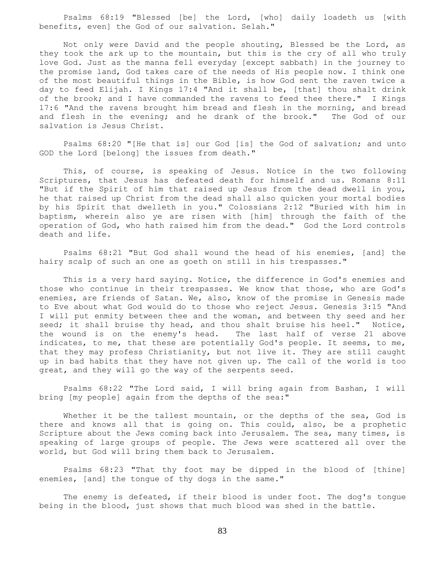Psalms 68:19 "Blessed [be] the Lord, [who] daily loadeth us [with benefits, even] the God of our salvation. Selah."

 Not only were David and the people shouting, Blessed be the Lord, as they took the ark up to the mountain, but this is the cry of all who truly love God. Just as the manna fell everyday [except sabbath} in the journey to the promise land, God takes care of the needs of His people now. I think one of the most beautiful things in the Bible, is how God sent the raven twice a day to feed Elijah. I Kings 17:4 "And it shall be, [that] thou shalt drink of the brook; and I have commanded the ravens to feed thee there." I Kings 17:6 "And the ravens brought him bread and flesh in the morning, and bread and flesh in the evening; and he drank of the brook." The God of our salvation is Jesus Christ.

 Psalms 68:20 "[He that is] our God [is] the God of salvation; and unto GOD the Lord [belong] the issues from death."

 This, of course, is speaking of Jesus. Notice in the two following Scriptures, that Jesus has defeated death for himself and us. Romans 8:11 "But if the Spirit of him that raised up Jesus from the dead dwell in you, he that raised up Christ from the dead shall also quicken your mortal bodies by his Spirit that dwelleth in you." Colossians 2:12 "Buried with him in baptism, wherein also ye are risen with [him] through the faith of the operation of God, who hath raised him from the dead." God the Lord controls death and life.

 Psalms 68:21 "But God shall wound the head of his enemies, [and] the hairy scalp of such an one as goeth on still in his trespasses."

This is a very hard saying. Notice, the difference in God's enemies and those who continue in their trespasses. We know that those, who are God's enemies, are friends of Satan. We, also, know of the promise in Genesis made to Eve about what God would do to those who reject Jesus. Genesis 3:15 "And I will put enmity between thee and the woman, and between thy seed and her seed; it shall bruise thy head, and thou shalt bruise his heel." Notice, the wound is on the enemy's head. The last half of verse 21 above indicates, to me, that these are potentially God's people. It seems, to me, that they may profess Christianity, but not live it. They are still caught up in bad habits that they have not given up. The call of the world is too great, and they will go the way of the serpents seed.

 Psalms 68:22 "The Lord said, I will bring again from Bashan, I will bring [my people] again from the depths of the sea:"

 Whether it be the tallest mountain, or the depths of the sea, God is there and knows all that is going on. This could, also, be a prophetic Scripture about the Jews coming back into Jerusalem. The sea, many times, is speaking of large groups of people. The Jews were scattered all over the world, but God will bring them back to Jerusalem.

 Psalms 68:23 "That thy foot may be dipped in the blood of [thine] enemies, [and] the tongue of thy dogs in the same."

 The enemy is defeated, if their blood is under foot. The dog's tongue being in the blood, just shows that much blood was shed in the battle.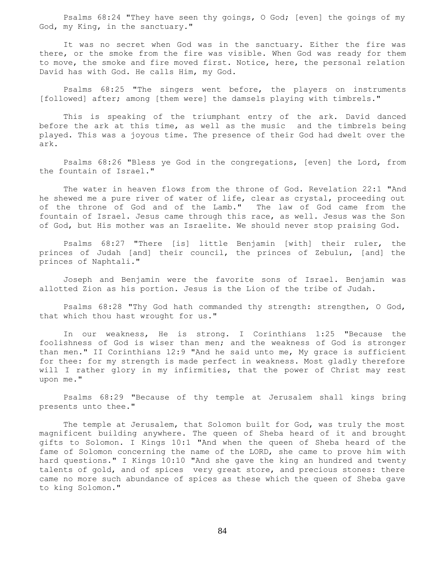Psalms 68:24 "They have seen thy goings, O God; [even] the goings of my God, my King, in the sanctuary."

 It was no secret when God was in the sanctuary. Either the fire was there, or the smoke from the fire was visible. When God was ready for them to move, the smoke and fire moved first. Notice, here, the personal relation David has with God. He calls Him, my God.

 Psalms 68:25 "The singers went before, the players on instruments [followed] after; among [them were] the damsels playing with timbrels."

 This is speaking of the triumphant entry of the ark. David danced before the ark at this time, as well as the music and the timbrels being played. This was a joyous time. The presence of their God had dwelt over the ark.

 Psalms 68:26 "Bless ye God in the congregations, [even] the Lord, from the fountain of Israel."

 The water in heaven flows from the throne of God. Revelation 22:1 "And he shewed me a pure river of water of life, clear as crystal, proceeding out of the throne of God and of the Lamb." The law of God came from the fountain of Israel. Jesus came through this race, as well. Jesus was the Son of God, but His mother was an Israelite. We should never stop praising God.

 Psalms 68:27 "There [is] little Benjamin [with] their ruler, the princes of Judah [and] their council, the princes of Zebulun, [and] the princes of Naphtali."

 Joseph and Benjamin were the favorite sons of Israel. Benjamin was allotted Zion as his portion. Jesus is the Lion of the tribe of Judah.

Psalms  $68:28$  "Thy God hath commanded thy strength: strengthen, O God, that which thou hast wrought for us."

 In our weakness, He is strong. I Corinthians 1:25 "Because the foolishness of God is wiser than men; and the weakness of God is stronger than men." II Corinthians 12:9 "And he said unto me, My grace is sufficient for thee: for my strength is made perfect in weakness. Most gladly therefore will I rather glory in my infirmities, that the power of Christ may rest upon me."

 Psalms 68:29 "Because of thy temple at Jerusalem shall kings bring presents unto thee."

 The temple at Jerusalem, that Solomon built for God, was truly the most magnificent building anywhere. The queen of Sheba heard of it and brought gifts to Solomon. I Kings 10:1 "And when the queen of Sheba heard of the fame of Solomon concerning the name of the LORD, she came to prove him with hard questions." I Kings 10:10 "And she gave the king an hundred and twenty talents of gold, and of spices very great store, and precious stones: there came no more such abundance of spices as these which the queen of Sheba gave to king Solomon."

84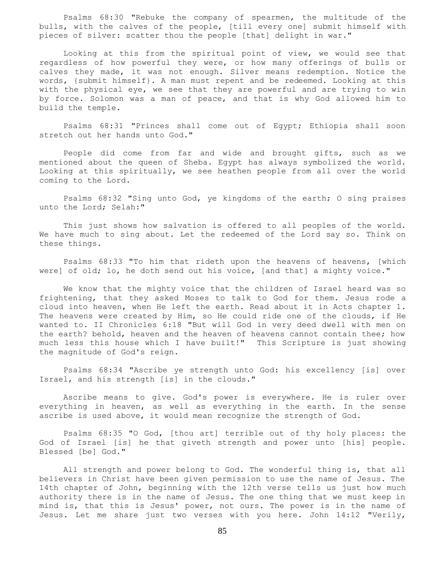Psalms 68:30 "Rebuke the company of spearmen, the multitude of the bulls, with the calves of the people, [till every one] submit himself with pieces of silver: scatter thou the people [that] delight in war."

 Looking at this from the spiritual point of view, we would see that regardless of how powerful they were, or how many offerings of bulls or calves they made, it was not enough. Silver means redemption. Notice the words, {submit himself}. A man must repent and be redeemed. Looking at this with the physical eye, we see that they are powerful and are trying to win by force. Solomon was a man of peace, and that is why God allowed him to build the temple.

 Psalms 68:31 "Princes shall come out of Egypt; Ethiopia shall soon stretch out her hands unto God."

 People did come from far and wide and brought gifts, such as we mentioned about the queen of Sheba. Egypt has always symbolized the world. Looking at this spiritually, we see heathen people from all over the world coming to the Lord.

 Psalms 68:32 "Sing unto God, ye kingdoms of the earth; O sing praises unto the Lord; Selah:"

 This just shows how salvation is offered to all peoples of the world. We have much to sing about. Let the redeemed of the Lord say so. Think on these things.

 Psalms 68:33 "To him that rideth upon the heavens of heavens, [which were] of old; lo, he doth send out his voice, [and that] a mighty voice."

 We know that the mighty voice that the children of Israel heard was so frightening, that they asked Moses to talk to God for them. Jesus rode a cloud into heaven, when He left the earth. Read about it in Acts chapter 1. The heavens were created by Him, so He could ride one of the clouds, if He wanted to. II Chronicles 6:18 "But will God in very deed dwell with men on the earth? behold, heaven and the heaven of heavens cannot contain thee; how much less this house which I have built!" This Scripture is just showing the magnitude of God's reign.

 Psalms 68:34 "Ascribe ye strength unto God: his excellency [is] over Israel, and his strength [is] in the clouds."

 Ascribe means to give. God's power is everywhere. He is ruler over everything in heaven, as well as everything in the earth. In the sense ascribe is used above, it would mean recognize the strength of God.

 Psalms 68:35 "O God, [thou art] terrible out of thy holy places: the God of Israel [is] he that giveth strength and power unto [his] people. Blessed [be] God."

 All strength and power belong to God. The wonderful thing is, that all believers in Christ have been given permission to use the name of Jesus. The 14th chapter of John, beginning with the 12th verse tells us just how much authority there is in the name of Jesus. The one thing that we must keep in mind is, that this is Jesus' power, not ours. The power is in the name of Jesus. Let me share just two verses with you here. John 14:12 "Verily,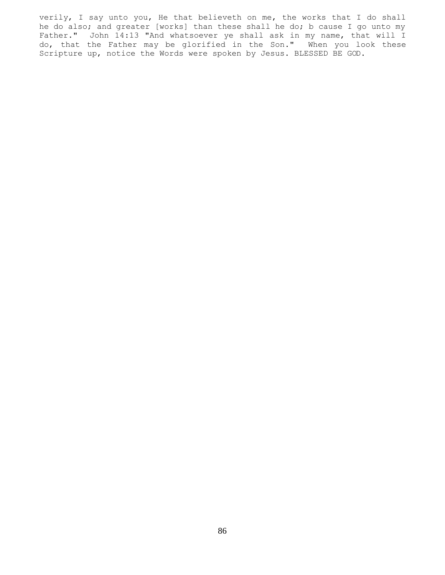verily, I say unto you, He that believeth on me, the works that I do shall he do also; and greater [works] than these shall he do; b cause I go unto my Father." John 14:13 "And whatsoever ye shall ask in my name, that will I do, that the Father may be glorified in the Son." When you look these Scripture up, notice the Words were spoken by Jesus. BLESSED BE GOD.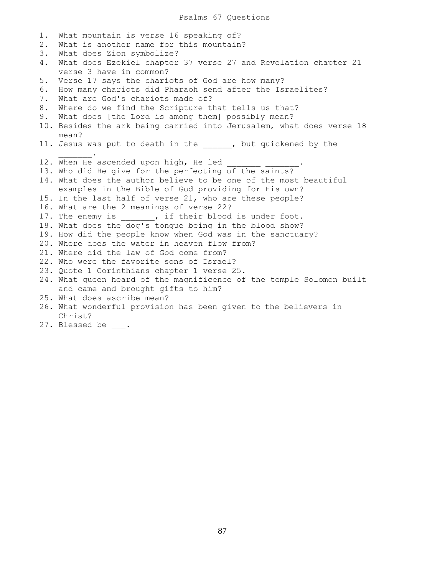1. What mountain is verse 16 speaking of? 2. What is another name for this mountain? 3. What does Zion symbolize? 4. What does Ezekiel chapter 37 verse 27 and Revelation chapter 21 verse 3 have in common? 5. Verse 17 says the chariots of God are how many? 6. How many chariots did Pharaoh send after the Israelites? 7. What are God's chariots made of? 8. Where do we find the Scripture that tells us that? 9. What does [the Lord is among them] possibly mean? 10. Besides the ark being carried into Jerusalem, what does verse 18 mean? 11. Jesus was put to death in the the put quickened by the  $\mathcal{L}=\mathcal{L}^{\mathcal{L}}$ 12. When He ascended upon high, He led 13. Who did He give for the perfecting of the saints? 14. What does the author believe to be one of the most beautiful examples in the Bible of God providing for His own? 15. In the last half of verse 21, who are these people? 16. What are the 2 meanings of verse 22? 17. The enemy is \_\_\_\_\_\_, if their blood is under foot. 18. What does the dog's tongue being in the blood show? 19. How did the people know when God was in the sanctuary? 20. Where does the water in heaven flow from? 21. Where did the law of God come from? 22. Who were the favorite sons of Israel? 23. Quote 1 Corinthians chapter 1 verse 25. 24. What queen heard of the magnificence of the temple Solomon built and came and brought gifts to him? 25. What does ascribe mean? 26. What wonderful provision has been given to the believers in Christ?

27. Blessed be .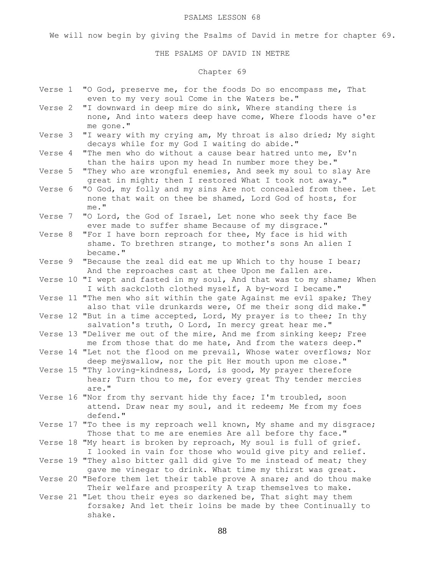#### PSALMS LESSON 68

We will now begin by giving the Psalms of David in metre for chapter 69.

### THE PSALMS OF DAVID IN METRE

# Chapter 69

- Verse 1 "O God, preserve me, for the foods Do so encompass me, That even to my very soul Come in the Waters be."
- Verse 2 "I downward in deep mire do sink, Where standing there is none, And into waters deep have come, Where floods have o'er me gone."
- Verse 3 "I weary with my crying am, My throat is also dried; My sight decays while for my God I waiting do abide."
- Verse 4 "The men who do without a cause bear hatred unto me, Ev'n than the hairs upon my head In number more they be."
- Verse 5 "They who are wrongful enemies, And seek my soul to slay Are great in might; then I restored What I took not away."
- Verse 6 "O God, my folly and my sins Are not concealed from thee. Let none that wait on thee be shamed, Lord God of hosts, for me."
- Verse 7 "O Lord, the God of Israel, Let none who seek thy face Be ever made to suffer shame Because of my disgrace."
- Verse 8 "For I have born reproach for thee, My face is hid with shame. To brethren strange, to mother's sons An alien I became."
- Verse 9 "Because the zeal did eat me up Which to thy house I bear; And the reproaches cast at thee Upon me fallen are.
- Verse 10 "I wept and fasted in my soul, And that was to my shame; When I with sackcloth clothed myself, A by-word I became."
- Verse 11 "The men who sit within the gate Against me evil spake; They also that vile drunkards were, Of me their song did make."
- Verse 12 "But in a time accepted, Lord, My prayer is to thee; In thy salvation's truth, O Lord, In mercy great hear me."
- Verse 13 "Deliver me out of the mire, And me from sinking keep; Free me from those that do me hate, And from the waters deep."
- Verse 14 "Let not the flood on me prevail, Whose water overflows; Nor deep meÿswallow, nor the pit Her mouth upon me close."
- Verse 15 "Thy loving-kindness, Lord, is good, My prayer therefore hear; Turn thou to me, for every great Thy tender mercies are."
- Verse 16 "Nor from thy servant hide thy face; I'm troubled, soon attend. Draw near my soul, and it redeem; Me from my foes defend."
- Verse 17 "To thee is my reproach well known, My shame and my disgrace; Those that to me are enemies Are all before thy face."
- Verse 18 "My heart is broken by reproach, My soul is full of grief. I looked in vain for those who would give pity and relief.
- Verse 19 "They also bitter gall did give To me instead of meat; they gave me vinegar to drink. What time my thirst was great.
- Verse 20 "Before them let their table prove A snare; and do thou make Their welfare and prosperity A trap themselves to make.
- Verse 21 "Let thou their eyes so darkened be, That sight may them forsake; And let their loins be made by thee Continually to shake.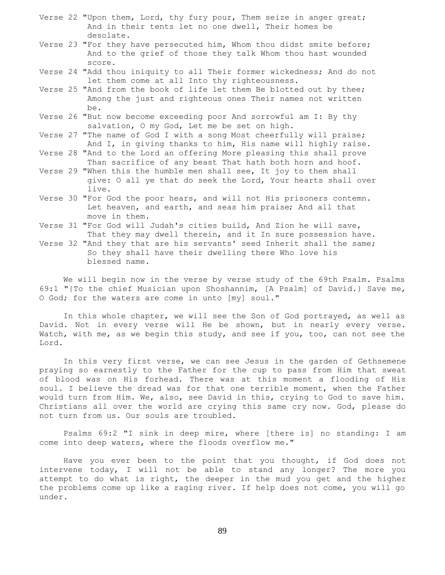- Verse 22 "Upon them, Lord, thy fury pour, Them seize in anger great; And in their tents let no one dwell, Their homes be desolate.
- Verse 23 "For they have persecuted him, Whom thou didst smite before; And to the grief of those they talk Whom thou hast wounded score.
- Verse 24 "Add thou iniquity to all Their former wickedness; And do not let them come at all Into thy righteousness.
- Verse 25 "And from the book of life let them Be blotted out by thee; Among the just and righteous ones Their names not written be.
- Verse 26 "But now become exceeding poor And sorrowful am I: By thy salvation, O my God, Let me be set on high.
- Verse 27 "The name of God I with a song Most cheerfully will praise; And I, in giving thanks to him, His name will highly raise.
- Verse 28 "And to the Lord an offering More pleasing this shall prove Than sacrifice of any beast That hath both horn and hoof.
- Verse 29 "When this the humble men shall see, It joy to them shall give: O all ye that do seek the Lord, Your hearts shall over live.
- Verse 30 "For God the poor hears, and will not His prisoners contemn. Let heaven, and earth, and seas him praise; And all that move in them.
- Verse 31 "For God will Judah's cities build, And Zion he will save, That they may dwell therein, and it In sure possession have.
- Verse 32 "And they that are his servants' seed Inherit shall the same; So they shall have their dwelling there Who love his blessed name.

We will begin now in the verse by verse study of the 69th Psalm. Psalms 69:1 "{To the chief Musician upon Shoshannim, [A Psalm] of David.} Save me, O God; for the waters are come in unto [my] soul."

 In this whole chapter, we will see the Son of God portrayed, as well as David. Not in every verse will He be shown, but in nearly every verse. Watch, with me, as we begin this study, and see if you, too, can not see the Lord.

 In this very first verse, we can see Jesus in the garden of Gethsemene praying so earnestly to the Father for the cup to pass from Him that sweat of blood was on His forhead. There was at this moment a flooding of His soul. I believe the dread was for that one terrible moment, when the Father would turn from Him. We, also, see David in this, crying to God to save him. Christians all over the world are crying this same cry now. God, please do not turn from us. Our souls are troubled.

 Psalms 69:2 "I sink in deep mire, where [there is] no standing: I am come into deep waters, where the floods overflow me."

 Have you ever been to the point that you thought, if God does not intervene today, I will not be able to stand any longer? The more you attempt to do what is right, the deeper in the mud you get and the higher the problems come up like a raging river. If help does not come, you will go under.

89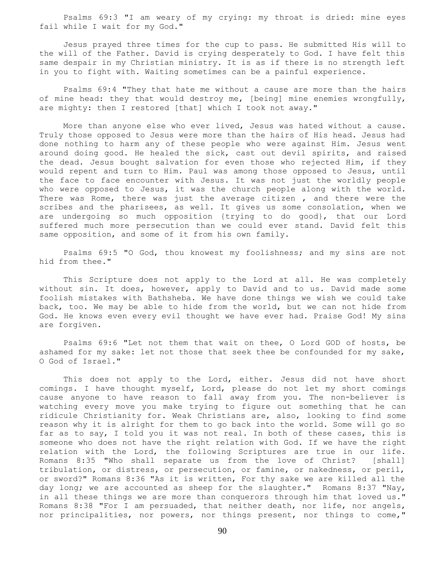Psalms 69:3 "I am weary of my crying: my throat is dried: mine eyes fail while I wait for my God."

 Jesus prayed three times for the cup to pass. He submitted His will to the will of the Father. David is crying desperately to God. I have felt this same despair in my Christian ministry. It is as if there is no strength left in you to fight with. Waiting sometimes can be a painful experience.

 Psalms 69:4 "They that hate me without a cause are more than the hairs of mine head: they that would destroy me, [being] mine enemies wrongfully, are mighty: then I restored [that] which I took not away."

 More than anyone else who ever lived, Jesus was hated without a cause. Truly those opposed to Jesus were more than the hairs of His head. Jesus had done nothing to harm any of these people who were against Him. Jesus went around doing good. He healed the sick, cast out devil spirits, and raised the dead. Jesus bought salvation for even those who rejected Him, if they would repent and turn to Him. Paul was among those opposed to Jesus, until the face to face encounter with Jesus. It was not just the worldly people who were opposed to Jesus, it was the church people along with the world. There was Rome, there was just the average citizen , and there were the scribes and the pharisees, as well. It gives us some consolation, when we are undergoing so much opposition {trying to do good}, that our Lord suffered much more persecution than we could ever stand. David felt this same opposition, and some of it from his own family.

 Psalms 69:5 "O God, thou knowest my foolishness; and my sins are not hid from thee."

 This Scripture does not apply to the Lord at all. He was completely without sin. It does, however, apply to David and to us. David made some foolish mistakes with Bathsheba. We have done things we wish we could take back, too. We may be able to hide from the world, but we can not hide from God. He knows even every evil thought we have ever had. Praise God! My sins are forgiven.

 Psalms 69:6 "Let not them that wait on thee, O Lord GOD of hosts, be ashamed for my sake: let not those that seek thee be confounded for my sake, O God of Israel."

This does not apply to the Lord, either. Jesus did not have short comings. I have thought myself, Lord, please do not let my short comings cause anyone to have reason to fall away from you. The non-believer is watching every move you make trying to figure out something that he can ridicule Christianity for. Weak Christians are, also, looking to find some reason why it is alright for them to go back into the world. Some will go so far as to say, I told you it was not real. In both of these cases, this is someone who does not have the right relation with God. If we have the right relation with the Lord, the following Scriptures are true in our life. Romans 8:35 "Who shall separate us from the love of Christ? [shall] tribulation, or distress, or persecution, or famine, or nakedness, or peril, or sword?" Romans 8:36 "As it is written, For thy sake we are killed all the day long; we are accounted as sheep for the slaughter." Romans 8:37 "Nay, in all these things we are more than conquerors through him that loved us." Romans 8:38 "For I am persuaded, that neither death, nor life, nor angels, nor principalities, nor powers, nor things present, nor things to come,"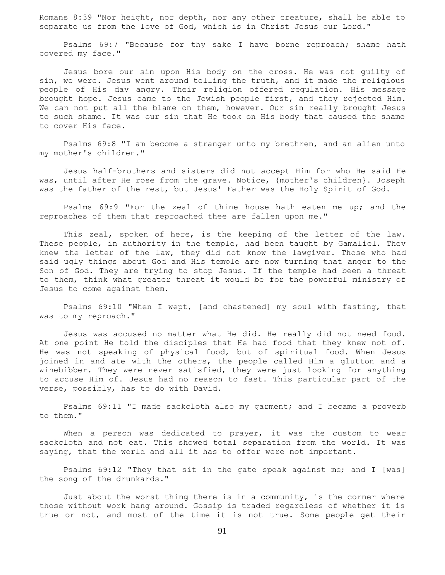Romans 8:39 "Nor height, nor depth, nor any other creature, shall be able to separate us from the love of God, which is in Christ Jesus our Lord."

 Psalms 69:7 "Because for thy sake I have borne reproach; shame hath covered my face."

 Jesus bore our sin upon His body on the cross. He was not guilty of sin, we were. Jesus went around telling the truth, and it made the religious people of His day angry. Their religion offered regulation. His message brought hope. Jesus came to the Jewish people first, and they rejected Him. We can not put all the blame on them, however. Our sin really brought Jesus to such shame. It was our sin that He took on His body that caused the shame to cover His face.

 Psalms 69:8 "I am become a stranger unto my brethren, and an alien unto my mother's children."

 Jesus half-brothers and sisters did not accept Him for who He said He was, until after He rose from the grave. Notice, {mother's children}. Joseph was the father of the rest, but Jesus' Father was the Holy Spirit of God.

 Psalms 69:9 "For the zeal of thine house hath eaten me up; and the reproaches of them that reproached thee are fallen upon me."

 This zeal, spoken of here, is the keeping of the letter of the law. These people, in authority in the temple, had been taught by Gamaliel. They knew the letter of the law, they did not know the lawgiver. Those who had said ugly things about God and His temple are now turning that anger to the Son of God. They are trying to stop Jesus. If the temple had been a threat to them, think what greater threat it would be for the powerful ministry of Jesus to come against them.

 Psalms 69:10 "When I wept, [and chastened] my soul with fasting, that was to my reproach."

 Jesus was accused no matter what He did. He really did not need food. At one point He told the disciples that He had food that they knew not of. He was not speaking of physical food, but of spiritual food. When Jesus joined in and ate with the others, the people called Him a glutton and a winebibber. They were never satisfied, they were just looking for anything to accuse Him of. Jesus had no reason to fast. This particular part of the verse, possibly, has to do with David.

 Psalms 69:11 "I made sackcloth also my garment; and I became a proverb to them."

When a person was dedicated to prayer, it was the custom to wear sackcloth and not eat. This showed total separation from the world. It was saying, that the world and all it has to offer were not important.

 Psalms 69:12 "They that sit in the gate speak against me; and I [was] the song of the drunkards."

 Just about the worst thing there is in a community, is the corner where those without work hang around. Gossip is traded regardless of whether it is true or not, and most of the time it is not true. Some people get their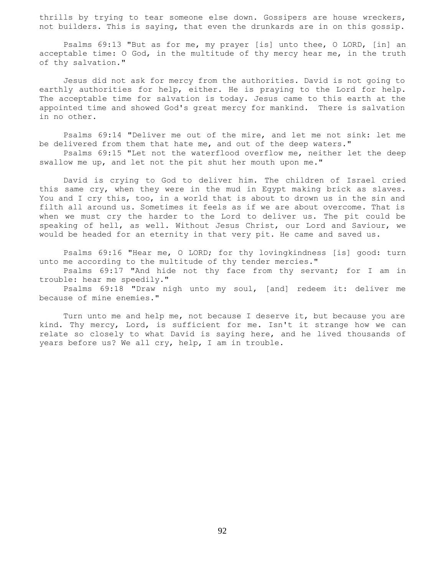thrills by trying to tear someone else down. Gossipers are house wreckers, not builders. This is saying, that even the drunkards are in on this gossip.

 Psalms 69:13 "But as for me, my prayer [is] unto thee, O LORD, [in] an acceptable time: O God, in the multitude of thy mercy hear me, in the truth of thy salvation."

 Jesus did not ask for mercy from the authorities. David is not going to earthly authorities for help, either. He is praying to the Lord for help. The acceptable time for salvation is today. Jesus came to this earth at the appointed time and showed God's great mercy for mankind. There is salvation in no other.

 Psalms 69:14 "Deliver me out of the mire, and let me not sink: let me be delivered from them that hate me, and out of the deep waters." Psalms 69:15 "Let not the waterflood overflow me, neither let the deep swallow me up, and let not the pit shut her mouth upon me."

 David is crying to God to deliver him. The children of Israel cried this same cry, when they were in the mud in Egypt making brick as slaves. You and I cry this, too, in a world that is about to drown us in the sin and filth all around us. Sometimes it feels as if we are about overcome. That is when we must cry the harder to the Lord to deliver us. The pit could be speaking of hell, as well. Without Jesus Christ, our Lord and Saviour, we would be headed for an eternity in that very pit. He came and saved us.

 Psalms 69:16 "Hear me, O LORD; for thy lovingkindness [is] good: turn unto me according to the multitude of thy tender mercies."

 Psalms 69:17 "And hide not thy face from thy servant; for I am in trouble: hear me speedily."

 Psalms 69:18 "Draw nigh unto my soul, [and] redeem it: deliver me because of mine enemies."

 Turn unto me and help me, not because I deserve it, but because you are kind. Thy mercy, Lord, is sufficient for me. Isn't it strange how we can relate so closely to what David is saying here, and he lived thousands of years before us? We all cry, help, I am in trouble.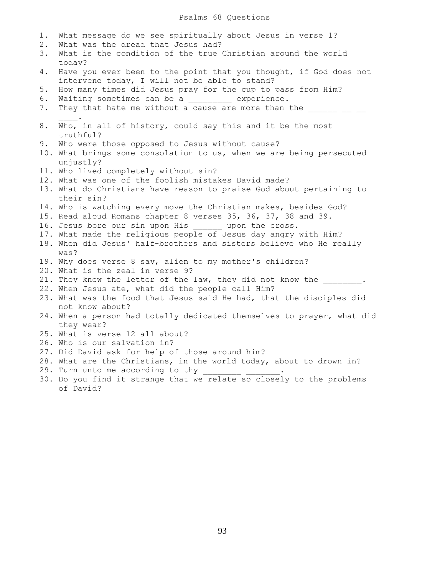# Psalms 68 Questions

| 1.<br>2. | What message do we see spiritually about Jesus in verse 1?<br>What was the dread that Jesus had?                          |
|----------|---------------------------------------------------------------------------------------------------------------------------|
| 3.       | What is the condition of the true Christian around the world                                                              |
|          | today?                                                                                                                    |
| 4.       | Have you ever been to the point that you thought, if God does not                                                         |
|          | intervene today, I will not be able to stand?                                                                             |
| 5.       | How many times did Jesus pray for the cup to pass from Him?                                                               |
| 6.       | Waiting sometimes can be a _________ experience.                                                                          |
| 7.       | They that hate me without a cause are more than the                                                                       |
|          |                                                                                                                           |
| 8.       | Who, in all of history, could say this and it be the most                                                                 |
|          | truthful?                                                                                                                 |
| 9.       | Who were those opposed to Jesus without cause?                                                                            |
|          | 10. What brings some consolation to us, when we are being persecuted                                                      |
|          | unjustly?                                                                                                                 |
|          | 11. Who lived completely without sin?                                                                                     |
|          | 12. What was one of the foolish mistakes David made?                                                                      |
|          | 13. What do Christians have reason to praise God about pertaining to                                                      |
|          | their sin?                                                                                                                |
|          | 14. Who is watching every move the Christian makes, besides God?                                                          |
|          | 15. Read aloud Romans chapter 8 verses 35, 36, 37, 38 and 39.                                                             |
|          | 16. Jesus bore our sin upon His ______ upon the cross.                                                                    |
|          | 17. What made the religious people of Jesus day angry with Him?                                                           |
|          | 18. When did Jesus' half-brothers and sisters believe who He really                                                       |
|          | was?                                                                                                                      |
|          | 19. Why does verse 8 say, alien to my mother's children?                                                                  |
|          | 20. What is the zeal in verse 9?                                                                                          |
|          | 21. They knew the letter of the law, they did not know the .                                                              |
|          | 22. When Jesus ate, what did the people call Him?<br>23. What was the food that Jesus said He had, that the disciples did |
|          | not know about?                                                                                                           |
|          | 24. When a person had totally dedicated themselves to prayer, what did                                                    |
|          | they wear?                                                                                                                |
|          | 25. What is verse 12 all about?                                                                                           |
|          | 26. Who is our salvation in?                                                                                              |
|          | 27. Did David ask for help of those around him?                                                                           |
|          | 28. What are the Christians, in the world today, about to drown in?                                                       |
|          | 29. Turn unto me according to thy                                                                                         |
|          | 30. Do you find it strange that we relate so closely to the problems                                                      |
|          | of David?                                                                                                                 |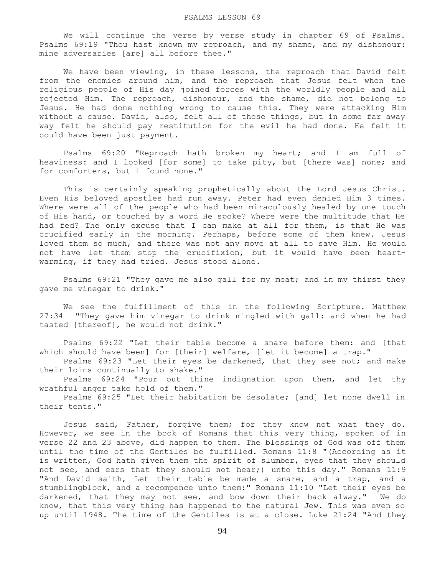We will continue the verse by verse study in chapter 69 of Psalms. Psalms 69:19 "Thou hast known my reproach, and my shame, and my dishonour: mine adversaries [are] all before thee."

We have been viewing, in these lessons, the reproach that David felt from the enemies around him, and the reproach that Jesus felt when the religious people of His day joined forces with the worldly people and all rejected Him. The reproach, dishonour, and the shame, did not belong to Jesus. He had done nothing wrong to cause this. They were attacking Him without a cause. David, also, felt all of these things, but in some far away way felt he should pay restitution for the evil he had done. He felt it could have been just payment.

 Psalms 69:20 "Reproach hath broken my heart; and I am full of heaviness: and I looked [for some] to take pity, but [there was] none; and for comforters, but I found none."

 This is certainly speaking prophetically about the Lord Jesus Christ. Even His beloved apostles had run away. Peter had even denied Him 3 times. Where were all of the people who had been miraculously healed by one touch of His hand, or touched by a word He spoke? Where were the multitude that He had fed? The only excuse that I can make at all for them, is that He was crucified early in the morning. Perhaps, before some of them knew. Jesus loved them so much, and there was not any move at all to save Him. He would not have let them stop the crucifixion, but it would have been heartwarming, if they had tried. Jesus stood alone.

 Psalms 69:21 "They gave me also gall for my meat; and in my thirst they gave me vinegar to drink."

 We see the fulfillment of this in the following Scripture. Matthew 27:34 "They gave him vinegar to drink mingled with gall: and when he had tasted [thereof], he would not drink."

 Psalms 69:22 "Let their table become a snare before them: and [that which should have been] for [their] welfare, [let it become] a trap."

 Psalms 69:23 "Let their eyes be darkened, that they see not; and make their loins continually to shake."

 Psalms 69:24 "Pour out thine indignation upon them, and let thy wrathful anger take hold of them."

 Psalms 69:25 "Let their habitation be desolate; [and] let none dwell in their tents."

 Jesus said, Father, forgive them; for they know not what they do. However, we see in the book of Romans that this very thing, spoken of in verse 22 and 23 above, did happen to them. The blessings of God was off them until the time of the Gentiles be fulfilled. Romans 11:8 "(According as it is written, God hath given them the spirit of slumber, eyes that they should not see, and ears that they should not hear;) unto this day." Romans 11:9 "And David saith, Let their table be made a snare, and a trap, and a stumblingblock, and a recompence unto them:" Romans 11:10 "Let their eyes be darkened, that they may not see, and bow down their back alway." We do know, that this very thing has happened to the natural Jew. This was even so up until 1948. The time of the Gentiles is at a close. Luke 21:24 "And they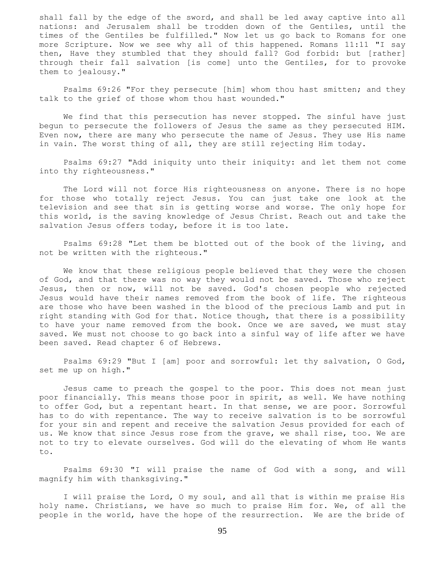shall fall by the edge of the sword, and shall be led away captive into all nations: and Jerusalem shall be trodden down of the Gentiles, until the times of the Gentiles be fulfilled." Now let us go back to Romans for one more Scripture. Now we see why all of this happened. Romans 11:11 "I say then, Have they stumbled that they should fall? God forbid: but [rather] through their fall salvation [is come] unto the Gentiles, for to provoke them to jealousy."

 Psalms 69:26 "For they persecute [him] whom thou hast smitten; and they talk to the grief of those whom thou hast wounded."

 We find that this persecution has never stopped. The sinful have just begun to persecute the followers of Jesus the same as they persecuted HIM. Even now, there are many who persecute the name of Jesus. They use His name in vain. The worst thing of all, they are still rejecting Him today.

 Psalms 69:27 "Add iniquity unto their iniquity: and let them not come into thy righteousness."

 The Lord will not force His righteousness on anyone. There is no hope for those who totally reject Jesus. You can just take one look at the television and see that sin is getting worse and worse. The only hope for this world, is the saving knowledge of Jesus Christ. Reach out and take the salvation Jesus offers today, before it is too late.

 Psalms 69:28 "Let them be blotted out of the book of the living, and not be written with the righteous."

 We know that these religious people believed that they were the chosen of God, and that there was no way they would not be saved. Those who reject Jesus, then or now, will not be saved. God's chosen people who rejected Jesus would have their names removed from the book of life. The righteous are those who have been washed in the blood of the precious Lamb and put in right standing with God for that. Notice though, that there is a possibility to have your name removed from the book. Once we are saved, we must stay saved. We must not choose to go back into a sinful way of life after we have been saved. Read chapter 6 of Hebrews.

 Psalms 69:29 "But I [am] poor and sorrowful: let thy salvation, O God, set me up on high."

 Jesus came to preach the gospel to the poor. This does not mean just poor financially. This means those poor in spirit, as well. We have nothing to offer God, but a repentant heart. In that sense, we are poor. Sorrowful has to do with repentance. The way to receive salvation is to be sorrowful for your sin and repent and receive the salvation Jesus provided for each of us. We know that since Jesus rose from the grave, we shall rise, too. We are not to try to elevate ourselves. God will do the elevating of whom He wants to.

 Psalms 69:30 "I will praise the name of God with a song, and will magnify him with thanksgiving."

 I will praise the Lord, O my soul, and all that is within me praise His holy name. Christians, we have so much to praise Him for. We, of all the people in the world, have the hope of the resurrection. We are the bride of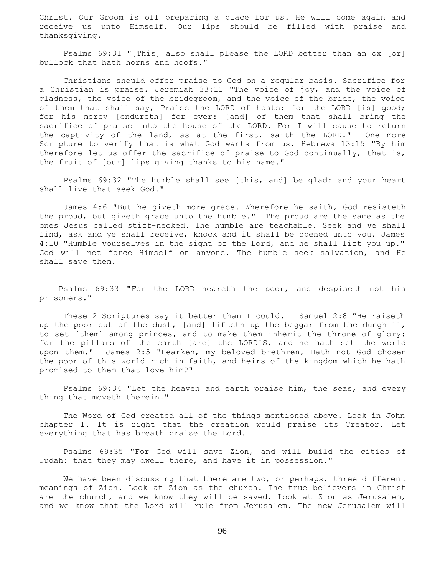Christ. Our Groom is off preparing a place for us. He will come again and receive us unto Himself. Our lips should be filled with praise and thanksgiving.

 Psalms 69:31 "[This] also shall please the LORD better than an ox [or] bullock that hath horns and hoofs."

 Christians should offer praise to God on a regular basis. Sacrifice for a Christian is praise. Jeremiah 33:11 "The voice of joy, and the voice of gladness, the voice of the bridegroom, and the voice of the bride, the voice of them that shall say, Praise the LORD of hosts: for the LORD [is] good; for his mercy [endureth] for ever: [and] of them that shall bring the sacrifice of praise into the house of the LORD. For I will cause to return the captivity of the land, as at the first, saith the LORD." One more Scripture to verify that is what God wants from us. Hebrews 13:15 "By him therefore let us offer the sacrifice of praise to God continually, that is, the fruit of [our] lips giving thanks to his name."

 Psalms 69:32 "The humble shall see [this, and] be glad: and your heart shall live that seek God."

 James 4:6 "But he giveth more grace. Wherefore he saith, God resisteth the proud, but giveth grace unto the humble." The proud are the same as the ones Jesus called stiff-necked. The humble are teachable. Seek and ye shall find, ask and ye shall receive, knock and it shall be opened unto you. James 4:10 "Humble yourselves in the sight of the Lord, and he shall lift you up." God will not force Himself on anyone. The humble seek salvation, and He shall save them.

 Psalms 69:33 "For the LORD heareth the poor, and despiseth not his prisoners."

 These 2 Scriptures say it better than I could. I Samuel 2:8 "He raiseth up the poor out of the dust, [and] lifteth up the beggar from the dunghill, to set [them] among princes, and to make them inherit the throne of glory: for the pillars of the earth [are] the LORD'S, and he hath set the world upon them." James 2:5 "Hearken, my beloved brethren, Hath not God chosen the poor of this world rich in faith, and heirs of the kingdom which he hath promised to them that love him?"

 Psalms 69:34 "Let the heaven and earth praise him, the seas, and every thing that moveth therein."

 The Word of God created all of the things mentioned above. Look in John chapter 1. It is right that the creation would praise its Creator. Let everything that has breath praise the Lord.

 Psalms 69:35 "For God will save Zion, and will build the cities of Judah: that they may dwell there, and have it in possession."

We have been discussing that there are two, or perhaps, three different meanings of Zion. Look at Zion as the church. The true believers in Christ are the church, and we know they will be saved. Look at Zion as Jerusalem, and we know that the Lord will rule from Jerusalem. The new Jerusalem will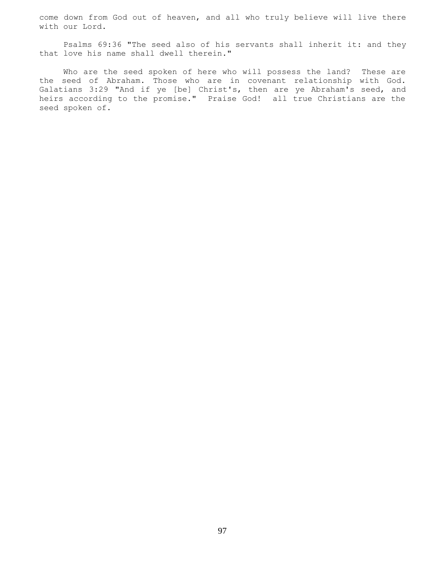come down from God out of heaven, and all who truly believe will live there with our Lord.

 Psalms 69:36 "The seed also of his servants shall inherit it: and they that love his name shall dwell therein."

Who are the seed spoken of here who will possess the land? These are the seed of Abraham. Those who are in covenant relationship with God. Galatians 3:29 "And if ye [be] Christ's, then are ye Abraham's seed, and heirs according to the promise." Praise God! all true Christians are the seed spoken of.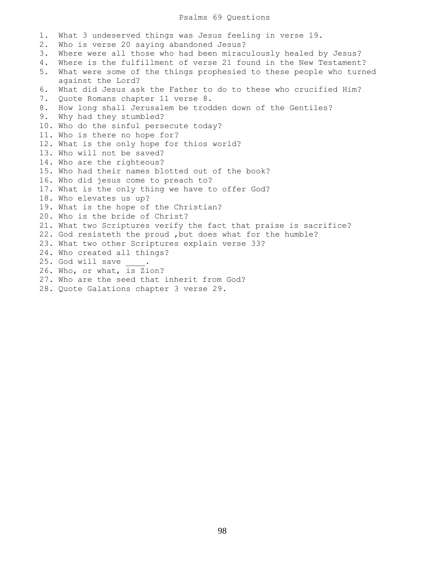### Psalms 69 Questions

1. What 3 undeserved things was Jesus feeling in verse 19. 2. Who is verse 20 saying abandoned Jesus? 3. Where were all those who had been miraculously healed by Jesus? 4. Where is the fulfillment of verse 21 found in the New Testament? 5. What were some of the things prophesied to these people who turned against the Lord? 6. What did Jesus ask the Father to do to these who crucified Him? 7. Quote Romans chapter 11 verse 8. 8. How long shall Jerusalem be trodden down of the Gentiles? 9. Why had they stumbled? 10. Who do the sinful persecute today? 11. Who is there no hope for? 12. What is the only hope for thios world? 13. Who will not be saved? 14. Who are the righteous? 15. Who had their names blotted out of the book? 16. Who did jesus come to preach to? 17. What is the only thing we have to offer God? 18. Who elevates us up? 19. What is the hope of the Christian? 20. Who is the bride of Christ? 21. What two Scriptures verify the fact that praise is sacrifice? 22. God resisteth the proud ,but does what for the humble? 23. What two other Scriptures explain verse 33? 24. Who created all things? 25. God will save 26. Who, or what, is Zion? 27. Who are the seed that inherit from God? 28. Quote Galations chapter 3 verse 29.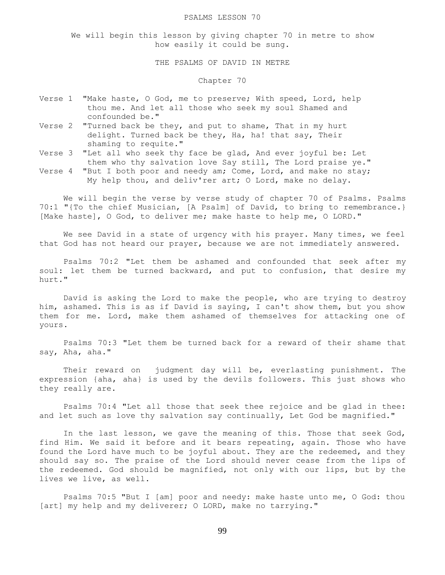### PSALMS LESSON 70

We will begin this lesson by giving chapter 70 in metre to show how easily it could be sung.

THE PSALMS OF DAVID IN METRE

### Chapter 70

- Verse 1 "Make haste, O God, me to preserve; With speed, Lord, help thou me. And let all those who seek my soul Shamed and confounded be."
- Verse 2 "Turned back be they, and put to shame, That in my hurt delight. Turned back be they, Ha, ha! that say, Their shaming to requite."
- Verse 3 "Let all who seek thy face be glad, And ever joyful be: Let them who thy salvation love Say still, The Lord praise ye."
- Verse 4 "But I both poor and needy am; Come, Lord, and make no stay; My help thou, and deliv'rer art; O Lord, make no delay.

 We will begin the verse by verse study of chapter 70 of Psalms. Psalms 70:1 "{To the chief Musician, [A Psalm] of David, to bring to remembrance.} [Make haste], O God, to deliver me; make haste to help me, O LORD."

We see David in a state of urgency with his prayer. Many times, we feel that God has not heard our prayer, because we are not immediately answered.

 Psalms 70:2 "Let them be ashamed and confounded that seek after my soul: let them be turned backward, and put to confusion, that desire my hurt."

 David is asking the Lord to make the people, who are trying to destroy him, ashamed. This is as if David is saying, I can't show them, but you show them for me. Lord, make them ashamed of themselves for attacking one of yours.

 Psalms 70:3 "Let them be turned back for a reward of their shame that say, Aha, aha."

 Their reward on judgment day will be, everlasting punishment. The expression {aha, aha} is used by the devils followers. This just shows who they really are.

 Psalms 70:4 "Let all those that seek thee rejoice and be glad in thee: and let such as love thy salvation say continually, Let God be magnified."

 In the last lesson, we gave the meaning of this. Those that seek God, find Him. We said it before and it bears repeating, again. Those who have found the Lord have much to be joyful about. They are the redeemed, and they should say so. The praise of the Lord should never cease from the lips of the redeemed. God should be magnified, not only with our lips, but by the lives we live, as well.

 Psalms 70:5 "But I [am] poor and needy: make haste unto me, O God: thou [art] my help and my deliverer; O LORD, make no tarrying."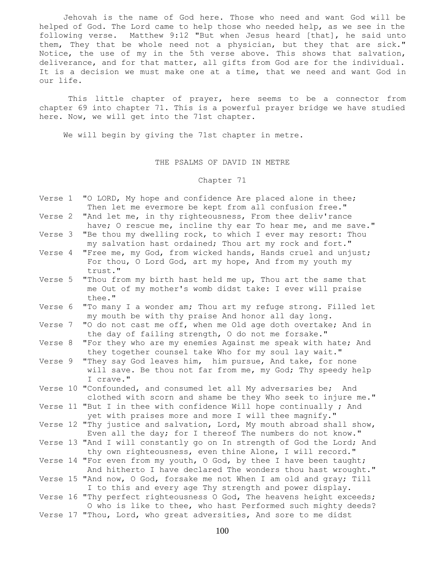Jehovah is the name of God here. Those who need and want God will be helped of God. The Lord came to help those who needed help, as we see in the following verse. Matthew 9:12 "But when Jesus heard [that], he said unto them, They that be whole need not a physician, but they that are sick." Notice, the use of my in the 5th verse above. This shows that salvation, deliverance, and for that matter, all gifts from God are for the individual. It is a decision we must make one at a time, that we need and want God in our life.

 This little chapter of prayer, here seems to be a connector from chapter 69 into chapter 71. This is a powerful prayer bridge we have studied here. Now, we will get into the 71st chapter.

We will begin by giving the 71st chapter in metre.

# THE PSALMS OF DAVID IN METRE

### Chapter 71

- Verse 1 "O LORD, My hope and confidence Are placed alone in thee; Then let me evermore be kept from all confusion free."
- Verse 2 "And let me, in thy righteousness, From thee deliv'rance have; O rescue me, incline thy ear To hear me, and me save."
- Verse 3 "Be thou my dwelling rock, to which I ever may resort: Thou my salvation hast ordained; Thou art my rock and fort."
- Verse 4 "Free me, my God, from wicked hands, Hands cruel and unjust; For thou, O Lord God, art my hope, And from my youth my trust."
- Verse 5 "Thou from my birth hast held me up, Thou art the same that me Out of my mother's womb didst take: I ever will praise thee."
- Verse 6 "To many I a wonder am; Thou art my refuge strong. Filled let my mouth be with thy praise And honor all day long.
- Verse 7 "O do not cast me off, when me Old age doth overtake; And in the day of failing strength, O do not me forsake."
- Verse 8 "For they who are my enemies Against me speak with hate; And they together counsel take Who for my soul lay wait."
- Verse 9 "They say God leaves him, him pursue, And take, for none will save. Be thou not far from me, my God; Thy speedy help I crave."

Verse 10 "Confounded, and consumed let all My adversaries be; And clothed with scorn and shame be they Who seek to injure me."

Verse 11 "But I in thee with confidence Will hope continually ; And yet with praises more and more I will thee magnify."

Verse 12 "Thy justice and salvation, Lord, My mouth abroad shall show, Even all the day; for I thereof The numbers do not know."

- Verse 13 "And I will constantly go on In strength of God the Lord; And thy own righteousness, even thine Alone, I will record."
- Verse 14 "For even from my youth, O God, by thee I have been taught; And hitherto I have declared The wonders thou hast wrought."
- Verse 15 "And now, O God, forsake me not When I am old and gray; Till I to this and every age Thy strength and power display.

Verse 16 "Thy perfect righteousness O God, The heavens height exceeds; O who is like to thee, who hast Performed such mighty deeds? Verse 17 "Thou, Lord, who great adversities, And sore to me didst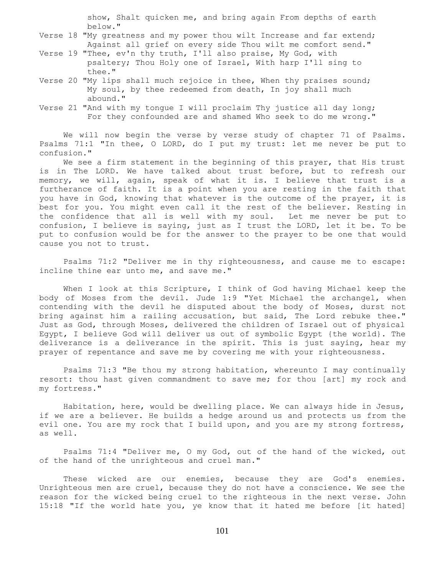show, Shalt quicken me, and bring again From depths of earth below."

- Verse 18 "My greatness and my power thou wilt Increase and far extend; Against all grief on every side Thou wilt me comfort send."
- Verse 19 "Thee, ev'n thy truth, I'll also praise, My God, with psaltery; Thou Holy one of Israel, With harp I'll sing to thee."
- Verse 20 "My lips shall much rejoice in thee, When thy praises sound; My soul, by thee redeemed from death, In joy shall much abound."
- Verse 21 "And with my tongue I will proclaim Thy justice all day long; For they confounded are and shamed Who seek to do me wrong."

 We will now begin the verse by verse study of chapter 71 of Psalms. Psalms 71:1 "In thee, O LORD, do I put my trust: let me never be put to confusion."

We see a firm statement in the beginning of this prayer, that His trust is in The LORD. We have talked about trust before, but to refresh our memory, we will, again, speak of what it is. I believe that trust is a furtherance of faith. It is a point when you are resting in the faith that you have in God, knowing that whatever is the outcome of the prayer, it is best for you. You might even call it the rest of the believer. Resting in the confidence that all is well with my soul. Let me never be put to confusion, I believe is saying, just as I trust the LORD, let it be. To be put to confusion would be for the answer to the prayer to be one that would cause you not to trust.

 Psalms 71:2 "Deliver me in thy righteousness, and cause me to escape: incline thine ear unto me, and save me."

When I look at this Scripture, I think of God having Michael keep the body of Moses from the devil. Jude 1:9 "Yet Michael the archangel, when contending with the devil he disputed about the body of Moses, durst not bring against him a railing accusation, but said, The Lord rebuke thee." Just as God, through Moses, delivered the children of Israel out of physical Egypt, I believe God will deliver us out of symbolic Egypt {the world}. The deliverance is a deliverance in the spirit. This is just saying, hear my prayer of repentance and save me by covering me with your righteousness.

 Psalms 71:3 "Be thou my strong habitation, whereunto I may continually resort: thou hast given commandment to save me; for thou [art] my rock and my fortress."

 Habitation, here, would be dwelling place. We can always hide in Jesus, if we are a believer. He builds a hedge around us and protects us from the evil one. You are my rock that I build upon, and you are my strong fortress, as well.

 Psalms 71:4 "Deliver me, O my God, out of the hand of the wicked, out of the hand of the unrighteous and cruel man."

These wicked are our enemies, because they are God's enemies. Unrighteous men are cruel, because they do not have a conscience. We see the reason for the wicked being cruel to the righteous in the next verse. John 15:18 "If the world hate you, ye know that it hated me before [it hated]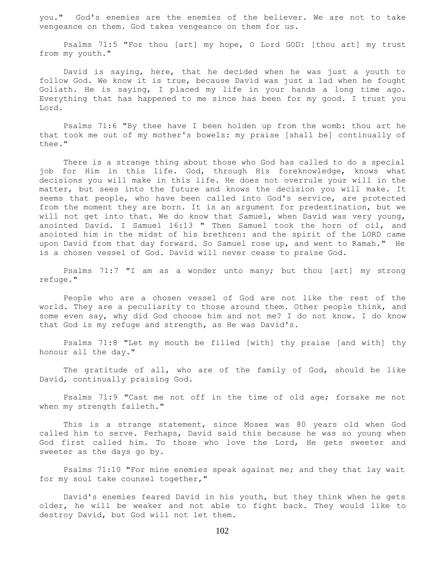you." God's enemies are the enemies of the believer. We are not to take vengeance on them. God takes vengeance on them for us.

 Psalms 71:5 "For thou [art] my hope, O Lord GOD: [thou art] my trust from my youth."

 David is saying, here, that he decided when he was just a youth to follow God. We know it is true, because David was just a lad when he fought Goliath. He is saying, I placed my life in your hands a long time ago. Everything that has happened to me since has been for my good. I trust you Lord.

 Psalms 71:6 "By thee have I been holden up from the womb: thou art he that took me out of my mother's bowels: my praise [shall be] continually of thee."

 There is a strange thing about those who God has called to do a special job for Him in this life. God, through His foreknowledge, knows what decisions you will make in this life. He does not overrule your will in the matter, but sees into the future and knows the decision you will make. It seems that people, who have been called into God's service, are protected from the moment they are born. It is an argument for predestination, but we will not get into that. We do know that Samuel, when David was very young, anointed David. I Samuel 16:13 " Then Samuel took the horn of oil, and anointed him in the midst of his brethren: and the spirit of the LORD came upon David from that day forward. So Samuel rose up, and went to Ramah." He is a chosen vessel of God. David will never cease to praise God.

 Psalms 71:7 "I am as a wonder unto many; but thou [art] my strong refuge."

 People who are a chosen vessel of God are not like the rest of the world. They are a peculiarity to those around them. Other people think, and some even say, why did God choose him and not me? I do not know. I do know that God is my refuge and strength, as He was David's.

 Psalms 71:8 "Let my mouth be filled [with] thy praise [and with] thy honour all the day."

 The gratitude of all, who are of the family of God, should be like David, continually praising God.

 Psalms 71:9 "Cast me not off in the time of old age; forsake me not when my strength faileth."

 This is a strange statement, since Moses was 80 years old when God called him to serve. Perhaps, David said this because he was so young when God first called him. To those who love the Lord, He gets sweeter and sweeter as the days go by.

 Psalms 71:10 "For mine enemies speak against me; and they that lay wait for my soul take counsel together,"

 David's enemies feared David in his youth, but they think when he gets older, he will be weaker and not able to fight back. They would like to destroy David, but God will not let them.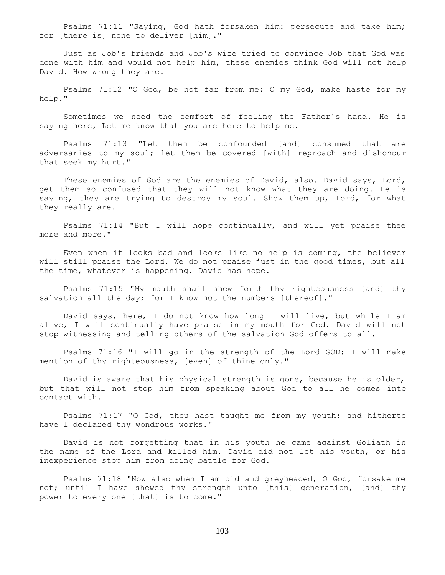Psalms 71:11 "Saying, God hath forsaken him: persecute and take him; for [there is] none to deliver [him]."

 Just as Job's friends and Job's wife tried to convince Job that God was done with him and would not help him, these enemies think God will not help David. How wrong they are.

 Psalms 71:12 "O God, be not far from me: O my God, make haste for my help."

 Sometimes we need the comfort of feeling the Father's hand. He is saying here, Let me know that you are here to help me.

 Psalms 71:13 "Let them be confounded [and] consumed that are adversaries to my soul; let them be covered [with] reproach and dishonour that seek my hurt."

 These enemies of God are the enemies of David, also. David says, Lord, get them so confused that they will not know what they are doing. He is saying, they are trying to destroy my soul. Show them up, Lord, for what they really are.

 Psalms 71:14 "But I will hope continually, and will yet praise thee more and more."

 Even when it looks bad and looks like no help is coming, the believer will still praise the Lord. We do not praise just in the good times, but all the time, whatever is happening. David has hope.

 Psalms 71:15 "My mouth shall shew forth thy righteousness [and] thy salvation all the day; for I know not the numbers [thereof]."

 David says, here, I do not know how long I will live, but while I am alive, I will continually have praise in my mouth for God. David will not stop witnessing and telling others of the salvation God offers to all.

 Psalms 71:16 "I will go in the strength of the Lord GOD: I will make mention of thy righteousness, [even] of thine only."

 David is aware that his physical strength is gone, because he is older, but that will not stop him from speaking about God to all he comes into contact with.

 Psalms 71:17 "O God, thou hast taught me from my youth: and hitherto have I declared thy wondrous works."

 David is not forgetting that in his youth he came against Goliath in the name of the Lord and killed him. David did not let his youth, or his inexperience stop him from doing battle for God.

 Psalms 71:18 "Now also when I am old and greyheaded, O God, forsake me not; until I have shewed thy strength unto [this] generation, [and] thy power to every one [that] is to come."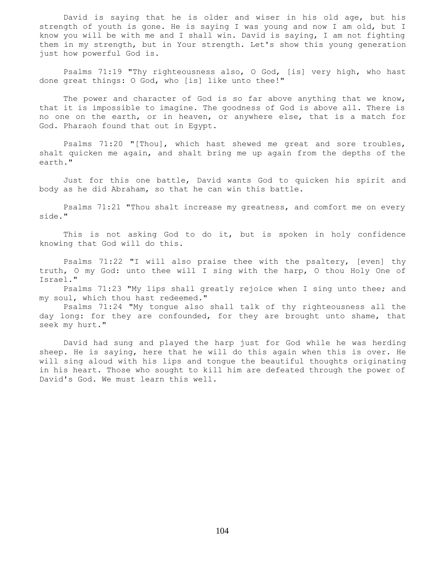David is saying that he is older and wiser in his old age, but his strength of youth is gone. He is saying I was young and now I am old, but I know you will be with me and I shall win. David is saying, I am not fighting them in my strength, but in Your strength. Let's show this young generation just how powerful God is.

 Psalms 71:19 "Thy righteousness also, O God, [is] very high, who hast done great things: O God, who [is] like unto thee!"

The power and character of God is so far above anything that we know, that it is impossible to imagine. The goodness of God is above all. There is no one on the earth, or in heaven, or anywhere else, that is a match for God. Pharaoh found that out in Egypt.

 Psalms 71:20 "[Thou], which hast shewed me great and sore troubles, shalt quicken me again, and shalt bring me up again from the depths of the earth."

 Just for this one battle, David wants God to quicken his spirit and body as he did Abraham, so that he can win this battle.

 Psalms 71:21 "Thou shalt increase my greatness, and comfort me on every side."

 This is not asking God to do it, but is spoken in holy confidence knowing that God will do this.

 Psalms 71:22 "I will also praise thee with the psaltery, [even] thy truth, O my God: unto thee will I sing with the harp, O thou Holy One of Israel."

 Psalms 71:23 "My lips shall greatly rejoice when I sing unto thee; and my soul, which thou hast redeemed."

 Psalms 71:24 "My tongue also shall talk of thy righteousness all the day long: for they are confounded, for they are brought unto shame, that seek my hurt."

 David had sung and played the harp just for God while he was herding sheep. He is saying, here that he will do this again when this is over. He will sing aloud with his lips and tongue the beautiful thoughts originating in his heart. Those who sought to kill him are defeated through the power of David's God. We must learn this well.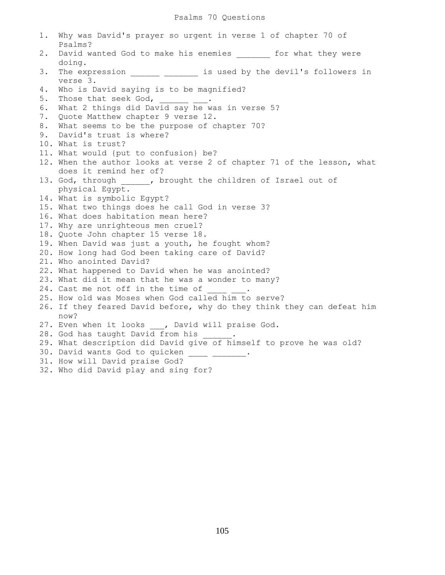1. Why was David's prayer so urgent in verse 1 of chapter 70 of Psalms? 2. David wanted God to make his enemies for what they were doing. 3. The expression \_\_\_\_\_\_\_ \_\_\_\_\_\_\_ is used by the devil's followers in verse 3. 4. Who is David saying is to be magnified? 5. Those that seek God, 6. What 2 things did David say he was in verse 5? 7. Quote Matthew chapter 9 verse 12. 8. What seems to be the purpose of chapter 70? 9. David's trust is where? 10. What is trust? 11. What would {put to confusion} be? 12. When the author looks at verse 2 of chapter 71 of the lesson, what does it remind her of? 13. God, through . brought the children of Israel out of physical Egypt. 14. What is symbolic Egypt? 15. What two things does he call God in verse 3? 16. What does habitation mean here? 17. Why are unrighteous men cruel? 18. Quote John chapter 15 verse 18. 19. When David was just a youth, he fought whom? 20. How long had God been taking care of David? 21. Who anointed David? 22. What happened to David when he was anointed? 23. What did it mean that he was a wonder to many? 24. Cast me not off in the time of 25. How old was Moses when God called him to serve? 26. If they feared David before, why do they think they can defeat him now? 27. Even when it looks . David will praise God. 28. God has taught David from his 29. What description did David give of himself to prove he was old? 30. David wants God to quicken 31. How will David praise God? 32. Who did David play and sing for?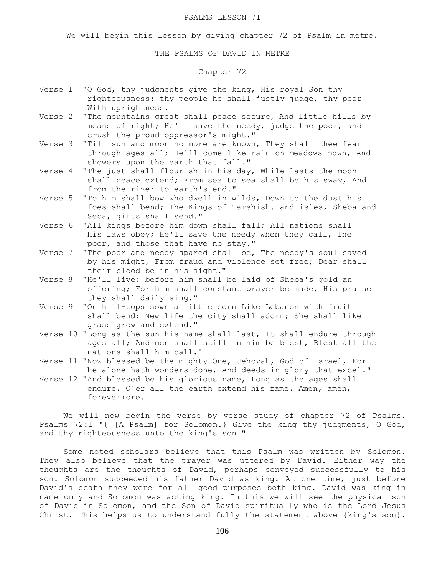### PSALMS LESSON 71

We will begin this lesson by giving chapter 72 of Psalm in metre.

THE PSALMS OF DAVID IN METRE

### Chapter 72

- Verse 1 "O God, thy judgments give the king, His royal Son thy righteousness: thy people he shall justly judge, thy poor With uprightness.
- Verse 2 "The mountains great shall peace secure, And little hills by means of right; He'll save the needy, judge the poor, and crush the proud oppressor's might."
- Verse 3 "Till sun and moon no more are known, They shall thee fear through ages all; He'll come like rain on meadows mown, And showers upon the earth that fall."
- Verse 4 "The just shall flourish in his day, While lasts the moon shall peace extend; From sea to sea shall be his sway, And from the river to earth's end."
- Verse 5 "To him shall bow who dwell in wilds, Down to the dust his foes shall bend; The Kings of Tarshish. and isles, Sheba and Seba, gifts shall send."
- Verse 6 "All kings before him down shall fall; All nations shall his laws obey; He'll save the needy when they call, The poor, and those that have no stay."
- Verse 7 "The poor and needy spared shall be, The needy's soul saved by his might, From fraud and violence set free; Dear shall their blood be in his sight."
- Verse 8 "He'll live; before him shall be laid of Sheba's gold an offering; For him shall constant prayer be made, His praise they shall daily sing."

Verse 9 "On hill-tops sown a little corn Like Lebanon with fruit shall bend; New life the city shall adorn; She shall like grass grow and extend."

- Verse 10 "Long as the sun his name shall last, It shall endure through ages all; And men shall still in him be blest, Blest all the nations shall him call."
- Verse 11 "Now blessed be the mighty One, Jehovah, God of Israel, For he alone hath wonders done, And deeds in glory that excel."
- Verse 12 "And blessed be his glorious name, Long as the ages shall endure. O'er all the earth extend his fame. Amen, amen, forevermore.

 We will now begin the verse by verse study of chapter 72 of Psalms. Psalms 72:1 "{ [A Psalm] for Solomon.} Give the king thy judgments, O God, and thy righteousness unto the king's son."

 Some noted scholars believe that this Psalm was written by Solomon. They also believe that the prayer was uttered by David. Either way the thoughts are the thoughts of David, perhaps conveyed successfully to his son. Solomon succeeded his father David as king. At one time, just before David's death they were for all good purposes both king. David was king in name only and Solomon was acting king. In this we will see the physical son of David in Solomon, and the Son of David spiritually who is the Lord Jesus Christ. This helps us to understand fully the statement above {king's son}.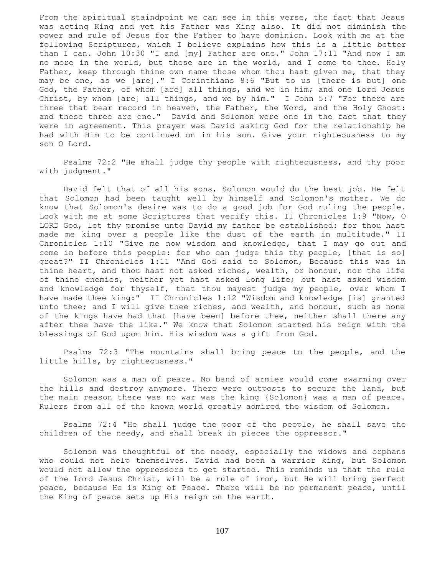From the spiritual staindpoint we can see in this verse, the fact that Jesus was acting King and yet his Father was King also. It did not diminish the power and rule of Jesus for the Father to have dominion. Look with me at the following Scriptures, which I believe explains how this is a little better than I can. John 10:30 "I and [my] Father are one." John 17:11 "And now I am no more in the world, but these are in the world, and I come to thee. Holy Father, keep through thine own name those whom thou hast given me, that they may be one, as we [are]." I Corinthians 8:6 "But to us [there is but] one God, the Father, of whom [are] all things, and we in him; and one Lord Jesus Christ, by whom [are] all things, and we by him." I John 5:7 "For there are three that bear record in heaven, the Father, the Word, and the Holy Ghost: and these three are one." David and Solomon were one in the fact that they were in agreement. This prayer was David asking God for the relationship he had with Him to be continued on in his son. Give your righteousness to my son O Lord.

 Psalms 72:2 "He shall judge thy people with righteousness, and thy poor with judgment."

 David felt that of all his sons, Solomon would do the best job. He felt that Solomon had been taught well by himself and Solomon's mother. We do know that Solomon's desire was to do a good job for God ruling the people. Look with me at some Scriptures that verify this. II Chronicles 1:9 "Now, O LORD God, let thy promise unto David my father be established: for thou hast made me king over a people like the dust of the earth in multitude." II Chronicles 1:10 "Give me now wisdom and knowledge, that I may go out and come in before this people: for who can judge this thy people, [that is so] great?" II Chronicles 1:11 "And God said to Solomon, Because this was in thine heart, and thou hast not asked riches, wealth, or honour, nor the life of thine enemies, neither yet hast asked long life; but hast asked wisdom and knowledge for thyself, that thou mayest judge my people, over whom I have made thee king:" II Chronicles 1:12 "Wisdom and knowledge [is] granted unto thee; and I will give thee riches, and wealth, and honour, such as none of the kings have had that [have been] before thee, neither shall there any after thee have the like." We know that Solomon started his reign with the blessings of God upon him. His wisdom was a gift from God.

 Psalms 72:3 "The mountains shall bring peace to the people, and the little hills, by righteousness."

 Solomon was a man of peace. No band of armies would come swarming over the hills and destroy anymore. There were outposts to secure the land, but the main reason there was no war was the king {Solomon} was a man of peace. Rulers from all of the known world greatly admired the wisdom of Solomon.

 Psalms 72:4 "He shall judge the poor of the people, he shall save the children of the needy, and shall break in pieces the oppressor."

 Solomon was thoughtful of the needy, especially the widows and orphans who could not help themselves. David had been a warrior king, but Solomon would not allow the oppressors to get started. This reminds us that the rule of the Lord Jesus Christ, will be a rule of iron, but He will bring perfect peace, because He is King of Peace. There will be no permanent peace, until the King of peace sets up His reign on the earth.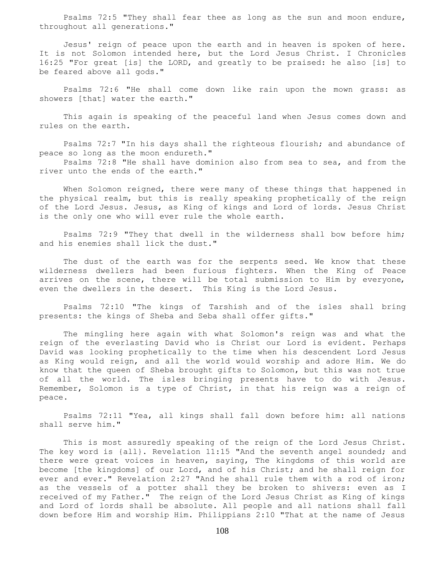Psalms 72:5 "They shall fear thee as long as the sun and moon endure, throughout all generations."

 Jesus' reign of peace upon the earth and in heaven is spoken of here. It is not Solomon intended here, but the Lord Jesus Christ. I Chronicles 16:25 "For great [is] the LORD, and greatly to be praised: he also [is] to be feared above all gods."

 Psalms 72:6 "He shall come down like rain upon the mown grass: as showers [that] water the earth."

 This again is speaking of the peaceful land when Jesus comes down and rules on the earth.

 Psalms 72:7 "In his days shall the righteous flourish; and abundance of peace so long as the moon endureth."

 Psalms 72:8 "He shall have dominion also from sea to sea, and from the river unto the ends of the earth."

When Solomon reigned, there were many of these things that happened in the physical realm, but this is really speaking prophetically of the reign of the Lord Jesus. Jesus, as King of kings and Lord of lords. Jesus Christ is the only one who will ever rule the whole earth.

 Psalms 72:9 "They that dwell in the wilderness shall bow before him; and his enemies shall lick the dust."

 The dust of the earth was for the serpents seed. We know that these wilderness dwellers had been furious fighters. When the King of Peace arrives on the scene, there will be total submission to Him by everyone, even the dwellers in the desert. This King is the Lord Jesus.

 Psalms 72:10 "The kings of Tarshish and of the isles shall bring presents: the kings of Sheba and Seba shall offer gifts."

 The mingling here again with what Solomon's reign was and what the reign of the everlasting David who is Christ our Lord is evident. Perhaps David was looking prophetically to the time when his descendent Lord Jesus as King would reign, and all the world would worship and adore Him. We do know that the queen of Sheba brought gifts to Solomon, but this was not true of all the world. The isles bringing presents have to do with Jesus. Remember, Solomon is a type of Christ, in that his reign was a reign of peace.

 Psalms 72:11 "Yea, all kings shall fall down before him: all nations shall serve him."

 This is most assuredly speaking of the reign of the Lord Jesus Christ. The key word is {all}. Revelation 11:15 "And the seventh angel sounded; and there were great voices in heaven, saying, The kingdoms of this world are become [the kingdoms] of our Lord, and of his Christ; and he shall reign for ever and ever." Revelation 2:27 "And he shall rule them with a rod of iron; as the vessels of a potter shall they be broken to shivers: even as I received of my Father." The reign of the Lord Jesus Christ as King of kings and Lord of lords shall be absolute. All people and all nations shall fall down before Him and worship Him. Philippians 2:10 "That at the name of Jesus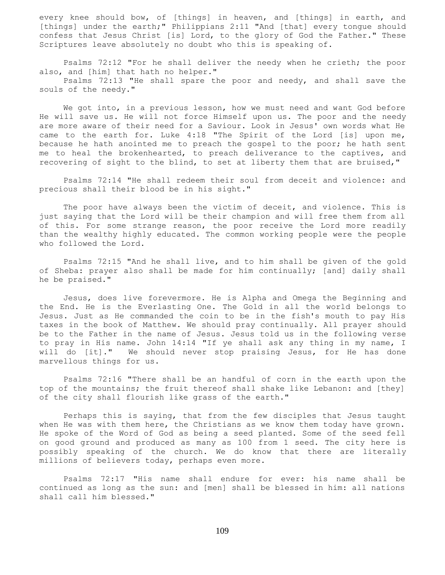every knee should bow, of [things] in heaven, and [things] in earth, and [things] under the earth;" Philippians 2:11 "And [that] every tongue should confess that Jesus Christ [is] Lord, to the glory of God the Father." These Scriptures leave absolutely no doubt who this is speaking of.

 Psalms 72:12 "For he shall deliver the needy when he crieth; the poor also, and [him] that hath no helper."

 Psalms 72:13 "He shall spare the poor and needy, and shall save the souls of the needy."

 We got into, in a previous lesson, how we must need and want God before He will save us. He will not force Himself upon us. The poor and the needy are more aware of their need for a Saviour. Look in Jesus' own words what He came to the earth for. Luke 4:18 "The Spirit of the Lord [is] upon me, because he hath anointed me to preach the gospel to the poor; he hath sent me to heal the brokenhearted, to preach deliverance to the captives, and recovering of sight to the blind, to set at liberty them that are bruised,"

 Psalms 72:14 "He shall redeem their soul from deceit and violence: and precious shall their blood be in his sight."

The poor have always been the victim of deceit, and violence. This is just saying that the Lord will be their champion and will free them from all of this. For some strange reason, the poor receive the Lord more readily than the wealthy highly educated. The common working people were the people who followed the Lord.

 Psalms 72:15 "And he shall live, and to him shall be given of the gold of Sheba: prayer also shall be made for him continually; [and] daily shall he be praised."

 Jesus, does live forevermore. He is Alpha and Omega the Beginning and the End. He is the Everlasting One. The Gold in all the world belongs to Jesus. Just as He commanded the coin to be in the fish's mouth to pay His taxes in the book of Matthew. We should pray continually. All prayer should be to the Father in the name of Jesus. Jesus told us in the following verse to pray in His name. John 14:14 "If ye shall ask any thing in my name, I will do [it]." We should never stop praising Jesus, for He has done marvellous things for us.

 Psalms 72:16 "There shall be an handful of corn in the earth upon the top of the mountains; the fruit thereof shall shake like Lebanon: and [they] of the city shall flourish like grass of the earth."

 Perhaps this is saying, that from the few disciples that Jesus taught when He was with them here, the Christians as we know them today have grown. He spoke of the Word of God as being a seed planted. Some of the seed fell on good ground and produced as many as 100 from 1 seed. The city here is possibly speaking of the church. We do know that there are literally millions of believers today, perhaps even more.

 Psalms 72:17 "His name shall endure for ever: his name shall be continued as long as the sun: and [men] shall be blessed in him: all nations shall call him blessed."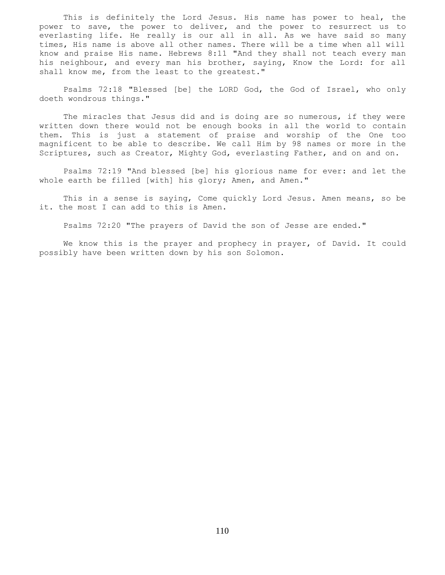This is definitely the Lord Jesus. His name has power to heal, the power to save, the power to deliver, and the power to resurrect us to everlasting life. He really is our all in all. As we have said so many times, His name is above all other names. There will be a time when all will know and praise His name. Hebrews 8:11 "And they shall not teach every man his neighbour, and every man his brother, saying, Know the Lord: for all shall know me, from the least to the greatest."

 Psalms 72:18 "Blessed [be] the LORD God, the God of Israel, who only doeth wondrous things."

 The miracles that Jesus did and is doing are so numerous, if they were written down there would not be enough books in all the world to contain them. This is just a statement of praise and worship of the One too magnificent to be able to describe. We call Him by 98 names or more in the Scriptures, such as Creator, Mighty God, everlasting Father, and on and on.

 Psalms 72:19 "And blessed [be] his glorious name for ever: and let the whole earth be filled [with] his glory; Amen, and Amen."

 This in a sense is saying, Come quickly Lord Jesus. Amen means, so be it. the most I can add to this is Amen.

Psalms 72:20 "The prayers of David the son of Jesse are ended."

 We know this is the prayer and prophecy in prayer, of David. It could possibly have been written down by his son Solomon.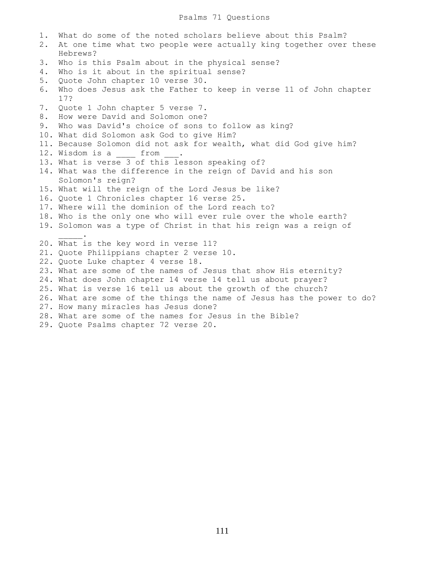1. What do some of the noted scholars believe about this Psalm? 2. At one time what two people were actually king together over these Hebrews? 3. Who is this Psalm about in the physical sense? 4. Who is it about in the spiritual sense? 5. Quote John chapter 10 verse 30. 6. Who does Jesus ask the Father to keep in verse 11 of John chapter 17? 7. Quote 1 John chapter 5 verse 7. 8. How were David and Solomon one? 9. Who was David's choice of sons to follow as king? 10. What did Solomon ask God to give Him? 11. Because Solomon did not ask for wealth, what did God give him? 12. Wisdom is a \_\_\_\_\_ from 13. What is verse 3 of this lesson speaking of? 14. What was the difference in the reign of David and his son Solomon's reign? 15. What will the reign of the Lord Jesus be like? 16. Quote 1 Chronicles chapter 16 verse 25. 17. Where will the dominion of the Lord reach to? 18. Who is the only one who will ever rule over the whole earth? 19. Solomon was a type of Christ in that his reign was a reign of  $\mathcal{L}=\mathcal{L}^{\mathcal{L}}$ 20. What is the key word in verse 11? 21. Quote Philippians chapter 2 verse 10. 22. Quote Luke chapter 4 verse 18. 23. What are some of the names of Jesus that show His eternity? 24. What does John chapter 14 verse 14 tell us about prayer? 25. What is verse 16 tell us about the growth of the church? 26. What are some of the things the name of Jesus has the power to do? 27. How many miracles has Jesus done? 28. What are some of the names for Jesus in the Bible? 29. Quote Psalms chapter 72 verse 20.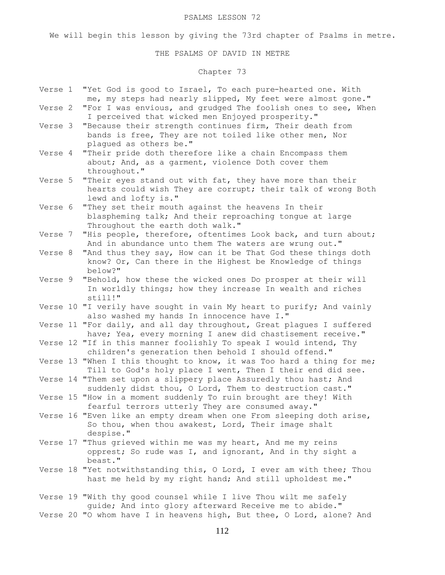#### PSALMS LESSON 72

We will begin this lesson by giving the 73rd chapter of Psalms in metre.

THE PSALMS OF DAVID IN METRE

Chapter 73

- Verse 1 "Yet God is good to Israel, To each pure-hearted one. With me, my steps had nearly slipped, My feet were almost gone."
- Verse 2 "For I was envious, and grudged The foolish ones to see, When I perceived that wicked men Enjoyed prosperity."
- Verse 3 "Because their strength continues firm, Their death from bands is free, They are not toiled like other men, Nor plagued as others be."
- Verse 4 "Their pride doth therefore like a chain Encompass them about; And, as a garment, violence Doth cover them throughout."
- Verse 5 "Their eyes stand out with fat, they have more than their hearts could wish They are corrupt; their talk of wrong Both lewd and lofty is."
- Verse 6 "They set their mouth against the heavens In their blaspheming talk; And their reproaching tongue at large Throughout the earth doth walk."
- Verse 7 "His people, therefore, oftentimes Look back, and turn about; And in abundance unto them The waters are wrung out."
- Verse 8 "And thus they say, How can it be That God these things doth know? Or, Can there in the Highest be Knowledge of things below?"
- Verse 9 "Behold, how these the wicked ones Do prosper at their will In worldly things; how they increase In wealth and riches still!"
- Verse 10 "I verily have sought in vain My heart to purify; And vainly also washed my hands In innocence have I."
- Verse 11 "For daily, and all day throughout, Great plagues I suffered have; Yea, every morning I anew did chastisement receive."
- Verse 12 "If in this manner foolishly To speak I would intend, Thy children's generation then behold I should offend."
- Verse 13 "When I this thought to know, it was Too hard a thing for me; Till to God's holy place I went, Then I their end did see.
- Verse 14 "Them set upon a slippery place Assuredly thou hast; And suddenly didst thou, O Lord, Them to destruction cast."
- Verse 15 "How in a moment suddenly To ruin brought are they! With fearful terrors utterly They are consumed away."
- Verse 16 "Even like an empty dream when one From sleeping doth arise, So thou, when thou awakest, Lord, Their image shalt despise."
- Verse 17 "Thus grieved within me was my heart, And me my reins opprest; So rude was I, and ignorant, And in thy sight a beast."
- Verse 18 "Yet notwithstanding this, O Lord, I ever am with thee; Thou hast me held by my right hand; And still upholdest me."

Verse 19 "With thy good counsel while I live Thou wilt me safely guide; And into glory afterward Receive me to abide."

Verse 20 "O whom have I in heavens high, But thee, O Lord, alone? And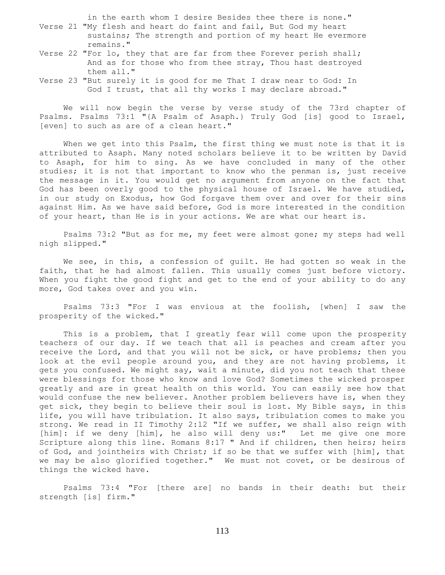in the earth whom I desire Besides thee there is none."

- Verse 21 "My flesh and heart do faint and fail, But God my heart sustains; The strength and portion of my heart He evermore remains."
- Verse 22 "For lo, they that are far from thee Forever perish shall; And as for those who from thee stray, Thou hast destroyed them all."
- Verse 23 "But surely it is good for me That I draw near to God: In God I trust, that all thy works I may declare abroad."

 We will now begin the verse by verse study of the 73rd chapter of Psalms. Psalms 73:1 "{A Psalm of Asaph.} Truly God [is] good to Israel, [even] to such as are of a clean heart."

 When we get into this Psalm, the first thing we must note is that it is attributed to Asaph. Many noted scholars believe it to be written by David to Asaph, for him to sing. As we have concluded in many of the other studies; it is not that important to know who the penman is, just receive the message in it. You would get no argument from anyone on the fact that God has been overly good to the physical house of Israel. We have studied, in our study on Exodus, how God forgave them over and over for their sins against Him. As we have said before, God is more interested in the condition of your heart, than He is in your actions. We are what our heart is.

 Psalms 73:2 "But as for me, my feet were almost gone; my steps had well nigh slipped."

We see, in this, a confession of guilt. He had gotten so weak in the faith, that he had almost fallen. This usually comes just before victory. When you fight the good fight and get to the end of your ability to do any more, God takes over and you win.

 Psalms 73:3 "For I was envious at the foolish, [when] I saw the prosperity of the wicked."

 This is a problem, that I greatly fear will come upon the prosperity teachers of our day. If we teach that all is peaches and cream after you receive the Lord, and that you will not be sick, or have problems; then you look at the evil people around you, and they are not having problems, it gets you confused. We might say, wait a minute, did you not teach that these were blessings for those who know and love God? Sometimes the wicked prosper greatly and are in great health on this world. You can easily see how that would confuse the new believer. Another problem believers have is, when they get sick, they begin to believe their soul is lost. My Bible says, in this life, you will have tribulation. It also says, tribulation comes to make you strong. We read in II Timothy 2:12 "If we suffer, we shall also reign with [him]: if we deny [him], he also will deny us:" Let me give one more Scripture along this line. Romans 8:17 " And if children, then heirs; heirs of God, and jointheirs with Christ; if so be that we suffer with [him], that we may be also glorified together." We must not covet, or be desirous of things the wicked have.

 Psalms 73:4 "For [there are] no bands in their death: but their strength [is] firm."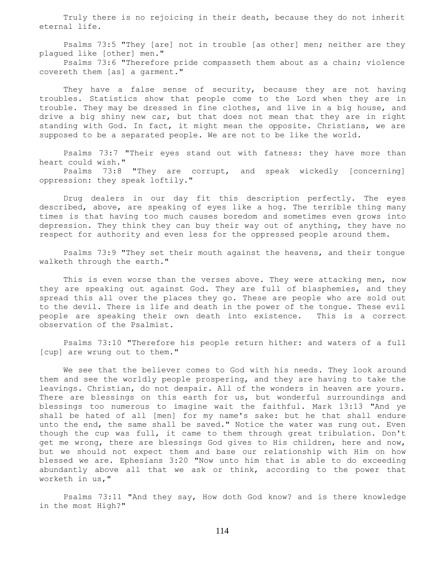Truly there is no rejoicing in their death, because they do not inherit eternal life.

 Psalms 73:5 "They [are] not in trouble [as other] men; neither are they plagued like [other] men."

 Psalms 73:6 "Therefore pride compasseth them about as a chain; violence covereth them [as] a garment."

 They have a false sense of security, because they are not having troubles. Statistics show that people come to the Lord when they are in trouble. They may be dressed in fine clothes, and live in a big house, and drive a big shiny new car, but that does not mean that they are in right standing with God. In fact, it might mean the opposite. Christians, we are supposed to be a separated people. We are not to be like the world.

 Psalms 73:7 "Their eyes stand out with fatness: they have more than heart could wish."

 Psalms 73:8 "They are corrupt, and speak wickedly [concerning] oppression: they speak loftily."

 Drug dealers in our day fit this description perfectly. The eyes described, above, are speaking of eyes like a hog. The terrible thing many times is that having too much causes boredom and sometimes even grows into depression. They think they can buy their way out of anything, they have no respect for authority and even less for the oppressed people around them.

 Psalms 73:9 "They set their mouth against the heavens, and their tongue walketh through the earth."

 This is even worse than the verses above. They were attacking men, now they are speaking out against God. They are full of blasphemies, and they spread this all over the places they go. These are people who are sold out to the devil. There is life and death in the power of the tongue. These evil people are speaking their own death into existence. This is a correct observation of the Psalmist.

 Psalms 73:10 "Therefore his people return hither: and waters of a full [cup] are wrung out to them."

 We see that the believer comes to God with his needs. They look around them and see the worldly people prospering, and they are having to take the leavings. Christian, do not despair. All of the wonders in heaven are yours. There are blessings on this earth for us, but wonderful surroundings and blessings too numerous to imagine wait the faithful. Mark 13:13 "And ye shall be hated of all [men] for my name's sake: but he that shall endure unto the end, the same shall be saved." Notice the water was rung out. Even though the cup was full, it came to them through great tribulation. Don't get me wrong, there are blessings God gives to His children, here and now, but we should not expect them and base our relationship with Him on how blessed we are. Ephesians 3:20 "Now unto him that is able to do exceeding abundantly above all that we ask or think, according to the power that worketh in us,"

 Psalms 73:11 "And they say, How doth God know? and is there knowledge in the most High?"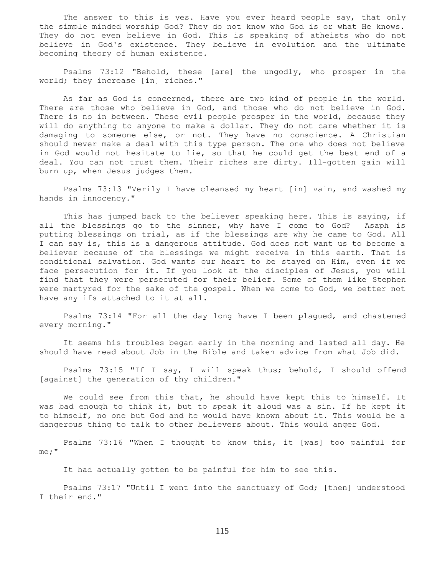The answer to this is yes. Have you ever heard people say, that only the simple minded worship God? They do not know who God is or what He knows. They do not even believe in God. This is speaking of atheists who do not believe in God's existence. They believe in evolution and the ultimate becoming theory of human existence.

 Psalms 73:12 "Behold, these [are] the ungodly, who prosper in the world; they increase [in] riches."

 As far as God is concerned, there are two kind of people in the world. There are those who believe in God, and those who do not believe in God. There is no in between. These evil people prosper in the world, because they will do anything to anyone to make a dollar. They do not care whether it is damaging to someone else, or not. They have no conscience. A Christian should never make a deal with this type person. The one who does not believe in God would not hesitate to lie, so that he could get the best end of a deal. You can not trust them. Their riches are dirty. Ill-gotten gain will burn up, when Jesus judges them.

 Psalms 73:13 "Verily I have cleansed my heart [in] vain, and washed my hands in innocency."

 This has jumped back to the believer speaking here. This is saying, if all the blessings go to the sinner, why have I come to God? Asaph is putting blessings on trial, as if the blessings are why he came to God. All I can say is, this is a dangerous attitude. God does not want us to become a believer because of the blessings we might receive in this earth. That is conditional salvation. God wants our heart to be stayed on Him, even if we face persecution for it. If you look at the disciples of Jesus, you will find that they were persecuted for their belief. Some of them like Stephen were martyred for the sake of the gospel. When we come to God, we better not have any ifs attached to it at all.

 Psalms 73:14 "For all the day long have I been plagued, and chastened every morning."

 It seems his troubles began early in the morning and lasted all day. He should have read about Job in the Bible and taken advice from what Job did.

 Psalms 73:15 "If I say, I will speak thus; behold, I should offend [against] the generation of thy children."

 We could see from this that, he should have kept this to himself. It was bad enough to think it, but to speak it aloud was a sin. If he kept it to himself, no one but God and he would have known about it. This would be a dangerous thing to talk to other believers about. This would anger God.

 Psalms 73:16 "When I thought to know this, it [was] too painful for me;"

It had actually gotten to be painful for him to see this.

 Psalms 73:17 "Until I went into the sanctuary of God; [then] understood I their end."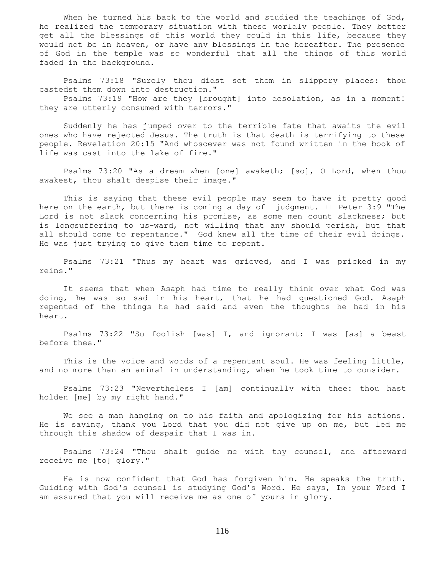When he turned his back to the world and studied the teachings of God, he realized the temporary situation with these worldly people. They better get all the blessings of this world they could in this life, because they would not be in heaven, or have any blessings in the hereafter. The presence of God in the temple was so wonderful that all the things of this world faded in the background.

 Psalms 73:18 "Surely thou didst set them in slippery places: thou castedst them down into destruction."

 Psalms 73:19 "How are they [brought] into desolation, as in a moment! they are utterly consumed with terrors."

 Suddenly he has jumped over to the terrible fate that awaits the evil ones who have rejected Jesus. The truth is that death is terrifying to these people. Revelation 20:15 "And whosoever was not found written in the book of life was cast into the lake of fire."

 Psalms 73:20 "As a dream when [one] awaketh; [so], O Lord, when thou awakest, thou shalt despise their image."

 This is saying that these evil people may seem to have it pretty good here on the earth, but there is coming a day of judgment. II Peter 3:9 "The Lord is not slack concerning his promise, as some men count slackness; but is longsuffering to us-ward, not willing that any should perish, but that all should come to repentance." God knew all the time of their evil doings. He was just trying to give them time to repent.

 Psalms 73:21 "Thus my heart was grieved, and I was pricked in my reins."

 It seems that when Asaph had time to really think over what God was doing, he was so sad in his heart, that he had questioned God. Asaph repented of the things he had said and even the thoughts he had in his heart.

 Psalms 73:22 "So foolish [was] I, and ignorant: I was [as] a beast before thee."

 This is the voice and words of a repentant soul. He was feeling little, and no more than an animal in understanding, when he took time to consider.

 Psalms 73:23 "Nevertheless I [am] continually with thee: thou hast holden [me] by my right hand."

 We see a man hanging on to his faith and apologizing for his actions. He is saying, thank you Lord that you did not give up on me, but led me through this shadow of despair that I was in.

 Psalms 73:24 "Thou shalt guide me with thy counsel, and afterward receive me [to] glory."

 He is now confident that God has forgiven him. He speaks the truth. Guiding with God's counsel is studying God's Word. He says, In your Word I am assured that you will receive me as one of yours in glory.

116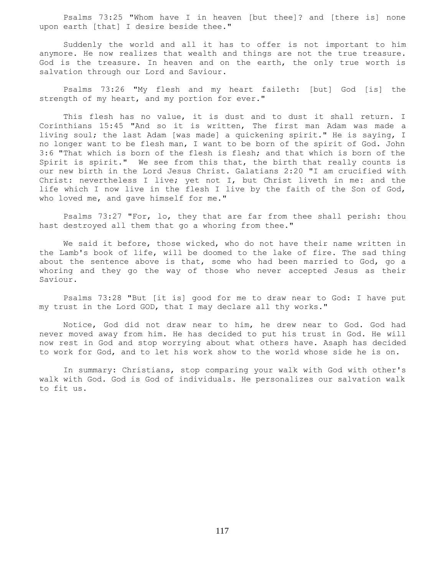Psalms 73:25 "Whom have I in heaven [but thee]? and [there is] none upon earth [that] I desire beside thee."

 Suddenly the world and all it has to offer is not important to him anymore. He now realizes that wealth and things are not the true treasure. God is the treasure. In heaven and on the earth, the only true worth is salvation through our Lord and Saviour.

 Psalms 73:26 "My flesh and my heart faileth: [but] God [is] the strength of my heart, and my portion for ever."

 This flesh has no value, it is dust and to dust it shall return. I Corinthians 15:45 "And so it is written, The first man Adam was made a living soul; the last Adam [was made] a quickening spirit." He is saying, I no longer want to be flesh man, I want to be born of the spirit of God. John 3:6 "That which is born of the flesh is flesh; and that which is born of the Spirit is spirit." We see from this that, the birth that really counts is our new birth in the Lord Jesus Christ. Galatians 2:20 "I am crucified with Christ: nevertheless I live; yet not I, but Christ liveth in me: and the life which I now live in the flesh I live by the faith of the Son of God, who loved me, and gave himself for me."

 Psalms 73:27 "For, lo, they that are far from thee shall perish: thou hast destroyed all them that go a whoring from thee."

 We said it before, those wicked, who do not have their name written in the Lamb's book of life, will be doomed to the lake of fire. The sad thing about the sentence above is that, some who had been married to God, go a whoring and they go the way of those who never accepted Jesus as their Saviour.

 Psalms 73:28 "But [it is] good for me to draw near to God: I have put my trust in the Lord GOD, that I may declare all thy works."

 Notice, God did not draw near to him, he drew near to God. God had never moved away from him. He has decided to put his trust in God. He will now rest in God and stop worrying about what others have. Asaph has decided to work for God, and to let his work show to the world whose side he is on.

 In summary: Christians, stop comparing your walk with God with other's walk with God. God is God of individuals. He personalizes our salvation walk to fit us.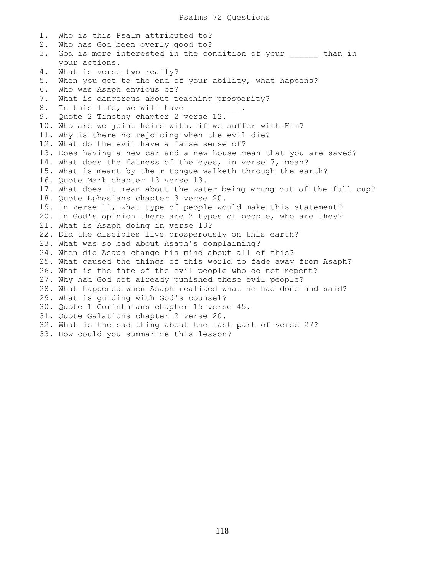1. Who is this Psalm attributed to? 2. Who has God been overly good to? 3. God is more interested in the condition of your \_\_\_\_\_\_ than in your actions. 4. What is verse two really? 5. When you get to the end of your ability, what happens? 6. Who was Asaph envious of? 7. What is dangerous about teaching prosperity? 8. In this life, we will have 9. Quote 2 Timothy chapter 2 verse 12. 10. Who are we joint heirs with, if we suffer with Him? 11. Why is there no rejoicing when the evil die? 12. What do the evil have a false sense of? 13. Does having a new car and a new house mean that you are saved? 14. What does the fatness of the eyes, in verse 7, mean? 15. What is meant by their tongue walketh through the earth? 16. Quote Mark chapter 13 verse 13. 17. What does it mean about the water being wrung out of the full cup? 18. Quote Ephesians chapter 3 verse 20. 19. In verse 11, what type of people would make this statement? 20. In God's opinion there are 2 types of people, who are they? 21. What is Asaph doing in verse 13? 22. Did the disciples live prosperously on this earth? 23. What was so bad about Asaph's complaining? 24. When did Asaph change his mind about all of this? 25. What caused the things of this world to fade away from Asaph? 26. What is the fate of the evil people who do not repent? 27. Why had God not already punished these evil people? 28. What happened when Asaph realized what he had done and said? 29. What is guiding with God's counsel? 30. Quote 1 Corinthians chapter 15 verse 45. 31. Quote Galations chapter 2 verse 20. 32. What is the sad thing about the last part of verse 27? 33. How could you summarize this lesson?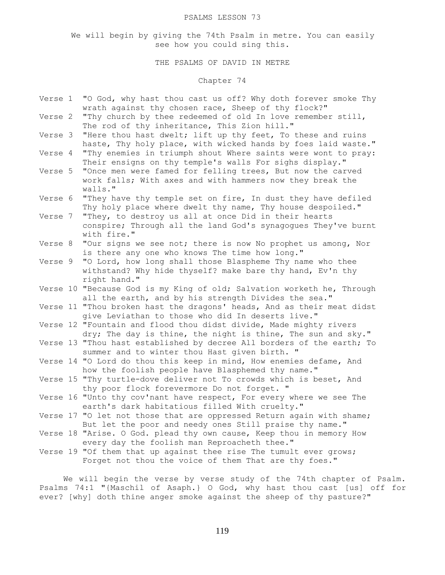### PSALMS LESSON 73

We will begin by giving the 74th Psalm in metre. You can easily see how you could sing this.

THE PSALMS OF DAVID IN METRE

# Chapter 74

- Verse 1 "O God, why hast thou cast us off? Why doth forever smoke Thy wrath against thy chosen race, Sheep of thy flock?"
- Verse 2 "Thy church by thee redeemed of old In love remember still, The rod of thy inheritance, This Zion hill."
- Verse 3 "Here thou hast dwelt; lift up thy feet, To these and ruins haste, Thy holy place, with wicked hands by foes laid waste."
- Verse 4 "Thy enemies in triumph shout Where saints were wont to pray: Their ensigns on thy temple's walls For sighs display."
- Verse 5 "Once men were famed for felling trees, But now the carved work falls; With axes and with hammers now they break the walls."
- Verse 6 "They have thy temple set on fire, In dust they have defiled Thy holy place where dwelt thy name, Thy house despoiled."
- Verse 7 "They, to destroy us all at once Did in their hearts conspire; Through all the land God's synagogues They've burnt with fire."
- Verse 8 "Our signs we see not; there is now No prophet us among, Nor is there any one who knows The time how long."
- Verse 9 "O Lord, how long shall those Blaspheme Thy name who thee withstand? Why hide thyself? make bare thy hand, Ev'n thy right hand."
- Verse 10 "Because God is my King of old; Salvation worketh he, Through all the earth, and by his strength Divides the sea."
- Verse 11 "Thou broken hast the dragons' heads, And as their meat didst give Leviathan to those who did In deserts live."
- Verse 12 "Fountain and flood thou didst divide, Made mighty rivers dry; The day is thine, the night is thine, The sun and sky."
- Verse 13 "Thou hast established by decree All borders of the earth; To summer and to winter thou Hast given birth. "
- Verse 14 "O Lord do thou this keep in mind, How enemies defame, And how the foolish people have Blasphemed thy name."
- Verse 15 "Thy turtle-dove deliver not To crowds which is beset, And thy poor flock forevermore Do not forget. "
- Verse 16 "Unto thy cov'nant have respect, For every where we see The earth's dark habitatious filled With cruelty."
- Verse 17 "O let not those that are oppressed Return again with shame; But let the poor and needy ones Still praise thy name."
- Verse 18 "Arise. O God. plead thy own cause, Keep thou in memory How every day the foolish man Reproacheth thee."
- Verse 19 "Of them that up against thee rise The tumult ever grows; Forget not thou the voice of them That are thy foes."

 We will begin the verse by verse study of the 74th chapter of Psalm. Psalms 74:1 "{Maschil of Asaph.} O God, why hast thou cast [us] off for ever? [why] doth thine anger smoke against the sheep of thy pasture?"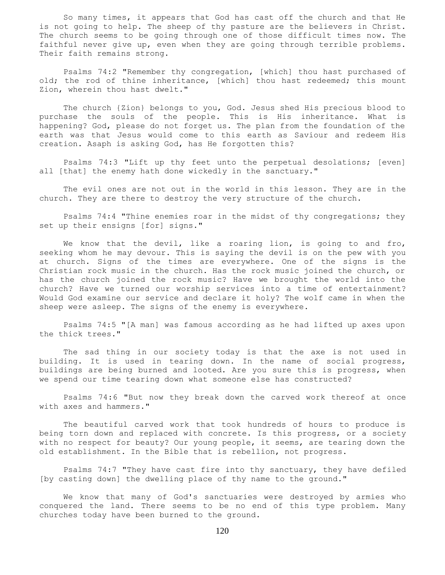So many times, it appears that God has cast off the church and that He is not going to help. The sheep of thy pasture are the believers in Christ. The church seems to be going through one of those difficult times now. The faithful never give up, even when they are going through terrible problems. Their faith remains strong.

 Psalms 74:2 "Remember thy congregation, [which] thou hast purchased of old; the rod of thine inheritance, [which] thou hast redeemed; this mount Zion, wherein thou hast dwelt."

 The church {Zion} belongs to you, God. Jesus shed His precious blood to purchase the souls of the people. This is His inheritance. What is happening? God, please do not forget us. The plan from the foundation of the earth was that Jesus would come to this earth as Saviour and redeem His creation. Asaph is asking God, has He forgotten this?

 Psalms 74:3 "Lift up thy feet unto the perpetual desolations; [even] all [that] the enemy hath done wickedly in the sanctuary."

 The evil ones are not out in the world in this lesson. They are in the church. They are there to destroy the very structure of the church.

 Psalms 74:4 "Thine enemies roar in the midst of thy congregations; they set up their ensigns [for] signs."

 We know that the devil, like a roaring lion, is going to and fro, seeking whom he may devour. This is saying the devil is on the pew with you at church. Signs of the times are everywhere. One of the signs is the Christian rock music in the church. Has the rock music joined the church, or has the church joined the rock music? Have we brought the world into the church? Have we turned our worship services into a time of entertainment? Would God examine our service and declare it holy? The wolf came in when the sheep were asleep. The signs of the enemy is everywhere.

 Psalms 74:5 "[A man] was famous according as he had lifted up axes upon the thick trees."

 The sad thing in our society today is that the axe is not used in building. It is used in tearing down. In the name of social progress, buildings are being burned and looted. Are you sure this is progress, when we spend our time tearing down what someone else has constructed?

 Psalms 74:6 "But now they break down the carved work thereof at once with axes and hammers."

 The beautiful carved work that took hundreds of hours to produce is being torn down and replaced with concrete. Is this progress, or a society with no respect for beauty? Our young people, it seems, are tearing down the old establishment. In the Bible that is rebellion, not progress.

 Psalms 74:7 "They have cast fire into thy sanctuary, they have defiled [by casting down] the dwelling place of thy name to the ground."

 We know that many of God's sanctuaries were destroyed by armies who conquered the land. There seems to be no end of this type problem. Many churches today have been burned to the ground.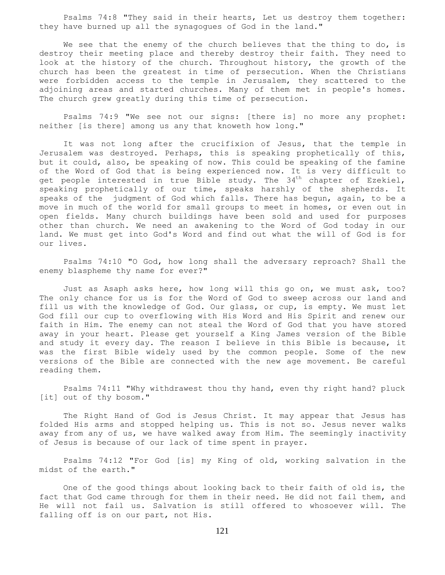Psalms 74:8 "They said in their hearts, Let us destroy them together: they have burned up all the synagogues of God in the land."

We see that the enemy of the church believes that the thing to do, is destroy their meeting place and thereby destroy their faith. They need to look at the history of the church. Throughout history, the growth of the church has been the greatest in time of persecution. When the Christians were forbidden access to the temple in Jerusalem, they scattered to the adjoining areas and started churches. Many of them met in people's homes. The church grew greatly during this time of persecution.

 Psalms 74:9 "We see not our signs: [there is] no more any prophet: neither [is there] among us any that knoweth how long."

 It was not long after the crucifixion of Jesus, that the temple in Jerusalem was destroyed. Perhaps, this is speaking prophetically of this, but it could, also, be speaking of now. This could be speaking of the famine of the Word of God that is being experienced now. It is very difficult to get people interested in true Bible study. The 34<sup>th</sup> chapter of Ezekiel, speaking prophetically of our time, speaks harshly of the shepherds. It speaks of the judgment of God which falls. There has begun, again, to be a move in much of the world for small groups to meet in homes, or even out in open fields. Many church buildings have been sold and used for purposes other than church. We need an awakening to the Word of God today in our land. We must get into God's Word and find out what the will of God is for our lives.

 Psalms 74:10 "O God, how long shall the adversary reproach? Shall the enemy blaspheme thy name for ever?"

 Just as Asaph asks here, how long will this go on, we must ask, too? The only chance for us is for the Word of God to sweep across our land and fill us with the knowledge of God. Our glass, or cup, is empty. We must let God fill our cup to overflowing with His Word and His Spirit and renew our faith in Him. The enemy can not steal the Word of God that you have stored away in your heart. Please get yourself a King James version of the Bible and study it every day. The reason I believe in this Bible is because, it was the first Bible widely used by the common people. Some of the new versions of the Bible are connected with the new age movement. Be careful reading them.

 Psalms 74:11 "Why withdrawest thou thy hand, even thy right hand? pluck [it] out of thy bosom."

 The Right Hand of God is Jesus Christ. It may appear that Jesus has folded His arms and stopped helping us. This is not so. Jesus never walks away from any of us, we have walked away from Him. The seemingly inactivity of Jesus is because of our lack of time spent in prayer.

 Psalms 74:12 "For God [is] my King of old, working salvation in the midst of the earth."

 One of the good things about looking back to their faith of old is, the fact that God came through for them in their need. He did not fail them, and He will not fail us. Salvation is still offered to whosoever will. The falling off is on our part, not His.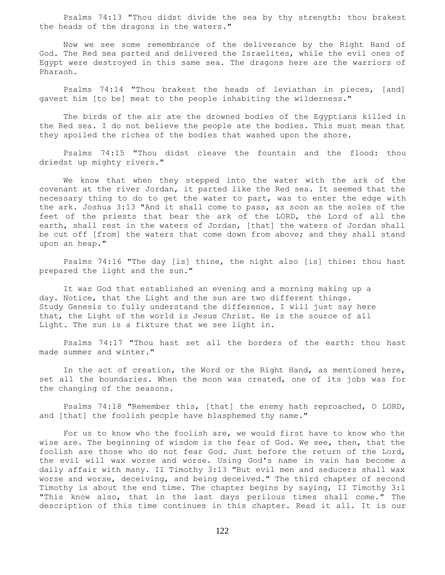Psalms 74:13 "Thou didst divide the sea by thy strength: thou brakest the heads of the dragons in the waters."

 Now we see some remembrance of the deliverance by the Right Hand of God. The Red sea parted and delivered the Israelites, while the evil ones of Egypt were destroyed in this same sea. The dragons here are the warriors of Pharaoh.

 Psalms 74:14 "Thou brakest the heads of leviathan in pieces, [and] gavest him [to be] meat to the people inhabiting the wilderness."

 The birds of the air ate the drowned bodies of the Egyptians killed in the Red sea. I do not believe the people ate the bodies. This must mean that they spoiled the riches of the bodies that washed upon the shore.

 Psalms 74:15 "Thou didst cleave the fountain and the flood: thou driedst up mighty rivers."

 We know that when they stepped into the water with the ark of the covenant at the river Jordan, it parted like the Red sea. It seemed that the necessary thing to do to get the water to part, was to enter the edge with the ark. Joshua 3:13 "And it shall come to pass, as soon as the soles of the feet of the priests that bear the ark of the LORD, the Lord of all the earth, shall rest in the waters of Jordan, [that] the waters of Jordan shall be cut off [from] the waters that come down from above; and they shall stand upon an heap."

 Psalms 74:16 "The day [is] thine, the night also [is] thine: thou hast prepared the light and the sun."

 It was God that established an evening and a morning making up a day. Notice, that the Light and the sun are two different things. Study Genesis to fully understand the difference. I will just say here that, the Light of the world is Jesus Christ. He is the source of all Light. The sun is a fixture that we see light in.

 Psalms 74:17 "Thou hast set all the borders of the earth: thou hast made summer and winter."

 In the act of creation, the Word or the Right Hand, as mentioned here, set all the boundaries. When the moon was created, one of its jobs was for the changing of the seasons.

 Psalms 74:18 "Remember this, [that] the enemy hath reproached, O LORD, and [that] the foolish people have blasphemed thy name."

 For us to know who the foolish are, we would first have to know who the wise are. The beginning of wisdom is the fear of God. We see, then, that the foolish are those who do not fear God. Just before the return of the Lord, the evil will wax worse and worse. Using God's name in vain has become a daily affair with many. II Timothy 3:13 "But evil men and seducers shall wax worse and worse, deceiving, and being deceived." The third chapter of second Timothy is about the end time. The chapter begins by saying, II Timothy 3:1 "This know also, that in the last days perilous times shall come." The description of this time continues in this chapter. Read it all. It is our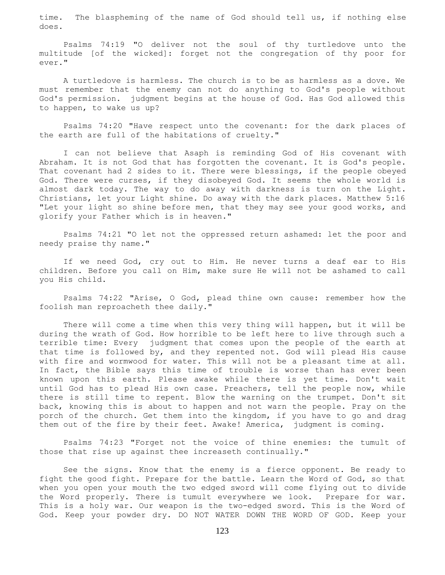time. The blaspheming of the name of God should tell us, if nothing else does.

 Psalms 74:19 "O deliver not the soul of thy turtledove unto the multitude [of the wicked]: forget not the congregation of thy poor for ever."

 A turtledove is harmless. The church is to be as harmless as a dove. We must remember that the enemy can not do anything to God's people without God's permission. judgment begins at the house of God. Has God allowed this to happen, to wake us up?

 Psalms 74:20 "Have respect unto the covenant: for the dark places of the earth are full of the habitations of cruelty."

 I can not believe that Asaph is reminding God of His covenant with Abraham. It is not God that has forgotten the covenant. It is God's people. That covenant had 2 sides to it. There were blessings, if the people obeyed God. There were curses, if they disobeyed God. It seems the whole world is almost dark today. The way to do away with darkness is turn on the Light. Christians, let your Light shine. Do away with the dark places. Matthew 5:16 "Let your light so shine before men, that they may see your good works, and glorify your Father which is in heaven."

 Psalms 74:21 "O let not the oppressed return ashamed: let the poor and needy praise thy name."

 If we need God, cry out to Him. He never turns a deaf ear to His children. Before you call on Him, make sure He will not be ashamed to call you His child.

 Psalms 74:22 "Arise, O God, plead thine own cause: remember how the foolish man reproacheth thee daily."

 There will come a time when this very thing will happen, but it will be during the wrath of God. How horrible to be left here to live through such a terrible time: Every judgment that comes upon the people of the earth at that time is followed by, and they repented not. God will plead His cause with fire and wormwood for water. This will not be a pleasant time at all. In fact, the Bible says this time of trouble is worse than has ever been known upon this earth. Please awake while there is yet time. Don't wait until God has to plead His own case. Preachers, tell the people now, while there is still time to repent. Blow the warning on the trumpet. Don't sit back, knowing this is about to happen and not warn the people. Pray on the porch of the church. Get them into the kingdom, if you have to go and drag them out of the fire by their feet. Awake! America, judgment is coming.

 Psalms 74:23 "Forget not the voice of thine enemies: the tumult of those that rise up against thee increaseth continually."

 See the signs. Know that the enemy is a fierce opponent. Be ready to fight the good fight. Prepare for the battle. Learn the Word of God, so that when you open your mouth the two edged sword will come flying out to divide the Word properly. There is tumult everywhere we look. Prepare for war. This is a holy war. Our weapon is the two-edged sword. This is the Word of God. Keep your powder dry. DO NOT WATER DOWN THE WORD OF GOD. Keep your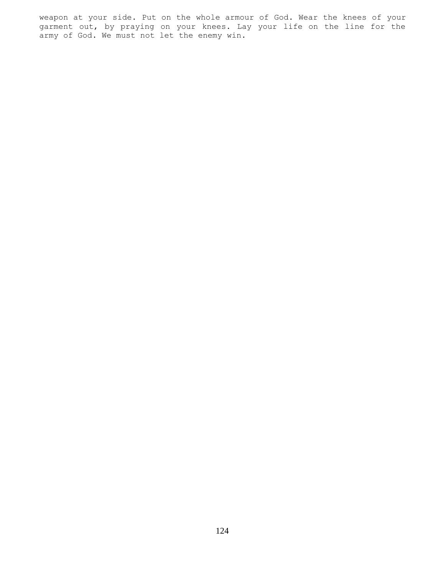weapon at your side. Put on the whole armour of God. Wear the knees of your garment out, by praying on your knees. Lay your life on the line for the army of God. We must not let the enemy win.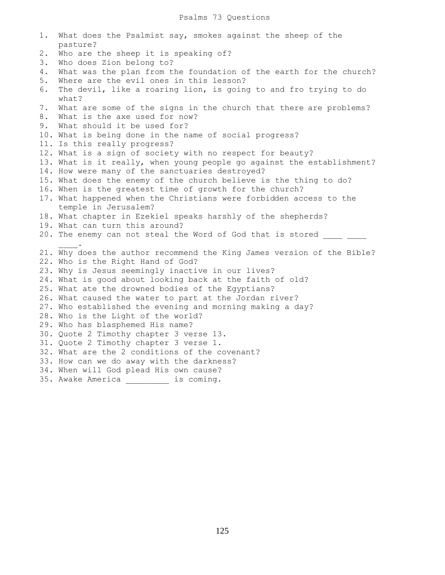1. What does the Psalmist say, smokes against the sheep of the pasture? 2. Who are the sheep it is speaking of? 3. Who does Zion belong to? 4. What was the plan from the foundation of the earth for the church? 5. Where are the evil ones in this lesson? 6. The devil, like a roaring lion, is going to and fro trying to do what? 7. What are some of the signs in the church that there are problems? 8. What is the axe used for now? 9. What should it be used for? 10. What is being done in the name of social progress? 11. Is this really progress? 12. What is a sign of society with no respect for beauty? 13. What is it really, when young people go against the establishment? 14. How were many of the sanctuaries destroyed? 15. What does the enemy of the church believe is the thing to do? 16. When is the greatest time of growth for the church? 17. What happened when the Christians were forbidden access to the temple in Jerusalem? 18. What chapter in Ezekiel speaks harshly of the shepherds? 19. What can turn this around? 20. The enemy can not steal the Word of God that is stored  $\mathcal{L}=\mathcal{L}^{\mathcal{L}}$ 21. Why does the author recommend the King James version of the Bible? 22. Who is the Right Hand of God? 23. Why is Jesus seemingly inactive in our lives? 24. What is good about looking back at the faith of old? 25. What ate the drowned bodies of the Egyptians? 26. What caused the water to part at the Jordan river? 27. Who established the evening and morning making a day? 28. Who is the Light of the world? 29. Who has blasphemed His name? 30. Quote 2 Timothy chapter 3 verse 13. 31. Quote 2 Timothy chapter 3 verse 1. 32. What are the 2 conditions of the covenant? 33. How can we do away with the darkness? 34. When will God plead His own cause?

35. Awake America is coming.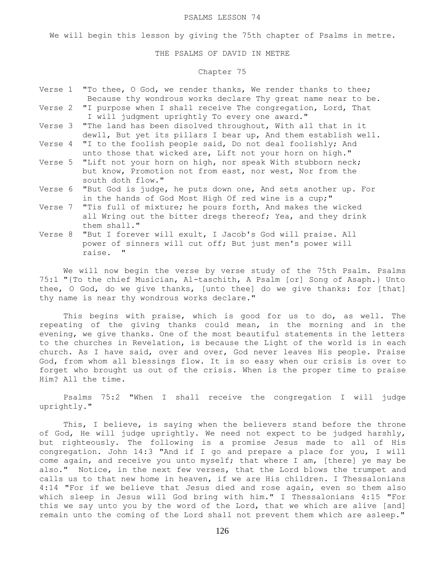#### PSALMS LESSON 74

We will begin this lesson by giving the 75th chapter of Psalms in metre.

### THE PSALMS OF DAVID IN METRE

# Chapter 75

- Verse 1 "To thee, O God, we render thanks, We render thanks to thee; Because thy wondrous works declare Thy great name near to be. Verse 2 "I purpose when I shall receive The congregation, Lord, That
- I will judgment uprightly To every one award."
- Verse 3 "The land has been disolved throughout, With all that in it dewll, But yet its pillars I bear up, And them establish well.
- Verse 4 "I to the foolish people said, Do not deal foolishly; And unto those that wicked are, Lift not your horn on high."
- Verse 5 "Lift not your horn on high, nor speak With stubborn neck; but know, Promotion not from east, nor west, Nor from the south doth flow."
- Verse 6 "But God is judge, he puts down one, And sets another up. For in the hands of God Most High Of red wine is a cup;"
- Verse 7 "Tis full of mixture; he pours forth, And makes the wicked all Wring out the bitter dregs thereof; Yea, and they drink them shall."
- Verse 8 "But I forever will exult, I Jacob's God will praise. All power of sinners will cut off; But just men's power will raise.

 We will now begin the verse by verse study of the 75th Psalm. Psalms 75:1 "{To the chief Musician, Al-taschith, A Psalm [or] Song of Asaph.} Unto thee, O God, do we give thanks, [unto thee] do we give thanks: for [that] thy name is near thy wondrous works declare."

 This begins with praise, which is good for us to do, as well. The repeating of the giving thanks could mean, in the morning and in the evening, we give thanks. One of the most beautiful statements in the letters to the churches in Revelation, is because the Light of the world is in each church. As I have said, over and over, God never leaves His people. Praise God, from whom all blessings flow. It is so easy when our crisis is over to forget who brought us out of the crisis. When is the proper time to praise Him? All the time.

 Psalms 75:2 "When I shall receive the congregation I will judge uprightly."

 This, I believe, is saying when the believers stand before the throne of God, He will judge uprightly. We need not expect to be judged harshly, but righteously. The following is a promise Jesus made to all of His congregation. John 14:3 "And if I go and prepare a place for you, I will come again, and receive you unto myself; that where I am, [there] ye may be also." Notice, in the next few verses, that the Lord blows the trumpet and calls us to that new home in heaven, if we are His children. I Thessalonians 4:14 "For if we believe that Jesus died and rose again, even so them also which sleep in Jesus will God bring with him." I Thessalonians 4:15 "For this we say unto you by the word of the Lord, that we which are alive [and] remain unto the coming of the Lord shall not prevent them which are asleep."

126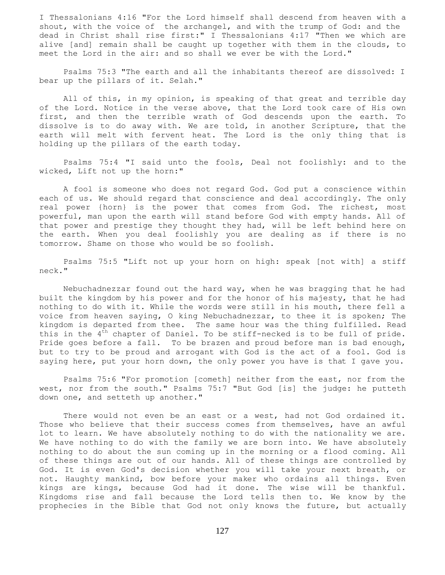I Thessalonians 4:16 "For the Lord himself shall descend from heaven with a shout, with the voice of the archangel, and with the trump of God: and the dead in Christ shall rise first:" I Thessalonians 4:17 "Then we which are alive [and] remain shall be caught up together with them in the clouds, to meet the Lord in the air: and so shall we ever be with the Lord."

 Psalms 75:3 "The earth and all the inhabitants thereof are dissolved: I bear up the pillars of it. Selah."

 All of this, in my opinion, is speaking of that great and terrible day of the Lord. Notice in the verse above, that the Lord took care of His own first, and then the terrible wrath of God descends upon the earth. To dissolve is to do away with. We are told, in another Scripture, that the earth will melt with fervent heat. The Lord is the only thing that is holding up the pillars of the earth today.

 Psalms 75:4 "I said unto the fools, Deal not foolishly: and to the wicked, Lift not up the horn:"

 A fool is someone who does not regard God. God put a conscience within each of us. We should regard that conscience and deal accordingly. The only real power {horn} is the power that comes from God. The richest, most powerful, man upon the earth will stand before God with empty hands. All of that power and prestige they thought they had, will be left behind here on the earth. When you deal foolishly you are dealing as if there is no tomorrow. Shame on those who would be so foolish.

 Psalms 75:5 "Lift not up your horn on high: speak [not with] a stiff neck."

 Nebuchadnezzar found out the hard way, when he was bragging that he had built the kingdom by his power and for the honor of his majesty, that he had nothing to do with it. While the words were still in his mouth, there fell a voice from heaven saying, O king Nebuchadnezzar, to thee it is spoken; The kingdom is departed from thee. The same hour was the thing fulfilled. Read this in the  $4^{th}$  chapter of Daniel. To be stiff-necked is to be full of pride. Pride goes before a fall. To be brazen and proud before man is bad enough, but to try to be proud and arrogant with God is the act of a fool. God is saying here, put your horn down, the only power you have is that I gave you.

 Psalms 75:6 "For promotion [cometh] neither from the east, nor from the west, nor from the south." Psalms 75:7 "But God [is] the judge: he putteth down one, and setteth up another."

 There would not even be an east or a west, had not God ordained it. Those who believe that their success comes from themselves, have an awful lot to learn. We have absolutely nothing to do with the nationality we are. We have nothing to do with the family we are born into. We have absolutely nothing to do about the sun coming up in the morning or a flood coming. All of these things are out of our hands. All of these things are controlled by God. It is even God's decision whether you will take your next breath, or not. Haughty mankind, bow before your maker who ordains all things. Even kings are kings, because God had it done. The wise will be thankful. Kingdoms rise and fall because the Lord tells then to. We know by the prophecies in the Bible that God not only knows the future, but actually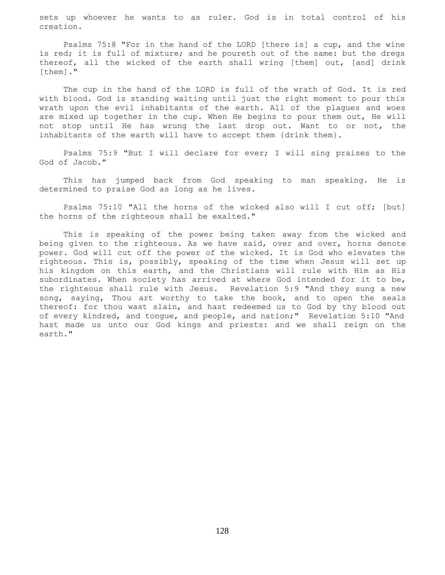sets up whoever he wants to as ruler. God is in total control of his creation.

 Psalms 75:8 "For in the hand of the LORD [there is] a cup, and the wine is red; it is full of mixture; and he poureth out of the same: but the dregs thereof, all the wicked of the earth shall wring [them] out, [and] drink [them]."

 The cup in the hand of the LORD is full of the wrath of God. It is red with blood. God is standing waiting until just the right moment to pour this wrath upon the evil inhabitants of the earth. All of the plagues and woes are mixed up together in the cup. When He begins to pour them out, He will not stop until He has wrung the last drop out. Want to or not, the inhabitants of the earth will have to accept them {drink them}.

 Psalms 75:9 "But I will declare for ever; I will sing praises to the God of Jacob."

 This has jumped back from God speaking to man speaking. He is determined to praise God as long as he lives.

 Psalms 75:10 "All the horns of the wicked also will I cut off; [but] the horns of the righteous shall be exalted."

 This is speaking of the power being taken away from the wicked and being given to the righteous. As we have said, over and over, horns denote power. God will cut off the power of the wicked. It is God who elevates the righteous. This is, possibly, speaking of the time when Jesus will set up his kingdom on this earth, and the Christians will rule with Him as His subordinates. When society has arrived at where God intended for it to be, the righteous shall rule with Jesus. Revelation 5:9 "And they sung a new song, saying, Thou art worthy to take the book, and to open the seals thereof: for thou wast slain, and hast redeemed us to God by thy blood out of every kindred, and tongue, and people, and nation;" Revelation 5:10 "And hast made us unto our God kings and priests: and we shall reign on the earth."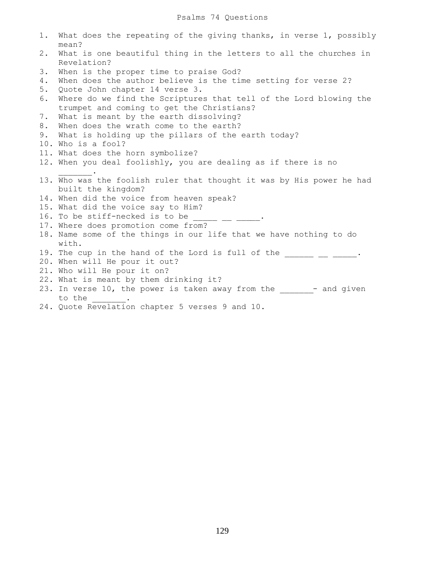| 1. | What does the repeating of the giving thanks, in verse 1, possibly<br>mean?                       |
|----|---------------------------------------------------------------------------------------------------|
|    |                                                                                                   |
| 2. | What is one beautiful thing in the letters to all the churches in                                 |
|    | Revelation?                                                                                       |
| 3. | When is the proper time to praise God?                                                            |
| 4. | When does the author believe is the time setting for verse 2?                                     |
| 5. | Quote John chapter 14 verse 3.                                                                    |
| 6. | Where do we find the Scriptures that tell of the Lord blowing the                                 |
|    | trumpet and coming to get the Christians?                                                         |
| 7. | What is meant by the earth dissolving?                                                            |
| 8. | When does the wrath come to the earth?                                                            |
| 9. | What is holding up the pillars of the earth today?                                                |
|    | 10. Who is a fool?                                                                                |
|    | 11. What does the horn symbolize?                                                                 |
|    | 12. When you deal foolishly, you are dealing as if there is no                                    |
|    | 13. Who was the foolish ruler that thought it was by His power he had                             |
|    | built the kingdom?                                                                                |
|    | 14. When did the voice from heaven speak?                                                         |
|    | 15. What did the voice say to Him?                                                                |
|    | 16. To be stiff-necked is to be                                                                   |
|    | 17. Where does promotion come from?                                                               |
|    |                                                                                                   |
|    |                                                                                                   |
|    | 18. Name some of the things in our life that we have nothing to do<br>with.                       |
|    |                                                                                                   |
|    | 19. The cup in the hand of the Lord is full of the ______ __ ___<br>20. When will He pour it out? |
|    | 21. Who will He pour it on?                                                                       |
|    | 22. What is meant by them drinking it?                                                            |
|    | 23. In verse 10, the power is taken away from the ______ - and given                              |

24. Quote Revelation chapter 5 verses 9 and 10.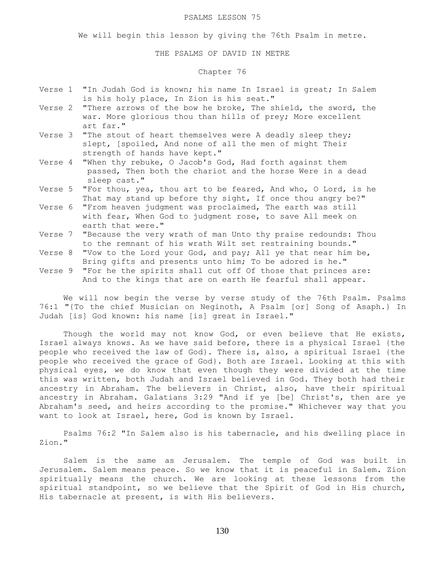### PSALMS LESSON 75

We will begin this lesson by giving the 76th Psalm in metre.

THE PSALMS OF DAVID IN METRE

# Chapter 76

- Verse 1 "In Judah God is known; his name In Israel is great; In Salem is his holy place, In Zion is his seat."
- Verse 2 "There arrows of the bow he broke, The shield, the sword, the war. More glorious thou than hills of prey; More excellent art far."
- Verse 3 "The stout of heart themselves were A deadly sleep they; slept, [spoiled, And none of all the men of might Their strength of hands have kept."
- Verse 4 "When thy rebuke, O Jacob's God, Had forth against them passed, Then both the chariot and the horse Were in a dead sleep cast."
- Verse 5 "For thou, yea, thou art to be feared, And who, O Lord, is he That may stand up before thy sight, If once thou angry be?"
- Verse 6 "From heaven judgment was proclaimed, The earth was still with fear, When God to judgment rose, to save All meek on earth that were."
- Verse 7 "Because the very wrath of man Unto thy praise redounds: Thou to the remnant of his wrath Wilt set restraining bounds."
- Verse 8 "Vow to the Lord your God, and pay; All ye that near him be, Bring gifts and presents unto him; To be adored is he."
- Verse 9 "For he the spirits shall cut off Of those that princes are: And to the kings that are on earth He fearful shall appear.

 We will now begin the verse by verse study of the 76th Psalm. Psalms 76:1 "{To the chief Musician on Neginoth, A Psalm [or] Song of Asaph.} In Judah [is] God known: his name [is] great in Israel."

 Though the world may not know God, or even believe that He exists, Israel always knows. As we have said before, there is a physical Israel {the people who received the law of God}. There is, also, a spiritual Israel {the people who received the grace of God}. Both are Israel. Looking at this with physical eyes, we do know that even though they were divided at the time this was written, both Judah and Israel believed in God. They both had their ancestry in Abraham. The believers in Christ, also, have their spiritual ancestry in Abraham. Galatians 3:29 "And if ye [be] Christ's, then are ye Abraham's seed, and heirs according to the promise." Whichever way that you want to look at Israel, here, God is known by Israel.

 Psalms 76:2 "In Salem also is his tabernacle, and his dwelling place in Zion."

 Salem is the same as Jerusalem. The temple of God was built in Jerusalem. Salem means peace. So we know that it is peaceful in Salem. Zion spiritually means the church. We are looking at these lessons from the spiritual standpoint, so we believe that the Spirit of God in His church, His tabernacle at present, is with His believers.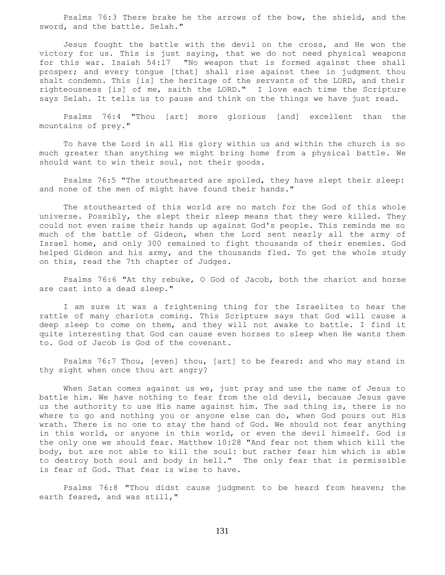Psalms 76:3 There brake he the arrows of the bow, the shield, and the sword, and the battle. Selah."

 Jesus fought the battle with the devil on the cross, and He won the victory for us. This is just saying, that we do not need physical weapons for this war. Isaiah 54:17 "No weapon that is formed against thee shall prosper; and every tongue [that] shall rise against thee in judgment thou shalt condemn. This [is] the heritage of the servants of the LORD, and their righteousness [is] of me, saith the LORD." I love each time the Scripture says Selah. It tells us to pause and think on the things we have just read.

 Psalms 76:4 "Thou [art] more glorious [and] excellent than the mountains of prey."

 To have the Lord in all His glory within us and within the church is so much greater than anything we might bring home from a physical battle. We should want to win their soul, not their goods.

Psalms 76:5 "The stouthearted are spoiled, they have slept their sleep: and none of the men of might have found their hands."

 The stouthearted of this world are no match for the God of this whole universe. Possibly, the slept their sleep means that they were killed. They could not even raise their hands up against God's people. This reminds me so much of the battle of Gideon, when the Lord sent nearly all the army of Israel home, and only 300 remained to fight thousands of their enemies. God helped Gideon and his army, and the thousands fled. To get the whole study on this, read the 7th chapter of Judges.

 Psalms 76:6 "At thy rebuke, O God of Jacob, both the chariot and horse are cast into a dead sleep."

 I am sure it was a frightening thing for the Israelites to hear the rattle of many chariots coming. This Scripture says that God will cause a deep sleep to come on them, and they will not awake to battle. I find it quite interesting that God can cause even horses to sleep when He wants them to. God of Jacob is God of the covenant.

 Psalms 76:7 Thou, [even] thou, [art] to be feared: and who may stand in thy sight when once thou art angry?

When Satan comes against us we, just pray and use the name of Jesus to battle him. We have nothing to fear from the old devil, because Jesus gave us the authority to use His name against him. The sad thing is, there is no where to go and nothing you or anyone else can do, when God pours out His wrath. There is no one to stay the hand of God. We should not fear anything in this world, or anyone in this world, or even the devil himself. God is the only one we should fear. Matthew 10:28 "And fear not them which kill the body, but are not able to kill the soul: but rather fear him which is able to destroy both soul and body in hell." The only fear that is permissible is fear of God. That fear is wise to have.

 Psalms 76:8 "Thou didst cause judgment to be heard from heaven; the earth feared, and was still,"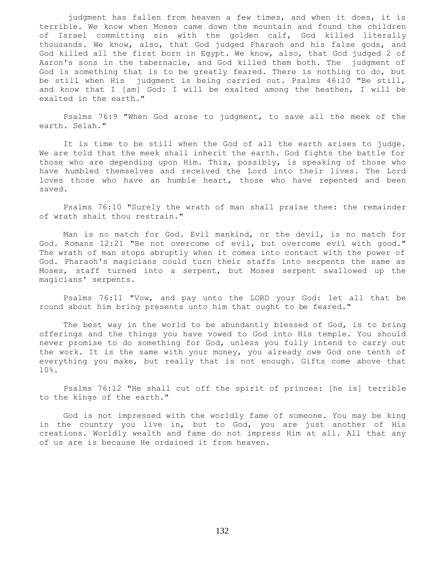judgment has fallen from heaven a few times, and when it does, it is terrible. We know when Moses came down the mountain and found the children of Israel committing sin with the golden calf, God killed literally thousands. We know, also, that God judged Pharaoh and his false gods, and God killed all the first born in Egypt. We know, also, that God judged 2 of Aaron's sons in the tabernacle, and God killed them both. The judgment of God is something that is to be greatly feared. There is nothing to do, but be still when His judgment is being carried out. Psalms 46:10 "Be still, and know that I [am] God: I will be exalted among the heathen, I will be exalted in the earth."

 Psalms 76:9 "When God arose to judgment, to save all the meek of the earth. Selah."

 It is time to be still when the God of all the earth arises to judge. We are told that the meek shall inherit the earth. God fights the battle for those who are depending upon Him. This, possibly, is speaking of those who have humbled themselves and received the Lord into their lives. The Lord loves those who have an humble heart, those who have repented and been saved.

 Psalms 76:10 "Surely the wrath of man shall praise thee: the remainder of wrath shalt thou restrain."

 Man is no match for God. Evil mankind, or the devil, is no match for God. Romans 12:21 "Be not overcome of evil, but overcome evil with good." The wrath of man stops abruptly when it comes into contact with the power of God. Pharaoh's magicians could turn their staffs into serpents the same as Moses, staff turned into a serpent, but Moses serpent swallowed up the magicians' serpents.

 Psalms 76:11 "Vow, and pay unto the LORD your God: let all that be round about him bring presents unto him that ought to be feared."

 The best way in the world to be abundantly blessed of God, is to bring offerings and the things you have vowed to God into His temple. You should never promise to do something for God, unless you fully intend to carry out the work. It is the same with your money, you already owe God one tenth of everything you make, but really that is not enough. Gifts come above that 10%.

 Psalms 76:12 "He shall cut off the spirit of princes: [he is] terrible to the kings of the earth."

 God is not impressed with the worldly fame of someone. You may be king in the country you live in, but to God, you are just another of His creations. Worldly wealth and fame do not impress Him at all. All that any of us are is because He ordained it from heaven.

132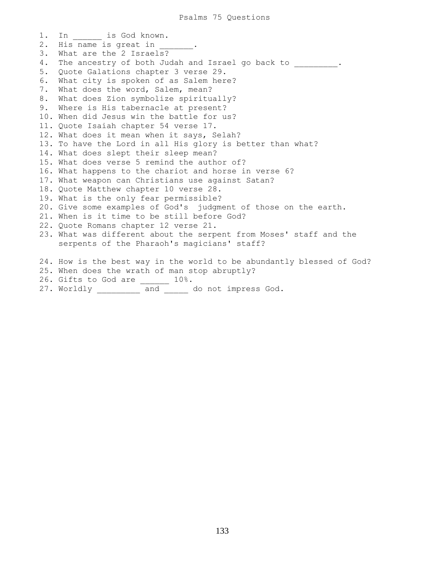1. In  $\qquad \qquad$  is God known. 2. His name is great in 3. What are the 2 Israels? 4. The ancestry of both Judah and Israel go back to  $\qquad \qquad$ 5. Quote Galations chapter 3 verse 29. 6. What city is spoken of as Salem here? 7. What does the word, Salem, mean? 8. What does Zion symbolize spiritually? 9. Where is His tabernacle at present? 10. When did Jesus win the battle for us? 11. Quote Isaiah chapter 54 verse 17. 12. What does it mean when it says, Selah? 13. To have the Lord in all His glory is better than what? 14. What does slept their sleep mean? 15. What does verse 5 remind the author of? 16. What happens to the chariot and horse in verse 6? 17. What weapon can Christians use against Satan? 18. Quote Matthew chapter 10 verse 28. 19. What is the only fear permissible? 20. Give some examples of God's judgment of those on the earth. 21. When is it time to be still before God? 22. Quote Romans chapter 12 verse 21. 23. What was different about the serpent from Moses' staff and the serpents of the Pharaoh's magicians' staff? 24. How is the best way in the world to be abundantly blessed of God? 25. When does the wrath of man stop abruptly? 26. Gifts to God are \_\_\_\_\_\_\_ 10%. 27. Worldly \_\_\_\_\_\_\_\_\_ and \_\_\_\_\_ do not impress God.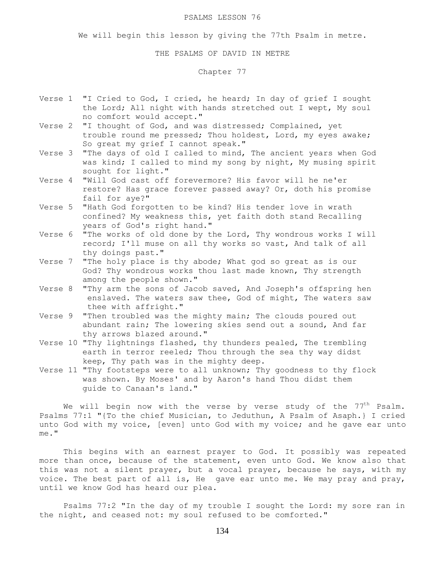#### PSALMS LESSON 76

We will begin this lesson by giving the 77th Psalm in metre.

# THE PSALMS OF DAVID IN METRE

Chapter 77

- Verse 1 "I Cried to God, I cried, he heard; In day of grief I sought the Lord; All night with hands stretched out I wept, My soul no comfort would accept."
- Verse 2 "I thought of God, and was distressed; Complained, yet trouble round me pressed; Thou holdest, Lord, my eyes awake; So great my grief I cannot speak."
- Verse 3 "The days of old I called to mind, The ancient years when God was kind; I called to mind my song by night, My musing spirit sought for light."
- Verse 4 "Will God cast off forevermore? His favor will he ne'er restore? Has grace forever passed away? Or, doth his promise fail for aye?"
- Verse 5 "Hath God forgotten to be kind? His tender love in wrath confined? My weakness this, yet faith doth stand Recalling years of God's right hand."
- Verse 6 "The works of old done by the Lord, Thy wondrous works I will record; I'll muse on all thy works so vast, And talk of all thy doings past."
- Verse 7 "The holy place is thy abode; What god so great as is our God? Thy wondrous works thou last made known, Thy strength among the people shown."
- Verse 8 "Thy arm the sons of Jacob saved, And Joseph's offspring hen enslaved. The waters saw thee, God of might, The waters saw thee with affright."
- Verse 9 "Then troubled was the mighty main; The clouds poured out abundant rain; The lowering skies send out a sound, And far thy arrows blazed around."
- Verse 10 "Thy lightnings flashed, thy thunders pealed, The trembling earth in terror reeled; Thou through the sea thy way didst keep, Thy path was in the mighty deep.
- Verse 11 "Thy footsteps were to all unknown; Thy goodness to thy flock was shown. By Moses' and by Aaron's hand Thou didst them guide to Canaan's land."

We will begin now with the verse by verse study of the  $77<sup>th</sup>$  Psalm. Psalms 77:1 "{To the chief Musician, to Jeduthun, A Psalm of Asaph.} I cried unto God with my voice, [even] unto God with my voice; and he gave ear unto me."

 This begins with an earnest prayer to God. It possibly was repeated more than once, because of the statement, even unto God. We know also that this was not a silent prayer, but a vocal prayer, because he says, with my voice. The best part of all is, He gave ear unto me. We may pray and pray, until we know God has heard our plea.

 Psalms 77:2 "In the day of my trouble I sought the Lord: my sore ran in the night, and ceased not: my soul refused to be comforted."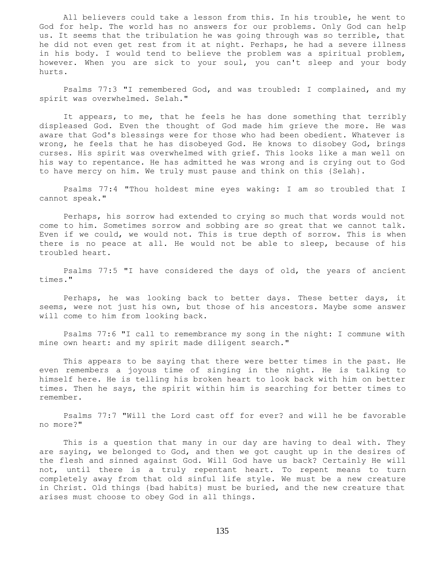All believers could take a lesson from this. In his trouble, he went to God for help. The world has no answers for our problems. Only God can help us. It seems that the tribulation he was going through was so terrible, that he did not even get rest from it at night. Perhaps, he had a severe illness in his body. I would tend to believe the problem was a spiritual problem, however. When you are sick to your soul, you can't sleep and your body hurts.

 Psalms 77:3 "I remembered God, and was troubled: I complained, and my spirit was overwhelmed. Selah."

 It appears, to me, that he feels he has done something that terribly displeased God. Even the thought of God made him grieve the more. He was aware that God's blessings were for those who had been obedient. Whatever is wrong, he feels that he has disobeyed God. He knows to disobey God, brings curses. His spirit was overwhelmed with grief. This looks like a man well on his way to repentance. He has admitted he was wrong and is crying out to God to have mercy on him. We truly must pause and think on this {Selah}.

 Psalms 77:4 "Thou holdest mine eyes waking: I am so troubled that I cannot speak."

 Perhaps, his sorrow had extended to crying so much that words would not come to him. Sometimes sorrow and sobbing are so great that we cannot talk. Even if we could, we would not. This is true depth of sorrow. This is when there is no peace at all. He would not be able to sleep, because of his troubled heart.

 Psalms 77:5 "I have considered the days of old, the years of ancient times."

 Perhaps, he was looking back to better days. These better days, it seems, were not just his own, but those of his ancestors. Maybe some answer will come to him from looking back.

 Psalms 77:6 "I call to remembrance my song in the night: I commune with mine own heart: and my spirit made diligent search."

 This appears to be saying that there were better times in the past. He even remembers a joyous time of singing in the night. He is talking to himself here. He is telling his broken heart to look back with him on better times. Then he says, the spirit within him is searching for better times to remember.

 Psalms 77:7 "Will the Lord cast off for ever? and will he be favorable no more?"

 This is a question that many in our day are having to deal with. They are saying, we belonged to God, and then we got caught up in the desires of the flesh and sinned against God. Will God have us back? Certainly He will not, until there is a truly repentant heart. To repent means to turn completely away from that old sinful life style. We must be a new creature in Christ. Old things {bad habits} must be buried, and the new creature that arises must choose to obey God in all things.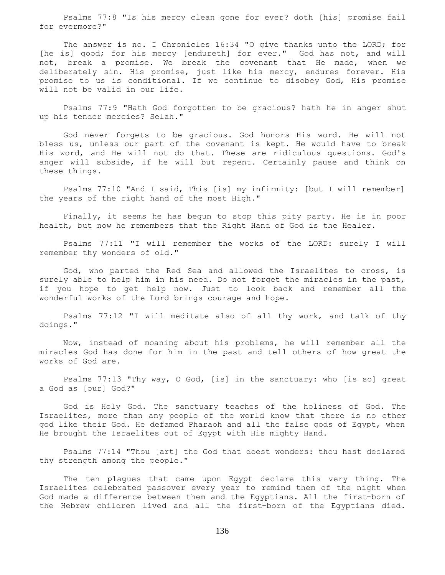Psalms 77:8 "Is his mercy clean gone for ever? doth [his] promise fail for evermore?"

 The answer is no. I Chronicles 16:34 "O give thanks unto the LORD; for [he is] good; for his mercy [endureth] for ever." God has not, and will not, break a promise. We break the covenant that He made, when we deliberately sin. His promise, just like his mercy, endures forever. His promise to us is conditional. If we continue to disobey God, His promise will not be valid in our life.

 Psalms 77:9 "Hath God forgotten to be gracious? hath he in anger shut up his tender mercies? Selah."

 God never forgets to be gracious. God honors His word. He will not bless us, unless our part of the covenant is kept. He would have to break His word, and He will not do that. These are ridiculous questions. God's anger will subside, if he will but repent. Certainly pause and think on these things.

 Psalms 77:10 "And I said, This [is] my infirmity: [but I will remember] the years of the right hand of the most High."

 Finally, it seems he has begun to stop this pity party. He is in poor health, but now he remembers that the Right Hand of God is the Healer.

 Psalms 77:11 "I will remember the works of the LORD: surely I will remember thy wonders of old."

 God, who parted the Red Sea and allowed the Israelites to cross, is surely able to help him in his need. Do not forget the miracles in the past, if you hope to get help now. Just to look back and remember all the wonderful works of the Lord brings courage and hope.

 Psalms 77:12 "I will meditate also of all thy work, and talk of thy doings."

 Now, instead of moaning about his problems, he will remember all the miracles God has done for him in the past and tell others of how great the works of God are.

 Psalms 77:13 "Thy way, O God, [is] in the sanctuary: who [is so] great a God as [our] God?"

 God is Holy God. The sanctuary teaches of the holiness of God. The Israelites, more than any people of the world know that there is no other god like their God. He defamed Pharaoh and all the false gods of Egypt, when He brought the Israelites out of Egypt with His mighty Hand.

 Psalms 77:14 "Thou [art] the God that doest wonders: thou hast declared thy strength among the people."

 The ten plagues that came upon Egypt declare this very thing. The Israelites celebrated passover every year to remind them of the night when God made a difference between them and the Egyptians. All the first-born of the Hebrew children lived and all the first-born of the Egyptians died.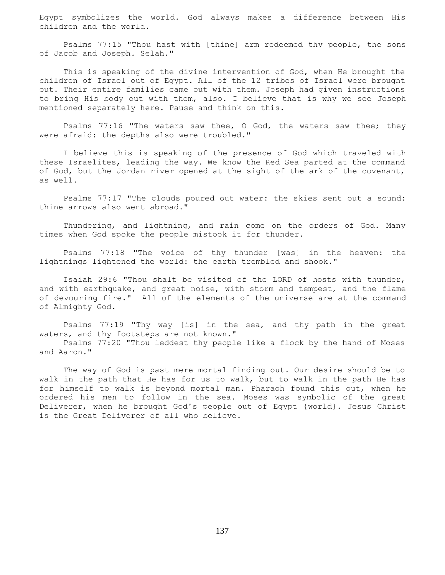Egypt symbolizes the world. God always makes a difference between His children and the world.

 Psalms 77:15 "Thou hast with [thine] arm redeemed thy people, the sons of Jacob and Joseph. Selah."

 This is speaking of the divine intervention of God, when He brought the children of Israel out of Egypt. All of the 12 tribes of Israel were brought out. Their entire families came out with them. Joseph had given instructions to bring His body out with them, also. I believe that is why we see Joseph mentioned separately here. Pause and think on this.

 Psalms 77:16 "The waters saw thee, O God, the waters saw thee; they were afraid: the depths also were troubled."

 I believe this is speaking of the presence of God which traveled with these Israelites, leading the way. We know the Red Sea parted at the command of God, but the Jordan river opened at the sight of the ark of the covenant, as well.

 Psalms 77:17 "The clouds poured out water: the skies sent out a sound: thine arrows also went abroad."

 Thundering, and lightning, and rain come on the orders of God. Many times when God spoke the people mistook it for thunder.

 Psalms 77:18 "The voice of thy thunder [was] in the heaven: the lightnings lightened the world: the earth trembled and shook."

 Isaiah 29:6 "Thou shalt be visited of the LORD of hosts with thunder, and with earthquake, and great noise, with storm and tempest, and the flame of devouring fire." All of the elements of the universe are at the command of Almighty God.

 Psalms 77:19 "Thy way [is] in the sea, and thy path in the great waters, and thy footsteps are not known." Psalms 77:20 "Thou leddest thy people like a flock by the hand of Moses

and Aaron."

 The way of God is past mere mortal finding out. Our desire should be to walk in the path that He has for us to walk, but to walk in the path He has for himself to walk is beyond mortal man. Pharaoh found this out, when he ordered his men to follow in the sea. Moses was symbolic of the great Deliverer, when he brought God's people out of Egypt {world}. Jesus Christ is the Great Deliverer of all who believe.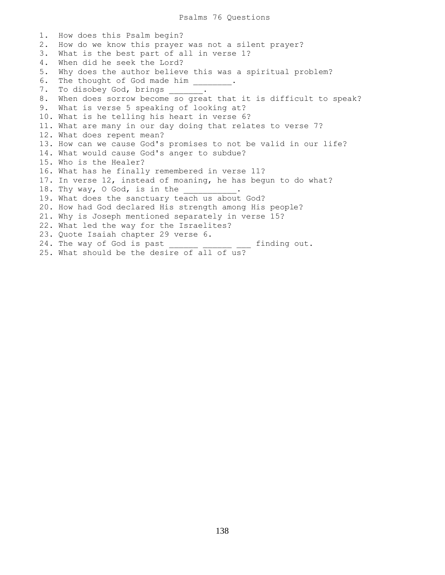Psalms 76 Questions

1. How does this Psalm begin? 2. How do we know this prayer was not a silent prayer? 3. What is the best part of all in verse 1? 4. When did he seek the Lord? 5. Why does the author believe this was a spiritual problem? 6. The thought of God made him \_\_\_\_\_\_\_. 7. To disobey God, brings \_\_\_\_\_\_. 8. When does sorrow become so great that it is difficult to speak? 9. What is verse 5 speaking of looking at? 10. What is he telling his heart in verse 6? 11. What are many in our day doing that relates to verse 7? 12. What does repent mean? 13. How can we cause God's promises to not be valid in our life? 14. What would cause God's anger to subdue? 15. Who is the Healer? 16. What has he finally remembered in verse 11? 17. In verse 12, instead of moaning, he has begun to do what? 18. Thy way, O God, is in the 19. What does the sanctuary teach us about God? 20. How had God declared His strength among His people? 21. Why is Joseph mentioned separately in verse 15? 22. What led the way for the Israelites? 23. Quote Isaiah chapter 29 verse 6. 24. The way of God is past \_\_\_\_\_\_\_ \_\_\_\_\_ \_\_\_ finding out. 25. What should be the desire of all of us?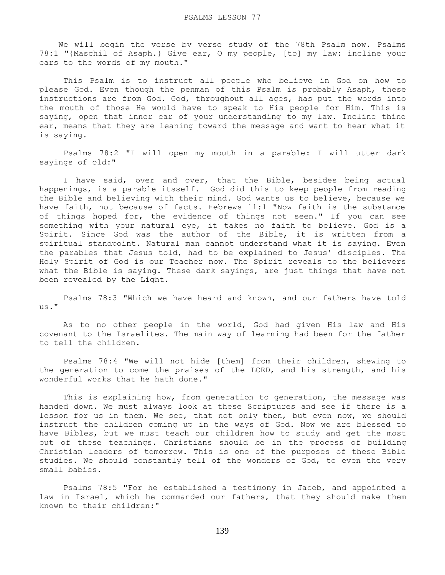We will begin the verse by verse study of the 78th Psalm now. Psalms 78:1 "{Maschil of Asaph.} Give ear, O my people, [to] my law: incline your ears to the words of my mouth."

 This Psalm is to instruct all people who believe in God on how to please God. Even though the penman of this Psalm is probably Asaph, these instructions are from God. God, throughout all ages, has put the words into the mouth of those He would have to speak to His people for Him. This is saying, open that inner ear of your understanding to my law. Incline thine ear, means that they are leaning toward the message and want to hear what it is saying.

 Psalms 78:2 "I will open my mouth in a parable: I will utter dark sayings of old:"

 I have said, over and over, that the Bible, besides being actual happenings, is a parable itsself. God did this to keep people from reading the Bible and believing with their mind. God wants us to believe, because we have faith, not because of facts. Hebrews 11:1 "Now faith is the substance of things hoped for, the evidence of things not seen." If you can see something with your natural eye, it takes no faith to believe. God is a Spirit. Since God was the author of the Bible, it is written from a spiritual standpoint. Natural man cannot understand what it is saying. Even the parables that Jesus told, had to be explained to Jesus' disciples. The Holy Spirit of God is our Teacher now. The Spirit reveals to the believers what the Bible is saying. These dark sayings, are just things that have not been revealed by the Light.

 Psalms 78:3 "Which we have heard and known, and our fathers have told us."

 As to no other people in the world, God had given His law and His covenant to the Israelites. The main way of learning had been for the father to tell the children.

 Psalms 78:4 "We will not hide [them] from their children, shewing to the generation to come the praises of the LORD, and his strength, and his wonderful works that he hath done."

 This is explaining how, from generation to generation, the message was handed down. We must always look at these Scriptures and see if there is a lesson for us in them. We see, that not only then, but even now, we should instruct the children coming up in the ways of God. Now we are blessed to have Bibles, but we must teach our children how to study and get the most out of these teachings. Christians should be in the process of building Christian leaders of tomorrow. This is one of the purposes of these Bible studies. We should constantly tell of the wonders of God, to even the very small babies.

 Psalms 78:5 "For he established a testimony in Jacob, and appointed a law in Israel, which he commanded our fathers, that they should make them known to their children:"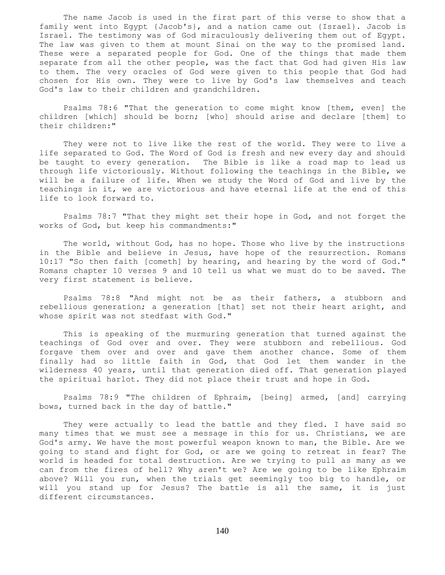The name Jacob is used in the first part of this verse to show that a family went into Egypt {Jacob's}, and a nation came out {Israel}. Jacob is Israel. The testimony was of God miraculously delivering them out of Egypt. The law was given to them at mount Sinai on the way to the promised land. These were a separated people for God. One of the things that made them separate from all the other people, was the fact that God had given His law to them. The very oracles of God were given to this people that God had chosen for His own. They were to live by God's law themselves and teach God's law to their children and grandchildren.

 Psalms 78:6 "That the generation to come might know [them, even] the children [which] should be born; [who] should arise and declare [them] to their children:"

 They were not to live like the rest of the world. They were to live a life separated to God. The Word of God is fresh and new every day and should be taught to every generation. The Bible is like a road map to lead us through life victoriously. Without following the teachings in the Bible, we will be a failure of life. When we study the Word of God and live by the teachings in it, we are victorious and have eternal life at the end of this life to look forward to.

 Psalms 78:7 "That they might set their hope in God, and not forget the works of God, but keep his commandments:"

 The world, without God, has no hope. Those who live by the instructions in the Bible and believe in Jesus, have hope of the resurrection. Romans 10:17 "So then faith [cometh] by hearing, and hearing by the word of God." Romans chapter 10 verses 9 and 10 tell us what we must do to be saved. The very first statement is believe.

 Psalms 78:8 "And might not be as their fathers, a stubborn and rebellious generation; a generation [that] set not their heart aright, and whose spirit was not stedfast with God."

 This is speaking of the murmuring generation that turned against the teachings of God over and over. They were stubborn and rebellious. God forgave them over and over and gave them another chance. Some of them finally had so little faith in God, that God let them wander in the wilderness 40 years, until that generation died off. That generation played the spiritual harlot. They did not place their trust and hope in God.

 Psalms 78:9 "The children of Ephraim, [being] armed, [and] carrying bows, turned back in the day of battle."

 They were actually to lead the battle and they fled. I have said so many times that we must see a message in this for us. Christians, we are God's army. We have the most powerful weapon known to man, the Bible. Are we going to stand and fight for God, or are we going to retreat in fear? The world is headed for total destruction. Are we trying to pull as many as we can from the fires of hell? Why aren't we? Are we going to be like Ephraim above? Will you run, when the trials get seemingly too big to handle, or will you stand up for Jesus? The battle is all the same, it is just different circumstances.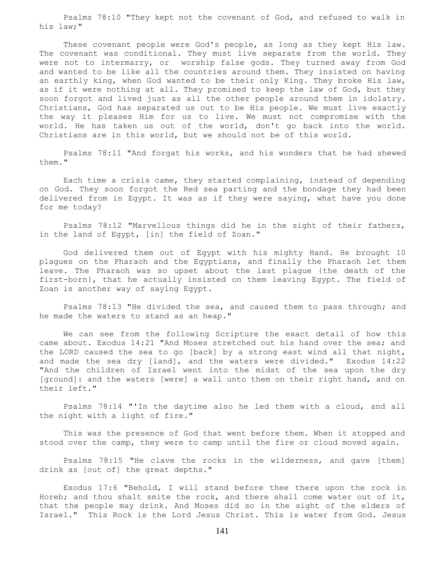Psalms 78:10 "They kept not the covenant of God, and refused to walk in his law;"

 These covenant people were God's people, as long as they kept His law. The covenant was conditional. They must live separate from the world. They were not to intermarry, or worship false gods. They turned away from God and wanted to be like all the countries around them. They insisted on having an earthly king, when God wanted to be their only King. They broke His law, as if it were nothing at all. They promised to keep the law of God, but they soon forgot and lived just as all the other people around them in idolatry. Christians, God has separated us out to be His people. We must live exactly the way it pleases Him for us to live. We must not compromise with the world. He has taken us out of the world, don't go back into the world. Christians are in this world, but we should not be of this world.

 Psalms 78:11 "And forgat his works, and his wonders that he had shewed them."

 Each time a crisis came, they started complaining, instead of depending on God. They soon forgot the Red sea parting and the bondage they had been delivered from in Egypt. It was as if they were saying, what have you done for me today?

 Psalms 78:12 "Marvellous things did he in the sight of their fathers, in the land of Egypt, [in] the field of Zoan."

 God delivered them out of Egypt with his mighty Hand. He brought 10 plagues on the Pharaoh and the Egyptians, and finally the Pharaoh let them leave. The Pharaoh was so upset about the last plague {the death of the first-born}, that he actually insisted on them leaving Egypt. The field of Zoan is another way of saying Egypt.

 Psalms 78:13 "He divided the sea, and caused them to pass through; and he made the waters to stand as an heap."

 We can see from the following Scripture the exact detail of how this came about. Exodus 14:21 "And Moses stretched out his hand over the sea; and the LORD caused the sea to go [back] by a strong east wind all that night, and made the sea dry [land], and the waters were divided." Exodus 14:22 "And the children of Israel went into the midst of the sea upon the dry [ground]: and the waters [were] a wall unto them on their right hand, and on their left."

 Psalms 78:14 "'In the daytime also he led them with a cloud, and all the night with a light of fire."

 This was the presence of God that went before them. When it stopped and stood over the camp, they were to camp until the fire or cloud moved again.

 Psalms 78:15 "He clave the rocks in the wilderness, and gave [them] drink as [out of] the great depths."

 Exodus 17:6 "Behold, I will stand before thee there upon the rock in Horeb; and thou shalt smite the rock, and there shall come water out of it, that the people may drink. And Moses did so in the sight of the elders of Israel." This Rock is the Lord Jesus Christ. This is water from God. Jesus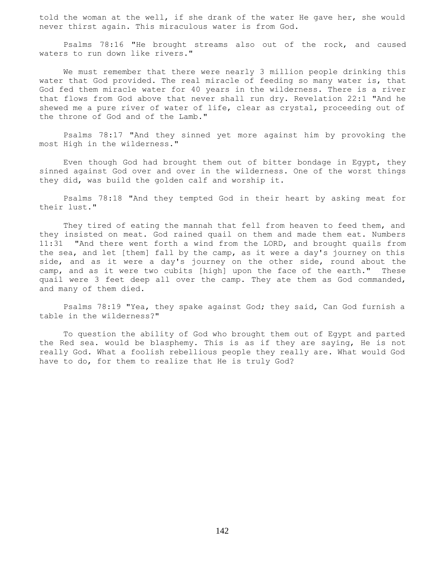told the woman at the well, if she drank of the water He gave her, she would never thirst again. This miraculous water is from God.

 Psalms 78:16 "He brought streams also out of the rock, and caused waters to run down like rivers."

 We must remember that there were nearly 3 million people drinking this water that God provided. The real miracle of feeding so many water is, that God fed them miracle water for 40 years in the wilderness. There is a river that flows from God above that never shall run dry. Revelation 22:1 "And he shewed me a pure river of water of life, clear as crystal, proceeding out of the throne of God and of the Lamb."

 Psalms 78:17 "And they sinned yet more against him by provoking the most High in the wilderness."

 Even though God had brought them out of bitter bondage in Egypt, they sinned against God over and over in the wilderness. One of the worst things they did, was build the golden calf and worship it.

 Psalms 78:18 "And they tempted God in their heart by asking meat for their lust."

 They tired of eating the mannah that fell from heaven to feed them, and they insisted on meat. God rained quail on them and made them eat. Numbers 11:31 "And there went forth a wind from the LORD, and brought quails from the sea, and let [them] fall by the camp, as it were a day's journey on this side, and as it were a day's journey on the other side, round about the camp, and as it were two cubits [high] upon the face of the earth." These quail were 3 feet deep all over the camp. They ate them as God commanded, and many of them died.

 Psalms 78:19 "Yea, they spake against God; they said, Can God furnish a table in the wilderness?"

 To question the ability of God who brought them out of Egypt and parted the Red sea. would be blasphemy. This is as if they are saying, He is not really God. What a foolish rebellious people they really are. What would God have to do, for them to realize that He is truly God?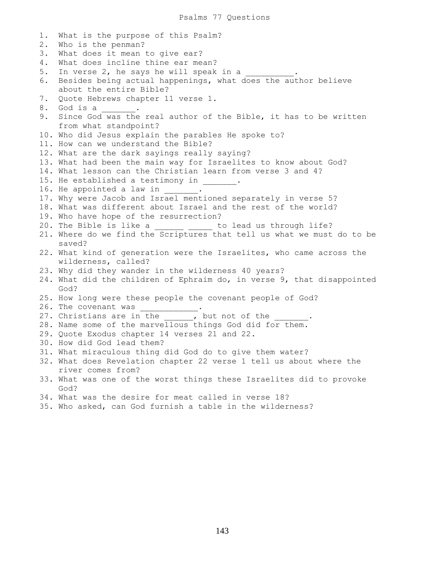Psalms 77 Questions

1. What is the purpose of this Psalm? 2. Who is the penman? 3. What does it mean to give ear? 4. What does incline thine ear mean? 5. In verse 2, he says he will speak in a 6. Besides being actual happenings, what does the author believe about the entire Bible? 7. Quote Hebrews chapter 11 verse 1. 8. God is a 9. Since God was the real author of the Bible, it has to be written from what standpoint? 10. Who did Jesus explain the parables He spoke to? 11. How can we understand the Bible? 12. What are the dark sayings really saying? 13. What had been the main way for Israelites to know about God? 14. What lesson can the Christian learn from verse 3 and 4? 15. He established a testimony in \_\_\_\_\_\_. 16. He appointed a law in \_\_\_\_\_\_. 17. Why were Jacob and Israel mentioned separately in verse 5? 18. What was different about Israel and the rest of the world? 19. Who have hope of the resurrection? 20. The Bible is like a \_\_\_\_\_\_ \_\_\_\_\_ to lead us through life? 21. Where do we find the Scriptures that tell us what we must do to be saved? 22. What kind of generation were the Israelites, who came across the wilderness, called? 23. Why did they wander in the wilderness 40 years? 24. What did the children of Ephraim do, in verse 9, that disappointed God? 25. How long were these people the covenant people of God? 26. The covenant was 27. Christians are in the  $\overline{ }$ , but not of the 28. Name some of the marvellous things God did for them. 29. Quote Exodus chapter 14 verses 21 and 22. 30. How did God lead them? 31. What miraculous thing did God do to give them water? 32. What does Revelation chapter 22 verse 1 tell us about where the river comes from? 33. What was one of the worst things these Israelites did to provoke God? 34. What was the desire for meat called in verse 18? 35. Who asked, can God furnish a table in the wilderness?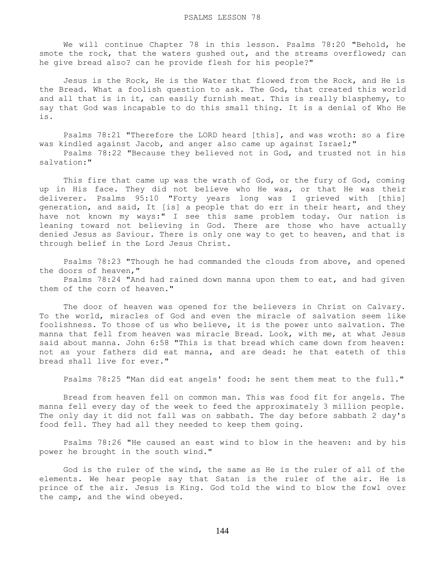We will continue Chapter 78 in this lesson. Psalms 78:20 "Behold, he smote the rock, that the waters qushed out, and the streams overflowed; can he give bread also? can he provide flesh for his people?"

 Jesus is the Rock, He is the Water that flowed from the Rock, and He is the Bread. What a foolish question to ask. The God, that created this world and all that is in it, can easily furnish meat. This is really blasphemy, to say that God was incapable to do this small thing. It is a denial of Who He is.

 Psalms 78:21 "Therefore the LORD heard [this], and was wroth: so a fire was kindled against Jacob, and anger also came up against Israel;" Psalms 78:22 "Because they believed not in God, and trusted not in his salvation:"

 This fire that came up was the wrath of God, or the fury of God, coming up in His face. They did not believe who He was, or that He was their deliverer. Psalms 95:10 "Forty years long was I grieved with [this] generation, and said, It [is] a people that do err in their heart, and they have not known my ways:" I see this same problem today. Our nation is leaning toward not believing in God. There are those who have actually denied Jesus as Saviour. There is only one way to get to heaven, and that is through belief in the Lord Jesus Christ.

 Psalms 78:23 "Though he had commanded the clouds from above, and opened the doors of heaven,"

 Psalms 78:24 "And had rained down manna upon them to eat, and had given them of the corn of heaven."

The door of heaven was opened for the believers in Christ on Calvary. To the world, miracles of God and even the miracle of salvation seem like foolishness. To those of us who believe, it is the power unto salvation. The manna that fell from heaven was miracle Bread. Look, with me, at what Jesus said about manna. John 6:58 "This is that bread which came down from heaven: not as your fathers did eat manna, and are dead: he that eateth of this bread shall live for ever."

Psalms 78:25 "Man did eat angels' food: he sent them meat to the full."

 Bread from heaven fell on common man. This was food fit for angels. The manna fell every day of the week to feed the approximately 3 million people. The only day it did not fall was on sabbath. The day before sabbath 2 day's food fell. They had all they needed to keep them going.

 Psalms 78:26 "He caused an east wind to blow in the heaven: and by his power he brought in the south wind."

 God is the ruler of the wind, the same as He is the ruler of all of the elements. We hear people say that Satan is the ruler of the air. He is prince of the air. Jesus is King. God told the wind to blow the fowl over the camp, and the wind obeyed.

144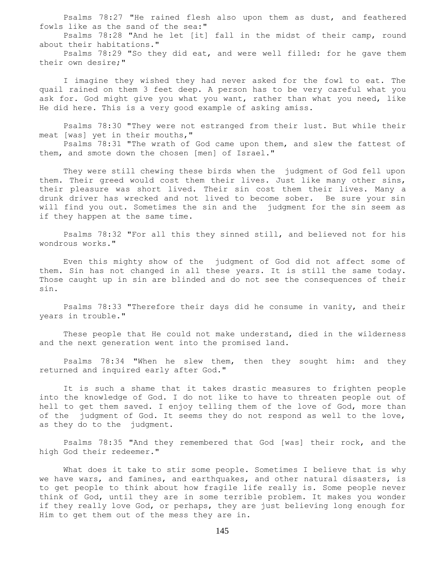Psalms 78:27 "He rained flesh also upon them as dust, and feathered fowls like as the sand of the sea:"

 Psalms 78:28 "And he let [it] fall in the midst of their camp, round about their habitations."

 Psalms 78:29 "So they did eat, and were well filled: for he gave them their own desire;"

 I imagine they wished they had never asked for the fowl to eat. The quail rained on them 3 feet deep. A person has to be very careful what you ask for. God might give you what you want, rather than what you need, like He did here. This is a very good example of asking amiss.

 Psalms 78:30 "They were not estranged from their lust. But while their meat [was] yet in their mouths,"

 Psalms 78:31 "The wrath of God came upon them, and slew the fattest of them, and smote down the chosen [men] of Israel."

 They were still chewing these birds when the judgment of God fell upon them. Their greed would cost them their lives. Just like many other sins, their pleasure was short lived. Their sin cost them their lives. Many a drunk driver has wrecked and not lived to become sober. Be sure your sin will find you out. Sometimes the sin and the judgment for the sin seem as if they happen at the same time.

 Psalms 78:32 "For all this they sinned still, and believed not for his wondrous works."

 Even this mighty show of the judgment of God did not affect some of them. Sin has not changed in all these years. It is still the same today. Those caught up in sin are blinded and do not see the consequences of their sin.

 Psalms 78:33 "Therefore their days did he consume in vanity, and their years in trouble."

 These people that He could not make understand, died in the wilderness and the next generation went into the promised land.

 Psalms 78:34 "When he slew them, then they sought him: and they returned and inquired early after God."

 It is such a shame that it takes drastic measures to frighten people into the knowledge of God. I do not like to have to threaten people out of hell to get them saved. I enjoy telling them of the love of God, more than of the judgment of God. It seems they do not respond as well to the love, as they do to the judgment.

 Psalms 78:35 "And they remembered that God [was] their rock, and the high God their redeemer."

 What does it take to stir some people. Sometimes I believe that is why we have wars, and famines, and earthquakes, and other natural disasters, is to get people to think about how fragile life really is. Some people never think of God, until they are in some terrible problem. It makes you wonder if they really love God, or perhaps, they are just believing long enough for Him to get them out of the mess they are in.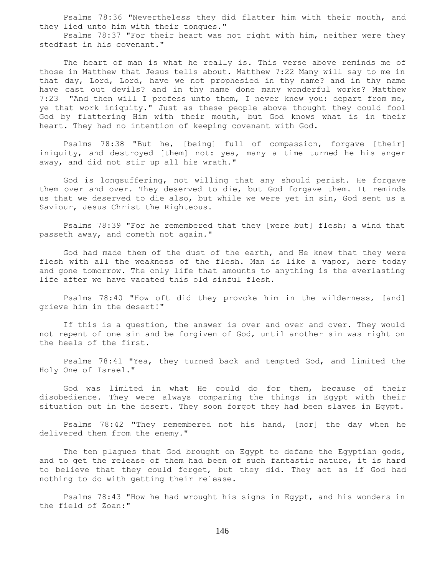Psalms 78:36 "Nevertheless they did flatter him with their mouth, and they lied unto him with their tongues."

 Psalms 78:37 "For their heart was not right with him, neither were they stedfast in his covenant."

 The heart of man is what he really is. This verse above reminds me of those in Matthew that Jesus tells about. Matthew 7:22 Many will say to me in that day, Lord, Lord, have we not prophesied in thy name? and in thy name have cast out devils? and in thy name done many wonderful works? Matthew 7:23 "And then will I profess unto them, I never knew you: depart from me, ye that work iniquity." Just as these people above thought they could fool God by flattering Him with their mouth, but God knows what is in their heart. They had no intention of keeping covenant with God.

 Psalms 78:38 "But he, [being] full of compassion, forgave [their] iniquity, and destroyed [them] not: yea, many a time turned he his anger away, and did not stir up all his wrath."

 God is longsuffering, not willing that any should perish. He forgave them over and over. They deserved to die, but God forgave them. It reminds us that we deserved to die also, but while we were yet in sin, God sent us a Saviour, Jesus Christ the Righteous.

 Psalms 78:39 "For he remembered that they [were but] flesh; a wind that passeth away, and cometh not again."

 God had made them of the dust of the earth, and He knew that they were flesh with all the weakness of the flesh. Man is like a vapor, here today and gone tomorrow. The only life that amounts to anything is the everlasting life after we have vacated this old sinful flesh.

 Psalms 78:40 "How oft did they provoke him in the wilderness, [and] grieve him in the desert!"

 If this is a question, the answer is over and over and over. They would not repent of one sin and be forgiven of God, until another sin was right on the heels of the first.

 Psalms 78:41 "Yea, they turned back and tempted God, and limited the Holy One of Israel."

 God was limited in what He could do for them, because of their disobedience. They were always comparing the things in Egypt with their situation out in the desert. They soon forgot they had been slaves in Egypt.

 Psalms 78:42 "They remembered not his hand, [nor] the day when he delivered them from the enemy."

The ten plagues that God brought on Egypt to defame the Egyptian gods, and to get the release of them had been of such fantastic nature, it is hard to believe that they could forget, but they did. They act as if God had nothing to do with getting their release.

 Psalms 78:43 "How he had wrought his signs in Egypt, and his wonders in the field of Zoan:"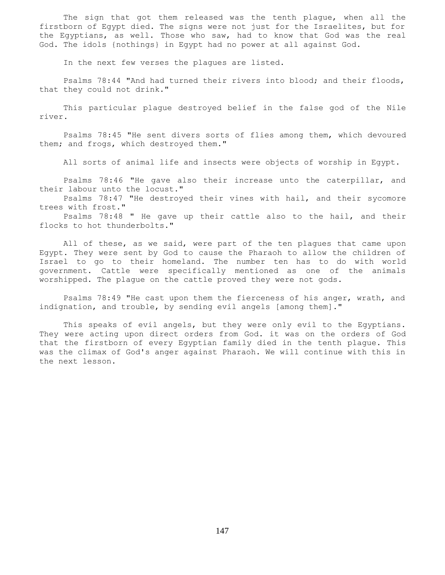The sign that got them released was the tenth plague, when all the firstborn of Egypt died. The signs were not just for the Israelites, but for the Egyptians, as well. Those who saw, had to know that God was the real God. The idols {nothings} in Egypt had no power at all against God.

In the next few verses the plagues are listed.

 Psalms 78:44 "And had turned their rivers into blood; and their floods, that they could not drink."

 This particular plague destroyed belief in the false god of the Nile river.

 Psalms 78:45 "He sent divers sorts of flies among them, which devoured them; and frogs, which destroyed them."

All sorts of animal life and insects were objects of worship in Egypt.

 Psalms 78:46 "He gave also their increase unto the caterpillar, and their labour unto the locust."

 Psalms 78:47 "He destroyed their vines with hail, and their sycomore trees with frost."

 Psalms 78:48 " He gave up their cattle also to the hail, and their flocks to hot thunderbolts."

 All of these, as we said, were part of the ten plagues that came upon Egypt. They were sent by God to cause the Pharaoh to allow the children of Israel to go to their homeland. The number ten has to do with world government. Cattle were specifically mentioned as one of the animals worshipped. The plague on the cattle proved they were not gods.

 Psalms 78:49 "He cast upon them the fierceness of his anger, wrath, and indignation, and trouble, by sending evil angels [among them]."

 This speaks of evil angels, but they were only evil to the Egyptians. They were acting upon direct orders from God. it was on the orders of God that the firstborn of every Egyptian family died in the tenth plague. This was the climax of God's anger against Pharaoh. We will continue with this in the next lesson.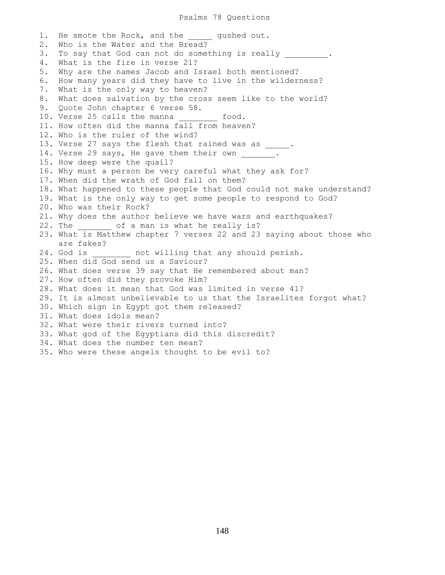1. He smote the Rock, and the \_\_\_\_\_ gushed out. 2. Who is the Water and the Bread? 3. To say that God can not do something is really \_\_\_\_\_\_\_. 4. What is the fire in verse 21? 5. Why are the names Jacob and Israel both mentioned? 6. How many years did they have to live in the wilderness? 7. What is the only way to heaven? 8. What does salvation by the cross seem like to the world? 9. Quote John chapter 6 verse 58. 10. Verse 25 calls the manna food. 11. How often did the manna fall from heaven? 12. Who is the ruler of the wind? 13. Verse 27 says the flesh that rained was as \_\_\_\_\_. 14. Verse 29 says, He gave them their own  $\overline{\phantom{a}}$ . 15. How deep were the quail? 16. Why must a person be very careful what they ask for? 17. When did the wrath of God fall on them? 18. What happened to these people that God could not make understand? 19. What is the only way to get some people to respond to God? 20. Who was their Rock? 21. Why does the author believe we have wars and earthquakes? 22. The \_\_\_\_\_\_\_ of a man is what he really is? 23. What is Matthew chapter 7 verses 22 and 23 saying about those who are fakes? 24. God is \_\_\_\_\_\_\_\_ not willing that any should perish. 25. When did God send us a Saviour? 26. What does verse 39 say that He remembered about man? 27. How often did they provoke Him? 28. What does it mean that God was limited in verse 41? 29. It is almost unbelievable to us that the Israelites forgot what? 30. Which sign in Egypt got them released? 31. What does idols mean? 32. What were their rivers turned into? 33. What god of the Egyptians did this discredit? 34. What does the number ten mean? 35. Who were these angels thought to be evil to?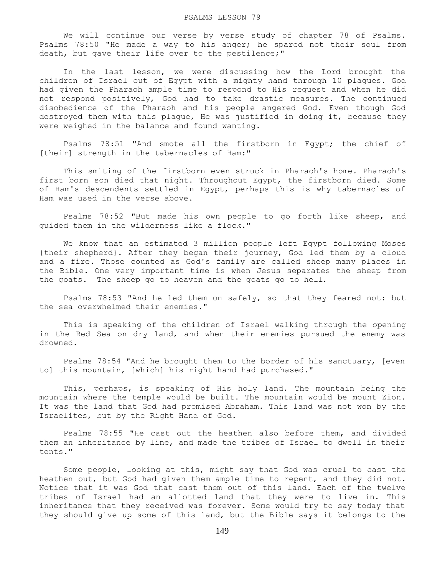We will continue our verse by verse study of chapter 78 of Psalms. Psalms 78:50 "He made a way to his anger; he spared not their soul from death, but gave their life over to the pestilence;"

 In the last lesson, we were discussing how the Lord brought the children of Israel out of Egypt with a mighty hand through 10 plagues. God had given the Pharaoh ample time to respond to His request and when he did not respond positively, God had to take drastic measures. The continued disobedience of the Pharaoh and his people angered God. Even though God destroyed them with this plague, He was justified in doing it, because they were weighed in the balance and found wanting.

 Psalms 78:51 "And smote all the firstborn in Egypt; the chief of [their] strength in the tabernacles of Ham:"

 This smiting of the firstborn even struck in Pharaoh's home. Pharaoh's first born son died that night. Throughout Egypt, the firstborn died. Some of Ham's descendents settled in Egypt, perhaps this is why tabernacles of Ham was used in the verse above.

 Psalms 78:52 "But made his own people to go forth like sheep, and guided them in the wilderness like a flock."

 We know that an estimated 3 million people left Egypt following Moses {their shepherd}. After they began their journey, God led them by a cloud and a fire. Those counted as God's family are called sheep many places in the Bible. One very important time is when Jesus separates the sheep from the goats. The sheep go to heaven and the goats go to hell.

 Psalms 78:53 "And he led them on safely, so that they feared not: but the sea overwhelmed their enemies."

 This is speaking of the children of Israel walking through the opening in the Red Sea on dry land, and when their enemies pursued the enemy was drowned.

 Psalms 78:54 "And he brought them to the border of his sanctuary, [even to] this mountain, [which] his right hand had purchased."

 This, perhaps, is speaking of His holy land. The mountain being the mountain where the temple would be built. The mountain would be mount Zion. It was the land that God had promised Abraham. This land was not won by the Israelites, but by the Right Hand of God.

 Psalms 78:55 "He cast out the heathen also before them, and divided them an inheritance by line, and made the tribes of Israel to dwell in their tents."

 Some people, looking at this, might say that God was cruel to cast the heathen out, but God had given them ample time to repent, and they did not. Notice that it was God that cast them out of this land. Each of the twelve tribes of Israel had an allotted land that they were to live in. This inheritance that they received was forever. Some would try to say today that they should give up some of this land, but the Bible says it belongs to the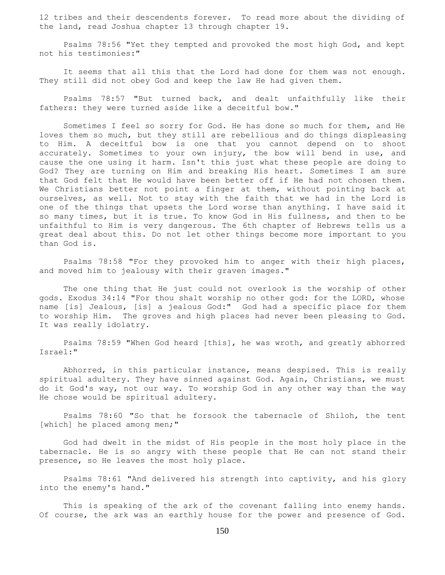12 tribes and their descendents forever. To read more about the dividing of the land, read Joshua chapter 13 through chapter 19.

 Psalms 78:56 "Yet they tempted and provoked the most high God, and kept not his testimonies:"

 It seems that all this that the Lord had done for them was not enough. They still did not obey God and keep the law He had given them.

 Psalms 78:57 "But turned back, and dealt unfaithfully like their fathers: they were turned aside like a deceitful bow."

 Sometimes I feel so sorry for God. He has done so much for them, and He loves them so much, but they still are rebellious and do things displeasing to Him. A deceitful bow is one that you cannot depend on to shoot accurately. Sometimes to your own injury, the bow will bend in use, and cause the one using it harm. Isn't this just what these people are doing to God? They are turning on Him and breaking His heart. Sometimes I am sure that God felt that He would have been better off if He had not chosen them. We Christians better not point a finger at them, without pointing back at ourselves, as well. Not to stay with the faith that we had in the Lord is one of the things that upsets the Lord worse than anything. I have said it so many times, but it is true. To know God in His fullness, and then to be unfaithful to Him is very dangerous. The 6th chapter of Hebrews tells us a great deal about this. Do not let other things become more important to you than God is.

 Psalms 78:58 "For they provoked him to anger with their high places, and moved him to jealousy with their graven images."

 The one thing that He just could not overlook is the worship of other gods. Exodus 34:14 "For thou shalt worship no other god: for the LORD, whose name [is] Jealous, [is] a jealous God:" God had a specific place for them to worship Him. The groves and high places had never been pleasing to God. It was really idolatry.

 Psalms 78:59 "When God heard [this], he was wroth, and greatly abhorred Israel:"

 Abhorred, in this particular instance, means despised. This is really spiritual adultery. They have sinned against God. Again, Christians, we must do it God's way, not our way. To worship God in any other way than the way He chose would be spiritual adultery.

 Psalms 78:60 "So that he forsook the tabernacle of Shiloh, the tent [which] he placed among men;"

 God had dwelt in the midst of His people in the most holy place in the tabernacle. He is so angry with these people that He can not stand their presence, so He leaves the most holy place.

 Psalms 78:61 "And delivered his strength into captivity, and his glory into the enemy's hand."

 This is speaking of the ark of the covenant falling into enemy hands. Of course, the ark was an earthly house for the power and presence of God.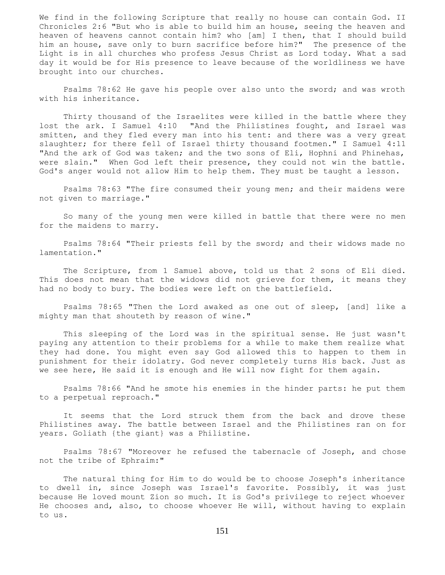We find in the following Scripture that really no house can contain God. II Chronicles 2:6 "But who is able to build him an house, seeing the heaven and heaven of heavens cannot contain him? who [am] I then, that I should build him an house, save only to burn sacrifice before him?" The presence of the Light is in all churches who profess Jesus Christ as Lord today. What a sad day it would be for His presence to leave because of the worldliness we have brought into our churches.

 Psalms 78:62 He gave his people over also unto the sword; and was wroth with his inheritance.

 Thirty thousand of the Israelites were killed in the battle where they lost the ark. I Samuel 4:10 "And the Philistines fought, and Israel was smitten, and they fled every man into his tent: and there was a very great slaughter; for there fell of Israel thirty thousand footmen." I Samuel 4:11 "And the ark of God was taken; and the two sons of Eli, Hophni and Phinehas, were slain." When God left their presence, they could not win the battle. God's anger would not allow Him to help them. They must be taught a lesson.

 Psalms 78:63 "The fire consumed their young men; and their maidens were not given to marriage."

 So many of the young men were killed in battle that there were no men for the maidens to marry.

 Psalms 78:64 "Their priests fell by the sword; and their widows made no lamentation."

 The Scripture, from 1 Samuel above, told us that 2 sons of Eli died. This does not mean that the widows did not grieve for them, it means they had no body to bury. The bodies were left on the battlefield.

 Psalms 78:65 "Then the Lord awaked as one out of sleep, [and] like a mighty man that shouteth by reason of wine."

 This sleeping of the Lord was in the spiritual sense. He just wasn't paying any attention to their problems for a while to make them realize what they had done. You might even say God allowed this to happen to them in punishment for their idolatry. God never completely turns His back. Just as we see here, He said it is enough and He will now fight for them again.

 Psalms 78:66 "And he smote his enemies in the hinder parts: he put them to a perpetual reproach."

 It seems that the Lord struck them from the back and drove these Philistines away. The battle between Israel and the Philistines ran on for years. Goliath {the giant} was a Philistine.

 Psalms 78:67 "Moreover he refused the tabernacle of Joseph, and chose not the tribe of Ephraim:"

 The natural thing for Him to do would be to choose Joseph's inheritance to dwell in, since Joseph was Israel's favorite. Possibly, it was just because He loved mount Zion so much. It is God's privilege to reject whoever He chooses and, also, to choose whoever He will, without having to explain to us.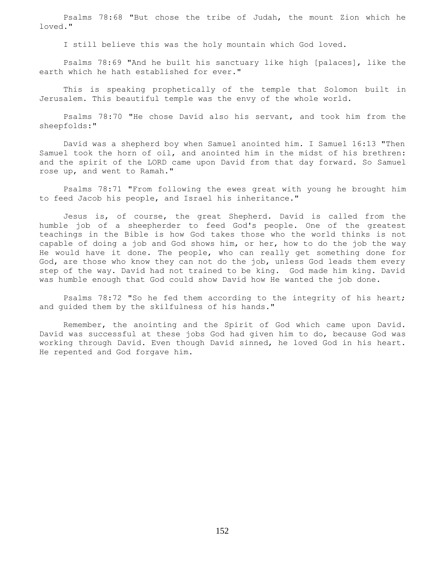Psalms 78:68 "But chose the tribe of Judah, the mount Zion which he loved."

I still believe this was the holy mountain which God loved.

 Psalms 78:69 "And he built his sanctuary like high [palaces], like the earth which he hath established for ever."

 This is speaking prophetically of the temple that Solomon built in Jerusalem. This beautiful temple was the envy of the whole world.

 Psalms 78:70 "He chose David also his servant, and took him from the sheepfolds:"

 David was a shepherd boy when Samuel anointed him. I Samuel 16:13 "Then Samuel took the horn of oil, and anointed him in the midst of his brethren: and the spirit of the LORD came upon David from that day forward. So Samuel rose up, and went to Ramah."

 Psalms 78:71 "From following the ewes great with young he brought him to feed Jacob his people, and Israel his inheritance."

 Jesus is, of course, the great Shepherd. David is called from the humble job of a sheepherder to feed God's people. One of the greatest teachings in the Bible is how God takes those who the world thinks is not capable of doing a job and God shows him, or her, how to do the job the way He would have it done. The people, who can really get something done for God, are those who know they can not do the job, unless God leads them every step of the way. David had not trained to be king. God made him king. David was humble enough that God could show David how He wanted the job done.

 Psalms 78:72 "So he fed them according to the integrity of his heart; and guided them by the skilfulness of his hands."

 Remember, the anointing and the Spirit of God which came upon David. David was successful at these jobs God had given him to do, because God was working through David. Even though David sinned, he loved God in his heart. He repented and God forgave him.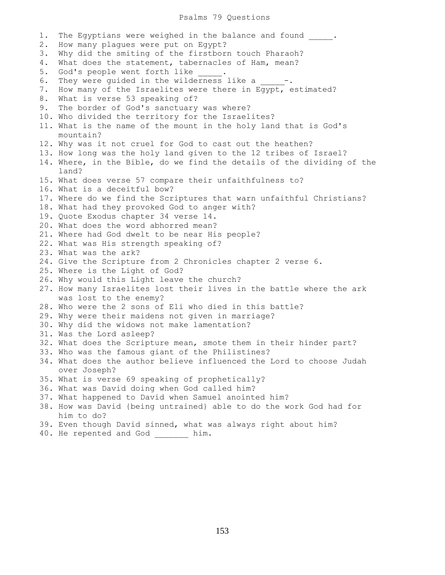### Psalms 79 Questions

1. The Egyptians were weighed in the balance and found . 2. How many plagues were put on Egypt? 3. Why did the smiting of the firstborn touch Pharaoh? 4. What does the statement, tabernacles of Ham, mean? 5. God's people went forth like 6. They were quided in the wilderness like a  $-$ . 7. How many of the Israelites were there in Egypt, estimated? 8. What is verse 53 speaking of? 9. The border of God's sanctuary was where? 10. Who divided the territory for the Israelites? 11. What is the name of the mount in the holy land that is God's mountain? 12. Why was it not cruel for God to cast out the heathen? 13. How long was the holy land given to the 12 tribes of Israel? 14. Where, in the Bible, do we find the details of the dividing of the land? 15. What does verse 57 compare their unfaithfulness to? 16. What is a deceitful bow? 17. Where do we find the Scriptures that warn unfaithful Christians? 18. What had they provoked God to anger with? 19. Quote Exodus chapter 34 verse 14. 20. What does the word abhorred mean? 21. Where had God dwelt to be near His people? 22. What was His strength speaking of? 23. What was the ark? 24. Give the Scripture from 2 Chronicles chapter 2 verse 6. 25. Where is the Light of God? 26. Why would this Light leave the church? 27. How many Israelites lost their lives in the battle where the ark was lost to the enemy? 28. Who were the 2 sons of Eli who died in this battle? 29. Why were their maidens not given in marriage? 30. Why did the widows not make lamentation? 31. Was the Lord asleep? 32. What does the Scripture mean, smote them in their hinder part? 33. Who was the famous giant of the Philistines? 34. What does the author believe influenced the Lord to choose Judah over Joseph? 35. What is verse 69 speaking of prophetically? 36. What was David doing when God called him? 37. What happened to David when Samuel anointed him? 38. How was David {being untrained} able to do the work God had for him to do? 39. Even though David sinned, what was always right about him? 40. He repented and God him.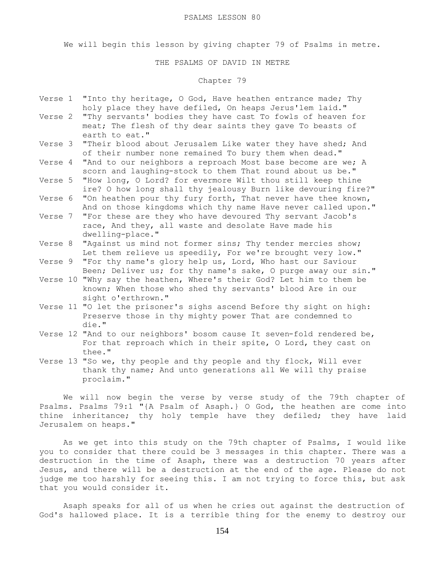#### PSALMS LESSON 80

We will begin this lesson by giving chapter 79 of Psalms in metre.

## THE PSALMS OF DAVID IN METRE

# Chapter 79

- Verse 1 "Into thy heritage, O God, Have heathen entrance made; Thy holy place they have defiled, On heaps Jerus'lem laid."
- Verse 2 "Thy servants' bodies they have cast To fowls of heaven for meat; The flesh of thy dear saints they gave To beasts of earth to eat."
- Verse 3 "Their blood about Jerusalem Like water they have shed; And of their number none remained To bury them when dead."
- Verse 4 "And to our neighbors a reproach Most base become are we; A scorn and laughing-stock to them That round about us be."
- Verse 5 "How long, O Lord? for evermore Wilt thou still keep thine ire? O how long shall thy jealousy Burn like devouring fire?"
- Verse 6 "On heathen pour thy fury forth, That never have thee known, And on those kingdoms which thy name Have never called upon."
- Verse 7 "For these are they who have devoured Thy servant Jacob's race, And they, all waste and desolate Have made his dwelling-place."
- Verse 8 "Against us mind not former sins; Thy tender mercies show; Let them relieve us speedily, For we're brought very low."
- Verse 9 "For thy name's glory help us, Lord, Who hast our Saviour Been; Deliver us; for thy name's sake, O purge away our sin."
- Verse 10 "Why say the heathen, Where's their God? Let him to them be known; When those who shed thy servants' blood Are in our sight o'erthrown."
- Verse 11 "O let the prisoner's sighs ascend Before thy sight on high: Preserve those in thy mighty power That are condemned to die."
- Verse 12 "And to our neighbors' bosom cause It seven-fold rendered be, For that reproach which in their spite, O Lord, they cast on thee."
- Verse 13 "So we, thy people and thy people and thy flock, Will ever thank thy name; And unto generations all We will thy praise proclaim."

 We will now begin the verse by verse study of the 79th chapter of Psalms. Psalms 79:1 "{A Psalm of Asaph.} O God, the heathen are come into thine inheritance; thy holy temple have they defiled; they have laid Jerusalem on heaps."

 As we get into this study on the 79th chapter of Psalms, I would like you to consider that there could be 3 messages in this chapter. There was a destruction in the time of Asaph, there was a destruction 70 years after Jesus, and there will be a destruction at the end of the age. Please do not judge me too harshly for seeing this. I am not trying to force this, but ask that you would consider it.

 Asaph speaks for all of us when he cries out against the destruction of God's hallowed place. It is a terrible thing for the enemy to destroy our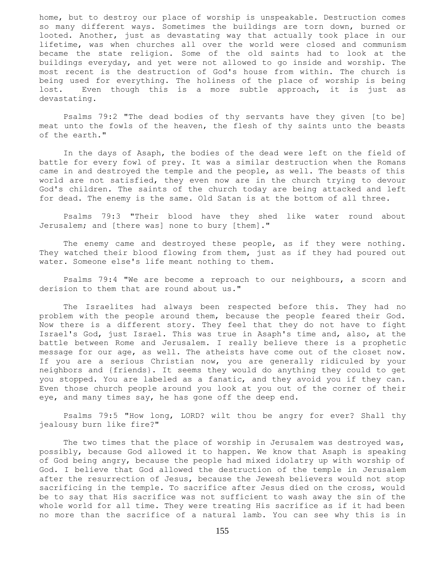home, but to destroy our place of worship is unspeakable. Destruction comes so many different ways. Sometimes the buildings are torn down, burned or looted. Another, just as devastating way that actually took place in our lifetime, was when churches all over the world were closed and communism became the state religion. Some of the old saints had to look at the buildings everyday, and yet were not allowed to go inside and worship. The most recent is the destruction of God's house from within. The church is being used for everything. The holiness of the place of worship is being lost. Even though this is a more subtle approach, it is just as devastating.

 Psalms 79:2 "The dead bodies of thy servants have they given [to be] meat unto the fowls of the heaven, the flesh of thy saints unto the beasts of the earth."

 In the days of Asaph, the bodies of the dead were left on the field of battle for every fowl of prey. It was a similar destruction when the Romans came in and destroyed the temple and the people, as well. The beasts of this world are not satisfied, they even now are in the church trying to devour God's children. The saints of the church today are being attacked and left for dead. The enemy is the same. Old Satan is at the bottom of all three.

 Psalms 79:3 "Their blood have they shed like water round about Jerusalem; and [there was] none to bury [them]."

The enemy came and destroyed these people, as if they were nothing. They watched their blood flowing from them, just as if they had poured out water. Someone else's life meant nothing to them.

 Psalms 79:4 "We are become a reproach to our neighbours, a scorn and derision to them that are round about us."

 The Israelites had always been respected before this. They had no problem with the people around them, because the people feared their God. Now there is a different story. They feel that they do not have to fight Israel's God, just Israel. This was true in Asaph's time and, also, at the battle between Rome and Jerusalem. I really believe there is a prophetic message for our age, as well. The atheists have come out of the closet now. If you are a serious Christian now, you are generally ridiculed by your neighbors and {friends}. It seems they would do anything they could to get you stopped. You are labeled as a fanatic, and they avoid you if they can. Even those church people around you look at you out of the corner of their eye, and many times say, he has gone off the deep end.

 Psalms 79:5 "How long, LORD? wilt thou be angry for ever? Shall thy jealousy burn like fire?"

The two times that the place of worship in Jerusalem was destroyed was, possibly, because God allowed it to happen. We know that Asaph is speaking of God being angry, because the people had mixed idolatry up with worship of God. I believe that God allowed the destruction of the temple in Jerusalem after the resurrection of Jesus, because the Jewesh believers would not stop sacrificing in the temple. To sacrifice after Jesus died on the cross, would be to say that His sacrifice was not sufficient to wash away the sin of the whole world for all time. They were treating His sacrifice as if it had been no more than the sacrifice of a natural lamb. You can see why this is in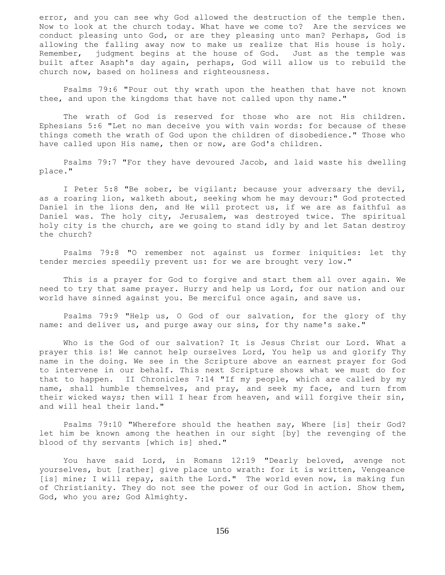error, and you can see why God allowed the destruction of the temple then. Now to look at the church today. What have we come to? Are the services we conduct pleasing unto God, or are they pleasing unto man? Perhaps, God is allowing the falling away now to make us realize that His house is holy. Remember, judgment begins at the house of God. Just as the temple was built after Asaph's day again, perhaps, God will allow us to rebuild the church now, based on holiness and righteousness.

 Psalms 79:6 "Pour out thy wrath upon the heathen that have not known thee, and upon the kingdoms that have not called upon thy name."

 The wrath of God is reserved for those who are not His children. Ephesians 5:6 "Let no man deceive you with vain words: for because of these things cometh the wrath of God upon the children of disobedience." Those who have called upon His name, then or now, are God's children.

 Psalms 79:7 "For they have devoured Jacob, and laid waste his dwelling place."

 I Peter 5:8 "Be sober, be vigilant; because your adversary the devil, as a roaring lion, walketh about, seeking whom he may devour:" God protected Daniel in the lions den, and He will protect us, if we are as faithful as Daniel was. The holy city, Jerusalem, was destroyed twice. The spiritual holy city is the church, are we going to stand idly by and let Satan destroy the church?

 Psalms 79:8 "O remember not against us former iniquities: let thy tender mercies speedily prevent us: for we are brought very low."

 This is a prayer for God to forgive and start them all over again. We need to try that same prayer. Hurry and help us Lord, for our nation and our world have sinned against you. Be merciful once again, and save us.

 Psalms 79:9 "Help us, O God of our salvation, for the glory of thy name: and deliver us, and purge away our sins, for thy name's sake."

 Who is the God of our salvation? It is Jesus Christ our Lord. What a prayer this is! We cannot help ourselves Lord, You help us and glorify Thy name in the doing. We see in the Scripture above an earnest prayer for God to intervene in our behalf. This next Scripture shows what we must do for that to happen. II Chronicles 7:14 "If my people, which are called by my name, shall humble themselves, and pray, and seek my face, and turn from their wicked ways; then will I hear from heaven, and will forgive their sin, and will heal their land."

 Psalms 79:10 "Wherefore should the heathen say, Where [is] their God? let him be known among the heathen in our sight [by] the revenging of the blood of thy servants [which is] shed."

 You have said Lord, in Romans 12:19 "Dearly beloved, avenge not yourselves, but [rather] give place unto wrath: for it is written, Vengeance [is] mine; I will repay, saith the Lord." The world even now, is making fun of Christianity. They do not see the power of our God in action. Show them, God, who you are; God Almighty.

156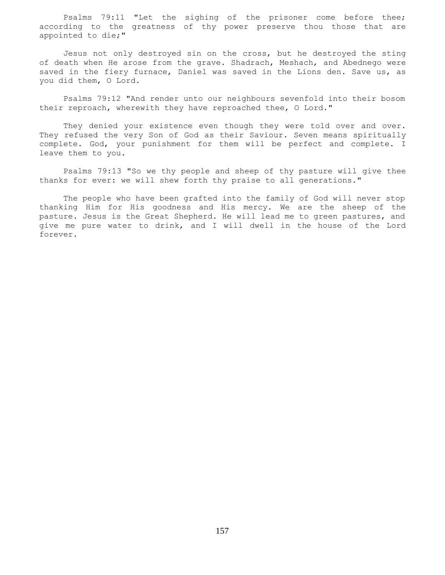Psalms 79:11 "Let the sighing of the prisoner come before thee; according to the greatness of thy power preserve thou those that are appointed to die;"

 Jesus not only destroyed sin on the cross, but he destroyed the sting of death when He arose from the grave. Shadrach, Meshach, and Abednego were saved in the fiery furnace, Daniel was saved in the Lions den. Save us, as you did them, O Lord.

 Psalms 79:12 "And render unto our neighbours sevenfold into their bosom their reproach, wherewith they have reproached thee, O Lord."

They denied your existence even though they were told over and over. They refused the very Son of God as their Saviour. Seven means spiritually complete. God, your punishment for them will be perfect and complete. I leave them to you.

 Psalms 79:13 "So we thy people and sheep of thy pasture will give thee thanks for ever: we will shew forth thy praise to all generations."

 The people who have been grafted into the family of God will never stop thanking Him for His goodness and His mercy. We are the sheep of the pasture. Jesus is the Great Shepherd. He will lead me to green pastures, and give me pure water to drink, and I will dwell in the house of the Lord forever.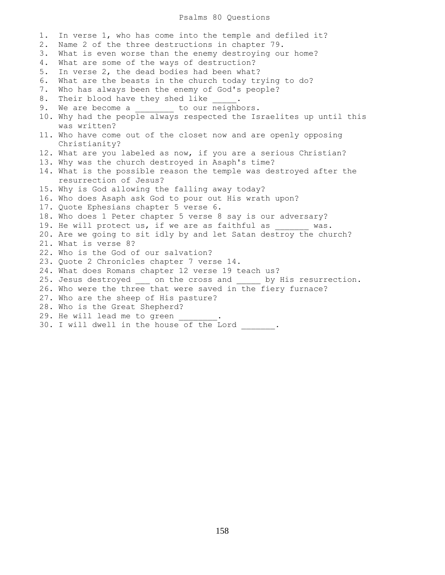### Psalms 80 Questions

1. In verse 1, who has come into the temple and defiled it? 2. Name 2 of the three destructions in chapter 79. 3. What is even worse than the enemy destroying our home? 4. What are some of the ways of destruction? 5. In verse 2, the dead bodies had been what? 6. What are the beasts in the church today trying to do? 7. Who has always been the enemy of God's people? 8. Their blood have they shed like 9. We are become a  $\qquad \qquad$  to our neighbors. 10. Why had the people always respected the Israelites up until this was written? 11. Who have come out of the closet now and are openly opposing Christianity? 12. What are you labeled as now, if you are a serious Christian? 13. Why was the church destroyed in Asaph's time? 14. What is the possible reason the temple was destroyed after the resurrection of Jesus? 15. Why is God allowing the falling away today? 16. Who does Asaph ask God to pour out His wrath upon? 17. Quote Ephesians chapter 5 verse 6. 18. Who does 1 Peter chapter 5 verse 8 say is our adversary? 19. He will protect us, if we are as faithful as \_\_\_\_\_\_\_ was. 20. Are we going to sit idly by and let Satan destroy the church? 21. What is verse 8? 22. Who is the God of our salvation? 23. Quote 2 Chronicles chapter 7 verse 14. 24. What does Romans chapter 12 verse 19 teach us? 25. Jesus destroyed \_\_\_ on the cross and \_\_\_\_\_ by His resurrection. 26. Who were the three that were saved in the fiery furnace? 27. Who are the sheep of His pasture? 28. Who is the Great Shepherd? 29. He will lead me to green 30. I will dwell in the house of the Lord .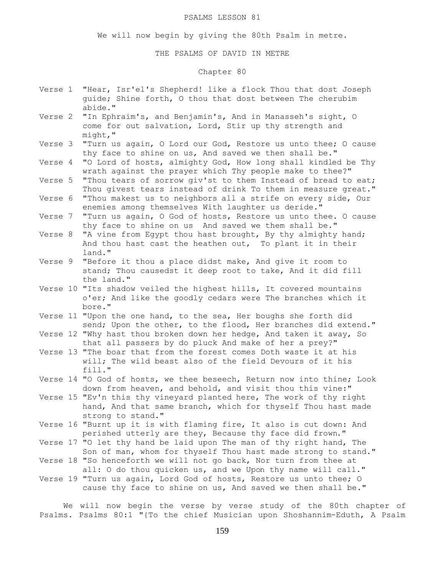### PSALMS LESSON 81

We will now begin by giving the 80th Psalm in metre.

### THE PSALMS OF DAVID IN METRE

# Chapter 80

- Verse 1 "Hear, Isr'el's Shepherd! like a flock Thou that dost Joseph guide; Shine forth, O thou that dost between The cherubim abide."
- Verse 2 "In Ephraim's, and Benjamin's, And in Manasseh's sight, O come for out salvation, Lord, Stir up thy strength and might,"
- Verse 3 "Turn us again, O Lord our God, Restore us unto thee; O cause thy face to shine on us, And saved we then shall be."
- Verse 4 "O Lord of hosts, almighty God, How long shall kindled be Thy wrath against the prayer which Thy people make to thee?"
- Verse 5 "Thou tears of sorrow giv'st to them Instead of bread to eat; Thou givest tears instead of drink To them in measure great."
- Verse 6 "Thou makest us to neighbors all a strife on every side, Our enemies among themselves With laughter us deride."
- Verse 7 "Turn us again, O God of hosts, Restore us unto thee. O cause thy face to shine on us And saved we them shall be."
- Verse 8 "A vine from Egypt thou hast brought, By thy almighty hand; And thou hast cast the heathen out, To plant it in their land."
- Verse 9 "Before it thou a place didst make, And give it room to stand; Thou causedst it deep root to take, And it did fill the land."
- Verse 10 "Its shadow veiled the highest hills, It covered mountains o'er; And like the goodly cedars were The branches which it bore."
- Verse 11 "Upon the one hand, to the sea, Her boughs she forth did send; Upon the other, to the flood, Her branches did extend."
- Verse 12 "Why hast thou broken down her hedge, And taken it away, So that all passers by do pluck And make of her a prey?"
- Verse 13 "The boar that from the forest comes Doth waste it at his will; The wild beast also of the field Devours of it his fill."
- Verse 14 "O God of hosts, we thee beseech, Return now into thine; Look down from heaven, and behold, and visit thou this vine:"

Verse 15 "Ev'n this thy vineyard planted here, The work of thy right hand, And that same branch, which for thyself Thou hast made strong to stand."

- Verse 16 "Burnt up it is with flaming fire, It also is cut down: And perished utterly are they, Because thy face did frown."
- Verse 17 "O let thy hand be laid upon The man of thy right hand, The Son of man, whom for thyself Thou hast made strong to stand."
- Verse 18 "So henceforth we will not go back, Nor turn from thee at all: O do thou quicken us, and we Upon thy name will call."
- Verse 19 "Turn us again, Lord God of hosts, Restore us unto thee; O cause thy face to shine on us, And saved we then shall be."

 We will now begin the verse by verse study of the 80th chapter of Psalms. Psalms 80:1 "{To the chief Musician upon Shoshannim-Eduth, A Psalm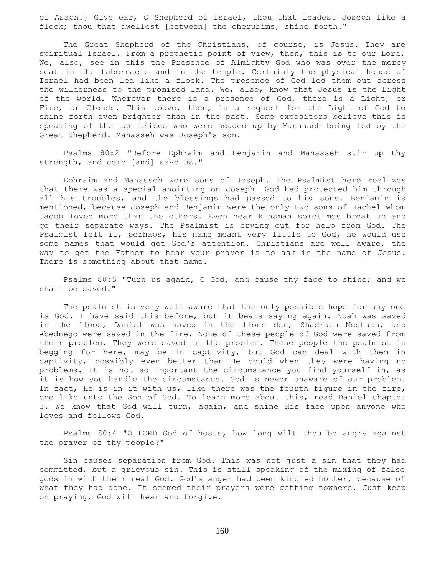of Asaph.} Give ear, O Shepherd of Israel, thou that leadest Joseph like a flock; thou that dwellest [between] the cherubims, shine forth."

 The Great Shepherd of the Christians, of course, is Jesus. They are spiritual Israel. From a prophetic point of view, then, this is to our Lord. We, also, see in this the Presence of Almighty God who was over the mercy seat in the tabernacle and in the temple. Certainly the physical house of Israel had been led like a flock. The presence of God led them out across the wilderness to the promised land. We, also, know that Jesus is the Light of the world. Wherever there is a presence of God, there is a Light, or Fire, or Clouds. This above, then, is a request for the Light of God to shine forth even brighter than in the past. Some expositors believe this is speaking of the ten tribes who were headed up by Manasseh being led by the Great Shepherd. Manasseh was Joseph's son.

 Psalms 80:2 "Before Ephraim and Benjamin and Manasseh stir up thy strength, and come [and] save us."

 Ephraim and Manasseh were sons of Joseph. The Psalmist here realizes that there was a special anointing on Joseph. God had protected him through all his troubles, and the blessings had passed to his sons. Benjamin is mentioned, because Joseph and Benjamin were the only two sons of Rachel whom Jacob loved more than the others. Even near kinsman sometimes break up and go their separate ways. The Psalmist is crying out for help from God. The Psalmist felt if, perhaps, his name meant very little to God, he would use some names that would get God's attention. Christians are well aware, the way to get the Father to hear your prayer is to ask in the name of Jesus. There is something about that name.

 Psalms 80:3 "Turn us again, O God, and cause thy face to shine; and we shall be saved."

 The psalmist is very well aware that the only possible hope for any one is God. I have said this before, but it bears saying again. Noah was saved in the flood, Daniel was saved in the lions den, Shadrach Meshach, and Abednego were saved in the fire. None of these people of God were saved from their problem. They were saved in the problem. These people the psalmist is begging for here, may be in captivity, but God can deal with them in captivity, possibly even better than He could when they were having no problems. It is not so important the circumstance you find yourself in, as it is how you handle the circumstance. God is never unaware of our problem. In fact, He is in it with us, like there was the fourth figure in the fire, one like unto the Son of God. To learn more about this, read Daniel chapter 3. We know that God will turn, again, and shine His face upon anyone who loves and follows God.

 Psalms 80:4 "O LORD God of hosts, how long wilt thou be angry against the prayer of thy people?"

 Sin causes separation from God. This was not just a sin that they had committed, but a grievous sin. This is still speaking of the mixing of false gods in with their real God. God's anger had been kindled hotter, because of what they had done. It seemed their prayers were getting nowhere. Just keep on praying, God will hear and forgive.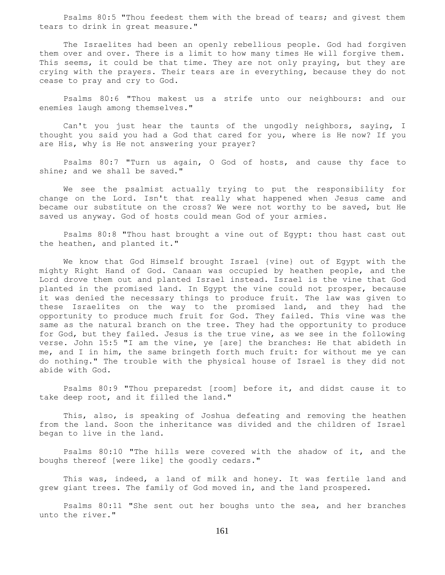Psalms 80:5 "Thou feedest them with the bread of tears; and givest them tears to drink in great measure."

 The Israelites had been an openly rebellious people. God had forgiven them over and over. There is a limit to how many times He will forgive them. This seems, it could be that time. They are not only praying, but they are crying with the prayers. Their tears are in everything, because they do not cease to pray and cry to God.

 Psalms 80:6 "Thou makest us a strife unto our neighbours: and our enemies laugh among themselves."

 Can't you just hear the taunts of the ungodly neighbors, saying, I thought you said you had a God that cared for you, where is He now? If you are His, why is He not answering your prayer?

 Psalms 80:7 "Turn us again, O God of hosts, and cause thy face to shine; and we shall be saved."

 We see the psalmist actually trying to put the responsibility for change on the Lord. Isn't that really what happened when Jesus came and became our substitute on the cross? We were not worthy to be saved, but He saved us anyway. God of hosts could mean God of your armies.

 Psalms 80:8 "Thou hast brought a vine out of Egypt: thou hast cast out the heathen, and planted it."

 We know that God Himself brought Israel {vine} out of Egypt with the mighty Right Hand of God. Canaan was occupied by heathen people, and the Lord drove them out and planted Israel instead. Israel is the vine that God planted in the promised land. In Egypt the vine could not prosper, because it was denied the necessary things to produce fruit. The law was given to these Israelites on the way to the promised land, and they had the opportunity to produce much fruit for God. They failed. This vine was the same as the natural branch on the tree. They had the opportunity to produce for God, but they failed. Jesus is the true vine, as we see in the following verse. John 15:5 "I am the vine, ye [are] the branches: He that abideth in me, and I in him, the same bringeth forth much fruit: for without me ye can do nothing." The trouble with the physical house of Israel is they did not abide with God.

 Psalms 80:9 "Thou preparedst [room] before it, and didst cause it to take deep root, and it filled the land."

 This, also, is speaking of Joshua defeating and removing the heathen from the land. Soon the inheritance was divided and the children of Israel began to live in the land.

 Psalms 80:10 "The hills were covered with the shadow of it, and the boughs thereof [were like] the goodly cedars."

 This was, indeed, a land of milk and honey. It was fertile land and grew giant trees. The family of God moved in, and the land prospered.

 Psalms 80:11 "She sent out her boughs unto the sea, and her branches unto the river."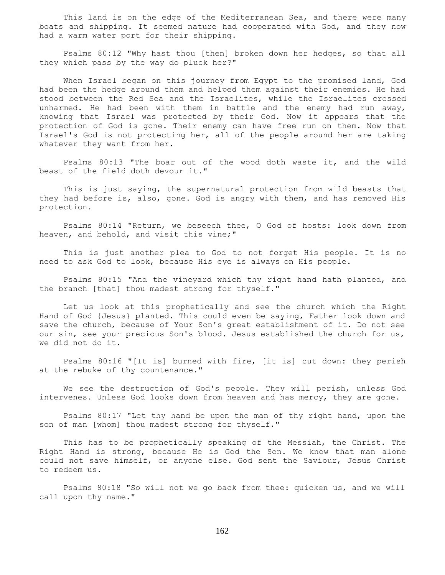This land is on the edge of the Mediterranean Sea, and there were many boats and shipping. It seemed nature had cooperated with God, and they now had a warm water port for their shipping.

 Psalms 80:12 "Why hast thou [then] broken down her hedges, so that all they which pass by the way do pluck her?"

 When Israel began on this journey from Egypt to the promised land, God had been the hedge around them and helped them against their enemies. He had stood between the Red Sea and the Israelites, while the Israelites crossed unharmed. He had been with them in battle and the enemy had run away, knowing that Israel was protected by their God. Now it appears that the protection of God is gone. Their enemy can have free run on them. Now that Israel's God is not protecting her, all of the people around her are taking whatever they want from her.

 Psalms 80:13 "The boar out of the wood doth waste it, and the wild beast of the field doth devour it."

 This is just saying, the supernatural protection from wild beasts that they had before is, also, gone. God is angry with them, and has removed His protection.

 Psalms 80:14 "Return, we beseech thee, O God of hosts: look down from heaven, and behold, and visit this vine;"

 This is just another plea to God to not forget His people. It is no need to ask God to look, because His eye is always on His people.

 Psalms 80:15 "And the vineyard which thy right hand hath planted, and the branch [that] thou madest strong for thyself."

 Let us look at this prophetically and see the church which the Right Hand of God {Jesus} planted. This could even be saying, Father look down and save the church, because of Your Son's great establishment of it. Do not see our sin, see your precious Son's blood. Jesus established the church for us, we did not do it.

 Psalms 80:16 "[It is] burned with fire, [it is] cut down: they perish at the rebuke of thy countenance."

 We see the destruction of God's people. They will perish, unless God intervenes. Unless God looks down from heaven and has mercy, they are gone.

 Psalms 80:17 "Let thy hand be upon the man of thy right hand, upon the son of man [whom] thou madest strong for thyself."

 This has to be prophetically speaking of the Messiah, the Christ. The Right Hand is strong, because He is God the Son. We know that man alone could not save himself, or anyone else. God sent the Saviour, Jesus Christ to redeem us.

 Psalms 80:18 "So will not we go back from thee: quicken us, and we will call upon thy name."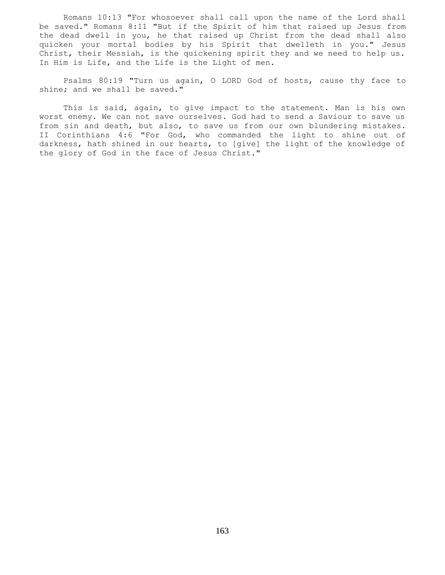Romans 10:13 "For whosoever shall call upon the name of the Lord shall be saved." Romans 8:11 "But if the Spirit of him that raised up Jesus from the dead dwell in you, he that raised up Christ from the dead shall also quicken your mortal bodies by his Spirit that dwelleth in you." Jesus Christ, their Messiah, is the quickening spirit they and we need to help us. In Him is Life, and the Life is the Light of men.

 Psalms 80:19 "Turn us again, O LORD God of hosts, cause thy face to shine; and we shall be saved."

 This is said, again, to give impact to the statement. Man is his own worst enemy. We can not save ourselves. God had to send a Saviour to save us from sin and death, but also, to save us from our own blundering mistakes. II Corinthians 4:6 "For God, who commanded the light to shine out of darkness, hath shined in our hearts, to [give] the light of the knowledge of the glory of God in the face of Jesus Christ."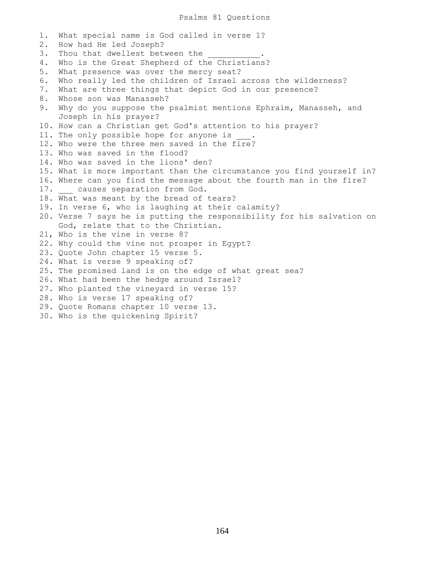1. What special name is God called in verse 1? 2. How had He led Joseph? 3. Thou that dwellest between the 4. Who is the Great Shepherd of the Christians? 5. What presence was over the mercy seat? 6. Who really led the children of Israel across the wilderness? 7. What are three things that depict God in our presence? 8. Whose son was Manasseh? 9. Why do you suppose the psalmist mentions Ephraim, Manasseh, and Joseph in his prayer? 10. How can a Christian get God's attention to his prayer? 11. The only possible hope for anyone is 12. Who were the three men saved in the fire? 13. Who was saved in the flood? 14. Who was saved in the lions' den? 15. What is more important than the circumstance you find yourself in? 16. Where can you find the message about the fourth man in the fire? 17. causes separation from God. 18. What was meant by the bread of tears? 19. In verse 6, who is laughing at their calamity? 20. Verse 7 says he is putting the responsibility for his salvation on God, relate that to the Christian. 21, Who is the vine in verse 8? 22. Why could the vine not prosper in Egypt? 23. Quote John chapter 15 verse 5. 24. What is verse 9 speaking of? 25. The promised land is on the edge of what great sea? 26. What had been the hedge around Israel? 27. Who planted the vineyard in verse 15? 28. Who is verse 17 speaking of? 29. Quote Romans chapter 10 verse 13. 30. Who is the quickening Spirit?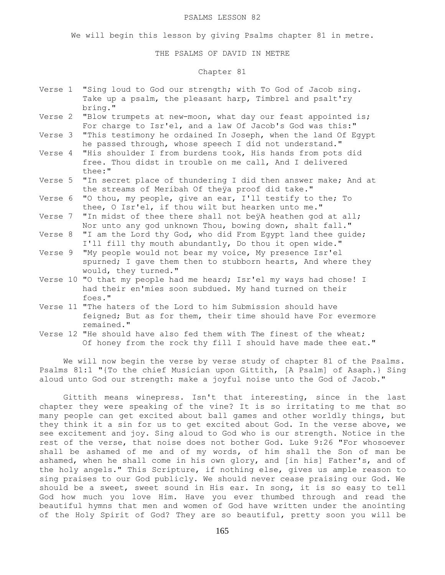### PSALMS LESSON 82

We will begin this lesson by giving Psalms chapter 81 in metre.

### THE PSALMS OF DAVID IN METRE

# Chapter 81

|  |         |  |  | Verse 1 "Sing loud to God our strength; with To God of Jacob sing. |  |  |  |
|--|---------|--|--|--------------------------------------------------------------------|--|--|--|
|  |         |  |  | Take up a psalm, the pleasant harp, Timbrel and psalt'ry           |  |  |  |
|  | bring." |  |  |                                                                    |  |  |  |

- Verse 2 "Blow trumpets at new-moon, what day our feast appointed is; For charge to Isr'el, and a law Of Jacob's God was this:"
- Verse 3 "This testimony he ordained In Joseph, when the land Of Egypt he passed through, whose speech I did not understand."
- Verse 4 "His shoulder I from burdens took, His hands from pots did free. Thou didst in trouble on me call, And I delivered thee:"
- Verse 5 "In secret place of thundering I did then answer make; And at the streams of Meribah Of theÿa proof did take."
- Verse 6 "O thou, my people, give an ear, I'll testify to the; To thee, O Isr'el, if thou wilt but hearken unto me."
- Verse 7 "In midst of thee there shall not beyA heathen god at all; Nor unto any god unknown Thou, bowing down, shalt fall."
- Verse 8 "I am the Lord thy God, who did From Egypt land thee guide; I'll fill thy mouth abundantly, Do thou it open wide."
- Verse 9 "My people would not bear my voice, My presence Isr'el spurned; I gave them then to stubborn hearts, And where they would, they turned."
- Verse 10 "O that my people had me heard; Isr'el my ways had chose! I had their en'mies soon subdued. My hand turned on their foes."
- Verse 11 "The haters of the Lord to him Submission should have feigned; But as for them, their time should have For evermore remained."
- Verse 12 "He should have also fed them with The finest of the wheat; Of honey from the rock thy fill I should have made thee eat."

 We will now begin the verse by verse study of chapter 81 of the Psalms. Psalms 81:1 "{To the chief Musician upon Gittith, [A Psalm] of Asaph.} Sing aloud unto God our strength: make a joyful noise unto the God of Jacob."

 Gittith means winepress. Isn't that interesting, since in the last chapter they were speaking of the vine? It is so irritating to me that so many people can get excited about ball games and other worldly things, but they think it a sin for us to get excited about God. In the verse above, we see excitement and joy. Sing aloud to God who is our strength. Notice in the rest of the verse, that noise does not bother God. Luke 9:26 "For whosoever shall be ashamed of me and of my words, of him shall the Son of man be ashamed, when he shall come in his own glory, and [in his] Father's, and of the holy angels." This Scripture, if nothing else, gives us ample reason to sing praises to our God publicly. We should never cease praising our God. We should be a sweet, sweet sound in His ear. In song, it is so easy to tell God how much you love Him. Have you ever thumbed through and read the beautiful hymns that men and women of God have written under the anointing of the Holy Spirit of God? They are so beautiful, pretty soon you will be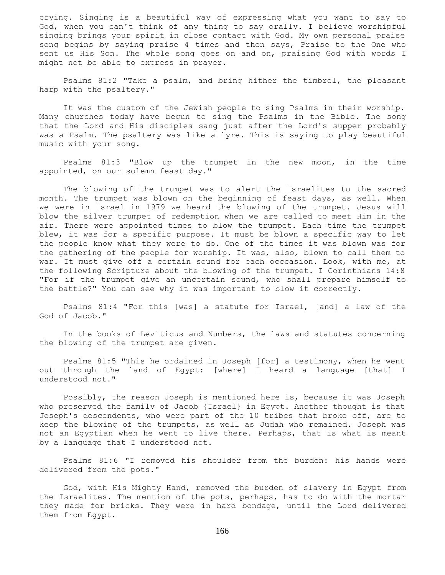crying. Singing is a beautiful way of expressing what you want to say to God, when you can't think of any thing to say orally. I believe worshipful singing brings your spirit in close contact with God. My own personal praise song begins by saying praise 4 times and then says, Praise to the One who sent us His Son. The whole song goes on and on, praising God with words I might not be able to express in prayer.

 Psalms 81:2 "Take a psalm, and bring hither the timbrel, the pleasant harp with the psaltery."

 It was the custom of the Jewish people to sing Psalms in their worship. Many churches today have begun to sing the Psalms in the Bible. The song that the Lord and His disciples sang just after the Lord's supper probably was a Psalm. The psaltery was like a lyre. This is saying to play beautiful music with your song.

 Psalms 81:3 "Blow up the trumpet in the new moon, in the time appointed, on our solemn feast day."

 The blowing of the trumpet was to alert the Israelites to the sacred month. The trumpet was blown on the beginning of feast days, as well. When we were in Israel in 1979 we heard the blowing of the trumpet. Jesus will blow the silver trumpet of redemption when we are called to meet Him in the air. There were appointed times to blow the trumpet. Each time the trumpet blew, it was for a specific purpose. It must be blown a specific way to let the people know what they were to do. One of the times it was blown was for the gathering of the people for worship. It was, also, blown to call them to war. It must give off a certain sound for each occcasion. Look, with me, at the following Scripture about the blowing of the trumpet. I Corinthians 14:8 "For if the trumpet give an uncertain sound, who shall prepare himself to the battle?" You can see why it was important to blow it correctly.

 Psalms 81:4 "For this [was] a statute for Israel, [and] a law of the God of Jacob."

 In the books of Leviticus and Numbers, the laws and statutes concerning the blowing of the trumpet are given.

 Psalms 81:5 "This he ordained in Joseph [for] a testimony, when he went out through the land of Egypt: [where] I heard a language [that] I understood not."

 Possibly, the reason Joseph is mentioned here is, because it was Joseph who preserved the family of Jacob {Israel} in Egypt. Another thought is that Joseph's descendents, who were part of the 10 tribes that broke off, are to keep the blowing of the trumpets, as well as Judah who remained. Joseph was not an Egyptian when he went to live there. Perhaps, that is what is meant by a language that I understood not.

 Psalms 81:6 "I removed his shoulder from the burden: his hands were delivered from the pots."

 God, with His Mighty Hand, removed the burden of slavery in Egypt from the Israelites. The mention of the pots, perhaps, has to do with the mortar they made for bricks. They were in hard bondage, until the Lord delivered them from Egypt.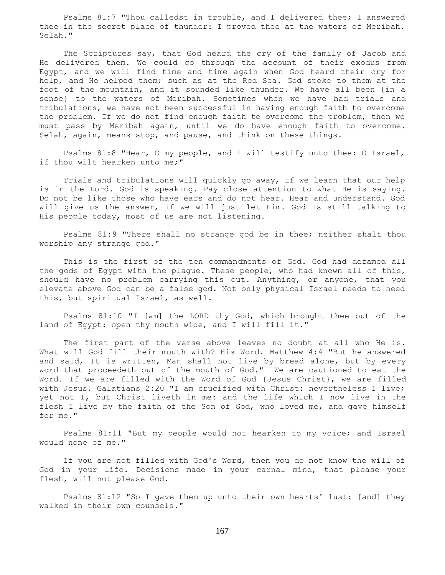Psalms 81:7 "Thou calledst in trouble, and I delivered thee; I answered thee in the secret place of thunder: I proved thee at the waters of Meribah. Selah."

 The Scriptures say, that God heard the cry of the family of Jacob and He delivered them. We could go through the account of their exodus from Egypt, and we will find time and time again when God heard their cry for help, and He helped them; such as at the Red Sea. God spoke to them at the foot of the mountain, and it sounded like thunder. We have all been {in a sense} to the waters of Meribah. Sometimes when we have had trials and tribulations, we have not been successful in having enough faith to overcome the problem. If we do not find enough faith to overcome the problem, then we must pass by Meribah again, until we do have enough faith to overcome. Selah, again, means stop, and pause, and think on these things.

 Psalms 81:8 "Hear, O my people, and I will testify unto thee: O Israel, if thou wilt hearken unto me;"

 Trials and tribulations will quickly go away, if we learn that our help is in the Lord. God is speaking. Pay close attention to what He is saying. Do not be like those who have ears and do not hear. Hear and understand. God will give us the answer, if we will just let Him. God is still talking to His people today, most of us are not listening.

 Psalms 81:9 "There shall no strange god be in thee; neither shalt thou worship any strange god."

 This is the first of the ten commandments of God. God had defamed all the gods of Egypt with the plague. These people, who had known all of this, should have no problem carrying this out. Anything, or anyone, that you elevate above God can be a false god. Not only physical Israel needs to heed this, but spiritual Israel, as well.

 Psalms 81:10 "I [am] the LORD thy God, which brought thee out of the land of Egypt: open thy mouth wide, and I will fill it."

 The first part of the verse above leaves no doubt at all who He is. What will God fill their mouth with? His Word. Matthew 4:4 "But he answered and said, It is written, Man shall not live by bread alone, but by every word that proceedeth out of the mouth of God." We are cautioned to eat the Word. If we are filled with the Word of God {Jesus Christ}, we are filled with Jesus. Galatians 2:20 "I am crucified with Christ: nevertheless I live; yet not I, but Christ liveth in me: and the life which I now live in the flesh I live by the faith of the Son of God, who loved me, and gave himself for me."

 Psalms 81:11 "But my people would not hearken to my voice; and Israel would none of me."

 If you are not filled with God's Word, then you do not know the will of God in your life. Decisions made in your carnal mind, that please your flesh, will not please God.

 Psalms 81:12 "So I gave them up unto their own hearts' lust: [and] they walked in their own counsels."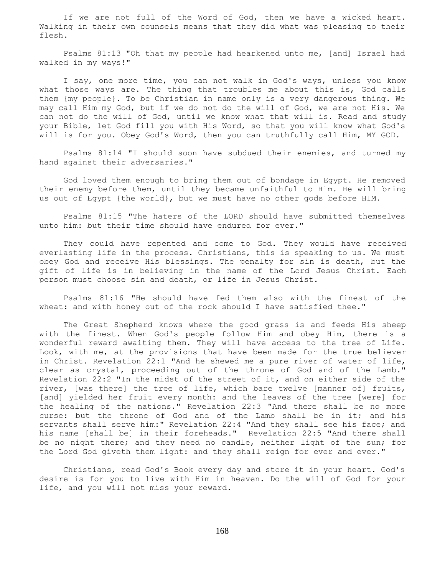If we are not full of the Word of God, then we have a wicked heart. Walking in their own counsels means that they did what was pleasing to their flesh.

 Psalms 81:13 "Oh that my people had hearkened unto me, [and] Israel had walked in my ways!"

 I say, one more time, you can not walk in God's ways, unless you know what those ways are. The thing that troubles me about this is, God calls them {my people}. To be Christian in name only is a very dangerous thing. We may call Him my God, but if we do not do the will of God, we are not His. We can not do the will of God, until we know what that will is. Read and study your Bible, let God fill you with His Word, so that you will know what God's will is for you. Obey God's Word, then you can truthfully call Him, MY GOD.

 Psalms 81:14 "I should soon have subdued their enemies, and turned my hand against their adversaries."

 God loved them enough to bring them out of bondage in Egypt. He removed their enemy before them, until they became unfaithful to Him. He will bring us out of Egypt {the world}, but we must have no other gods before HIM.

 Psalms 81:15 "The haters of the LORD should have submitted themselves unto him: but their time should have endured for ever."

 They could have repented and come to God. They would have received everlasting life in the process. Christians, this is speaking to us. We must obey God and receive His blessings. The penalty for sin is death, but the gift of life is in believing in the name of the Lord Jesus Christ. Each person must choose sin and death, or life in Jesus Christ.

 Psalms 81:16 "He should have fed them also with the finest of the wheat: and with honey out of the rock should I have satisfied thee."

 The Great Shepherd knows where the good grass is and feeds His sheep with the finest. When God's people follow Him and obey Him, there is a wonderful reward awaiting them. They will have access to the tree of Life. Look, with me, at the provisions that have been made for the true believer in Christ. Revelation 22:1 "And he shewed me a pure river of water of life, clear as crystal, proceeding out of the throne of God and of the Lamb." Revelation 22:2 "In the midst of the street of it, and on either side of the river, [was there] the tree of life, which bare twelve [manner of] fruits, [and] yielded her fruit every month: and the leaves of the tree [were] for the healing of the nations." Revelation 22:3 "And there shall be no more curse: but the throne of God and of the Lamb shall be in it; and his servants shall serve him:" Revelation 22:4 "And they shall see his face; and his name [shall be] in their foreheads." Revelation 22:5 "And there shall be no night there; and they need no candle, neither light of the sun; for the Lord God giveth them light: and they shall reign for ever and ever."

 Christians, read God's Book every day and store it in your heart. God's desire is for you to live with Him in heaven. Do the will of God for your life, and you will not miss your reward.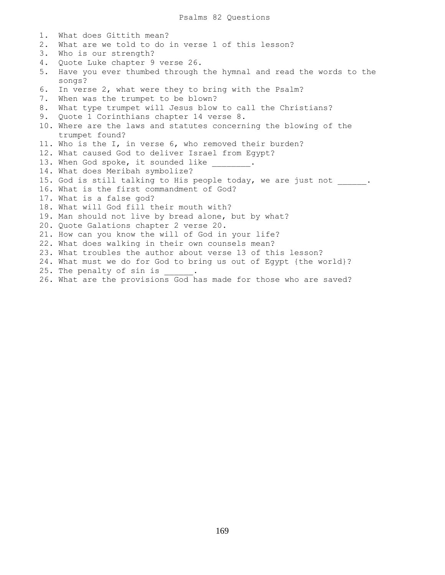1. What does Gittith mean? 2. What are we told to do in verse 1 of this lesson? 3. Who is our strength? 4. Quote Luke chapter 9 verse 26. 5. Have you ever thumbed through the hymnal and read the words to the songs? 6. In verse 2, what were they to bring with the Psalm? 7. When was the trumpet to be blown? 8. What type trumpet will Jesus blow to call the Christians? 9. Quote 1 Corinthians chapter 14 verse 8. 10. Where are the laws and statutes concerning the blowing of the trumpet found? 11. Who is the I, in verse 6, who removed their burden? 12. What caused God to deliver Israel from Egypt? 13. When God spoke, it sounded like 14. What does Meribah symbolize? 15. God is still talking to His people today, we are just not . 16. What is the first commandment of God? 17. What is a false god? 18. What will God fill their mouth with? 19. Man should not live by bread alone, but by what? 20. Quote Galations chapter 2 verse 20. 21. How can you know the will of God in your life? 22. What does walking in their own counsels mean? 23. What troubles the author about verse 13 of this lesson? 24. What must we do for God to bring us out of Egypt {the world}? 25. The penalty of sin is

26. What are the provisions God has made for those who are saved?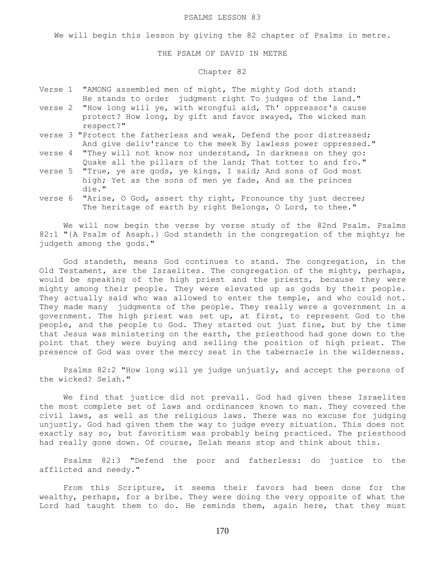#### PSALMS LESSON 83

We will begin this lesson by giving the 82 chapter of Psalms in metre.

### THE PSALM OF DAVID IN METRE

# Chapter 82

- Verse 1 "AMONG assembled men of might, The mighty God doth stand: He stands to order judgment right To judges of the land."
- verse 2 "How long will ye, with wrongful aid, Th' oppressor's cause protect? How long, by gift and favor swayed, The wicked man respect?"
- verse 3 "Protect the fatherless and weak, Defend the poor distressed; And give deliv'rance to the meek By lawless power oppressed."
- verse 4 "They will not know nor understand, In darkness on they go: Quake all the pillars of the land; That totter to and fro."
- verse 5 "True, ye are gods, ye kings, I said; And sons of God most high; Yet as the sons of men ye fade, And as the princes die."
- verse 6 "Arise, O God, assert thy right, Pronounce thy just decree; The heritage of earth by right Belongs, O Lord, to thee."

 We will now begin the verse by verse study of the 82nd Psalm. Psalms 82:1 "{A Psalm of Asaph.} God standeth in the congregation of the mighty; he judgeth among the gods."

 God standeth, means God continues to stand. The congregation, in the Old Testament, are the Israelites. The congregation of the mighty, perhaps, would be speaking of the high priest and the priests, because they were mighty among their people. They were elevated up as gods by their people. They actually said who was allowed to enter the temple, and who could not. They made many judgments of the people. They really were a government in a government. The high priest was set up, at first, to represent God to the people, and the people to God. They started out just fine, but by the time that Jesus was ministering on the earth, the priesthood had gone down to the point that they were buying and selling the position of high priest. The presence of God was over the mercy seat in the tabernacle in the wilderness.

 Psalms 82:2 "How long will ye judge unjustly, and accept the persons of the wicked? Selah."

 We find that justice did not prevail. God had given these Israelites the most complete set of laws and ordinances known to man. They covered the civil laws, as well as the religious laws. There was no excuse for judging unjustly. God had given them the way to judge every situation. This does not exactly say so, but favoritism was probably being practiced. The priesthood had really gone down. Of course, Selah means stop and think about this.

 Psalms 82:3 "Defend the poor and fatherless: do justice to the afflicted and needy."

 From this Scripture, it seems their favors had been done for the wealthy, perhaps, for a bribe. They were doing the very opposite of what the Lord had taught them to do. He reminds them, again here, that they must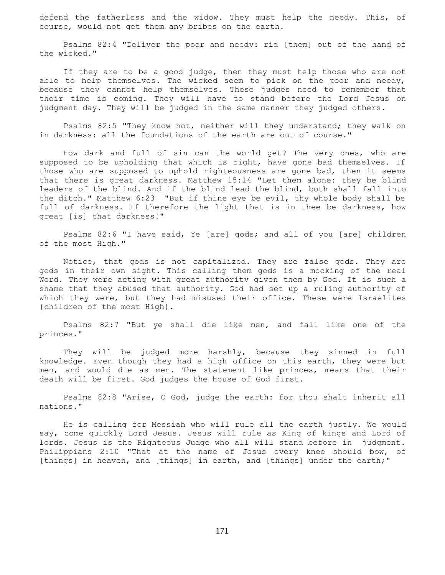defend the fatherless and the widow. They must help the needy. This, of course, would not get them any bribes on the earth.

 Psalms 82:4 "Deliver the poor and needy: rid [them] out of the hand of the wicked."

 If they are to be a good judge, then they must help those who are not able to help themselves. The wicked seem to pick on the poor and needy, because they cannot help themselves. These judges need to remember that their time is coming. They will have to stand before the Lord Jesus on judgment day. They will be judged in the same manner they judged others.

 Psalms 82:5 "They know not, neither will they understand; they walk on in darkness: all the foundations of the earth are out of course."

 How dark and full of sin can the world get? The very ones, who are supposed to be upholding that which is right, have gone bad themselves. If those who are supposed to uphold righteousness are gone bad, then it seems that there is great darkness. Matthew 15:14 "Let them alone: they be blind leaders of the blind. And if the blind lead the blind, both shall fall into the ditch." Matthew 6:23 "But if thine eye be evil, thy whole body shall be full of darkness. If therefore the light that is in thee be darkness, how great [is] that darkness!"

 Psalms 82:6 "I have said, Ye [are] gods; and all of you [are] children of the most High."

 Notice, that gods is not capitalized. They are false gods. They are gods in their own sight. This calling them gods is a mocking of the real Word. They were acting with great authority given them by God. It is such a shame that they abused that authority. God had set up a ruling authority of which they were, but they had misused their office. These were Israelites {children of the most High}.

 Psalms 82:7 "But ye shall die like men, and fall like one of the princes."

 They will be judged more harshly, because they sinned in full knowledge. Even though they had a high office on this earth, they were but men, and would die as men. The statement like princes, means that their death will be first. God judges the house of God first.

 Psalms 82:8 "Arise, O God, judge the earth: for thou shalt inherit all nations."

 He is calling for Messiah who will rule all the earth justly. We would say, come quickly Lord Jesus. Jesus will rule as King of kings and Lord of lords. Jesus is the Righteous Judge who all will stand before in judgment. Philippians 2:10 "That at the name of Jesus every knee should bow, of [things] in heaven, and [things] in earth, and [things] under the earth;"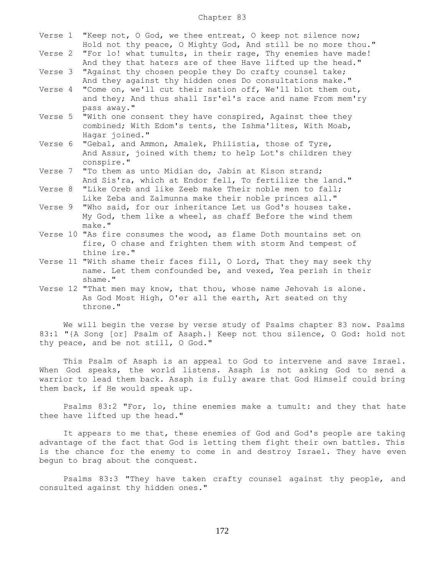### Chapter 83

| Verse 1 | "Keep not, O God, we thee entreat, O keep not silence now;<br>Hold not thy peace, O Mighty God, And still be no more thou." |
|---------|-----------------------------------------------------------------------------------------------------------------------------|
| Verse 2 | "For lo! what tumults, in their rage, Thy enemies have made!                                                                |
|         | And they that haters are of thee Have lifted up the head."                                                                  |
| Verse 3 | "Against thy chosen people they Do crafty counsel take;<br>And they against thy hidden ones Do consultations make."         |
| Verse 4 | "Come on, we'll cut their nation off, We'll blot them out,                                                                  |
|         | and they; And thus shall Isr'el's race and name From mem'ry                                                                 |
|         | pass away."                                                                                                                 |
| Verse 5 | "With one consent they have conspired, Against thee they                                                                    |
|         | combined; With Edom's tents, the Ishma'lites, With Moab,                                                                    |
|         | Hagar joined."                                                                                                              |
| Verse 6 | "Gebal, and Ammon, Amalek, Philistia, those of Tyre,                                                                        |
|         | And Assur, joined with them; to help Lot's children they                                                                    |
|         | conspire."                                                                                                                  |
| Verse 7 | "To them as unto Midian do, Jabin at Kison strand;                                                                          |
|         | And Sis'ra, which at Endor fell, To fertilize the land."                                                                    |
| Verse 8 | "Like Oreb and like Zeeb make Their noble men to fall;                                                                      |
|         | Like Zeba and Zalmunna make their noble princes all."                                                                       |
| Verse 9 | "Who said, for our inheritance Let us God's houses take.                                                                    |
|         | My God, them like a wheel, as chaff Before the wind them                                                                    |
|         | make."                                                                                                                      |
|         | Verse 10 "As fire consumes the wood, as flame Doth mountains set on                                                         |
|         |                                                                                                                             |
|         | fire, O chase and frighten them with storm And tempest of                                                                   |
|         | thine ire."                                                                                                                 |
|         | Verse 11 "With shame their faces fill, O Lord, That they may seek thy                                                       |
|         | name. Let them confounded be, and vexed, Yea perish in their                                                                |
|         | shame."                                                                                                                     |

Verse 12 "That men may know, that thou, whose name Jehovah is alone. As God Most High, O'er all the earth, Art seated on thy throne."

 We will begin the verse by verse study of Psalms chapter 83 now. Psalms 83:1 "{A Song [or] Psalm of Asaph.} Keep not thou silence, O God: hold not thy peace, and be not still, O God."

 This Psalm of Asaph is an appeal to God to intervene and save Israel. When God speaks, the world listens. Asaph is not asking God to send a warrior to lead them back. Asaph is fully aware that God Himself could bring them back, if He would speak up.

 Psalms 83:2 "For, lo, thine enemies make a tumult: and they that hate thee have lifted up the head."

 It appears to me that, these enemies of God and God's people are taking advantage of the fact that God is letting them fight their own battles. This is the chance for the enemy to come in and destroy Israel. They have even begun to brag about the conquest.

 Psalms 83:3 "They have taken crafty counsel against thy people, and consulted against thy hidden ones."

172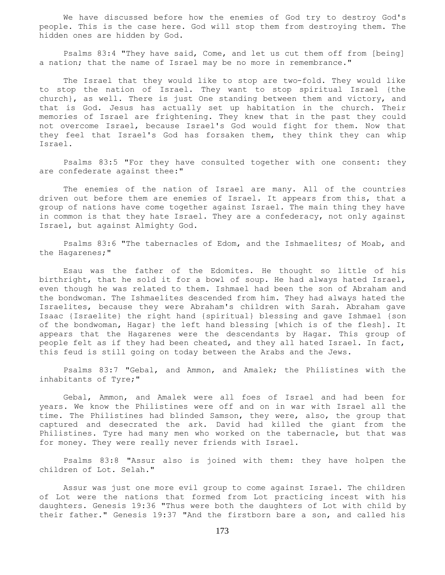We have discussed before how the enemies of God try to destroy God's people. This is the case here. God will stop them from destroying them. The hidden ones are hidden by God.

 Psalms 83:4 "They have said, Come, and let us cut them off from [being] a nation; that the name of Israel may be no more in remembrance."

 The Israel that they would like to stop are two-fold. They would like to stop the nation of Israel. They want to stop spiritual Israel {the church}, as well. There is just One standing between them and victory, and that is God. Jesus has actually set up habitation in the church. Their memories of Israel are frightening. They knew that in the past they could not overcome Israel, because Israel's God would fight for them. Now that they feel that Israel's God has forsaken them, they think they can whip Israel.

 Psalms 83:5 "For they have consulted together with one consent: they are confederate against thee:"

 The enemies of the nation of Israel are many. All of the countries driven out before them are enemies of Israel. It appears from this, that a group of nations have come together against Israel. The main thing they have in common is that they hate Israel. They are a confederacy, not only against Israel, but against Almighty God.

 Psalms 83:6 "The tabernacles of Edom, and the Ishmaelites; of Moab, and the Hagarenes;"

 Esau was the father of the Edomites. He thought so little of his birthright, that he sold it for a bowl of soup. He had always hated Israel, even though he was related to them. Ishmael had been the son of Abraham and the bondwoman. The Ishmaelites descended from him. They had always hated the Israelites, because they were Abraham's children with Sarah. Abraham gave Isaac {Israelite} the right hand {spiritual} blessing and gave Ishmael {son of the bondwoman, Hagar} the left hand blessing [which is of the flesh]. It appears that the Hagarenes were the descendants by Hagar. This group of people felt as if they had been cheated, and they all hated Israel. In fact, this feud is still going on today between the Arabs and the Jews.

 Psalms 83:7 "Gebal, and Ammon, and Amalek; the Philistines with the inhabitants of Tyre;"

 Gebal, Ammon, and Amalek were all foes of Israel and had been for years. We know the Philistines were off and on in war with Israel all the time. The Philistines had blinded Samson, they were, also, the group that captured and desecrated the ark. David had killed the giant from the Philistines. Tyre had many men who worked on the tabernacle, but that was for money. They were really never friends with Israel.

 Psalms 83:8 "Assur also is joined with them: they have holpen the children of Lot. Selah."

 Assur was just one more evil group to come against Israel. The children of Lot were the nations that formed from Lot practicing incest with his daughters. Genesis 19:36 "Thus were both the daughters of Lot with child by their father." Genesis 19:37 "And the firstborn bare a son, and called his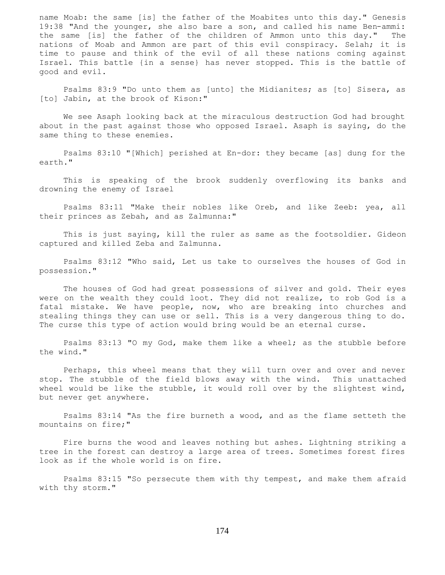name Moab: the same [is] the father of the Moabites unto this day." Genesis 19:38 "And the younger, she also bare a son, and called his name Ben-ammi: the same [is] the father of the children of Ammon unto this day." The nations of Moab and Ammon are part of this evil conspiracy. Selah; it is time to pause and think of the evil of all these nations coming against Israel. This battle {in a sense} has never stopped. This is the battle of good and evil.

 Psalms 83:9 "Do unto them as [unto] the Midianites; as [to] Sisera, as [to] Jabin, at the brook of Kison:"

 We see Asaph looking back at the miraculous destruction God had brought about in the past against those who opposed Israel. Asaph is saying, do the same thing to these enemies.

 Psalms 83:10 "[Which] perished at En-dor: they became [as] dung for the earth."

 This is speaking of the brook suddenly overflowing its banks and drowning the enemy of Israel

 Psalms 83:11 "Make their nobles like Oreb, and like Zeeb: yea, all their princes as Zebah, and as Zalmunna:"

 This is just saying, kill the ruler as same as the footsoldier. Gideon captured and killed Zeba and Zalmunna.

 Psalms 83:12 "Who said, Let us take to ourselves the houses of God in possession."

 The houses of God had great possessions of silver and gold. Their eyes were on the wealth they could loot. They did not realize, to rob God is a fatal mistake. We have people, now, who are breaking into churches and stealing things they can use or sell. This is a very dangerous thing to do. The curse this type of action would bring would be an eternal curse.

 Psalms 83:13 "O my God, make them like a wheel; as the stubble before the wind."

 Perhaps, this wheel means that they will turn over and over and never stop. The stubble of the field blows away with the wind. This unattached wheel would be like the stubble, it would roll over by the slightest wind, but never get anywhere.

 Psalms 83:14 "As the fire burneth a wood, and as the flame setteth the mountains on fire;"

 Fire burns the wood and leaves nothing but ashes. Lightning striking a tree in the forest can destroy a large area of trees. Sometimes forest fires look as if the whole world is on fire.

 Psalms 83:15 "So persecute them with thy tempest, and make them afraid with thy storm."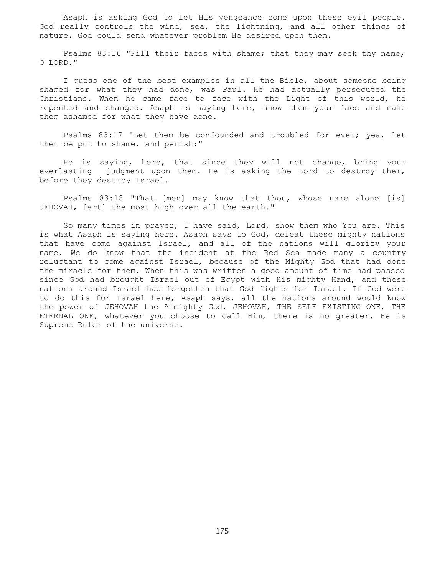Asaph is asking God to let His vengeance come upon these evil people. God really controls the wind, sea, the lightning, and all other things of nature. God could send whatever problem He desired upon them.

 Psalms 83:16 "Fill their faces with shame; that they may seek thy name, O LORD."

 I guess one of the best examples in all the Bible, about someone being shamed for what they had done, was Paul. He had actually persecuted the Christians. When he came face to face with the Light of this world, he repented and changed. Asaph is saying here, show them your face and make them ashamed for what they have done.

 Psalms 83:17 "Let them be confounded and troubled for ever; yea, let them be put to shame, and perish:"

 He is saying, here, that since they will not change, bring your everlasting judgment upon them. He is asking the Lord to destroy them, before they destroy Israel.

 Psalms 83:18 "That [men] may know that thou, whose name alone [is] JEHOVAH, [art] the most high over all the earth."

 So many times in prayer, I have said, Lord, show them who You are. This is what Asaph is saying here. Asaph says to God, defeat these mighty nations that have come against Israel, and all of the nations will glorify your name. We do know that the incident at the Red Sea made many a country reluctant to come against Israel, because of the Mighty God that had done the miracle for them. When this was written a good amount of time had passed since God had brought Israel out of Egypt with His mighty Hand, and these nations around Israel had forgotten that God fights for Israel. If God were to do this for Israel here, Asaph says, all the nations around would know the power of JEHOVAH the Almighty God. JEHOVAH, THE SELF EXISTING ONE, THE ETERNAL ONE, whatever you choose to call Him, there is no greater. He is Supreme Ruler of the universe.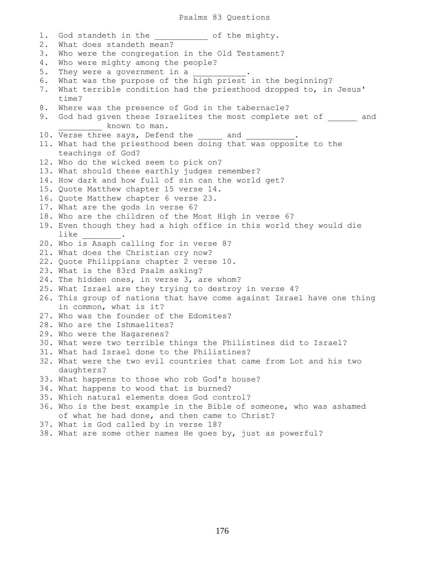### Psalms 83 Questions

1. God standeth in the \_\_\_\_\_\_\_\_\_\_\_ of the mighty. 2. What does standeth mean? 3. Who were the congregation in the Old Testament? 4. Who were mighty among the people? 5. They were a government in a 6. What was the purpose of the high priest in the beginning? 7. What terrible condition had the priesthood dropped to, in Jesus' time? 8. Where was the presence of God in the tabernacle? 9. God had given these Israelites the most complete set of and **LEAU EXECUTE:** known to man. 10. Verse three says, Defend the and 11. What had the priesthood been doing that was opposite to the teachings of God? 12. Who do the wicked seem to pick on? 13. What should these earthly judges remember? 14. How dark and how full of sin can the world get? 15. Quote Matthew chapter 15 verse 14. 16. Quote Matthew chapter 6 verse 23. 17. What are the gods in verse 6? 18. Who are the children of the Most High in verse 6? 19. Even though they had a high office in this world they would die like \_\_\_\_\_\_\_\_. 20. Who is Asaph calling for in verse 8? 21. What does the Christian cry now? 22. Quote Philippians chapter 2 verse 10. 23. What is the 83rd Psalm asking? 24. The hidden ones, in verse 3, are whom? 25. What Israel are they trying to destroy in verse 4? 26. This group of nations that have come against Israel have one thing in common, what is it? 27. Who was the founder of the Edomites? 28. Who are the Ishmaelites? 29. Who were the Hagarenes? 30. What were two terrible things the Philistines did to Israel? 31. What had Israel done to the Philistines? 32. What were the two evil countries that came from Lot and his two daughters? 33. What happens to those who rob God's house? 34. What happens to wood that is burned? 35. Which natural elements does God control? 36. Who is the best example in the Bible of someone, who was ashamed of what he had done, and then came to Christ? 37. What is God called by in verse 18? 38. What are some other names He goes by, just as powerful?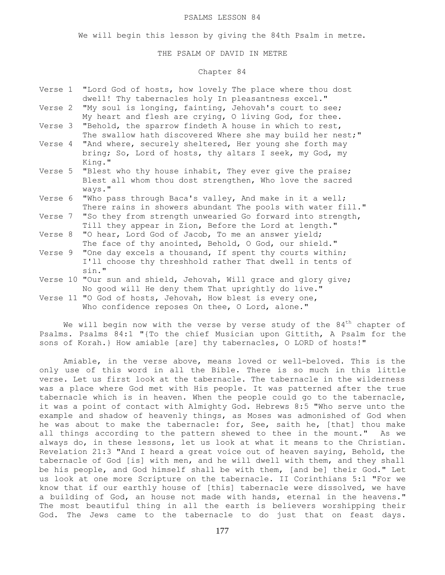### PSALMS LESSON 84

We will begin this lesson by giving the 84th Psalm in metre.

### THE PSALM OF DAVID IN METRE

# Chapter 84

| Verse 1 "Lord God of hosts, how lovely The place where thou dost |
|------------------------------------------------------------------|
| dwell! Thy tabernacles holy In pleasantness excel."              |
| Verse 2 "My soul is longing, fainting, Jehovah's court to see;   |

- My heart and flesh are crying, O living God, for thee. Verse 3 "Behold, the sparrow findeth A house in which to rest,
- The swallow hath discovered Where she may build her nest;"
- Verse 4 "And where, securely sheltered, Her young she forth may bring; So, Lord of hosts, thy altars I seek, my God, my King."
- Verse 5 "Blest who thy house inhabit, They ever give the praise; Blest all whom thou dost strengthen, Who love the sacred ways."
- Verse 6 "Who pass through Baca's valley, And make in it a well; There rains in showers abundant The pools with water fill."
- Verse 7 "So they from strength unwearied Go forward into strength, Till they appear in Zion, Before the Lord at length."
- Verse 8 "O hear, Lord God of Jacob, To me an answer yield; The face of thy anointed, Behold, O God, our shield."
- Verse 9 "One day excels a thousand, If spent thy courts within; I'll choose thy threshhold rather That dwell in tents of sin."
- Verse 10 "Our sun and shield, Jehovah, Will grace and glory give; No good will He deny them That uprightly do live."
- Verse 11 "O God of hosts, Jehovah, How blest is every one, Who confidence reposes On thee, O Lord, alone."

We will begin now with the verse by verse study of the  $84<sup>th</sup>$  chapter of Psalms. Psalms 84:1 "{To the chief Musician upon Gittith, A Psalm for the sons of Korah.} How amiable [are] thy tabernacles, O LORD of hosts!"

 Amiable, in the verse above, means loved or well-beloved. This is the only use of this word in all the Bible. There is so much in this little verse. Let us first look at the tabernacle. The tabernacle in the wilderness was a place where God met with His people. It was patterned after the true tabernacle which is in heaven. When the people could go to the tabernacle, it was a point of contact with Almighty God. Hebrews 8:5 "Who serve unto the example and shadow of heavenly things, as Moses was admonished of God when he was about to make the tabernacle: for, See, saith he, [that] thou make all things according to the pattern shewed to thee in the mount." As we always do, in these lessons, let us look at what it means to the Christian. Revelation 21:3 "And I heard a great voice out of heaven saying, Behold, the tabernacle of God [is] with men, and he will dwell with them, and they shall be his people, and God himself shall be with them, [and be] their God." Let us look at one more Scripture on the tabernacle. II Corinthians 5:1 "For we know that if our earthly house of [this] tabernacle were dissolved, we have a building of God, an house not made with hands, eternal in the heavens." The most beautiful thing in all the earth is believers worshipping their God. The Jews came to the tabernacle to do just that on feast days.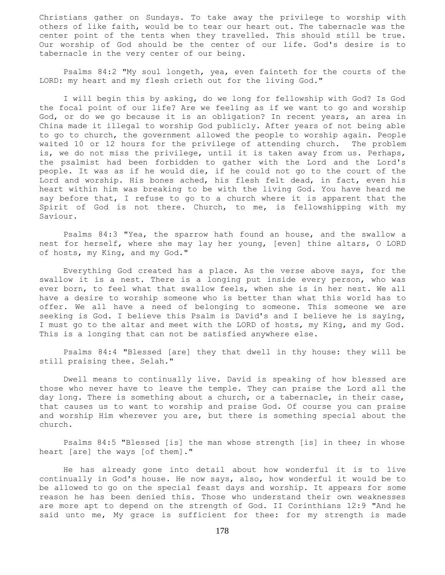Christians gather on Sundays. To take away the privilege to worship with others of like faith, would be to tear our heart out. The tabernacle was the center point of the tents when they travelled. This should still be true. Our worship of God should be the center of our life. God's desire is to tabernacle in the very center of our being.

 Psalms 84:2 "My soul longeth, yea, even fainteth for the courts of the LORD: my heart and my flesh crieth out for the living God."

 I will begin this by asking, do we long for fellowship with God? Is God the focal point of our life? Are we feeling as if we want to go and worship God, or do we go because it is an obligation? In recent years, an area in China made it illegal to worship God publicly. After years of not being able to go to church, the government allowed the people to worship again. People waited 10 or 12 hours for the privilege of attending church. The problem is, we do not miss the privilege, until it is taken away from us. Perhaps, the psalmist had been forbidden to gather with the Lord and the Lord's people. It was as if he would die, if he could not go to the court of the Lord and worship. His bones ached, his flesh felt dead, in fact, even his heart within him was breaking to be with the living God. You have heard me say before that, I refuse to go to a church where it is apparent that the Spirit of God is not there. Church, to me, is fellowshipping with my Saviour.

 Psalms 84:3 "Yea, the sparrow hath found an house, and the swallow a nest for herself, where she may lay her young, [even] thine altars, O LORD of hosts, my King, and my God."

 Everything God created has a place. As the verse above says, for the swallow it is a nest. There is a longing put inside every person, who was ever born, to feel what that swallow feels, when she is in her nest. We all have a desire to worship someone who is better than what this world has to offer. We all have a need of belonging to someone. This someone we are seeking is God. I believe this Psalm is David's and I believe he is saying, I must go to the altar and meet with the LORD of hosts, my King, and my God. This is a longing that can not be satisfied anywhere else.

 Psalms 84:4 "Blessed [are] they that dwell in thy house: they will be still praising thee. Selah."

 Dwell means to continually live. David is speaking of how blessed are those who never have to leave the temple. They can praise the Lord all the day long. There is something about a church, or a tabernacle, in their case, that causes us to want to worship and praise God. Of course you can praise and worship Him wherever you are, but there is something special about the church.

 Psalms 84:5 "Blessed [is] the man whose strength [is] in thee; in whose heart [are] the ways [of them]."

 He has already gone into detail about how wonderful it is to live continually in God's house. He now says, also, how wonderful it would be to be allowed to go on the special feast days and worship. It appears for some reason he has been denied this. Those who understand their own weaknesses are more apt to depend on the strength of God. II Corinthians 12:9 "And he said unto me, My grace is sufficient for thee: for my strength is made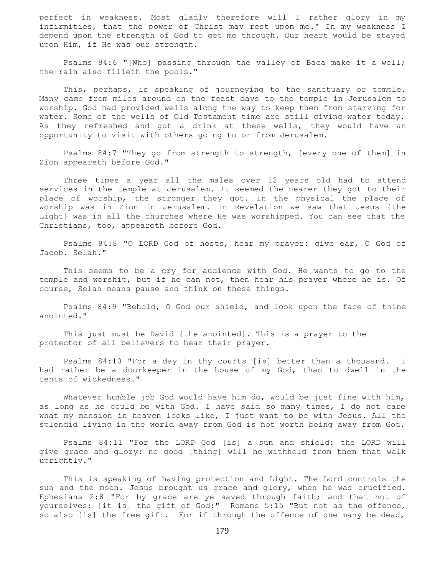perfect in weakness. Most gladly therefore will I rather glory in my infirmities, that the power of Christ may rest upon me." In my weakness I depend upon the strength of God to get me through. Our heart would be stayed upon Him, if He was our strength.

 Psalms 84:6 "[Who] passing through the valley of Baca make it a well; the rain also filleth the pools."

 This, perhaps, is speaking of journeying to the sanctuary or temple. Many came from miles around on the feast days to the temple in Jerusalem to worship. God had provided wells along the way to keep them from starving for water. Some of the wells of Old Testament time are still giving water today. As they refreshed and got a drink at these wells, they would have an opportunity to visit with others going to or from Jerusalem.

 Psalms 84:7 "They go from strength to strength, [every one of them] in Zion appeareth before God."

 Three times a year all the males over 12 years old had to attend services in the temple at Jerusalem. It seemed the nearer they got to their place of worship, the stronger they got. In the physical the place of worship was in Zion in Jerusalem. In Revelation we saw that Jesus {the Light} was in all the churches where He was worshipped. You can see that the Christians, too, appeareth before God.

 Psalms 84:8 "O LORD God of hosts, hear my prayer: give ear, O God of Jacob. Selah."

 This seems to be a cry for audience with God. He wants to go to the temple and worship, but if he can not, then hear his prayer where he is. Of course, Selah means pause and think on these things.

 Psalms 84:9 "Behold, O God our shield, and look upon the face of thine anointed."

 This just must be David {the anointed}. This is a prayer to the protector of all believers to hear their prayer.

 Psalms 84:10 "For a day in thy courts [is] better than a thousand. I had rather be a doorkeeper in the house of my God, than to dwell in the tents of wickedness."

Whatever humble job God would have him do, would be just fine with him, as long as he could be with God. I have said so many times, I do not care what my mansion in heaven looks like, I just want to be with Jesus. All the splendid living in the world away from God is not worth being away from God.

 Psalms 84:11 "For the LORD God [is] a sun and shield: the LORD will give grace and glory: no good [thing] will he withhold from them that walk uprightly."

 This is speaking of having protection and Light. The Lord controls the sun and the moon. Jesus brought us grace and glory, when he was crucified. Ephesians 2:8 "For by grace are ye saved through faith; and that not of yourselves: [it is] the gift of God:" Romans 5:15 "But not as the offence, so also [is] the free gift. For if through the offence of one many be dead,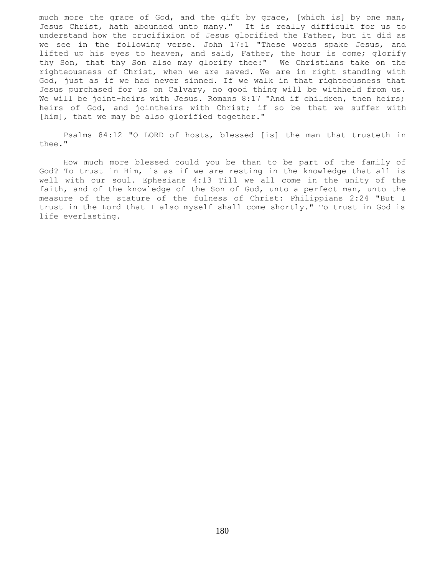much more the grace of God, and the gift by grace, [which is] by one man, Jesus Christ, hath abounded unto many." It is really difficult for us to understand how the crucifixion of Jesus glorified the Father, but it did as we see in the following verse. John 17:1 "These words spake Jesus, and lifted up his eyes to heaven, and said, Father, the hour is come; glorify thy Son, that thy Son also may glorify thee:" We Christians take on the righteousness of Christ, when we are saved. We are in right standing with God, just as if we had never sinned. If we walk in that righteousness that Jesus purchased for us on Calvary, no good thing will be withheld from us. We will be joint-heirs with Jesus. Romans 8:17 "And if children, then heirs; heirs of God, and jointheirs with Christ; if so be that we suffer with [him], that we may be also glorified together."

 Psalms 84:12 "O LORD of hosts, blessed [is] the man that trusteth in thee."

 How much more blessed could you be than to be part of the family of God? To trust in Him, is as if we are resting in the knowledge that all is well with our soul. Ephesians 4:13 Till we all come in the unity of the faith, and of the knowledge of the Son of God, unto a perfect man, unto the measure of the stature of the fulness of Christ: Philippians 2:24 "But I trust in the Lord that I also myself shall come shortly." To trust in God is life everlasting.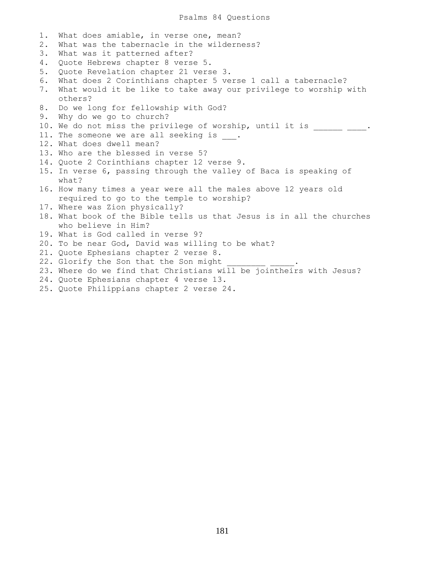| 1. | What does amiable, in verse one, mean?                                |
|----|-----------------------------------------------------------------------|
| 2. | What was the tabernacle in the wilderness?                            |
| 3. | What was it patterned after?                                          |
| 4. | Quote Hebrews chapter 8 verse 5.                                      |
| 5. | Quote Revelation chapter 21 verse 3.                                  |
| 6. | What does 2 Corinthians chapter 5 verse 1 call a tabernacle?          |
| 7. | What would it be like to take away our privilege to worship with      |
|    | others?                                                               |
| 8. | Do we long for fellowship with God?                                   |
| 9. | Why do we go to church?                                               |
|    | 10. We do not miss the privilege of worship, until it is              |
|    | 11. The someone we are all seeking is .                               |
|    | 12. What does dwell mean?                                             |
|    | 13. Who are the blessed in verse 5?                                   |
|    | 14. Quote 2 Corinthians chapter 12 verse 9.                           |
|    | 15. In verse 6, passing through the valley of Baca is speaking of     |
|    | what?                                                                 |
|    | 16. How many times a year were all the males above 12 years old       |
|    | required to go to the temple to worship?                              |
|    | 17. Where was Zion physically?                                        |
|    | 18. What book of the Bible tells us that Jesus is in all the churches |
|    | who believe in Him?                                                   |
|    | 19. What is God called in verse 9?                                    |
|    | 20. To be near God, David was willing to be what?                     |
|    | 21. Quote Ephesians chapter 2 verse 8.                                |
|    | 22. Glorify the Son that the Son might                                |
|    | 23. Where do we find that Christians will be jointheirs with Jesus?   |
|    | 24. Quote Ephesians chapter 4 verse 13.                               |
|    | 25. Quote Philippians chapter 2 verse 24.                             |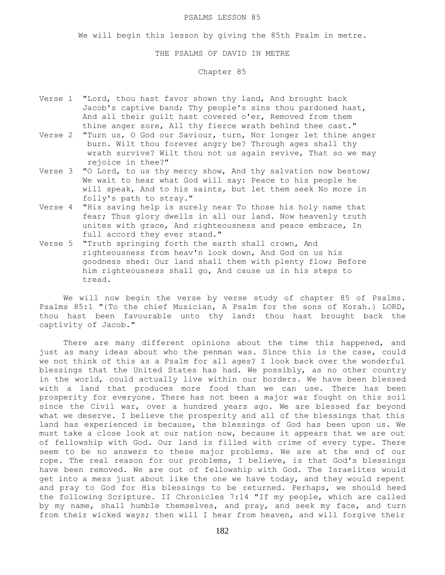### PSALMS LESSON 85

We will begin this lesson by giving the 85th Psalm in metre.

### THE PSALMS OF DAVID IN METRE

Chapter 85

- Verse 1 "Lord, thou hast favor shown thy land, And brought back Jacob's captive band; Thy people's sins thou pardoned hast, And all their guilt hast covered o'er, Removed from them thine anger sore, All thy fierce wrath behind thee cast."
- Verse 2 "Turn us, O God our Saviour, turn, Nor longer let thine anger burn. Wilt thou forever angry be? Through ages shall thy wrath survive? Wilt thou not us again revive, That so we may rejoice in thee?"
- Verse 3 "O Lord, to us thy mercy show, And thy salvation now bestow; We wait to hear what God will say: Peace to his people he will speak, And to his saints, but let them seek No more in folly's path to stray."
- Verse 4 "His saving help is surely near To those his holy name that fear; Thus glory dwells in all our land. Now heavenly truth unites with grace, And righteousness and peace embrace, In full accord they ever stand."
- Verse 5 "Truth springing forth the earth shall crown, And righteousness from heav'n look down, And God on us his goodness shed: Our land shall them with plenty flow; Before him righteousness shall go, And cause us in his steps to tread.

 We will now begin the verse by verse study of chapter 85 of Psalms. Psalms 85:1 "{To the chief Musician, A Psalm for the sons of Korah.} LORD, thou hast been favourable unto thy land: thou hast brought back the captivity of Jacob."

 There are many different opinions about the time this happened, and just as many ideas about who the penman was. Since this is the case, could we not think of this as a Psalm for all ages? I look back over the wonderful blessings that the United States has had. We possibly, as no other country in the world, could actually live within our borders. We have been blessed with a land that produces more food than we can use. There has been prosperity for everyone. There has not been a major war fought on this soil since the Civil war, over a hundred years ago. We are blessed far beyond what we deserve. I believe the prosperity and all of the blessings that this land has experienced is because, the blessings of God has been upon us. We must take a close look at our nation now, because it appears that we are out of fellowship with God. Our land is filled with crime of every type. There seem to be no answers to these major problems. We are at the end of our rope. The real reason for our problems, I believe, is that God's blessings have been removed. We are out of fellowship with God. The Israelites would get into a mess just about like the one we have today, and they would repent and pray to God for His blessings to be returned. Perhaps, we should heed the following Scripture. II Chronicles 7:14 "If my people, which are called by my name, shall humble themselves, and pray, and seek my face, and turn from their wicked ways; then will I hear from heaven, and will forgive their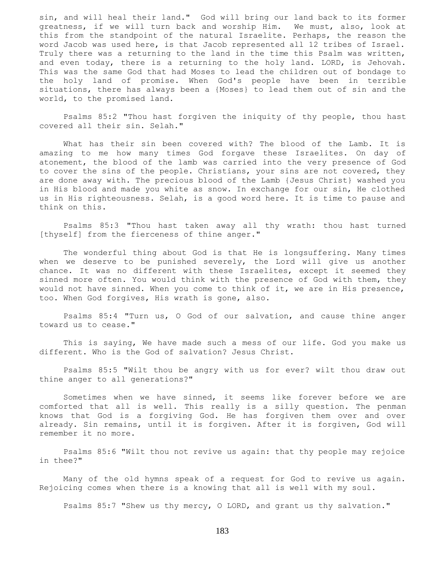sin, and will heal their land." God will bring our land back to its former greatness, if we will turn back and worship Him. We must, also, look at this from the standpoint of the natural Israelite. Perhaps, the reason the word Jacob was used here, is that Jacob represented all 12 tribes of Israel. Truly there was a returning to the land in the time this Psalm was written, and even today, there is a returning to the holy land. LORD, is Jehovah. This was the same God that had Moses to lead the children out of bondage to the holy land of promise. When God's people have been in terrible situations, there has always been a {Moses} to lead them out of sin and the world, to the promised land.

 Psalms 85:2 "Thou hast forgiven the iniquity of thy people, thou hast covered all their sin. Selah."

 What has their sin been covered with? The blood of the Lamb. It is amazing to me how many times God forgave these Israelites. On day of atonement, the blood of the lamb was carried into the very presence of God to cover the sins of the people. Christians, your sins are not covered, they are done away with. The precious blood of the Lamb {Jesus Christ} washed you in His blood and made you white as snow. In exchange for our sin, He clothed us in His righteousness. Selah, is a good word here. It is time to pause and think on this.

 Psalms 85:3 "Thou hast taken away all thy wrath: thou hast turned [thyself] from the fierceness of thine anger."

 The wonderful thing about God is that He is longsuffering. Many times when we deserve to be punished severely, the Lord will give us another chance. It was no different with these Israelites, except it seemed they sinned more often. You would think with the presence of God with them, they would not have sinned. When you come to think of it, we are in His presence, too. When God forgives, His wrath is gone, also.

 Psalms 85:4 "Turn us, O God of our salvation, and cause thine anger toward us to cease."

 This is saying, We have made such a mess of our life. God you make us different. Who is the God of salvation? Jesus Christ.

 Psalms 85:5 "Wilt thou be angry with us for ever? wilt thou draw out thine anger to all generations?"

 Sometimes when we have sinned, it seems like forever before we are comforted that all is well. This really is a silly question. The penman knows that God is a forgiving God. He has forgiven them over and over already. Sin remains, until it is forgiven. After it is forgiven, God will remember it no more.

 Psalms 85:6 "Wilt thou not revive us again: that thy people may rejoice in thee?"

 Many of the old hymns speak of a request for God to revive us again. Rejoicing comes when there is a knowing that all is well with my soul.

Psalms 85:7 "Shew us thy mercy, O LORD, and grant us thy salvation."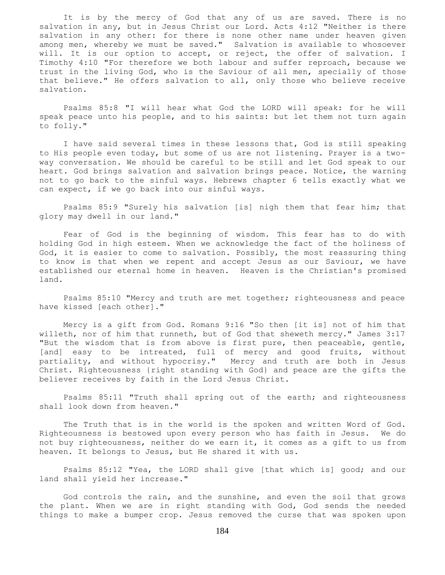It is by the mercy of God that any of us are saved. There is no salvation in any, but in Jesus Christ our Lord. Acts 4:12 "Neither is there salvation in any other: for there is none other name under heaven given among men, whereby we must be saved." Salvation is available to whosoever will. It is our option to accept, or reject, the offer of salvation. I Timothy 4:10 "For therefore we both labour and suffer reproach, because we trust in the living God, who is the Saviour of all men, specially of those that believe." He offers salvation to all, only those who believe receive salvation.

 Psalms 85:8 "I will hear what God the LORD will speak: for he will speak peace unto his people, and to his saints: but let them not turn again to folly."

 I have said several times in these lessons that, God is still speaking to His people even today, but some of us are not listening. Prayer is a twoway conversation. We should be careful to be still and let God speak to our heart. God brings salvation and salvation brings peace. Notice, the warning not to go back to the sinful ways. Hebrews chapter 6 tells exactly what we can expect, if we go back into our sinful ways.

 Psalms 85:9 "Surely his salvation [is] nigh them that fear him; that glory may dwell in our land."

 Fear of God is the beginning of wisdom. This fear has to do with holding God in high esteem. When we acknowledge the fact of the holiness of God, it is easier to come to salvation. Possibly, the most reassuring thing to know is that when we repent and accept Jesus as our Saviour, we have established our eternal home in heaven. Heaven is the Christian's promised land.

 Psalms 85:10 "Mercy and truth are met together; righteousness and peace have kissed [each other]."

 Mercy is a gift from God. Romans 9:16 "So then [it is] not of him that willeth, nor of him that runneth, but of God that sheweth mercy." James 3:17 "But the wisdom that is from above is first pure, then peaceable, gentle, [and] easy to be intreated, full of mercy and good fruits, without partiality, and without hypocrisy." Mercy and truth are both in Jesus Christ. Righteousness {right standing with God} and peace are the gifts the believer receives by faith in the Lord Jesus Christ.

 Psalms 85:11 "Truth shall spring out of the earth; and righteousness shall look down from heaven."

 The Truth that is in the world is the spoken and written Word of God. Righteousness is bestowed upon every person who has faith in Jesus. We do not buy righteousness, neither do we earn it, it comes as a gift to us from heaven. It belongs to Jesus, but He shared it with us.

 Psalms 85:12 "Yea, the LORD shall give [that which is] good; and our land shall yield her increase."

 God controls the rain, and the sunshine, and even the soil that grows the plant. When we are in right standing with God, God sends the needed things to make a bumper crop. Jesus removed the curse that was spoken upon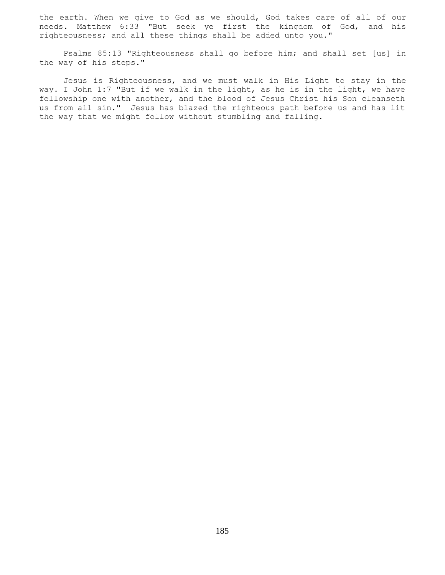the earth. When we give to God as we should, God takes care of all of our needs. Matthew 6:33 "But seek ye first the kingdom of God, and his righteousness; and all these things shall be added unto you."

 Psalms 85:13 "Righteousness shall go before him; and shall set [us] in the way of his steps."

 Jesus is Righteousness, and we must walk in His Light to stay in the way. I John 1:7 "But if we walk in the light, as he is in the light, we have fellowship one with another, and the blood of Jesus Christ his Son cleanseth us from all sin." Jesus has blazed the righteous path before us and has lit the way that we might follow without stumbling and falling.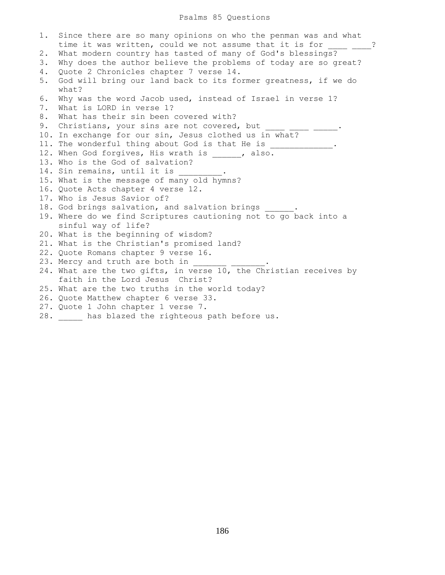### Psalms 85 Questions

1. Since there are so many opinions on who the penman was and what time it was written, could we not assume that it is for 2. What modern country has tasted of many of God's blessings? 3. Why does the author believe the problems of today are so great? 4. Quote 2 Chronicles chapter 7 verse 14. 5. God will bring our land back to its former greatness, if we do what? 6. Why was the word Jacob used, instead of Israel in verse 1? 7. What is LORD in verse 1? 8. What has their sin been covered with? 9. Christians, your sins are not covered, but 10. In exchange for our sin, Jesus clothed us in what? 11. The wonderful thing about God is that He is 12. When God forgives, His wrath is , also. 13. Who is the God of salvation? 14. Sin remains, until it is \_\_\_\_\_ 15. What is the message of many old hymns? 16. Quote Acts chapter 4 verse 12. 17. Who is Jesus Savior of? 18. God brings salvation, and salvation brings 19. Where do we find Scriptures cautioning not to go back into a sinful way of life? 20. What is the beginning of wisdom? 21. What is the Christian's promised land? 22. Quote Romans chapter 9 verse 16. 23. Mercy and truth are both in 24. What are the two gifts, in verse 10, the Christian receives by faith in the Lord Jesus Christ? 25. What are the two truths in the world today? 26. Quote Matthew chapter 6 verse 33. 27. Quote 1 John chapter 1 verse 7. 28. \_\_\_\_\_ has blazed the righteous path before us.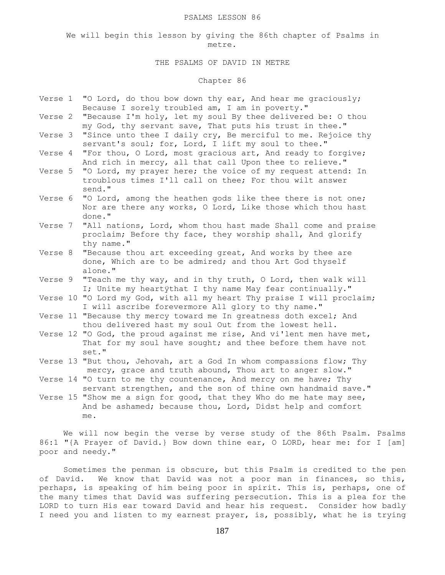#### PSALMS LESSON 86

We will begin this lesson by giving the 86th chapter of Psalms in metre.

# THE PSALMS OF DAVID IN METRE

# Chapter 86

- Verse 1 "O Lord, do thou bow down thy ear, And hear me graciously; Because I sorely troubled am, I am in poverty."
- Verse 2 "Because I'm holy, let my soul By thee delivered be: O thou my God, thy servant save, That puts his trust in thee."
- Verse 3 "Since unto thee I daily cry, Be merciful to me. Rejoice thy servant's soul; for, Lord, I lift my soul to thee."
- Verse 4 "For thou, O Lord, most gracious art, And ready to forgive; And rich in mercy, all that call Upon thee to relieve."
- Verse 5 "O Lord, my prayer here; the voice of my request attend: In troublous times I'll call on thee; For thou wilt answer send."
- Verse 6 "O Lord, among the heathen gods like thee there is not one; Nor are there any works, O Lord, Like those which thou hast done."
- Verse 7 "All nations, Lord, whom thou hast made Shall come and praise proclaim; Before thy face, they worship shall, And glorify thy name."
- Verse 8 "Because thou art exceeding great, And works by thee are done, Which are to be admired; and thou Art God thyself alone."
- Verse 9 "Teach me thy way, and in thy truth, O Lord, then walk will I; Unite my heartÿthat I thy name May fear continually."
- Verse 10 "O Lord my God, with all my heart Thy praise I will proclaim; I will ascribe forevermore All glory to thy name."
- Verse 11 "Because thy mercy toward me In greatness doth excel; And thou delivered hast my soul Out from the lowest hell.
- Verse 12 "O God, the proud against me rise, And vi'lent men have met, That for my soul have sought; and thee before them have not set."
- Verse 13 "But thou, Jehovah, art a God In whom compassions flow; Thy mercy, grace and truth abound, Thou art to anger slow."
- Verse 14 "O turn to me thy countenance, And mercy on me have; Thy servant strengthen, and the son of thine own handmaid save."
- Verse 15 "Show me a sign for good, that they Who do me hate may see, And be ashamed; because thou, Lord, Didst help and comfort me.

 We will now begin the verse by verse study of the 86th Psalm. Psalms 86:1 "{A Prayer of David.} Bow down thine ear, O LORD, hear me: for I [am] poor and needy."

 Sometimes the penman is obscure, but this Psalm is credited to the pen of David. We know that David was not a poor man in finances, so this, perhaps, is speaking of him being poor in spirit. This is, perhaps, one of the many times that David was suffering persecution. This is a plea for the LORD to turn His ear toward David and hear his request. Consider how badly I need you and listen to my earnest prayer, is, possibly, what he is trying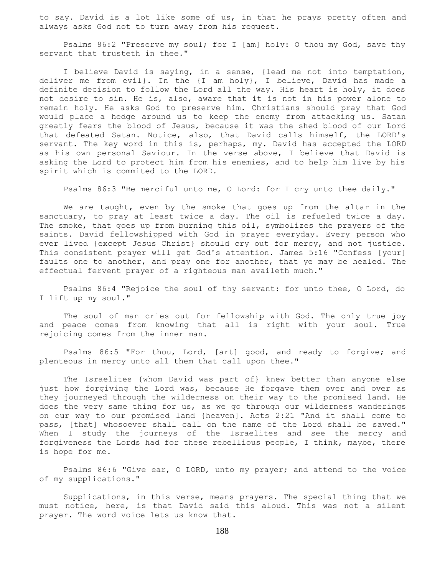to say. David is a lot like some of us, in that he prays pretty often and always asks God not to turn away from his request.

 Psalms 86:2 "Preserve my soul; for I [am] holy: O thou my God, save thy servant that trusteth in thee."

 I believe David is saying, in a sense, {lead me not into temptation, deliver me from evil}. In the {I am holy}, I believe, David has made a definite decision to follow the Lord all the way. His heart is holy, it does not desire to sin. He is, also, aware that it is not in his power alone to remain holy. He asks God to preserve him. Christians should pray that God would place a hedge around us to keep the enemy from attacking us. Satan greatly fears the blood of Jesus, because it was the shed blood of our Lord that defeated Satan. Notice, also, that David calls himself, the LORD's servant. The key word in this is, perhaps, my. David has accepted the LORD as his own personal Saviour. In the verse above, I believe that David is asking the Lord to protect him from his enemies, and to help him live by his spirit which is commited to the LORD.

Psalms 86:3 "Be merciful unto me, O Lord: for I cry unto thee daily."

 We are taught, even by the smoke that goes up from the altar in the sanctuary, to pray at least twice a day. The oil is refueled twice a day. The smoke, that goes up from burning this oil, symbolizes the prayers of the saints. David fellowshipped with God in prayer everyday. Every person who ever lived {except Jesus Christ} should cry out for mercy, and not justice. This consistent prayer will get God's attention. James 5:16 "Confess [your] faults one to another, and pray one for another, that ye may be healed. The effectual fervent prayer of a righteous man availeth much."

 Psalms 86:4 "Rejoice the soul of thy servant: for unto thee, O Lord, do I lift up my soul."

 The soul of man cries out for fellowship with God. The only true joy and peace comes from knowing that all is right with your soul. True rejoicing comes from the inner man.

 Psalms 86:5 "For thou, Lord, [art] good, and ready to forgive; and plenteous in mercy unto all them that call upon thee."

 The Israelites {whom David was part of} knew better than anyone else just how forgiving the Lord was, because He forgave them over and over as they journeyed through the wilderness on their way to the promised land. He does the very same thing for us, as we go through our wilderness wanderings on our way to our promised land {heaven]. Acts 2:21 "And it shall come to pass, [that] whosoever shall call on the name of the Lord shall be saved." When I study the journeys of the Israelites and see the mercy and forgiveness the Lords had for these rebellious people, I think, maybe, there is hope for me.

 Psalms 86:6 "Give ear, O LORD, unto my prayer; and attend to the voice of my supplications."

 Supplications, in this verse, means prayers. The special thing that we must notice, here, is that David said this aloud. This was not a silent prayer. The word voice lets us know that.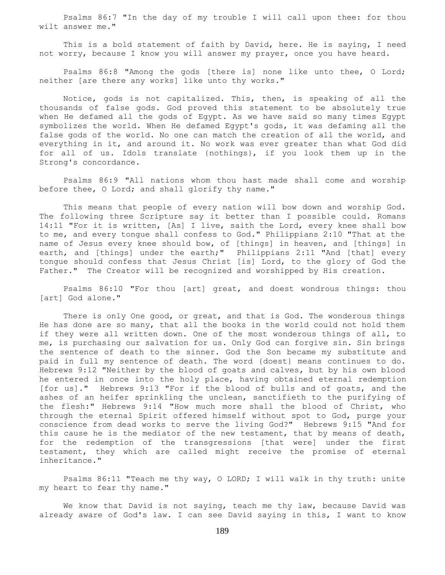Psalms 86:7 "In the day of my trouble I will call upon thee: for thou wilt answer me."

 This is a bold statement of faith by David, here. He is saying, I need not worry, because I know you will answer my prayer, once you have heard.

 Psalms 86:8 "Among the gods [there is] none like unto thee, O Lord; neither [are there any works] like unto thy works."

 Notice, gods is not capitalized. This, then, is speaking of all the thousands of false gods. God proved this statement to be absolutely true when He defamed all the gods of Egypt. As we have said so many times Egypt symbolizes the world. When He defamed Egypt's gods, it was defaming all the false gods of the world. No one can match the creation of all the world, and everything in it, and around it. No work was ever greater than what God did for all of us. Idols translate {nothings}, if you look them up in the Strong's concordance.

 Psalms 86:9 "All nations whom thou hast made shall come and worship before thee, O Lord; and shall glorify thy name."

 This means that people of every nation will bow down and worship God. The following three Scripture say it better than I possible could. Romans 14:11 "For it is written, [As] I live, saith the Lord, every knee shall bow to me, and every tongue shall confess to God." Philippians 2:10 "That at the name of Jesus every knee should bow, of [things] in heaven, and [things] in earth, and [things] under the earth;" Philippians 2:11 "And [that] every tongue should confess that Jesus Christ [is] Lord, to the glory of God the Father." The Creator will be recognized and worshipped by His creation.

 Psalms 86:10 "For thou [art] great, and doest wondrous things: thou [art] God alone."

 There is only One good, or great, and that is God. The wonderous things He has done are so many, that all the books in the world could not hold them if they were all written down. One of the most wonderous things of all, to me, is purchasing our salvation for us. Only God can forgive sin. Sin brings the sentence of death to the sinner. God the Son became my substitute and paid in full my sentence of death. The word {doest} means continues to do. Hebrews 9:12 "Neither by the blood of goats and calves, but by his own blood he entered in once into the holy place, having obtained eternal redemption [for us]." Hebrews 9:13 "For if the blood of bulls and of goats, and the ashes of an heifer sprinkling the unclean, sanctifieth to the purifying of the flesh:" Hebrews 9:14 "How much more shall the blood of Christ, who through the eternal Spirit offered himself without spot to God, purge your conscience from dead works to serve the living God?" Hebrews 9:15 "And for this cause he is the mediator of the new testament, that by means of death, for the redemption of the transgressions [that were] under the first testament, they which are called might receive the promise of eternal inheritance."

 Psalms 86:11 "Teach me thy way, O LORD; I will walk in thy truth: unite my heart to fear thy name."

 We know that David is not saying, teach me thy law, because David was already aware of God's law. I can see David saying in this, I want to know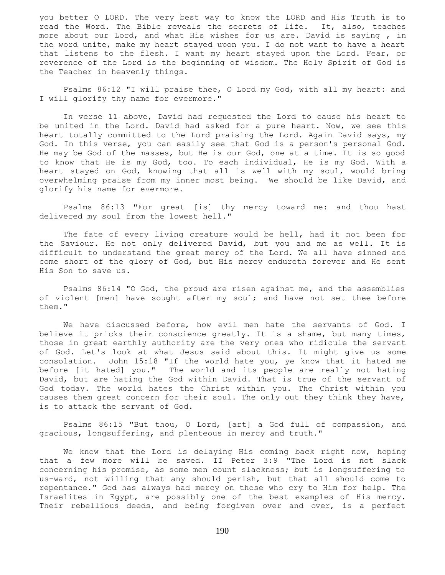you better O LORD. The very best way to know the LORD and His Truth is to read the Word. The Bible reveals the secrets of life. It, also, teaches more about our Lord, and what His wishes for us are. David is saying , in the word unite, make my heart stayed upon you. I do not want to have a heart that listens to the flesh. I want my heart stayed upon the Lord. Fear, or reverence of the Lord is the beginning of wisdom. The Holy Spirit of God is the Teacher in heavenly things.

 Psalms 86:12 "I will praise thee, O Lord my God, with all my heart: and I will glorify thy name for evermore."

 In verse 11 above, David had requested the Lord to cause his heart to be united in the Lord. David had asked for a pure heart. Now, we see this heart totally committed to the Lord praising the Lord. Again David says, my God. In this verse, you can easily see that God is a person's personal God. He may be God of the masses, but He is our God, one at a time. It is so good to know that He is my God, too. To each individual, He is my God. With a heart stayed on God, knowing that all is well with my soul, would bring overwhelming praise from my inner most being. We should be like David, and glorify his name for evermore.

 Psalms 86:13 "For great [is] thy mercy toward me: and thou hast delivered my soul from the lowest hell."

 The fate of every living creature would be hell, had it not been for the Saviour. He not only delivered David, but you and me as well. It is difficult to understand the great mercy of the Lord. We all have sinned and come short of the glory of God, but His mercy endureth forever and He sent His Son to save us.

 Psalms 86:14 "O God, the proud are risen against me, and the assemblies of violent [men] have sought after my soul; and have not set thee before them."

 We have discussed before, how evil men hate the servants of God. I believe it pricks their conscience greatly. It is a shame, but many times, those in great earthly authority are the very ones who ridicule the servant of God. Let's look at what Jesus said about this. It might give us some consolation. John 15:18 "If the world hate you, ye know that it hated me before [it hated] you." The world and its people are really not hating David, but are hating the God within David. That is true of the servant of God today. The world hates the Christ within you. The Christ within you causes them great concern for their soul. The only out they think they have, is to attack the servant of God.

 Psalms 86:15 "But thou, O Lord, [art] a God full of compassion, and gracious, longsuffering, and plenteous in mercy and truth."

 We know that the Lord is delaying His coming back right now, hoping that a few more will be saved. II Peter 3:9 "The Lord is not slack concerning his promise, as some men count slackness; but is longsuffering to us-ward, not willing that any should perish, but that all should come to repentance." God has always had mercy on those who cry to Him for help. The Israelites in Egypt, are possibly one of the best examples of His mercy. Their rebellious deeds, and being forgiven over and over, is a perfect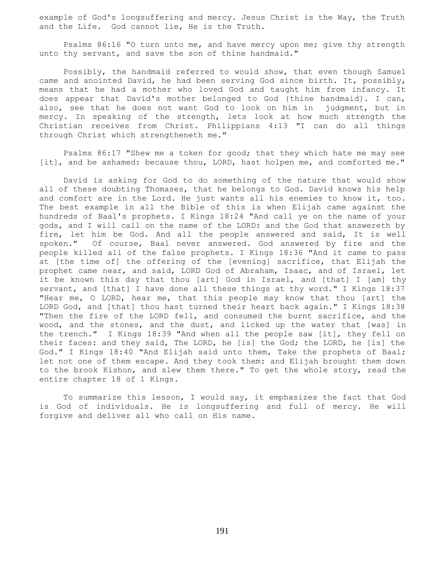example of God's longsuffering and mercy. Jesus Christ is the Way, the Truth and the Life. God cannot lie, He is the Truth.

 Psalms 86:16 "O turn unto me, and have mercy upon me; give thy strength unto thy servant, and save the son of thine handmaid."

 Possibly, the handmaid referred to would show, that even though Samuel came and anointed David, he had been serving God since birth. It, possibly, means that he had a mother who loved God and taught him from infancy. It does appear that David's mother belonged to God {thine handmaid}. I can, also, see that he does not want God to look on him in judgment, but in mercy. In speaking of the strength, lets look at how much strength the Christian receives from Christ. Philippians 4:13 "I can do all things through Christ which strengtheneth me."

 Psalms 86:17 "Shew me a token for good; that they which hate me may see [it], and be ashamed: because thou, LORD, hast holpen me, and comforted me."

 David is asking for God to do something of the nature that would show all of these doubting Thomases, that he belongs to God. David knows his help and comfort are in the Lord. He just wants all his enemies to know it, too. The best example in all the Bible of this is when Elijah came against the hundreds of Baal's prophets. I Kings 18:24 "And call ye on the name of your gods, and I will call on the name of the LORD: and the God that answereth by fire, let him be God. And all the people answered and said, It is well spoken." Of course, Baal never answered. God answered by fire and the people killed all of the false prophets. I Kings 18:36 "And it came to pass at [the time of] the offering of the [evening] sacrifice, that Elijah the prophet came near, and said, LORD God of Abraham, Isaac, and of Israel, let it be known this day that thou [art] God in Israel, and [that] I [am] thy servant, and [that] I have done all these things at thy word." I Kings 18:37 "Hear me, O LORD, hear me, that this people may know that thou [art] the LORD God, and [that] thou hast turned their heart back again." I Kings 18:38 "Then the fire of the LORD fell, and consumed the burnt sacrifice, and the wood, and the stones, and the dust, and licked up the water that [was] in the trench." I Kings 18:39 "And when all the people saw [it], they fell on their faces: and they said, The LORD, he [is] the God; the LORD, he [is] the God." I Kings 18:40 "And Elijah said unto them, Take the prophets of Baal; let not one of them escape. And they took them: and Elijah brought them down to the brook Kishon, and slew them there." To get the whole story, read the entire chapter 18 of 1 Kings.

 To summarize this lesson, I would say, it emphasizes the fact that God is God of individuals. He is longsuffering and full of mercy. He will forgive and deliver all who call on His name.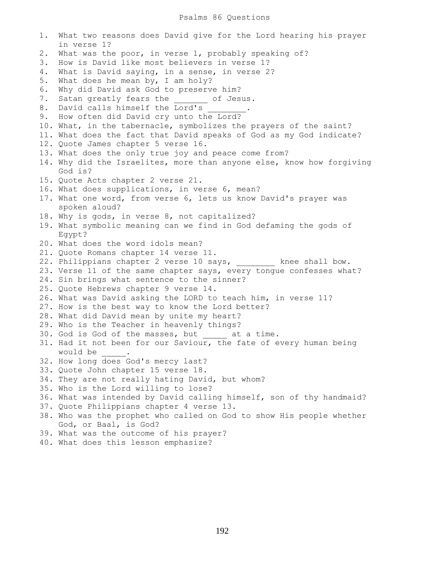1. What two reasons does David give for the Lord hearing his prayer in verse 1? 2. What was the poor, in verse 1, probably speaking of? 3. How is David like most believers in verse 1? 4. What is David saying, in a sense, in verse 2? 5. What does he mean by, I am holy? 6. Why did David ask God to preserve him? 7. Satan greatly fears the \_\_\_\_\_\_\_ of Jesus. 8. David calls himself the Lord's 9. How often did David cry unto the Lord? 10. What, in the tabernacle, symbolizes the prayers of the saint? 11. What does the fact that David speaks of God as my God indicate? 12. Quote James chapter 5 verse 16. 13. What does the only true joy and peace come from? 14. Why did the Israelites, more than anyone else, know how forgiving God is? 15. Quote Acts chapter 2 verse 21. 16. What does supplications, in verse 6, mean? 17. What one word, from verse 6, lets us know David's prayer was spoken aloud? 18. Why is gods, in verse 8, not capitalized? 19. What symbolic meaning can we find in God defaming the gods of Egypt? 20. What does the word idols mean? 21. Quote Romans chapter 14 verse 11. 22. Philippians chapter 2 verse 10 says, \_\_\_\_\_\_\_\_ knee shall bow. 23. Verse 11 of the same chapter says, every tongue confesses what? 24. Sin brings what sentence to the sinner? 25. Quote Hebrews chapter 9 verse 14. 26. What was David asking the LORD to teach him, in verse 11? 27. How is the best way to know the Lord better? 28. What did David mean by unite my heart? 29. Who is the Teacher in heavenly things? 30. God is God of the masses, but at a time. 31. Had it not been for our Saviour, the fate of every human being would be 32. How long does God's mercy last? 33. Quote John chapter 15 verse 18. 34. They are not really hating David, but whom? 35. Who is the Lord willing to lose? 36. What was intended by David calling himself, son of thy handmaid? 37. Quote Philippians chapter 4 verse 13. 38. Who was the prophet who called on God to show His people whether God, or Baal, is God? 39. What was the outcome of his prayer? 40. What does this lesson emphasize?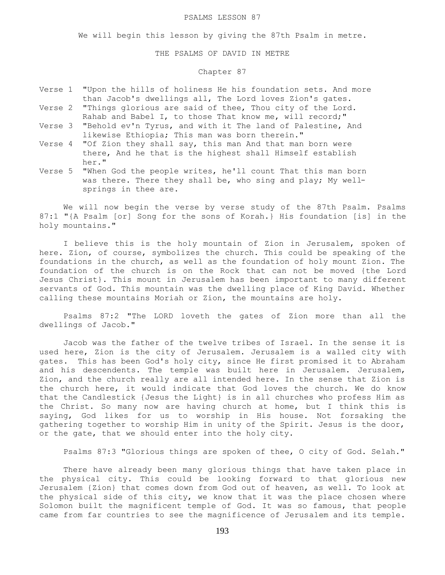#### PSALMS LESSON 87

We will begin this lesson by giving the 87th Psalm in metre.

## THE PSALMS OF DAVID IN METRE

## Chapter 87

- Verse 1 "Upon the hills of holiness He his foundation sets. And more than Jacob's dwellings all, The Lord loves Zion's gates. Verse 2 "Things glorious are said of thee, Thou city of the Lord.
- Rahab and Babel I, to those That know me, will record;"
- Verse 3 "Behold ev'n Tyrus, and with it The land of Palestine, And likewise Ethiopia; This man was born therein."
- Verse 4 "Of Zion they shall say, this man And that man born were there, And he that is the highest shall Himself establish her."
- Verse 5 "When God the people writes, he'll count That this man born was there. There they shall be, who sing and play; My wellsprings in thee are.

 We will now begin the verse by verse study of the 87th Psalm. Psalms 87:1 "{A Psalm [or] Song for the sons of Korah.} His foundation [is] in the holy mountains."

 I believe this is the holy mountain of Zion in Jerusalem, spoken of here. Zion, of course, symbolizes the church. This could be speaking of the foundations in the church, as well as the foundation of holy mount Zion. The foundation of the church is on the Rock that can not be moved {the Lord Jesus Christ}. This mount in Jerusalem has been important to many different servants of God. This mountain was the dwelling place of King David. Whether calling these mountains Moriah or Zion, the mountains are holy.

 Psalms 87:2 "The LORD loveth the gates of Zion more than all the dwellings of Jacob."

 Jacob was the father of the twelve tribes of Israel. In the sense it is used here, Zion is the city of Jerusalem. Jerusalem is a walled city with gates. This has been God's holy city, since He first promised it to Abraham and his descendents. The temple was built here in Jerusalem. Jerusalem, Zion, and the church really are all intended here. In the sense that Zion is the church here, it would indicate that God loves the church. We do know that the Candlestick {Jesus the Light} is in all churches who profess Him as the Christ. So many now are having church at home, but I think this is saying, God likes for us to worship in His house. Not forsaking the gathering together to worship Him in unity of the Spirit. Jesus is the door, or the gate, that we should enter into the holy city.

Psalms 87:3 "Glorious things are spoken of thee, O city of God. Selah."

 There have already been many glorious things that have taken place in the physical city. This could be looking forward to that glorious new Jerusalem {Zion} that comes down from God out of heaven, as well. To look at the physical side of this city, we know that it was the place chosen where Solomon built the magnificent temple of God. It was so famous, that people came from far countries to see the magnificence of Jerusalem and its temple.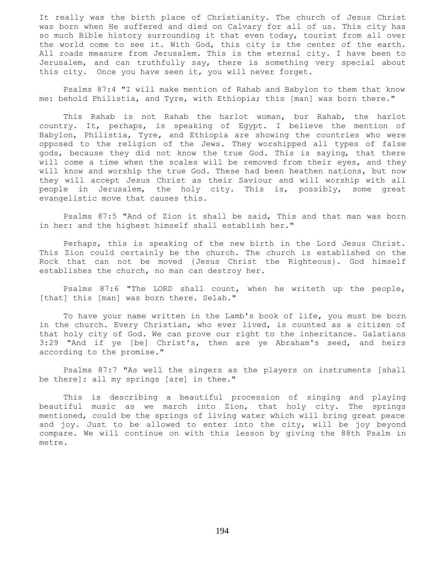It really was the birth place of Christianity. The church of Jesus Christ was born when He suffered and died on Calvary for all of us. This city has so much Bible history surrounding it that even today, tourist from all over the world come to see it. With God, this city is the center of the earth. All roads measure from Jerusalem. This is the eternal city. I have been to Jerusalem, and can truthfully say, there is something very special about this city. Once you have seen it, you will never forget.

 Psalms 87:4 "I will make mention of Rahab and Babylon to them that know me: behold Philistia, and Tyre, with Ethiopia; this [man] was born there."

 This Rahab is not Rahab the harlot woman, bur Rahab, the harlot country. It, perhaps, is speaking of Egypt. I believe the mention of Babylon, Philistia, Tyre, and Ethiopia are showing the countries who were opposed to the religion of the Jews. They worshipped all types of false gods, because they did not know the true God. This is saying, that there will come a time when the scales will be removed from their eyes, and they will know and worship the true God. These had been heathen nations, but now they will accept Jesus Christ as their Saviour and will worship with all people in Jerusalem, the holy city. This is, possibly, some great evangelistic move that causes this.

 Psalms 87:5 "And of Zion it shall be said, This and that man was born in her: and the highest himself shall establish her."

 Perhaps, this is speaking of the new birth in the Lord Jesus Christ. This Zion could certainly be the church. The church is established on the Rock that can not be moved {Jesus Christ the Righteous}. God himself establishes the church, no man can destroy her.

 Psalms 87:6 "The LORD shall count, when he writeth up the people, [that] this [man] was born there. Selah."

 To have your name written in the Lamb's book of life, you must be born in the church. Every Christian, who ever lived, is counted as a citizen of that holy city of God. We can prove our right to the inheritance. Galatians 3:29 "And if ye [be] Christ's, then are ye Abraham's seed, and heirs according to the promise."

 Psalms 87:7 "As well the singers as the players on instruments [shall be there]: all my springs [are] in thee."

 This is describing a beautiful procession of singing and playing beautiful music as we march into Zion, that holy city. The springs mentioned, could be the springs of living water which will bring great peace and joy. Just to be allowed to enter into the city, will be joy beyond compare. We will continue on with this lesson by giving the 88th Psalm in metre.

194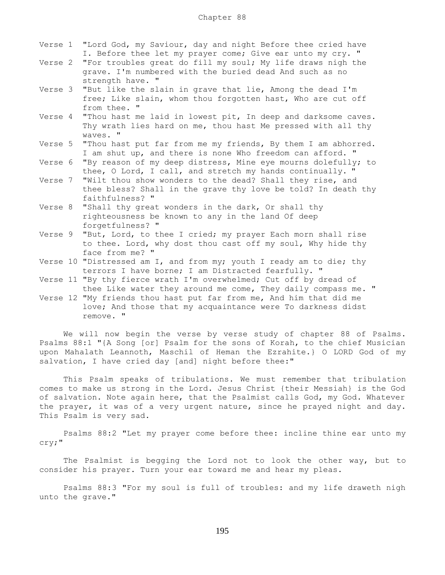- Verse 1 "Lord God, my Saviour, day and night Before thee cried have I. Before thee let my prayer come; Give ear unto my cry. "
- Verse 2 "For troubles great do fill my soul; My life draws nigh the grave. I'm numbered with the buried dead And such as no strength have. "
- Verse 3 "But like the slain in grave that lie, Among the dead I'm free; Like slain, whom thou forgotten hast, Who are cut off from thee. "
- Verse 4 "Thou hast me laid in lowest pit, In deep and darksome caves. Thy wrath lies hard on me, thou hast Me pressed with all thy waves. "
- Verse 5 "Thou hast put far from me my friends, By them I am abhorred. I am shut up, and there is none Who freedom can afford. "
- Verse 6 "By reason of my deep distress, Mine eye mourns dolefully; to thee, O Lord, I call, and stretch my hands continually. "
- Verse 7 "Wilt thou show wonders to the dead? Shall they rise, and thee bless? Shall in the grave thy love be told? In death thy faithfulness? "
- Verse 8 "Shall thy great wonders in the dark, Or shall thy righteousness be known to any in the land Of deep forgetfulness? "
- Verse 9 "But, Lord, to thee I cried; my prayer Each morn shall rise to thee. Lord, why dost thou cast off my soul, Why hide thy face from me? "
- Verse 10 "Distressed am I, and from my; youth I ready am to die; thy terrors I have borne; I am Distracted fearfully. "
- Verse 11 "By thy fierce wrath I'm overwhelmed; Cut off by dread of thee Like water they around me come, They daily compass me. "
- Verse 12 "My friends thou hast put far from me, And him that did me love; And those that my acquaintance were To darkness didst remove. "

 We will now begin the verse by verse study of chapter 88 of Psalms. Psalms 88:1 "{A Song [or] Psalm for the sons of Korah, to the chief Musician upon Mahalath Leannoth, Maschil of Heman the Ezrahite.} O LORD God of my salvation, I have cried day [and] night before thee:"

 This Psalm speaks of tribulations. We must remember that tribulation comes to make us strong in the Lord. Jesus Christ {their Messiah} is the God of salvation. Note again here, that the Psalmist calls God, my God. Whatever the prayer, it was of a very urgent nature, since he prayed night and day. This Psalm is very sad.

 Psalms 88:2 "Let my prayer come before thee: incline thine ear unto my cry;"

 The Psalmist is begging the Lord not to look the other way, but to consider his prayer. Turn your ear toward me and hear my pleas.

 Psalms 88:3 "For my soul is full of troubles: and my life draweth nigh unto the grave."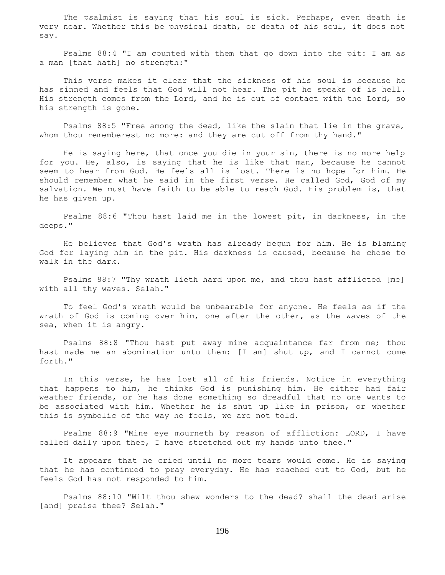The psalmist is saying that his soul is sick. Perhaps, even death is very near. Whether this be physical death, or death of his soul, it does not say.

 Psalms 88:4 "I am counted with them that go down into the pit: I am as a man [that hath] no strength:"

 This verse makes it clear that the sickness of his soul is because he has sinned and feels that God will not hear. The pit he speaks of is hell. His strength comes from the Lord, and he is out of contact with the Lord, so his strength is gone.

 Psalms 88:5 "Free among the dead, like the slain that lie in the grave, whom thou rememberest no more: and they are cut off from thy hand."

 He is saying here, that once you die in your sin, there is no more help for you. He, also, is saying that he is like that man, because he cannot seem to hear from God. He feels all is lost. There is no hope for him. He should remember what he said in the first verse. He called God, God of my salvation. We must have faith to be able to reach God. His problem is, that he has given up.

 Psalms 88:6 "Thou hast laid me in the lowest pit, in darkness, in the deeps."

 He believes that God's wrath has already begun for him. He is blaming God for laying him in the pit. His darkness is caused, because he chose to walk in the dark.

 Psalms 88:7 "Thy wrath lieth hard upon me, and thou hast afflicted [me] with all thy waves. Selah."

 To feel God's wrath would be unbearable for anyone. He feels as if the wrath of God is coming over him, one after the other, as the waves of the sea, when it is angry.

 Psalms 88:8 "Thou hast put away mine acquaintance far from me; thou hast made me an abomination unto them: [I am] shut up, and I cannot come forth."

 In this verse, he has lost all of his friends. Notice in everything that happens to him, he thinks God is punishing him. He either had fair weather friends, or he has done something so dreadful that no one wants to be associated with him. Whether he is shut up like in prison, or whether this is symbolic of the way he feels, we are not told.

 Psalms 88:9 "Mine eye mourneth by reason of affliction: LORD, I have called daily upon thee, I have stretched out my hands unto thee."

 It appears that he cried until no more tears would come. He is saying that he has continued to pray everyday. He has reached out to God, but he feels God has not responded to him.

 Psalms 88:10 "Wilt thou shew wonders to the dead? shall the dead arise [and] praise thee? Selah."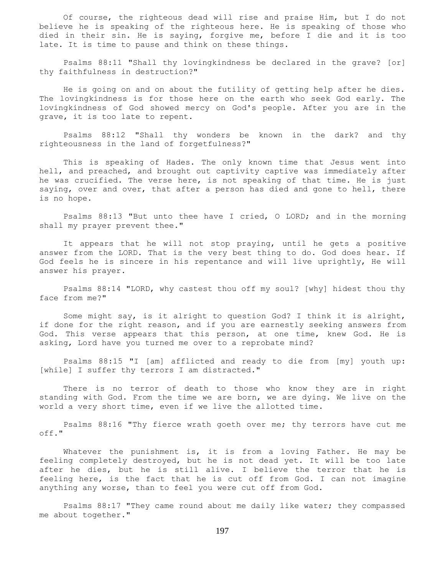Of course, the righteous dead will rise and praise Him, but I do not believe he is speaking of the righteous here. He is speaking of those who died in their sin. He is saying, forgive me, before I die and it is too late. It is time to pause and think on these things.

 Psalms 88:11 "Shall thy lovingkindness be declared in the grave? [or] thy faithfulness in destruction?"

 He is going on and on about the futility of getting help after he dies. The lovingkindness is for those here on the earth who seek God early. The lovingkindness of God showed mercy on God's people. After you are in the grave, it is too late to repent.

 Psalms 88:12 "Shall thy wonders be known in the dark? and thy righteousness in the land of forgetfulness?"

 This is speaking of Hades. The only known time that Jesus went into hell, and preached, and brought out captivity captive was immediately after he was crucified. The verse here, is not speaking of that time. He is just saying, over and over, that after a person has died and gone to hell, there is no hope.

 Psalms 88:13 "But unto thee have I cried, O LORD; and in the morning shall my prayer prevent thee."

 It appears that he will not stop praying, until he gets a positive answer from the LORD. That is the very best thing to do. God does hear. If God feels he is sincere in his repentance and will live uprightly, He will answer his prayer.

 Psalms 88:14 "LORD, why castest thou off my soul? [why] hidest thou thy face from me?"

 Some might say, is it alright to question God? I think it is alright, if done for the right reason, and if you are earnestly seeking answers from God. This verse appears that this person, at one time, knew God. He is asking, Lord have you turned me over to a reprobate mind?

 Psalms 88:15 "I [am] afflicted and ready to die from [my] youth up: [while] I suffer thy terrors I am distracted."

 There is no terror of death to those who know they are in right standing with God. From the time we are born, we are dying. We live on the world a very short time, even if we live the allotted time.

 Psalms 88:16 "Thy fierce wrath goeth over me; thy terrors have cut me off."

 Whatever the punishment is, it is from a loving Father. He may be feeling completely destroyed, but he is not dead yet. It will be too late after he dies, but he is still alive. I believe the terror that he is feeling here, is the fact that he is cut off from God. I can not imagine anything any worse, than to feel you were cut off from God.

 Psalms 88:17 "They came round about me daily like water; they compassed me about together."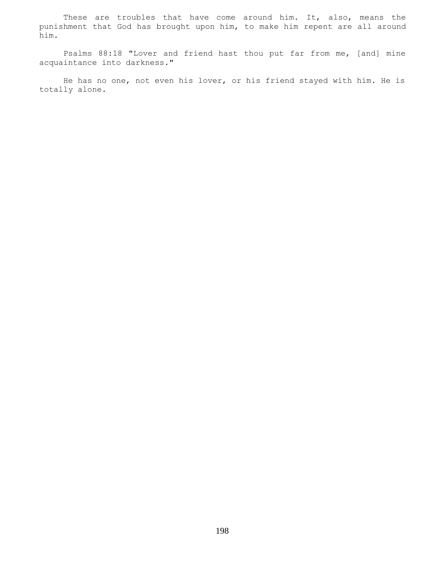These are troubles that have come around him. It, also, means the punishment that God has brought upon him, to make him repent are all around him.

 Psalms 88:18 "Lover and friend hast thou put far from me, [and] mine acquaintance into darkness."

 He has no one, not even his lover, or his friend stayed with him. He is totally alone.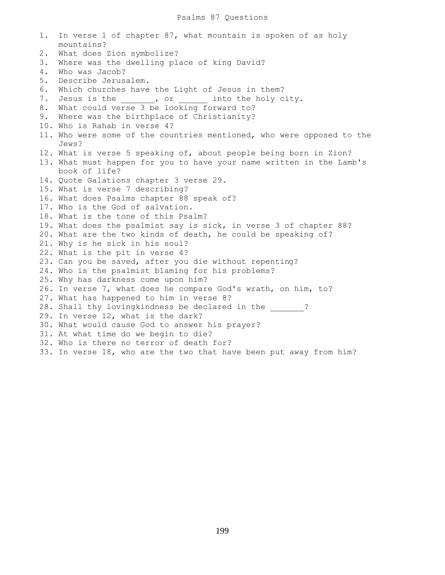1. In verse 1 of chapter 87, what mountain is spoken of as holy mountains? 2. What does Zion symbolize? 3. Where was the dwelling place of king David? 4. Who was Jacob? 5. Describe Jerusalem. 6. Which churches have the Light of Jesus in them? 7. Jesus is the \_\_\_\_\_\_, or \_\_\_\_\_\_ into the holy city. 8. What could verse 3 be looking forward to? 9. Where was the birthplace of Christianity? 10. Who is Rahab in verse 4? 11. Who were some of the countries mentioned, who were opposed to the Jews? 12. What is verse 5 speaking of, about people being born in Zion? 13. What must happen for you to have your name written in the Lamb's book of life? 14. Quote Galations chapter 3 verse 29. 15. What is verse 7 describing? 16. What does Psalms chapter 88 speak of? 17. Who is the God of salvation. 18. What is the tone of this Psalm? 19. What does the psalmist say is sick, in verse 3 of chapter 88? 20. What are the two kinds of death, he could be speaking of? 21. Why is he sick in his soul? 22. What is the pit in verse 4? 23. Can you be saved, after you die without repenting? 24. Who is the psalmist blaming for his problems? 25. Why has darkness come upon him? 26. In verse 7, what does he compare God's wrath, on him, to? 27. What has happened to him in verse 8? 28. Shall thy lovingkindness be declared in the  $\hspace{1.5cm}$  ? 29. In verse 12, what is the dark? 30. What would cause God to answer his prayer? 31. At what time do we begin to die? 32. Who is there no terror of death for? 33. In verse 18, who are the two that have been put away from him?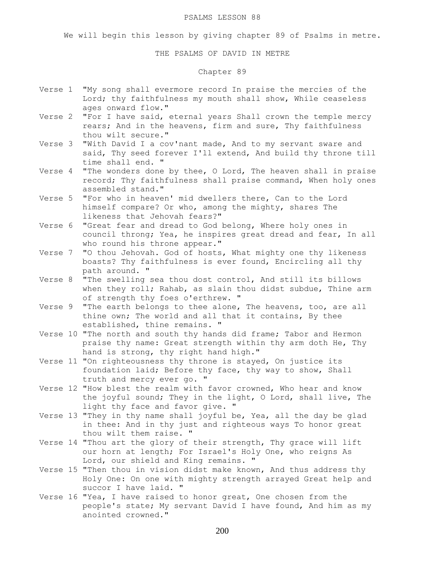#### PSALMS LESSON 88

We will begin this lesson by giving chapter 89 of Psalms in metre.

### THE PSALMS OF DAVID IN METRE

# Chapter 89

- Verse 1 "My song shall evermore record In praise the mercies of the Lord; thy faithfulness my mouth shall show, While ceaseless ages onward flow."
- Verse 2 "For I have said, eternal years Shall crown the temple mercy rears; And in the heavens, firm and sure, Thy faithfulness thou wilt secure."
- Verse 3 "With David I a cov'nant made, And to my servant sware and said, Thy seed forever I'll extend, And build thy throne till time shall end. "
- Verse 4 "The wonders done by thee, O Lord, The heaven shall in praise record; Thy faithfulness shall praise command, When holy ones assembled stand."
- Verse 5 "For who in heaven' mid dwellers there, Can to the Lord himself compare? Or who, among the mighty, shares The likeness that Jehovah fears?"
- Verse 6 "Great fear and dread to God belong, Where holy ones in council throng; Yea, he inspires great dread and fear, In all who round his throne appear."
- Verse 7 "O thou Jehovah. God of hosts, What mighty one thy likeness boasts? Thy faithfulness is ever found, Encircling all thy path around. "
- Verse 8 "The swelling sea thou dost control, And still its billows when they roll; Rahab, as slain thou didst subdue, Thine arm of strength thy foes o'erthrew. "
- Verse 9 "The earth belongs to thee alone, The heavens, too, are all thine own; The world and all that it contains, By thee established, thine remains. "
- Verse 10 "The north and south thy hands did frame; Tabor and Hermon praise thy name: Great strength within thy arm doth He, Thy hand is strong, thy right hand high."
- Verse 11 "On righteousness thy throne is stayed, On justice its foundation laid; Before thy face, thy way to show, Shall truth and mercy ever go. "
- Verse 12 "How blest the realm with favor crowned, Who hear and know the joyful sound; They in the light, O Lord, shall live, The light thy face and favor give. "
- Verse 13 "They in thy name shall joyful be, Yea, all the day be glad in thee: And in thy just and righteous ways To honor great thou wilt them raise. "
- Verse 14 "Thou art the glory of their strength, Thy grace will lift our horn at length; For Israel's Holy One, who reigns As Lord, our shield and King remains. "
- Verse 15 "Then thou in vision didst make known, And thus address thy Holy One: On one with mighty strength arrayed Great help and succor I have laid. "
- Verse 16 "Yea, I have raised to honor great, One chosen from the people's state; My servant David I have found, And him as my anointed crowned."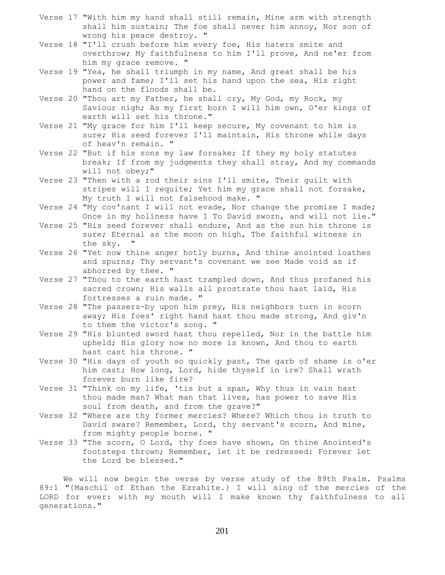- Verse 17 "With him my hand shall still remain, Mine arm with strength shall him sustain; The foe shall never him annoy, Nor son of wrong his peace destroy. "
- Verse 18 "I'll crush before him every foe, His haters smite and overthrow; My faithfulness to him I'll prove, And ne'er from him my grace remove. "
- Verse 19 "Yea, he shall triumph in my name, And great shall be his power and fame; I'll set his hand upon the sea, His right hand on the floods shall be.
- Verse 20 "Thou art my Father, he shall cry, My God, my Rock, my Saviour nigh; As my first born I will him own, O'er kings of earth will set his throne."
- Verse 21 "My grace for him I'll keep secure, My covenant to him is sure; His seed forever I'll maintain, His throne while days of heav'n remain. "
- Verse 22 "But if his sons my law forsake; If they my holy statutes break; If from my judgments they shall stray, And my commands will not obey;"
- Verse 23 "Then with a rod their sins I'll smite, Their guilt with stripes will I requite; Yet him my grace shall not forsake, My truth I will not falsehood make. "
- Verse 24 "My cov'nant I will not evade, Nor change the promise I made; Once in my holiness have I To David sworn, and will not lie."
- Verse 25 "His seed forever shall endure, And as the sun his throne is sure; Eternal as the moon on high, The faithful witness in the sky. "
- Verse 26 "Yet now thine anger hotly burns, And thine anointed loathes and spurns; Thy servant's covenant we see Made void as if abhorred by thee. "
- Verse 27 "Thou to the earth hast trampled down, And thus profaned his sacred crown; His walls all prostrate thou hast laid, His fortresses a ruin made. "
- Verse 28 "The passers-by upon him prey, His neighbors turn in scorn away; His foes' right hand hast thou made strong, And giv'n to them the victor's song. "
- Verse 29 "His blunted sword hast thou repelled, Nor in the battle him upheld; His glory now no more is known, And thou to earth hast cast his throne. "
- Verse 30 "His days of youth so quickly past, The garb of shame is o'er him cast; How long, Lord, hide thyself in ire? Shall wrath forever burn like fire?
- Verse 31 "Think on my life, 'tis but a span, Why thus in vain hast thou made man? What man that lives, has power to save His soul from death, and from the grave?"
- Verse 32 "Where are thy former mercies? Where? Which thou in truth to David sware? Remember, Lord, thy servant's scorn, And mine, from mighty people borne. "
- Verse 33 "The scorn, O Lord, thy foes have shown, On thine Anointed's footsteps thrown; Remember, let it be redressed: Forever let the Lord be blessed."

 We will now begin the verse by verse study of the 89th Psalm. Psalms 89:1 "{Maschil of Ethan the Ezrahite.} I will sing of the mercies of the LORD for ever: with my mouth will I make known thy faithfulness to all generations."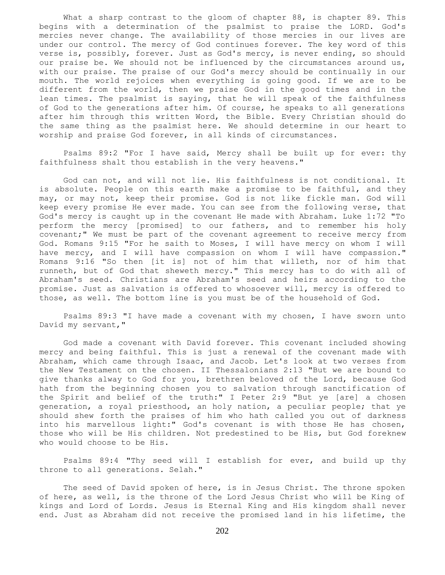What a sharp contrast to the gloom of chapter 88, is chapter 89. This begins with a determination of the psalmist to praise the LORD. God's mercies never change. The availability of those mercies in our lives are under our control. The mercy of God continues forever. The key word of this verse is, possibly, forever. Just as God's mercy, is never ending, so should our praise be. We should not be influenced by the circumstances around us, with our praise. The praise of our God's mercy should be continually in our mouth. The world rejoices when everything is going good. If we are to be different from the world, then we praise God in the good times and in the lean times. The psalmist is saying, that he will speak of the faithfulness of God to the generations after him. Of course, he speaks to all generations after him through this written Word, the Bible. Every Christian should do the same thing as the psalmist here. We should determine in our heart to worship and praise God forever, in all kinds of circumstances.

 Psalms 89:2 "For I have said, Mercy shall be built up for ever: thy faithfulness shalt thou establish in the very heavens."

 God can not, and will not lie. His faithfulness is not conditional. It is absolute. People on this earth make a promise to be faithful, and they may, or may not, keep their promise. God is not like fickle man. God will keep every promise He ever made. You can see from the following verse, that God's mercy is caught up in the covenant He made with Abraham. Luke 1:72 "To perform the mercy [promised] to our fathers, and to remember his holy covenant;" We must be part of the covenant agreement to receive mercy from God. Romans 9:15 "For he saith to Moses, I will have mercy on whom I will have mercy, and I will have compassion on whom I will have compassion." Romans 9:16 "So then [it is] not of him that willeth, nor of him that runneth, but of God that sheweth mercy." This mercy has to do with all of Abraham's seed. Christians are Abraham's seed and heirs according to the promise. Just as salvation is offered to whosoever will, mercy is offered to those, as well. The bottom line is you must be of the household of God.

 Psalms 89:3 "I have made a covenant with my chosen, I have sworn unto David my servant,"

 God made a covenant with David forever. This covenant included showing mercy and being faithful. This is just a renewal of the covenant made with Abraham, which came through Isaac, and Jacob. Let's look at two verses from the New Testament on the chosen. II Thessalonians 2:13 "But we are bound to give thanks alway to God for you, brethren beloved of the Lord, because God hath from the beginning chosen you to salvation through sanctification of the Spirit and belief of the truth:" I Peter 2:9 "But ye [are] a chosen generation, a royal priesthood, an holy nation, a peculiar people; that ye should shew forth the praises of him who hath called you out of darkness into his marvellous light:" God's covenant is with those He has chosen, those who will be His children. Not predestined to be His, but God foreknew who would choose to be His.

 Psalms 89:4 "Thy seed will I establish for ever, and build up thy throne to all generations. Selah."

 The seed of David spoken of here, is in Jesus Christ. The throne spoken of here, as well, is the throne of the Lord Jesus Christ who will be King of kings and Lord of Lords. Jesus is Eternal King and His kingdom shall never end. Just as Abraham did not receive the promised land in his lifetime, the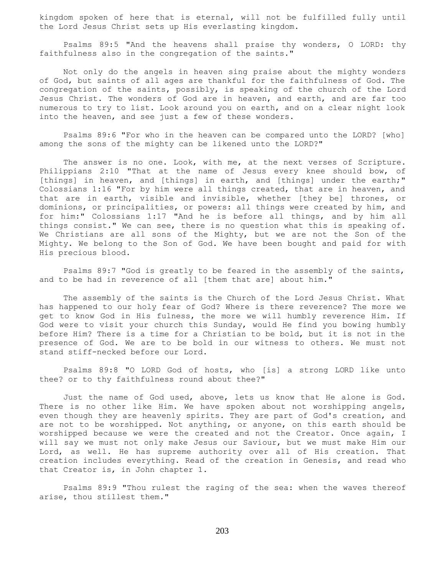kingdom spoken of here that is eternal, will not be fulfilled fully until the Lord Jesus Christ sets up His everlasting kingdom.

 Psalms 89:5 "And the heavens shall praise thy wonders, O LORD: thy faithfulness also in the congregation of the saints."

 Not only do the angels in heaven sing praise about the mighty wonders of God, but saints of all ages are thankful for the faithfulness of God. The congregation of the saints, possibly, is speaking of the church of the Lord Jesus Christ. The wonders of God are in heaven, and earth, and are far too numerous to try to list. Look around you on earth, and on a clear night look into the heaven, and see just a few of these wonders.

 Psalms 89:6 "For who in the heaven can be compared unto the LORD? [who] among the sons of the mighty can be likened unto the LORD?"

The answer is no one. Look, with me, at the next verses of Scripture. Philippians 2:10 "That at the name of Jesus every knee should bow, of [things] in heaven, and [things] in earth, and [things] under the earth;" Colossians 1:16 "For by him were all things created, that are in heaven, and that are in earth, visible and invisible, whether [they be] thrones, or dominions, or principalities, or powers: all things were created by him, and for him:" Colossians 1:17 "And he is before all things, and by him all things consist." We can see, there is no question what this is speaking of. We Christians are all sons of the Mighty, but we are not the Son of the Mighty. We belong to the Son of God. We have been bought and paid for with His precious blood.

 Psalms 89:7 "God is greatly to be feared in the assembly of the saints, and to be had in reverence of all [them that are] about him."

 The assembly of the saints is the Church of the Lord Jesus Christ. What has happened to our holy fear of God? Where is there reverence? The more we get to know God in His fulness, the more we will humbly reverence Him. If God were to visit your church this Sunday, would He find you bowing humbly before Him? There is a time for a Christian to be bold, but it is not in the presence of God. We are to be bold in our witness to others. We must not stand stiff-necked before our Lord.

 Psalms 89:8 "O LORD God of hosts, who [is] a strong LORD like unto thee? or to thy faithfulness round about thee?"

 Just the name of God used, above, lets us know that He alone is God. There is no other like Him. We have spoken about not worshipping angels, even though they are heavenly spirits. They are part of God's creation, and are not to be worshipped. Not anything, or anyone, on this earth should be worshipped because we were the created and not the Creator. Once again, I will say we must not only make Jesus our Saviour, but we must make Him our Lord, as well. He has supreme authority over all of His creation. That creation includes everything. Read of the creation in Genesis, and read who that Creator is, in John chapter 1.

 Psalms 89:9 "Thou rulest the raging of the sea: when the waves thereof arise, thou stillest them."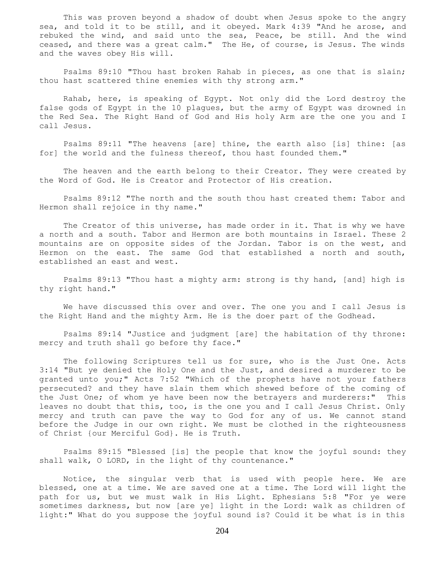This was proven beyond a shadow of doubt when Jesus spoke to the angry sea, and told it to be still, and it obeyed. Mark 4:39 "And he arose, and rebuked the wind, and said unto the sea, Peace, be still. And the wind ceased, and there was a great calm." The He, of course, is Jesus. The winds and the waves obey His will.

 Psalms 89:10 "Thou hast broken Rahab in pieces, as one that is slain; thou hast scattered thine enemies with thy strong arm."

 Rahab, here, is speaking of Egypt. Not only did the Lord destroy the false gods of Egypt in the 10 plagues, but the army of Egypt was drowned in the Red Sea. The Right Hand of God and His holy Arm are the one you and I call Jesus.

 Psalms 89:11 "The heavens [are] thine, the earth also [is] thine: [as for] the world and the fulness thereof, thou hast founded them."

 The heaven and the earth belong to their Creator. They were created by the Word of God. He is Creator and Protector of His creation.

 Psalms 89:12 "The north and the south thou hast created them: Tabor and Hermon shall rejoice in thy name."

 The Creator of this universe, has made order in it. That is why we have a north and a south. Tabor and Hermon are both mountains in Israel. These 2 mountains are on opposite sides of the Jordan. Tabor is on the west, and Hermon on the east. The same God that established a north and south, established an east and west.

 Psalms 89:13 "Thou hast a mighty arm: strong is thy hand, [and] high is thy right hand."

 We have discussed this over and over. The one you and I call Jesus is the Right Hand and the mighty Arm. He is the doer part of the Godhead.

 Psalms 89:14 "Justice and judgment [are] the habitation of thy throne: mercy and truth shall go before thy face."

 The following Scriptures tell us for sure, who is the Just One. Acts 3:14 "But ye denied the Holy One and the Just, and desired a murderer to be granted unto you;" Acts  $7:52$  "Which of the prophets have not your fathers persecuted? and they have slain them which shewed before of the coming of the Just One; of whom ye have been now the betrayers and murderers:" This leaves no doubt that this, too, is the one you and I call Jesus Christ. Only mercy and truth can pave the way to God for any of us. We cannot stand before the Judge in our own right. We must be clothed in the righteousness of Christ {our Merciful God}. He is Truth.

 Psalms 89:15 "Blessed [is] the people that know the joyful sound: they shall walk, O LORD, in the light of thy countenance."

 Notice, the singular verb that is used with people here. We are blessed, one at a time. We are saved one at a time. The Lord will light the path for us, but we must walk in His Light. Ephesians 5:8 "For ye were sometimes darkness, but now [are ye] light in the Lord: walk as children of light:" What do you suppose the joyful sound is? Could it be what is in this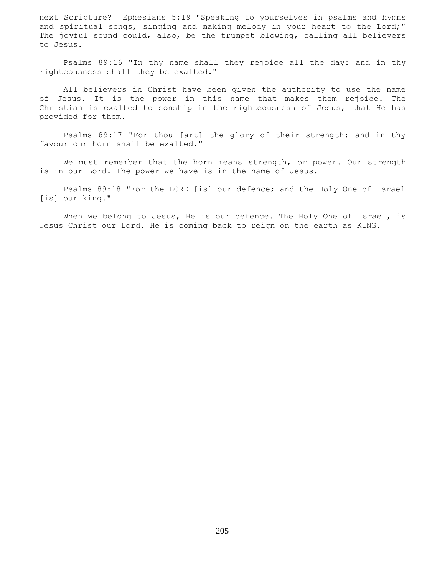next Scripture? Ephesians 5:19 "Speaking to yourselves in psalms and hymns and spiritual songs, singing and making melody in your heart to the Lord;" The joyful sound could, also, be the trumpet blowing, calling all believers to Jesus.

 Psalms 89:16 "In thy name shall they rejoice all the day: and in thy righteousness shall they be exalted."

 All believers in Christ have been given the authority to use the name of Jesus. It is the power in this name that makes them rejoice. The Christian is exalted to sonship in the righteousness of Jesus, that He has provided for them.

 Psalms 89:17 "For thou [art] the glory of their strength: and in thy favour our horn shall be exalted."

We must remember that the horn means strength, or power. Our strength is in our Lord. The power we have is in the name of Jesus.

 Psalms 89:18 "For the LORD [is] our defence; and the Holy One of Israel [is] our king."

When we belong to Jesus, He is our defence. The Holy One of Israel, is Jesus Christ our Lord. He is coming back to reign on the earth as KING.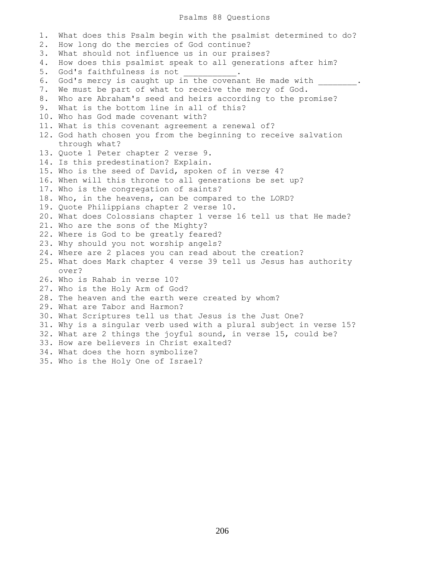### Psalms 88 Questions

1. What does this Psalm begin with the psalmist determined to do? 2. How long do the mercies of God continue? 3. What should not influence us in our praises? 4. How does this psalmist speak to all generations after him? 5. God's faithfulness is not 6. God's mercy is caught up in the covenant He made with . 7. We must be part of what to receive the mercy of God. 8. Who are Abraham's seed and heirs according to the promise? 9. What is the bottom line in all of this? 10. Who has God made covenant with? 11. What is this covenant agreement a renewal of? 12. God hath chosen you from the beginning to receive salvation through what? 13. Quote 1 Peter chapter 2 verse 9. 14. Is this predestination? Explain. 15. Who is the seed of David, spoken of in verse 4? 16. When will this throne to all generations be set up? 17. Who is the congregation of saints? 18. Who, in the heavens, can be compared to the LORD? 19. Quote Philippians chapter 2 verse 10. 20. What does Colossians chapter 1 verse 16 tell us that He made? 21. Who are the sons of the Mighty? 22. Where is God to be greatly feared? 23. Why should you not worship angels? 24. Where are 2 places you can read about the creation? 25. What does Mark chapter 4 verse 39 tell us Jesus has authority over? 26. Who is Rahab in verse 10? 27. Who is the Holy Arm of God? 28. The heaven and the earth were created by whom? 29. What are Tabor and Harmon? 30. What Scriptures tell us that Jesus is the Just One? 31. Why is a singular verb used with a plural subject in verse 15? 32. What are 2 things the joyful sound, in verse 15, could be? 33. How are believers in Christ exalted? 34. What does the horn symbolize? 35. Who is the Holy One of Israel?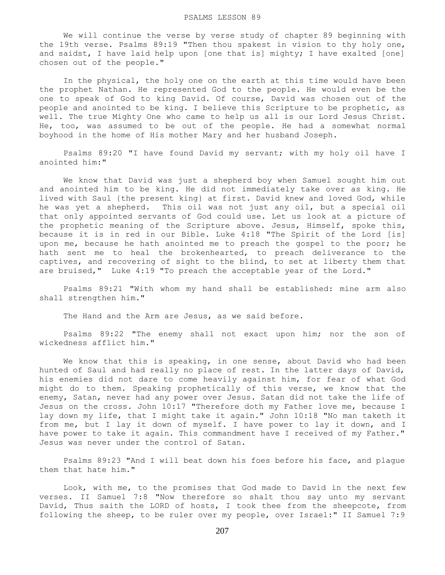We will continue the verse by verse study of chapter 89 beginning with the 19th verse. Psalms 89:19 "Then thou spakest in vision to thy holy one, and saidst, I have laid help upon [one that is] mighty; I have exalted [one] chosen out of the people."

 In the physical, the holy one on the earth at this time would have been the prophet Nathan. He represented God to the people. He would even be the one to speak of God to king David. Of course, David was chosen out of the people and anointed to be king. I believe this Scripture to be prophetic, as well. The true Mighty One who came to help us all is our Lord Jesus Christ. He, too, was assumed to be out of the people. He had a somewhat normal boyhood in the home of His mother Mary and her husband Joseph.

 Psalms 89:20 "I have found David my servant; with my holy oil have I anointed him:"

 We know that David was just a shepherd boy when Samuel sought him out and anointed him to be king. He did not immediately take over as king. He lived with Saul {the present king} at first. David knew and loved God, while he was yet a shepherd. This oil was not just any oil, but a special oil that only appointed servants of God could use. Let us look at a picture of the prophetic meaning of the Scripture above. Jesus, Himself, spoke this, because it is in red in our Bible. Luke 4:18 "The Spirit of the Lord [is] upon me, because he hath anointed me to preach the gospel to the poor; he hath sent me to heal the brokenhearted, to preach deliverance to the captives, and recovering of sight to the blind, to set at liberty them that are bruised," Luke 4:19 "To preach the acceptable year of the Lord."

 Psalms 89:21 "With whom my hand shall be established: mine arm also shall strengthen him."

The Hand and the Arm are Jesus, as we said before.

 Psalms 89:22 "The enemy shall not exact upon him; nor the son of wickedness afflict him."

 We know that this is speaking, in one sense, about David who had been hunted of Saul and had really no place of rest. In the latter days of David, his enemies did not dare to come heavily against him, for fear of what God might do to them. Speaking prophetically of this verse, we know that the enemy, Satan, never had any power over Jesus. Satan did not take the life of Jesus on the cross. John 10:17 "Therefore doth my Father love me, because I lay down my life, that I might take it again." John 10:18 "No man taketh it from me, but I lay it down of myself. I have power to lay it down, and I have power to take it again. This commandment have I received of my Father." Jesus was never under the control of Satan.

 Psalms 89:23 "And I will beat down his foes before his face, and plague them that hate him."

 Look, with me, to the promises that God made to David in the next few verses. II Samuel 7:8 "Now therefore so shalt thou say unto my servant David, Thus saith the LORD of hosts, I took thee from the sheepcote, from following the sheep, to be ruler over my people, over Israel:" II Samuel 7:9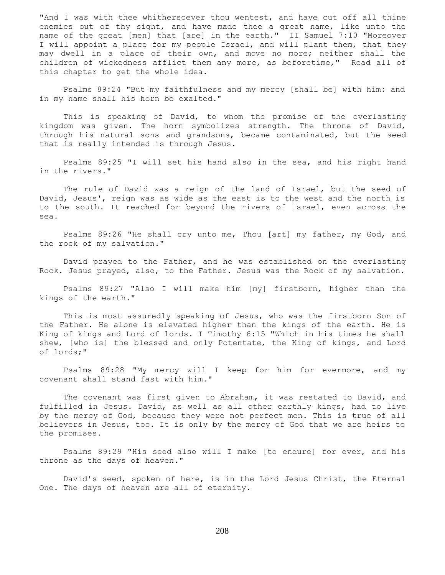"And I was with thee whithersoever thou wentest, and have cut off all thine enemies out of thy sight, and have made thee a great name, like unto the name of the great [men] that [are] in the earth." II Samuel 7:10 "Moreover I will appoint a place for my people Israel, and will plant them, that they may dwell in a place of their own, and move no more; neither shall the children of wickedness afflict them any more, as beforetime," Read all of this chapter to get the whole idea.

 Psalms 89:24 "But my faithfulness and my mercy [shall be] with him: and in my name shall his horn be exalted."

 This is speaking of David, to whom the promise of the everlasting kingdom was given. The horn symbolizes strength. The throne of David, through his natural sons and grandsons, became contaminated, but the seed that is really intended is through Jesus.

 Psalms 89:25 "I will set his hand also in the sea, and his right hand in the rivers."

 The rule of David was a reign of the land of Israel, but the seed of David, Jesus', reign was as wide as the east is to the west and the north is to the south. It reached for beyond the rivers of Israel, even across the sea.

 Psalms 89:26 "He shall cry unto me, Thou [art] my father, my God, and the rock of my salvation."

 David prayed to the Father, and he was established on the everlasting Rock. Jesus prayed, also, to the Father. Jesus was the Rock of my salvation.

 Psalms 89:27 "Also I will make him [my] firstborn, higher than the kings of the earth."

 This is most assuredly speaking of Jesus, who was the firstborn Son of the Father. He alone is elevated higher than the kings of the earth. He is King of kings and Lord of lords. I Timothy 6:15 "Which in his times he shall shew, [who is] the blessed and only Potentate, the King of kings, and Lord of lords;"

 Psalms 89:28 "My mercy will I keep for him for evermore, and my covenant shall stand fast with him."

 The covenant was first given to Abraham, it was restated to David, and fulfilled in Jesus. David, as well as all other earthly kings, had to live by the mercy of God, because they were not perfect men. This is true of all believers in Jesus, too. It is only by the mercy of God that we are heirs to the promises.

 Psalms 89:29 "His seed also will I make [to endure] for ever, and his throne as the days of heaven."

 David's seed, spoken of here, is in the Lord Jesus Christ, the Eternal One. The days of heaven are all of eternity.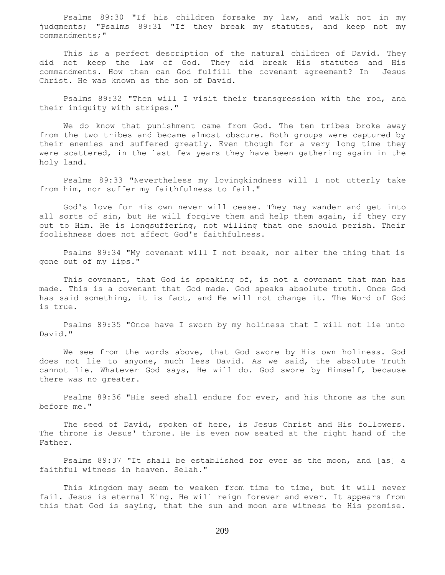Psalms 89:30 "If his children forsake my law, and walk not in my judgments; "Psalms 89:31 "If they break my statutes, and keep not my commandments;"

 This is a perfect description of the natural children of David. They did not keep the law of God. They did break His statutes and His commandments. How then can God fulfill the covenant agreement? In Jesus Christ. He was known as the son of David.

 Psalms 89:32 "Then will I visit their transgression with the rod, and their iniquity with stripes."

 We do know that punishment came from God. The ten tribes broke away from the two tribes and became almost obscure. Both groups were captured by their enemies and suffered greatly. Even though for a very long time they were scattered, in the last few years they have been gathering again in the holy land.

 Psalms 89:33 "Nevertheless my lovingkindness will I not utterly take from him, nor suffer my faithfulness to fail."

 God's love for His own never will cease. They may wander and get into all sorts of sin, but He will forgive them and help them again, if they cry out to Him. He is longsuffering, not willing that one should perish. Their foolishness does not affect God's faithfulness.

 Psalms 89:34 "My covenant will I not break, nor alter the thing that is gone out of my lips."

This covenant, that God is speaking of, is not a covenant that man has made. This is a covenant that God made. God speaks absolute truth. Once God has said something, it is fact, and He will not change it. The Word of God is true.

 Psalms 89:35 "Once have I sworn by my holiness that I will not lie unto David."

 We see from the words above, that God swore by His own holiness. God does not lie to anyone, much less David. As we said, the absolute Truth cannot lie. Whatever God says, He will do. God swore by Himself, because there was no greater.

 Psalms 89:36 "His seed shall endure for ever, and his throne as the sun before me."

 The seed of David, spoken of here, is Jesus Christ and His followers. The throne is Jesus' throne. He is even now seated at the right hand of the Father.

 Psalms 89:37 "It shall be established for ever as the moon, and [as] a faithful witness in heaven. Selah."

 This kingdom may seem to weaken from time to time, but it will never fail. Jesus is eternal King. He will reign forever and ever. It appears from this that God is saying, that the sun and moon are witness to His promise.

209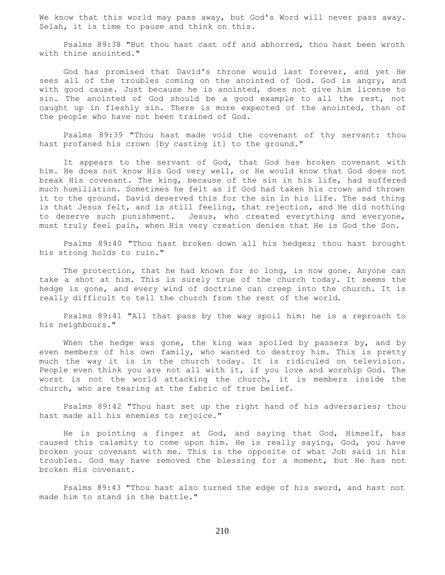We know that this world may pass away, but God's Word will never pass away. Selah, it is time to pause and think on this.

 Psalms 89:38 "But thou hast cast off and abhorred, thou hast been wroth with thine anointed."

 God has promised that David's throne would last forever, and yet He sees all of the troubles coming on the anointed of God. God is angry, and with good cause. Just because he is anointed, does not give him license to sin. The anointed of God should be a good example to all the rest, not caught up in fleshly sin. There is more expected of the anointed, than of the people who have not been trained of God.

 Psalms 89:39 "Thou hast made void the covenant of thy servant: thou hast profaned his crown [by casting it] to the ground."

 It appears to the servant of God, that God has broken covenant with him. He does not know His God very well, or He would know that God does not break His covenant. The king, because of the sin in his life, had suffered much humiliation. Sometimes he felt as if God had taken his crown and thrown it to the ground. David deserved this for the sin in his life. The sad thing is that Jesus felt, and is still feeling, that rejection, and He did nothing to deserve such punishment. Jesus, who created everything and everyone, must truly feel pain, when His very creation denies that He is God the Son.

 Psalms 89:40 "Thou hast broken down all his hedges; thou hast brought his strong holds to ruin."

 The protection, that he had known for so long, is now gone. Anyone can take a shot at him. This is surely true of the church today. It seems the hedge is gone, and every wind of doctrine can creep into the church. It is really difficult to tell the church from the rest of the world.

 Psalms 89:41 "All that pass by the way spoil him: he is a reproach to his neighbours."

When the hedge was gone, the king was spoiled by passers by, and by even members of his own family, who wanted to destroy him. This is pretty much the way it is in the church today. It is ridiculed on television. People even think you are not all with it, if you love and worship God. The worst is not the world attacking the church, it is members inside the church, who are tearing at the fabric of true belief.

 Psalms 89:42 "Thou hast set up the right hand of his adversaries; thou hast made all his enemies to rejoice."

 He is pointing a finger at God, and saying that God, Himself, has caused this calamity to come upon him. He is really saying, God, you have broken your covenant with me. This is the opposite of what Job said in his troubles. God may have removed the blessing for a moment, but He has not broken His covenant.

 Psalms 89:43 "Thou hast also turned the edge of his sword, and hast not made him to stand in the battle."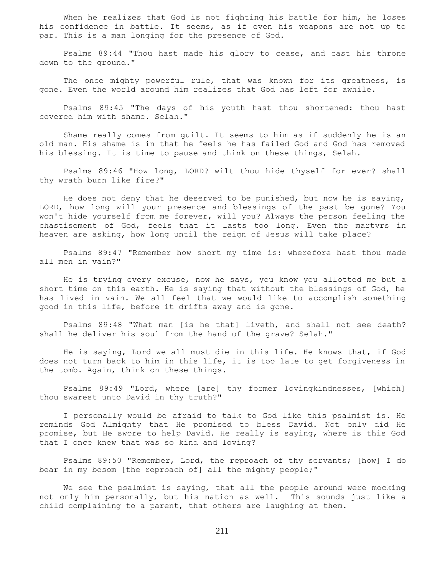When he realizes that God is not fighting his battle for him, he loses his confidence in battle. It seems, as if even his weapons are not up to par. This is a man longing for the presence of God.

 Psalms 89:44 "Thou hast made his glory to cease, and cast his throne down to the ground."

 The once mighty powerful rule, that was known for its greatness, is gone. Even the world around him realizes that God has left for awhile.

 Psalms 89:45 "The days of his youth hast thou shortened: thou hast covered him with shame. Selah."

 Shame really comes from guilt. It seems to him as if suddenly he is an old man. His shame is in that he feels he has failed God and God has removed his blessing. It is time to pause and think on these things, Selah.

 Psalms 89:46 "How long, LORD? wilt thou hide thyself for ever? shall thy wrath burn like fire?"

He does not deny that he deserved to be punished, but now he is saying, LORD, how long will your presence and blessings of the past be gone? You won't hide yourself from me forever, will you? Always the person feeling the chastisement of God, feels that it lasts too long. Even the martyrs in heaven are asking, how long until the reign of Jesus will take place?

 Psalms 89:47 "Remember how short my time is: wherefore hast thou made all men in vain?"

 He is trying every excuse, now he says, you know you allotted me but a short time on this earth. He is saying that without the blessings of God, he has lived in vain. We all feel that we would like to accomplish something good in this life, before it drifts away and is gone.

 Psalms 89:48 "What man [is he that] liveth, and shall not see death? shall he deliver his soul from the hand of the grave? Selah."

 He is saying, Lord we all must die in this life. He knows that, if God does not turn back to him in this life, it is too late to get forgiveness in the tomb. Again, think on these things.

 Psalms 89:49 "Lord, where [are] thy former lovingkindnesses, [which] thou swarest unto David in thy truth?"

 I personally would be afraid to talk to God like this psalmist is. He reminds God Almighty that He promised to bless David. Not only did He promise, but He swore to help David. He really is saying, where is this God that I once knew that was so kind and loving?

 Psalms 89:50 "Remember, Lord, the reproach of thy servants; [how] I do bear in my bosom [the reproach of] all the mighty people;"

 We see the psalmist is saying, that all the people around were mocking not only him personally, but his nation as well. This sounds just like a child complaining to a parent, that others are laughing at them.

211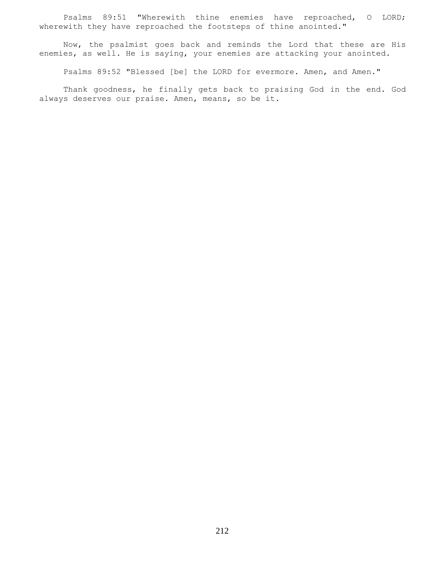Psalms 89:51 "Wherewith thine enemies have reproached, O LORD; wherewith they have reproached the footsteps of thine anointed."

 Now, the psalmist goes back and reminds the Lord that these are His enemies, as well. He is saying, your enemies are attacking your anointed.

Psalms 89:52 "Blessed [be] the LORD for evermore. Amen, and Amen."

 Thank goodness, he finally gets back to praising God in the end. God always deserves our praise. Amen, means, so be it.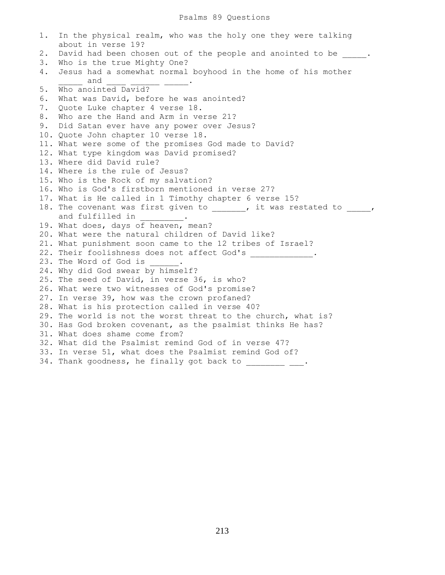1. In the physical realm, who was the holy one they were talking about in verse 19? 2. David had been chosen out of the people and anointed to be \_\_\_\_\_. 3. Who is the true Mighty One? 4. Jesus had a somewhat normal boyhood in the home of his mother \_\_\_\_\_\_ and \_\_\_\_\_ \_\_\_\_\_\_ \_\_\_\_\_\_ . 5. Who anointed David? 6. What was David, before he was anointed? 7. Quote Luke chapter 4 verse 18. 8. Who are the Hand and Arm in verse 21? 9. Did Satan ever have any power over Jesus? 10. Quote John chapter 10 verse 18. 11. What were some of the promises God made to David? 12. What type kingdom was David promised? 13. Where did David rule? 14. Where is the rule of Jesus? 15. Who is the Rock of my salvation? 16. Who is God's firstborn mentioned in verse 27? 17. What is He called in 1 Timothy chapter 6 verse 15? 18. The covenant was first given to  $\qquad \qquad$ , it was restated to  $\qquad \qquad$ , and fulfilled in 19. What does, days of heaven, mean? 20. What were the natural children of David like? 21. What punishment soon came to the 12 tribes of Israel? 22. Their foolishness does not affect God's \_\_\_\_\_\_\_\_\_\_\_\_\_. 23. The Word of God is 24. Why did God swear by himself? 25. The seed of David, in verse 36, is who? 26. What were two witnesses of God's promise? 27. In verse 39, how was the crown profaned? 28. What is his protection called in verse 40? 29. The world is not the worst threat to the church, what is? 30. Has God broken covenant, as the psalmist thinks He has? 31. What does shame come from? 32. What did the Psalmist remind God of in verse 47? 33. In verse 51, what does the Psalmist remind God of? 34. Thank goodness, he finally got back to \_\_\_\_\_\_\_\_ \_\_\_.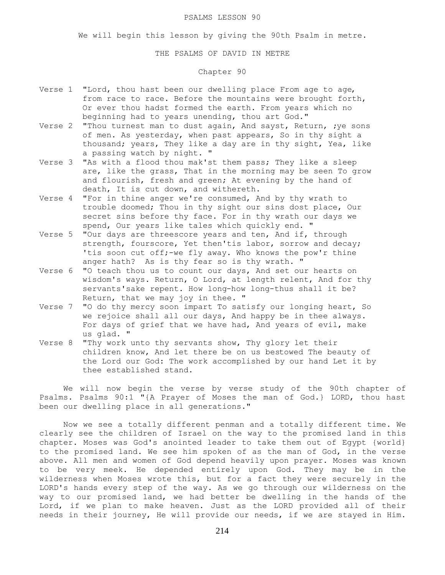#### PSALMS LESSON 90

We will begin this lesson by giving the 90th Psalm in metre.

## THE PSALMS OF DAVID IN METRE

## Chapter 90

- Verse 1 "Lord, thou hast been our dwelling place From age to age, from race to race. Before the mountains were brought forth, Or ever thou hadst formed the earth. From years which no beginning had to years unending, thou art God."
- Verse 2 "Thou turnest man to dust again, And sayst, Return, ;ye sons of men. As yesterday, when past appears, So in thy sight a thousand; years, They like a day are in thy sight, Yea, like a passing watch by night. "
- Verse 3 "As with a flood thou mak'st them pass; They like a sleep are, like the grass, That in the morning may be seen To grow and flourish, fresh and green; At evening by the hand of death, It is cut down, and withereth.
- Verse 4 "For in thine anger we're consumed, And by thy wrath to trouble doomed; Thou in thy sight our sins dost place, Our secret sins before thy face. For in thy wrath our days we spend, Our years like tales which quickly end. "
- Verse 5 "Our days are threescore years and ten, And if, through strength, fourscore, Yet then'tis labor, sorrow and decay; 'tis soon cut off;-we fly away. Who knows the pow'r thine anger hath? As is thy fear so is thy wrath. "
- Verse 6 "O teach thou us to count our days, And set our hearts on wisdom's ways. Return, O Lord, at length relent, And for thy servants'sake repent. How long-how long-thus shall it be? Return, that we may joy in thee. "
- Verse 7 "O do thy mercy soon impart To satisfy our longing heart, So we rejoice shall all our days, And happy be in thee always. For days of grief that we have had, And years of evil, make us glad. "
- Verse 8 "Thy work unto thy servants show, Thy glory let their children know, And let there be on us bestowed The beauty of the Lord our God: The work accomplished by our hand Let it by thee established stand.

 We will now begin the verse by verse study of the 90th chapter of Psalms. Psalms 90:1 "{A Prayer of Moses the man of God.} LORD, thou hast been our dwelling place in all generations."

 Now we see a totally different penman and a totally different time. We clearly see the children of Israel on the way to the promised land in this chapter. Moses was God's anointed leader to take them out of Egypt {world} to the promised land. We see him spoken of as the man of God, in the verse above. All men and women of God depend heavily upon prayer. Moses was known to be very meek. He depended entirely upon God. They may be in the wilderness when Moses wrote this, but for a fact they were securely in the LORD's hands every step of the way. As we go through our wilderness on the way to our promised land, we had better be dwelling in the hands of the Lord, if we plan to make heaven. Just as the LORD provided all of their needs in their journey, He will provide our needs, if we are stayed in Him.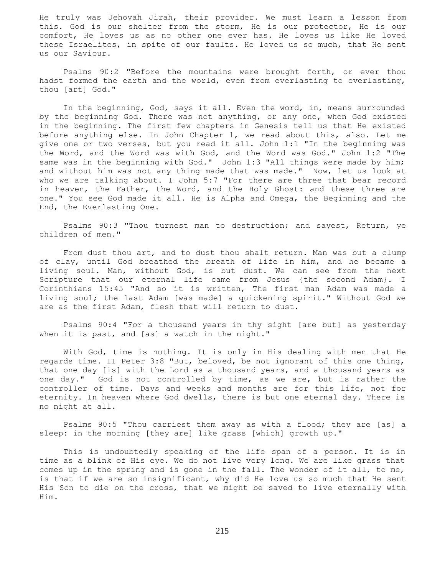He truly was Jehovah Jirah, their provider. We must learn a lesson from this. God is our shelter from the storm, He is our protector, He is our comfort, He loves us as no other one ever has. He loves us like He loved these Israelites, in spite of our faults. He loved us so much, that He sent us our Saviour.

 Psalms 90:2 "Before the mountains were brought forth, or ever thou hadst formed the earth and the world, even from everlasting to everlasting, thou [art] God."

 In the beginning, God, says it all. Even the word, in, means surrounded by the beginning God. There was not anything, or any one, when God existed in the beginning. The first few chapters in Genesis tell us that He existed before anything else. In John Chapter 1, we read about this, also. Let me give one or two verses, but you read it all. John 1:1 "In the beginning was the Word, and the Word was with God, and the Word was God." John 1:2 "The same was in the beginning with God." John 1:3 "All things were made by him; and without him was not any thing made that was made." Now, let us look at who we are talking about. I John 5:7 "For there are three that bear record in heaven, the Father, the Word, and the Holy Ghost: and these three are one." You see God made it all. He is Alpha and Omega, the Beginning and the End, the Everlasting One.

 Psalms 90:3 "Thou turnest man to destruction; and sayest, Return, ye children of men."

 From dust thou art, and to dust thou shalt return. Man was but a clump of clay, until God breathed the breath of life in him, and he became a living soul. Man, without God, is but dust. We can see from the next Scripture that our eternal life came from Jesus {the second Adam}. I Corinthians 15:45 "And so it is written, The first man Adam was made a living soul; the last Adam [was made] a quickening spirit." Without God we are as the first Adam, flesh that will return to dust.

 Psalms 90:4 "For a thousand years in thy sight [are but] as yesterday when it is past, and [as] a watch in the night."

 With God, time is nothing. It is only in His dealing with men that He regards time. II Peter 3:8 "But, beloved, be not ignorant of this one thing, that one day [is] with the Lord as a thousand years, and a thousand years as one day." God is not controlled by time, as we are, but is rather the controller of time. Days and weeks and months are for this life, not for eternity. In heaven where God dwells, there is but one eternal day. There is no night at all.

 Psalms 90:5 "Thou carriest them away as with a flood; they are [as] a sleep: in the morning [they are] like grass [which] growth up."

 This is undoubtedly speaking of the life span of a person. It is in time as a blink of His eye. We do not live very long. We are like grass that comes up in the spring and is gone in the fall. The wonder of it all, to me, is that if we are so insignificant, why did He love us so much that He sent His Son to die on the cross, that we might be saved to live eternally with Him.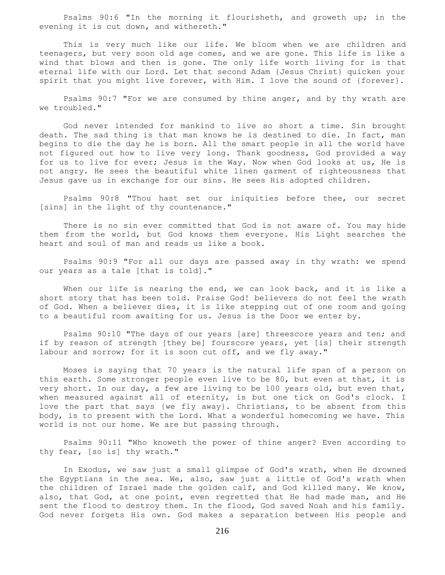Psalms 90:6 "In the morning it flourisheth, and groweth up; in the evening it is cut down, and withereth."

 This is very much like our life. We bloom when we are children and teenagers, but very soon old age comes, and we are gone. This life is like a wind that blows and then is gone. The only life worth living for is that eternal life with our Lord. Let that second Adam {Jesus Christ} quicken your spirit that you might live forever, with Him. I love the sound of {forever}.

 Psalms 90:7 "For we are consumed by thine anger, and by thy wrath are we troubled."

 God never intended for mankind to live so short a time. Sin brought death. The sad thing is that man knows he is destined to die. In fact, man begins to die the day he is born. All the smart people in all the world have not figured out how to live very long. Thank goodness, God provided a way for us to live for ever; Jesus is the Way. Now when God looks at us, He is not angry. He sees the beautiful white linen garment of righteousness that Jesus gave us in exchange for our sins. He sees His adopted children.

 Psalms 90:8 "Thou hast set our iniquities before thee, our secret [sins] in the light of thy countenance."

 There is no sin ever committed that God is not aware of. You may hide them from the world, but God knows them everyone. His Light searches the heart and soul of man and reads us like a book.

 Psalms 90:9 "For all our days are passed away in thy wrath: we spend our years as a tale [that is told]."

When our life is nearing the end, we can look back, and it is like a short story that has been told. Praise God! believers do not feel the wrath of God. When a believer dies, it is like stepping out of one room and going to a beautiful room awaiting for us. Jesus is the Door we enter by.

 Psalms 90:10 "The days of our years [are] threescore years and ten; and if by reason of strength [they be] fourscore years, yet [is] their strength labour and sorrow; for it is soon cut off, and we fly away."

 Moses is saying that 70 years is the natural life span of a person on this earth. Some stronger people even live to be 80, but even at that, it is very short. In our day, a few are living to be 100 years old, but even that, when measured against all of eternity, is but one tick on God's clock. I love the part that says {we fly away}. Christians, to be absent from this body, is to present with the Lord. What a wonderful homecoming we have. This world is not our home. We are but passing through.

 Psalms 90:11 "Who knoweth the power of thine anger? Even according to thy fear, [so is] thy wrath."

 In Exodus, we saw just a small glimpse of God's wrath, when He drowned the Egyptians in the sea. We, also, saw just a little of God's wrath when the children of Israel made the golden calf, and God killed many. We know, also, that God, at one point, even regretted that He had made man, and He sent the flood to destroy them. In the flood, God saved Noah and his family. God never forgets His own. God makes a separation between His people and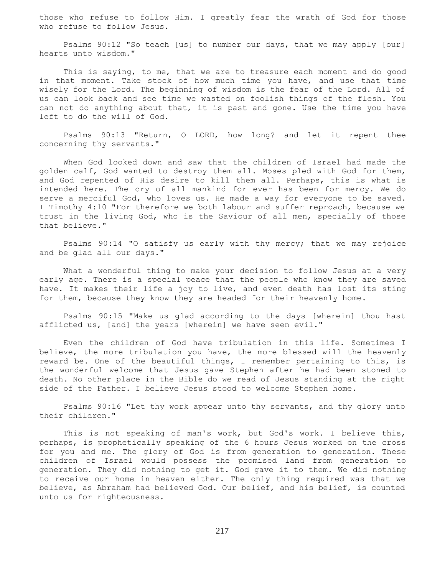those who refuse to follow Him. I greatly fear the wrath of God for those who refuse to follow Jesus.

 Psalms 90:12 "So teach [us] to number our days, that we may apply [our] hearts unto wisdom."

 This is saying, to me, that we are to treasure each moment and do good in that moment. Take stock of how much time you have, and use that time wisely for the Lord. The beginning of wisdom is the fear of the Lord. All of us can look back and see time we wasted on foolish things of the flesh. You can not do anything about that, it is past and gone. Use the time you have left to do the will of God.

 Psalms 90:13 "Return, O LORD, how long? and let it repent thee concerning thy servants."

 When God looked down and saw that the children of Israel had made the golden calf, God wanted to destroy them all. Moses pled with God for them, and God repented of His desire to kill them all. Perhaps, this is what is intended here. The cry of all mankind for ever has been for mercy. We do serve a merciful God, who loves us. He made a way for everyone to be saved. I Timothy 4:10 "For therefore we both labour and suffer reproach, because we trust in the living God, who is the Saviour of all men, specially of those that believe."

 Psalms 90:14 "O satisfy us early with thy mercy; that we may rejoice and be glad all our days."

 What a wonderful thing to make your decision to follow Jesus at a very early age. There is a special peace that the people who know they are saved have. It makes their life a joy to live, and even death has lost its sting for them, because they know they are headed for their heavenly home.

 Psalms 90:15 "Make us glad according to the days [wherein] thou hast afflicted us, [and] the years [wherein] we have seen evil."

 Even the children of God have tribulation in this life. Sometimes I believe, the more tribulation you have, the more blessed will the heavenly reward be. One of the beautiful things, I remember pertaining to this, is the wonderful welcome that Jesus gave Stephen after he had been stoned to death. No other place in the Bible do we read of Jesus standing at the right side of the Father. I believe Jesus stood to welcome Stephen home.

 Psalms 90:16 "Let thy work appear unto thy servants, and thy glory unto their children."

This is not speaking of man's work, but God's work. I believe this, perhaps, is prophetically speaking of the 6 hours Jesus worked on the cross for you and me. The glory of God is from generation to generation. These children of Israel would possess the promised land from generation to generation. They did nothing to get it. God gave it to them. We did nothing to receive our home in heaven either. The only thing required was that we believe, as Abraham had believed God. Our belief, and his belief, is counted unto us for righteousness.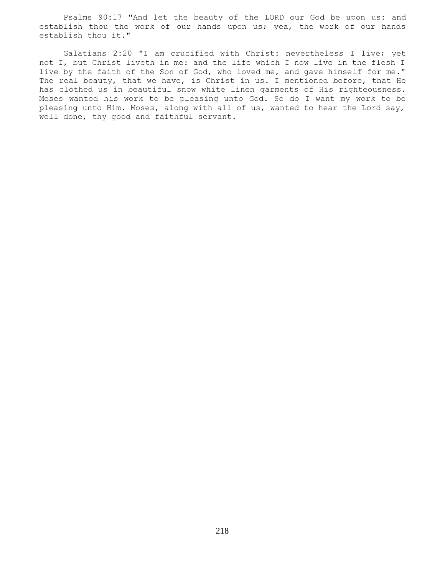Psalms 90:17 "And let the beauty of the LORD our God be upon us: and establish thou the work of our hands upon us; yea, the work of our hands establish thou it."

 Galatians 2:20 "I am crucified with Christ: nevertheless I live; yet not I, but Christ liveth in me: and the life which I now live in the flesh I live by the faith of the Son of God, who loved me, and gave himself for me." The real beauty, that we have, is Christ in us. I mentioned before, that He has clothed us in beautiful snow white linen garments of His righteousness. Moses wanted his work to be pleasing unto God. So do I want my work to be pleasing unto Him. Moses, along with all of us, wanted to hear the Lord say, well done, thy good and faithful servant.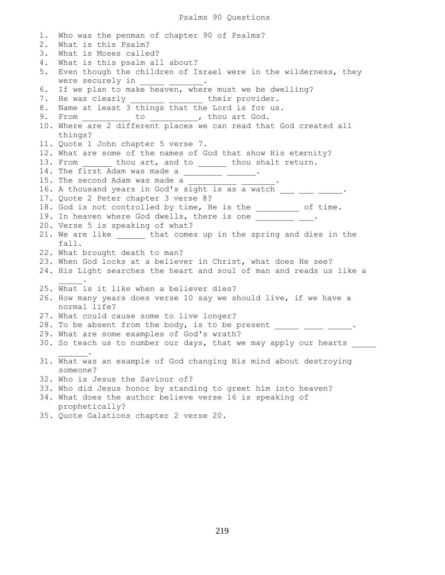Psalms 90 Questions

1. Who was the penman of chapter 90 of Psalms? 2. What is this Psalm? 3. What is Moses called? 4. What is this psalm all about? 5. Even though the children of Israel were in the wilderness, they were securely in \_\_\_\_\_ \_\_\_\_\_\_\_. 6. If we plan to make heaven, where must we be dwelling? 7. He was clearly entitled their provider. 8. Name at least 3 things that the Lord is for us. 9. From \_\_\_\_\_\_\_\_\_\_\_ to \_\_\_\_\_\_\_\_\_\_, thou art God. 10. Where are 2 different places we can read that God created all things? 11. Quote 1 John chapter 5 verse 7. 12. What are some of the names of God that show His eternity? 13. From \_\_\_\_\_\_\_ thou art, and to \_\_\_\_\_\_ thou shalt return. 14. The  $\overline{\text{first}}$  Adam was made a  $\overline{\text{}}$  \_\_\_\_\_\_\_\_\_\_\_\_\_\_\_\_\_\_\_\_\_. 15. The second Adam was made a 16. A thousand years in God's sight is as a watch \_\_\_ \_\_\_ \_\_\_\_\_\_. 17. Quote 2 Peter chapter 3 verse 8? 18. God is not controlled by time, He is the \_\_\_\_\_\_\_\_ of time. 19. In heaven where God dwells, there is one \_\_\_\_\_\_\_\_ \_\_\_. 20. Verse 5 is speaking of what? 21. We are like that comes up in the spring and dies in the fall. 22. What brought death to man? 23. When God looks at a believer in Christ, what does He see? 24. His Light searches the heart and soul of man and reads us like a  $\mathcal{L}=\mathcal{L}^{\mathcal{L}}$ 25. What is it like when a believer dies? 26. How many years does verse 10 say we should live, if we have a normal life? 27. What could cause some to live longer? 28. To be absent from the body, is to be present  $\frac{1}{\sqrt{2}}$   $\frac{1}{\sqrt{2}}$ . 29. What are some examples of God's wrath? 30. So teach us to number our days, that we may apply our hearts  $\mathcal{L}=\mathcal{L}^{\mathcal{L}}$ 31. What was an example of God changing His mind about destroying someone? 32. Who is Jesus the Saviour of? 33. Who did Jesus honor by standing to greet him into heaven? 34. What does the author believe verse 16 is speaking of prophetically? 35. Quote Galations chapter 2 verse 20.

219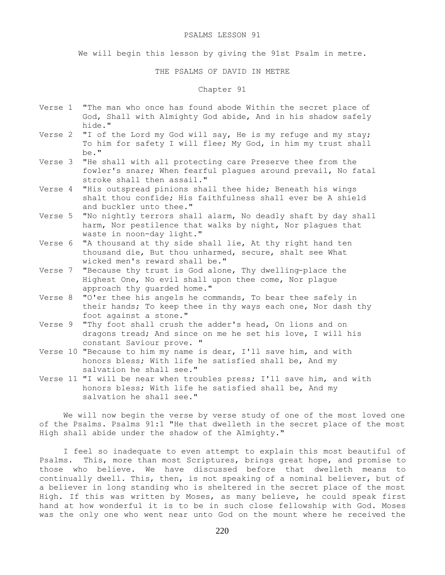### PSALMS LESSON 91

We will begin this lesson by giving the 91st Psalm in metre.

### THE PSALMS OF DAVID IN METRE

### Chapter 91

- Verse 1 "The man who once has found abode Within the secret place of God, Shall with Almighty God abide, And in his shadow safely hide."
- Verse 2 "I of the Lord my God will say, He is my refuge and my stay; To him for safety I will flee; My God, in him my trust shall be."
- Verse 3 "He shall with all protecting care Preserve thee from the fowler's snare; When fearful plagues around prevail, No fatal stroke shall then assail."
- Verse 4 "His outspread pinions shall thee hide; Beneath his wings shalt thou confide; His faithfulness shall ever be A shield and buckler unto thee."
- Verse 5 "No nightly terrors shall alarm, No deadly shaft by day shall harm, Nor pestilence that walks by night, Nor plagues that waste in noon-day light."
- Verse 6 "A thousand at thy side shall lie, At thy right hand ten thousand die, But thou unharmed, secure, shalt see What wicked men's reward shall be."
- Verse 7 "Because thy trust is God alone, Thy dwelling-place the Highest One, No evil shall upon thee come, Nor plague approach thy guarded home."
- Verse 8 "O'er thee his angels he commands, To bear thee safely in their hands; To keep thee in thy ways each one, Nor dash thy foot against a stone."
- Verse 9 "Thy foot shall crush the adder's head, On lions and on dragons tread; And since on me he set his love, I will his constant Saviour prove. "
- Verse 10 "Because to him my name is dear, I'll save him, and with honors bless; With life he satisfied shall be, And my salvation he shall see."
- Verse 11 "I will be near when troubles press; I'll save him, and with honors bless; With life he satisfied shall be, And my salvation he shall see."

 We will now begin the verse by verse study of one of the most loved one of the Psalms. Psalms 91:1 "He that dwelleth in the secret place of the most High shall abide under the shadow of the Almighty."

 I feel so inadequate to even attempt to explain this most beautiful of Psalms. This, more than most Scriptures, brings great hope, and promise to those who believe. We have discussed before that dwelleth means to continually dwell. This, then, is not speaking of a nominal believer, but of a believer in long standing who is sheltered in the secret place of the most High. If this was written by Moses, as many believe, he could speak first hand at how wonderful it is to be in such close fellowship with God. Moses was the only one who went near unto God on the mount where he received the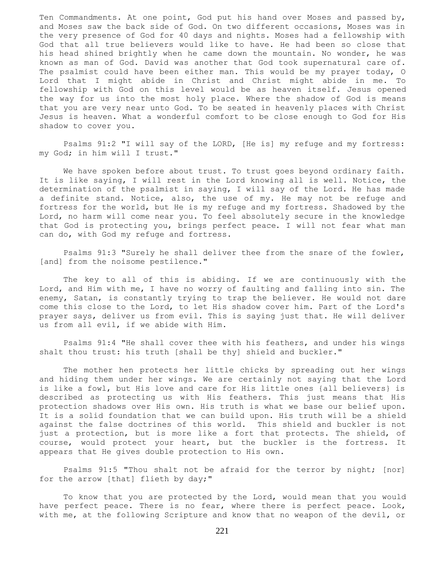Ten Commandments. At one point, God put his hand over Moses and passed by, and Moses saw the back side of God. On two different occasions, Moses was in the very presence of God for 40 days and nights. Moses had a fellowship with God that all true believers would like to have. He had been so close that his head shined brightly when he came down the mountain. No wonder, he was known as man of God. David was another that God took supernatural care of. The psalmist could have been either man. This would be my prayer today, O Lord that I might abide in Christ and Christ might abide in me. To fellowship with God on this level would be as heaven itself. Jesus opened the way for us into the most holy place. Where the shadow of God is means that you are very near unto God. To be seated in heavenly places with Christ Jesus is heaven. What a wonderful comfort to be close enough to God for His shadow to cover you.

 Psalms 91:2 "I will say of the LORD, [He is] my refuge and my fortress: my God; in him will I trust."

 We have spoken before about trust. To trust goes beyond ordinary faith. It is like saying, I will rest in the Lord knowing all is well. Notice, the determination of the psalmist in saying, I will say of the Lord. He has made a definite stand. Notice, also, the use of my. He may not be refuge and fortress for the world, but He is my refuge and my fortress. Shadowed by the Lord, no harm will come near you. To feel absolutely secure in the knowledge that God is protecting you, brings perfect peace. I will not fear what man can do, with God my refuge and fortress.

 Psalms 91:3 "Surely he shall deliver thee from the snare of the fowler, [and] from the noisome pestilence."

 The key to all of this is abiding. If we are continuously with the Lord, and Him with me, I have no worry of faulting and falling into sin. The enemy, Satan, is constantly trying to trap the believer. He would not dare come this close to the Lord, to let His shadow cover him. Part of the Lord's prayer says, deliver us from evil. This is saying just that. He will deliver us from all evil, if we abide with Him.

 Psalms 91:4 "He shall cover thee with his feathers, and under his wings shalt thou trust: his truth [shall be thy] shield and buckler."

 The mother hen protects her little chicks by spreading out her wings and hiding them under her wings. We are certainly not saying that the Lord is like a fowl, but His love and care for His little ones {all believers} is described as protecting us with His feathers. This just means that His protection shadows over His own. His truth is what we base our belief upon. It is a solid foundation that we can build upon. His truth will be a shield against the false doctrines of this world. This shield and buckler is not just a protection, but is more like a fort that protects. The shield, of course, would protect your heart, but the buckler is the fortress. It appears that He gives double protection to His own.

 Psalms 91:5 "Thou shalt not be afraid for the terror by night; [nor] for the arrow [that] flieth by day;"

 To know that you are protected by the Lord, would mean that you would have perfect peace. There is no fear, where there is perfect peace. Look, with me, at the following Scripture and know that no weapon of the devil, or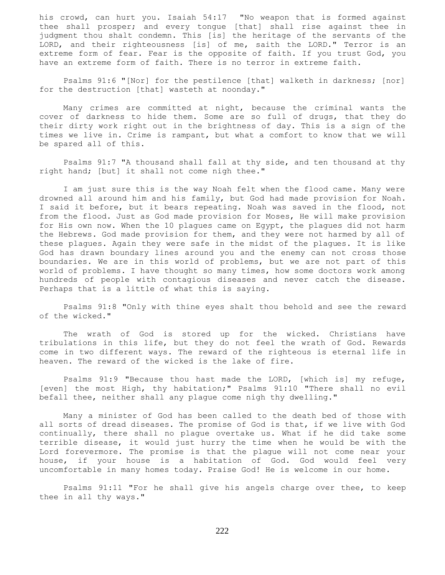his crowd, can hurt you. Isaiah 54:17 "No weapon that is formed against thee shall prosper; and every tongue [that] shall rise against thee in judgment thou shalt condemn. This [is] the heritage of the servants of the LORD, and their righteousness [is] of me, saith the LORD." Terror is an extreme form of fear. Fear is the opposite of faith. If you trust God, you have an extreme form of faith. There is no terror in extreme faith.

 Psalms 91:6 "[Nor] for the pestilence [that] walketh in darkness; [nor] for the destruction [that] wasteth at noonday."

 Many crimes are committed at night, because the criminal wants the cover of darkness to hide them. Some are so full of drugs, that they do their dirty work right out in the brightness of day. This is a sign of the times we live in. Crime is rampant, but what a comfort to know that we will be spared all of this.

 Psalms 91:7 "A thousand shall fall at thy side, and ten thousand at thy right hand; [but] it shall not come nigh thee."

 I am just sure this is the way Noah felt when the flood came. Many were drowned all around him and his family, but God had made provision for Noah. I said it before, but it bears repeating. Noah was saved in the flood, not from the flood. Just as God made provision for Moses, He will make provision for His own now. When the 10 plagues came on Egypt, the plagues did not harm the Hebrews. God made provision for them, and they were not harmed by all of these plagues. Again they were safe in the midst of the plagues. It is like God has drawn boundary lines around you and the enemy can not cross those boundaries. We are in this world of problems, but we are not part of this world of problems. I have thought so many times, how some doctors work among hundreds of people with contagious diseases and never catch the disease. Perhaps that is a little of what this is saying.

 Psalms 91:8 "Only with thine eyes shalt thou behold and see the reward of the wicked."

 The wrath of God is stored up for the wicked. Christians have tribulations in this life, but they do not feel the wrath of God. Rewards come in two different ways. The reward of the righteous is eternal life in heaven. The reward of the wicked is the lake of fire.

 Psalms 91:9 "Because thou hast made the LORD, [which is] my refuge, [even] the most High, thy habitation;" Psalms 91:10 "There shall no evil befall thee, neither shall any plague come nigh thy dwelling."

 Many a minister of God has been called to the death bed of those with all sorts of dread diseases. The promise of God is that, if we live with God continually, there shall no plague overtake us. What if he did take some terrible disease, it would just hurry the time when he would be with the Lord forevermore. The promise is that the plague will not come near your house, if your house is a habitation of God. God would feel very uncomfortable in many homes today. Praise God! He is welcome in our home.

 Psalms 91:11 "For he shall give his angels charge over thee, to keep thee in all thy ways."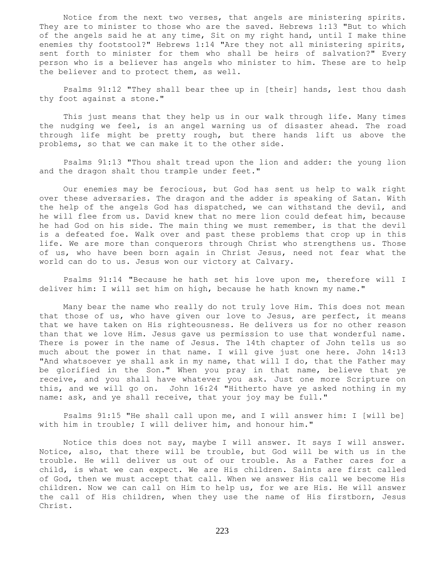Notice from the next two verses, that angels are ministering spirits. They are to minister to those who are the saved. Hebrews 1:13 "But to which of the angels said he at any time, Sit on my right hand, until I make thine enemies thy footstool?" Hebrews 1:14 "Are they not all ministering spirits, sent forth to minister for them who shall be heirs of salvation?" Every person who is a believer has angels who minister to him. These are to help the believer and to protect them, as well.

 Psalms 91:12 "They shall bear thee up in [their] hands, lest thou dash thy foot against a stone."

 This just means that they help us in our walk through life. Many times the nudging we feel, is an angel warning us of disaster ahead. The road through life might be pretty rough, but there hands lift us above the problems, so that we can make it to the other side.

 Psalms 91:13 "Thou shalt tread upon the lion and adder: the young lion and the dragon shalt thou trample under feet."

 Our enemies may be ferocious, but God has sent us help to walk right over these adversaries. The dragon and the adder is speaking of Satan. With the help of the angels God has dispatched, we can withstand the devil, and he will flee from us. David knew that no mere lion could defeat him, because he had God on his side. The main thing we must remember, is that the devil is a defeated foe. Walk over and past these problems that crop up in this life. We are more than conquerors through Christ who strengthens us. Those of us, who have been born again in Christ Jesus, need not fear what the world can do to us. Jesus won our victory at Calvary.

 Psalms 91:14 "Because he hath set his love upon me, therefore will I deliver him: I will set him on high, because he hath known my name."

 Many bear the name who really do not truly love Him. This does not mean that those of us, who have given our love to Jesus, are perfect, it means that we have taken on His righteousness. He delivers us for no other reason than that we love Him. Jesus gave us permission to use that wonderful name. There is power in the name of Jesus. The 14th chapter of John tells us so much about the power in that name. I will give just one here. John 14:13 "And whatsoever ye shall ask in my name, that will I do, that the Father may be glorified in the Son." When you pray in that name, believe that ye receive, and you shall have whatever you ask. Just one more Scripture on this, and we will go on. John 16:24 "Hitherto have ye asked nothing in my name: ask, and ye shall receive, that your joy may be full."

 Psalms 91:15 "He shall call upon me, and I will answer him: I [will be] with him in trouble; I will deliver him, and honour him."

 Notice this does not say, maybe I will answer. It says I will answer. Notice, also, that there will be trouble, but God will be with us in the trouble. He will deliver us out of our trouble. As a Father cares for a child, is what we can expect. We are His children. Saints are first called of God, then we must accept that call. When we answer His call we become His children. Now we can call on Him to help us, for we are His. He will answer the call of His children, when they use the name of His firstborn, Jesus Christ.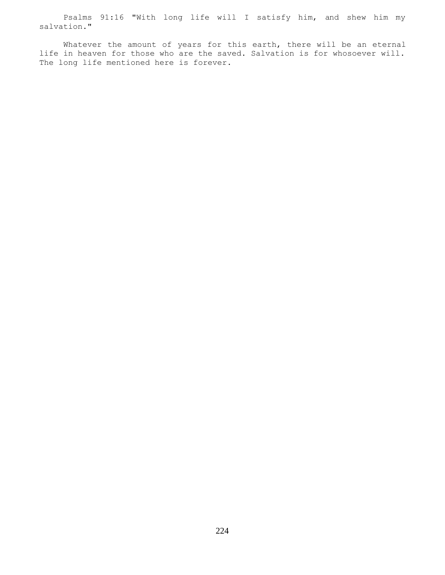Psalms 91:16 "With long life will I satisfy him, and shew him my salvation."

Whatever the amount of years for this earth, there will be an eternal life in heaven for those who are the saved. Salvation is for whosoever will. The long life mentioned here is forever.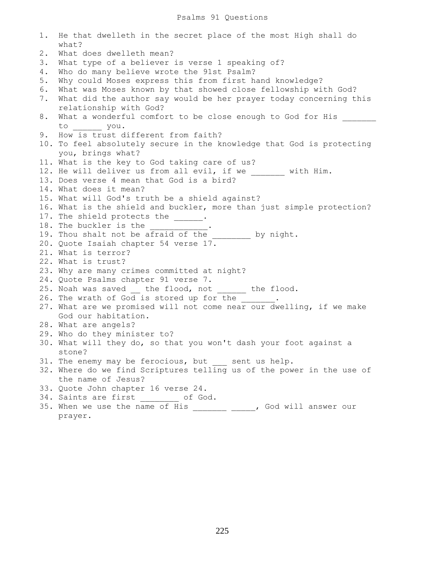### Psalms 91 Questions

1. He that dwelleth in the secret place of the most High shall do what? 2. What does dwelleth mean? 3. What type of a believer is verse 1 speaking of? 4. Who do many believe wrote the 91st Psalm? 5. Why could Moses express this from first hand knowledge? 6. What was Moses known by that showed close fellowship with God? 7. What did the author say would be her prayer today concerning this relationship with God? 8. What a wonderful comfort to be close enough to God for His to \_\_\_\_\_\_ you. 9. How is trust different from faith? 10. To feel absolutely secure in the knowledge that God is protecting you, brings what? 11. What is the key to God taking care of us? 12. He will deliver us from all evil, if we \_\_\_\_\_\_\_ with Him. 13. Does verse 4 mean that God is a bird? 14. What does it mean? 15. What will God's truth be a shield against? 16. What is the shield and buckler, more than just simple protection? 17. The shield protects the \_\_\_\_\_\_. 18. The buckler is the 19. Thou shalt not be afraid of the by night. 20. Quote Isaiah chapter 54 verse 17. 21. What is terror? 22. What is trust? 23. Why are many crimes committed at night? 24. Quote Psalms chapter 91 verse 7. 25. Noah was saved \_\_ the flood, not \_\_\_\_\_\_ the flood. 26. The wrath of God is stored up for the 27. What are we promised will not come near our dwelling, if we make God our habitation. 28. What are angels? 29. Who do they minister to? 30. What will they do, so that you won't dash your foot against a stone? 31. The enemy may be ferocious, but sent us help. 32. Where do we find Scriptures telling us of the power in the use of the name of Jesus? 33. Quote John chapter 16 verse 24. 34. Saints are first of God. 35. When we use the name of His \_\_\_\_\_\_\_ \_\_\_\_, God will answer our prayer.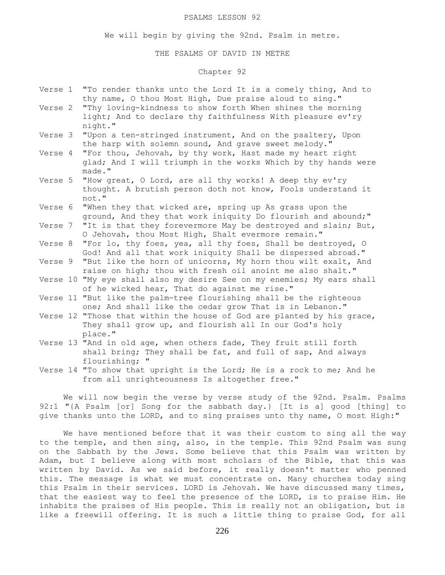#### PSALMS LESSON 92

We will begin by giving the 92nd. Psalm in metre.

### THE PSALMS OF DAVID IN METRE

# Chapter 92

- Verse 1 "To render thanks unto the Lord It is a comely thing, And to thy name, O thou Most High, Due praise aloud to sing."
- Verse 2 "Thy loving-kindness to show forth When shines the morning light; And to declare thy faithfulness With pleasure ev'ry night."
- Verse 3 "Upon a ten-stringed instrument, And on the psaltery, Upon the harp with solemn sound, And grave sweet melody."
- Verse 4 "For thou, Jehovah, by thy work, Hast made my heart right glad; And I will triumph in the works Which by thy hands were made."
- Verse 5 "How great, O Lord, are all thy works! A deep thy ev'ry thought. A brutish person doth not know, Fools understand it not."
- Verse 6 "When they that wicked are, spring up As grass upon the ground, And they that work iniquity Do flourish and abound;" Verse 7 "It is that they forevermore May be destroyed and slain; But,
- O Jehovah, thou Most High, Shalt evermore remain."
- Verse 8 "For lo, thy foes, yea, all thy foes, Shall be destroyed, O God! And all that work iniquity Shall be dispersed abroad."
- Verse 9 "But like the horn of unicorns, My horn thou wilt exalt, And raise on high; thou with fresh oil anoint me also shalt."
- Verse 10 "My eye shall also my desire See on my enemies; My ears shall of he wicked hear, That do against me rise."
- Verse 11 "But like the palm-tree flourishing shall be the righteous one; And shall like the cedar grow That is in Lebanon."
- Verse 12 "Those that within the house of God are planted by his grace, They shall grow up, and flourish all In our God's holy place."
- Verse 13 "And in old age, when others fade, They fruit still forth shall bring; They shall be fat, and full of sap, And always flourishing; "
- Verse 14 "To show that upright is the Lord; He is a rock to me; And he from all unrighteousness Is altogether free."

We will now begin the verse by verse study of the 92nd. Psalm. Psalms 92:1 "{A Psalm [or] Song for the sabbath day.} [It is a] good [thing] to give thanks unto the LORD, and to sing praises unto thy name, O most High:"

 We have mentioned before that it was their custom to sing all the way to the temple, and then sing, also, in the temple. This 92nd Psalm was sung on the Sabbath by the Jews. Some believe that this Psalm was written by Adam, but I believe along with most scholars of the Bible, that this was written by David. As we said before, it really doesn't matter who penned this. The message is what we must concentrate on. Many churches today sing this Psalm in their services. LORD is Jehovah. We have discussed many times, that the easiest way to feel the presence of the LORD, is to praise Him. He inhabits the praises of His people. This is really not an obligation, but is like a freewill offering. It is such a little thing to praise God, for all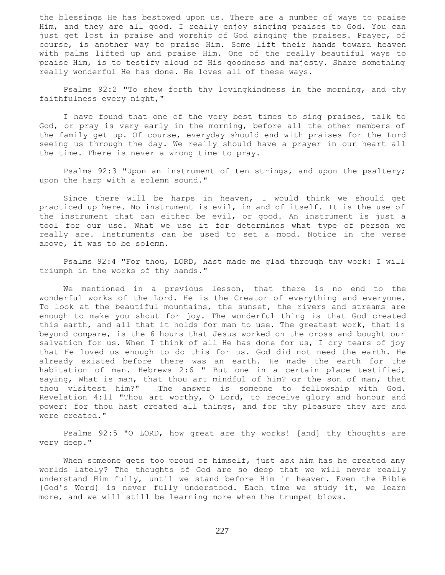the blessings He has bestowed upon us. There are a number of ways to praise Him, and they are all good. I really enjoy singing praises to God. You can just get lost in praise and worship of God singing the praises. Prayer, of course, is another way to praise Him. Some lift their hands toward heaven with palms lifted up and praise Him. One of the really beautiful ways to praise Him, is to testify aloud of His goodness and majesty. Share something really wonderful He has done. He loves all of these ways.

 Psalms 92:2 "To shew forth thy lovingkindness in the morning, and thy faithfulness every night,"

 I have found that one of the very best times to sing praises, talk to God, or pray is very early in the morning, before all the other members of the family get up. Of course, everyday should end with praises for the Lord seeing us through the day. We really should have a prayer in our heart all the time. There is never a wrong time to pray.

 Psalms 92:3 "Upon an instrument of ten strings, and upon the psaltery; upon the harp with a solemn sound."

 Since there will be harps in heaven, I would think we should get practiced up here. No instrument is evil, in and of itself. It is the use of the instrument that can either be evil, or good. An instrument is just a tool for our use. What we use it for determines what type of person we really are. Instruments can be used to set a mood. Notice in the verse above, it was to be solemn.

 Psalms 92:4 "For thou, LORD, hast made me glad through thy work: I will triumph in the works of thy hands."

 We mentioned in a previous lesson, that there is no end to the wonderful works of the Lord. He is the Creator of everything and everyone. To look at the beautiful mountains, the sunset, the rivers and streams are enough to make you shout for joy. The wonderful thing is that God created this earth, and all that it holds for man to use. The greatest work, that is beyond compare, is the 6 hours that Jesus worked on the cross and bought our salvation for us. When I think of all He has done for us, I cry tears of joy that He loved us enough to do this for us. God did not need the earth. He already existed before there was an earth. He made the earth for the habitation of man. Hebrews 2:6 " But one in a certain place testified, saying, What is man, that thou art mindful of him? or the son of man, that thou visitest him?" The answer is someone to fellowship with God. Revelation 4:11 "Thou art worthy, O Lord, to receive glory and honour and power: for thou hast created all things, and for thy pleasure they are and were created."

 Psalms 92:5 "O LORD, how great are thy works! [and] thy thoughts are very deep."

When someone gets too proud of himself, just ask him has he created any worlds lately? The thoughts of God are so deep that we will never really understand Him fully, until we stand before Him in heaven. Even the Bible {God's Word} is never fully understood. Each time we study it, we learn more, and we will still be learning more when the trumpet blows.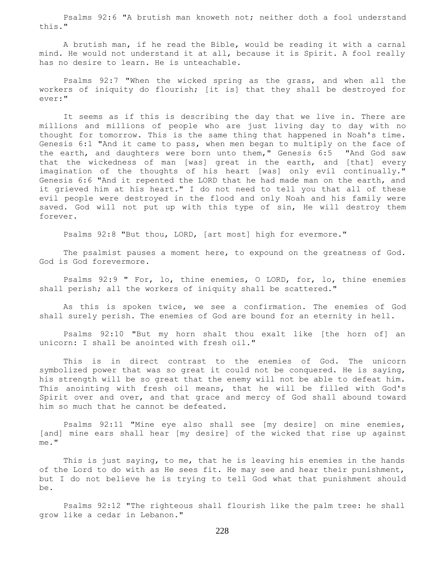Psalms 92:6 "A brutish man knoweth not; neither doth a fool understand this."

 A brutish man, if he read the Bible, would be reading it with a carnal mind. He would not understand it at all, because it is Spirit. A fool really has no desire to learn. He is unteachable.

 Psalms 92:7 "When the wicked spring as the grass, and when all the workers of iniquity do flourish; [it is] that they shall be destroyed for ever:"

 It seems as if this is describing the day that we live in. There are millions and millions of people who are just living day to day with no thought for tomorrow. This is the same thing that happened in Noah's time. Genesis 6:1 "And it came to pass, when men began to multiply on the face of the earth, and daughters were born unto them," Genesis  $6:5$  "And God saw that the wickedness of man [was] great in the earth, and [that] every imagination of the thoughts of his heart [was] only evil continually." Genesis 6:6 "And it repented the LORD that he had made man on the earth, and it grieved him at his heart." I do not need to tell you that all of these evil people were destroyed in the flood and only Noah and his family were saved. God will not put up with this type of sin, He will destroy them forever.

Psalms 92:8 "But thou, LORD, [art most] high for evermore."

 The psalmist pauses a moment here, to expound on the greatness of God. God is God forevermore.

 Psalms 92:9 " For, lo, thine enemies, O LORD, for, lo, thine enemies shall perish; all the workers of iniquity shall be scattered."

 As this is spoken twice, we see a confirmation. The enemies of God shall surely perish. The enemies of God are bound for an eternity in hell.

 Psalms 92:10 "But my horn shalt thou exalt like [the horn of] an unicorn: I shall be anointed with fresh oil."

 This is in direct contrast to the enemies of God. The unicorn symbolized power that was so great it could not be conquered. He is saying, his strength will be so great that the enemy will not be able to defeat him. This anointing with fresh oil means, that he will be filled with God's Spirit over and over, and that grace and mercy of God shall abound toward him so much that he cannot be defeated.

 Psalms 92:11 "Mine eye also shall see [my desire] on mine enemies, [and] mine ears shall hear [my desire] of the wicked that rise up against me."

 This is just saying, to me, that he is leaving his enemies in the hands of the Lord to do with as He sees fit. He may see and hear their punishment, but I do not believe he is trying to tell God what that punishment should be.

 Psalms 92:12 "The righteous shall flourish like the palm tree: he shall grow like a cedar in Lebanon."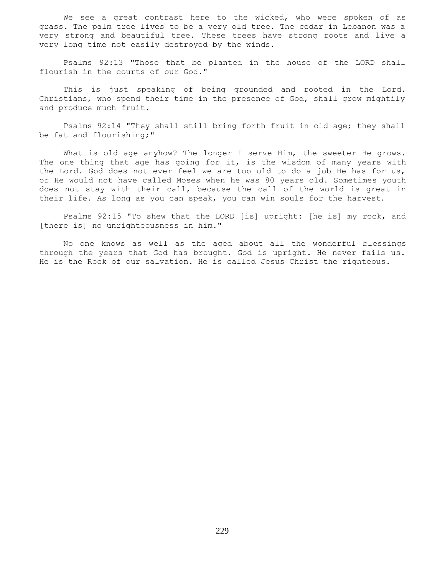We see a great contrast here to the wicked, who were spoken of as grass. The palm tree lives to be a very old tree. The cedar in Lebanon was a very strong and beautiful tree. These trees have strong roots and live a very long time not easily destroyed by the winds.

 Psalms 92:13 "Those that be planted in the house of the LORD shall flourish in the courts of our God."

 This is just speaking of being grounded and rooted in the Lord. Christians, who spend their time in the presence of God, shall grow mightily and produce much fruit.

 Psalms 92:14 "They shall still bring forth fruit in old age; they shall be fat and flourishing;"

What is old age anyhow? The longer I serve Him, the sweeter He grows. The one thing that age has going for it, is the wisdom of many years with the Lord. God does not ever feel we are too old to do a job He has for us, or He would not have called Moses when he was 80 years old. Sometimes youth does not stay with their call, because the call of the world is great in their life. As long as you can speak, you can win souls for the harvest.

 Psalms 92:15 "To shew that the LORD [is] upright: [he is] my rock, and [there is] no unrighteousness in him."

 No one knows as well as the aged about all the wonderful blessings through the years that God has brought. God is upright. He never fails us. He is the Rock of our salvation. He is called Jesus Christ the righteous.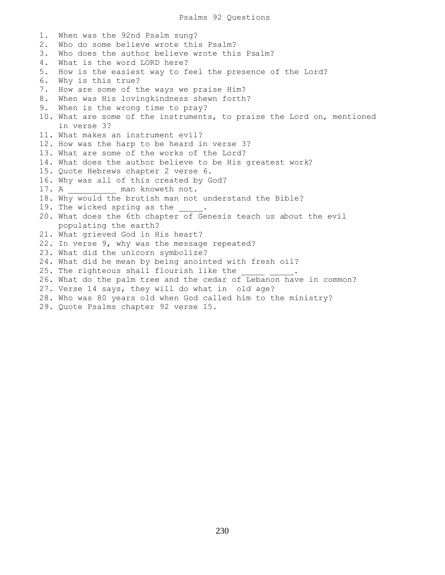1. When was the 92nd Psalm sung? 2. Who do some believe wrote this Psalm? 3. Who does the author believe wrote this Psalm? 4. What is the word LORD here? 5. How is the easiest way to feel the presence of the Lord? 6. Why is this true? 7. How are some of the ways we praise Him? 8. When was His lovingkindness shewn forth? 9. When is the wrong time to pray? 10. What are some of the instruments, to praise the Lord on, mentioned in verse 3? 11. What makes an instrument evil? 12. How was the harp to be heard in verse 3? 13. What are some of the works of the Lord? 14. What does the author believe to be His greatest work? 15. Quote Hebrews chapter 2 verse 6. 16. Why was all of this created by God? 17. A \_\_\_\_\_\_\_\_\_ man knoweth not. 18. Why would the brutish man not understand the Bible? 19. The wicked spring as the 20. What does the 6th chapter of Genesis teach us about the evil populating the earth? 21. What grieved God in His heart? 22. In verse 9, why was the message repeated? 23. What did the unicorn symbolize? 24. What did he mean by being anointed with fresh oil? 25. The righteous shall flourish like the 26. What do the palm tree and the cedar of Lebanon have in common? 27. Verse 14 says, they will do what in old age? 28. Who was 80 years old when God called him to the ministry? 29. Quote Psalms chapter 92 verse 15.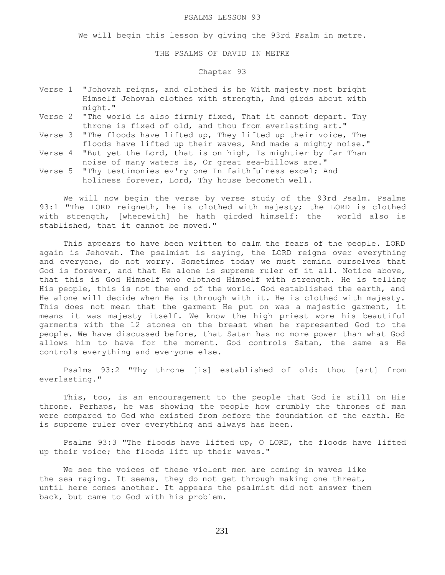#### PSALMS LESSON 93

We will begin this lesson by giving the 93rd Psalm in metre.

#### THE PSALMS OF DAVID IN METRE

# Chapter 93

|  | Verse 1 "Johovah reigns, and clothed is he With majesty most bright |
|--|---------------------------------------------------------------------|
|  | Himself Jehovah clothes with strength, And girds about with         |
|  | might."                                                             |
|  | Verse 2 "The world is also firmly fixed, That it cannot depart. Thy |
|  | throne is fixed of old, and thou from everlasting art."             |

Verse 3 "The floods have lifted up, They lifted up their voice, The floods have lifted up their waves, And made a mighty noise."

Verse 4 "But yet the Lord, that is on high, Is mightier by far Than noise of many waters is, Or great sea-billows are."

Verse 5 "Thy testimonies ev'ry one In faithfulness excel; And holiness forever, Lord, Thy house becometh well.

 We will now begin the verse by verse study of the 93rd Psalm. Psalms 93:1 "The LORD reigneth, he is clothed with majesty; the LORD is clothed with strength, [wherewith] he hath girded himself: the world also is stablished, that it cannot be moved."

 This appears to have been written to calm the fears of the people. LORD again is Jehovah. The psalmist is saying, the LORD reigns over everything and everyone, do not worry. Sometimes today we must remind ourselves that God is forever, and that He alone is supreme ruler of it all. Notice above, that this is God Himself who clothed Himself with strength. He is telling His people, this is not the end of the world. God established the earth, and He alone will decide when He is through with it. He is clothed with majesty. This does not mean that the garment He put on was a majestic garment, it means it was majesty itself. We know the high priest wore his beautiful garments with the 12 stones on the breast when he represented God to the people. We have discussed before, that Satan has no more power than what God allows him to have for the moment. God controls Satan, the same as He controls everything and everyone else.

 Psalms 93:2 "Thy throne [is] established of old: thou [art] from everlasting."

 This, too, is an encouragement to the people that God is still on His throne. Perhaps, he was showing the people how crumbly the thrones of man were compared to God who existed from before the foundation of the earth. He is supreme ruler over everything and always has been.

 Psalms 93:3 "The floods have lifted up, O LORD, the floods have lifted up their voice; the floods lift up their waves."

 We see the voices of these violent men are coming in waves like the sea raging. It seems, they do not get through making one threat, until here comes another. It appears the psalmist did not answer them back, but came to God with his problem.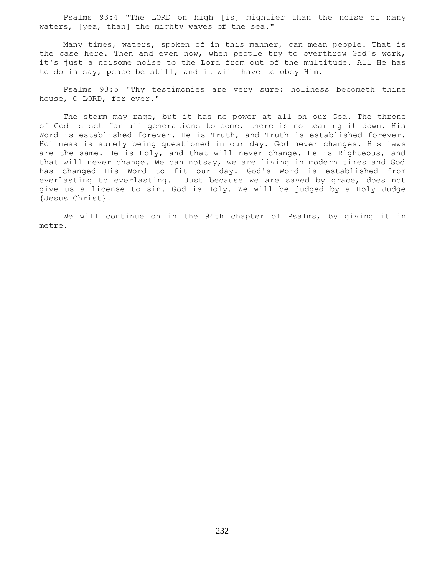Psalms 93:4 "The LORD on high [is] mightier than the noise of many waters, [yea, than] the mighty waves of the sea."

 Many times, waters, spoken of in this manner, can mean people. That is the case here. Then and even now, when people try to overthrow God's work, it's just a noisome noise to the Lord from out of the multitude. All He has to do is say, peace be still, and it will have to obey Him.

 Psalms 93:5 "Thy testimonies are very sure: holiness becometh thine house, O LORD, for ever."

 The storm may rage, but it has no power at all on our God. The throne of God is set for all generations to come, there is no tearing it down. His Word is established forever. He is Truth, and Truth is established forever. Holiness is surely being questioned in our day. God never changes. His laws are the same. He is Holy, and that will never change. He is Righteous, and that will never change. We can notsay, we are living in modern times and God has changed His Word to fit our day. God's Word is established from everlasting to everlasting. Just because we are saved by grace, does not give us a license to sin. God is Holy. We will be judged by a Holy Judge {Jesus Christ}.

 We will continue on in the 94th chapter of Psalms, by giving it in metre.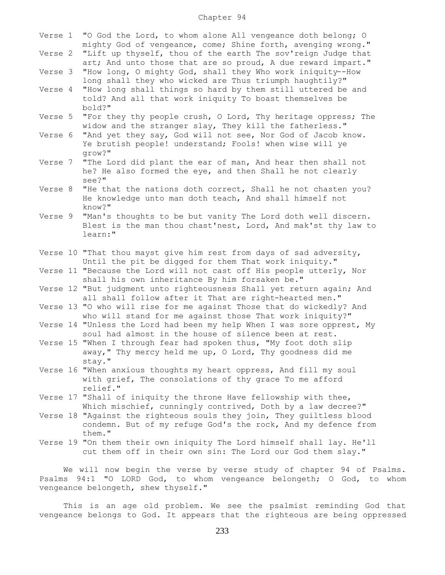- Verse 1 "O God the Lord, to whom alone All vengeance doth belong; O mighty God of vengeance, come; Shine forth, avenging wrong."
- Verse 2 "Lift up thyself, thou of the earth The sov'reign Judge that art; And unto those that are so proud, A due reward impart."
- Verse 3 "How long, O mighty God, shall they Who work iniquity--How long shall they who wicked are Thus triumph haughtily?"
- Verse 4 "How long shall things so hard by them still uttered be and told? And all that work iniquity To boast themselves be bold?"
- Verse 5 "For they thy people crush, O Lord, Thy heritage oppress; The widow and the stranger slay, They kill the fatherless."
- Verse 6 "And yet they say, God will not see, Nor God of Jacob know. Ye brutish people! understand; Fools! when wise will ye grow?"
- Verse 7 "The Lord did plant the ear of man, And hear then shall not he? He also formed the eye, and then Shall he not clearly see?"
- Verse 8 "He that the nations doth correct, Shall he not chasten you? He knowledge unto man doth teach, And shall himself not know?"
- Verse 9 "Man's thoughts to be but vanity The Lord doth well discern. Blest is the man thou chast'nest, Lord, And mak'st thy law to learn:"
- Verse 10 "That thou mayst give him rest from days of sad adversity, Until the pit be digged for them That work iniquity."
- Verse 11 "Because the Lord will not cast off His people utterly, Nor shall his own inheritance By him forsaken be."
- Verse 12 "But judgment unto righteousness Shall yet return again; And all shall follow after it That are right-hearted men."
- Verse 13 "O who will rise for me against Those that do wickedly? And who will stand for me against those That work iniquity?"
- Verse 14 "Unless the Lord had been my help When I was sore opprest, My soul had almost in the house of silence been at rest.
- Verse 15 "When I through fear had spoken thus, "My foot doth slip away," Thy mercy held me up, O Lord, Thy goodness did me stay."
- Verse 16 "When anxious thoughts my heart oppress, And fill my soul with grief, The consolations of thy grace To me afford relief."
- Verse 17 "Shall of iniquity the throne Have fellowship with thee, Which mischief, cunningly contrived, Doth by a law decree?"
- Verse 18 "Against the righteous souls they join, They guiltless blood condemn. But of my refuge God's the rock, And my defence from them."
- Verse 19 "On them their own iniquity The Lord himself shall lay. He'll cut them off in their own sin: The Lord our God them slay."

 We will now begin the verse by verse study of chapter 94 of Psalms. Psalms 94:1 "O LORD God, to whom vengeance belongeth; O God, to whom vengeance belongeth, shew thyself."

 This is an age old problem. We see the psalmist reminding God that vengeance belongs to God. It appears that the righteous are being oppressed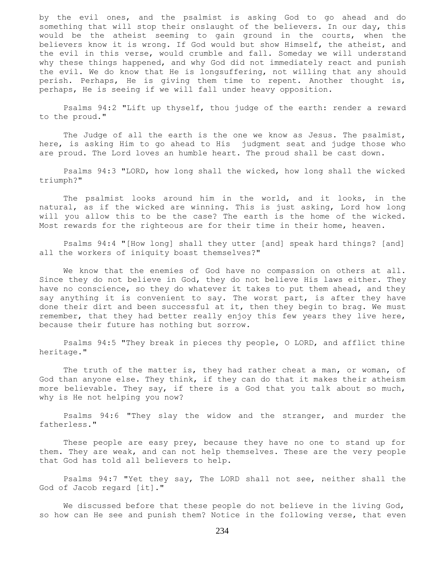by the evil ones, and the psalmist is asking God to go ahead and do something that will stop their onslaught of the believers. In our day, this would be the atheist seeming to gain ground in the courts, when the believers know it is wrong. If God would but show Himself, the atheist, and the evil in this verse, would crumble and fall. Someday we will understand why these things happened, and why God did not immediately react and punish the evil. We do know that He is longsuffering, not willing that any should perish. Perhaps, He is giving them time to repent. Another thought is, perhaps, He is seeing if we will fall under heavy opposition.

 Psalms 94:2 "Lift up thyself, thou judge of the earth: render a reward to the proud."

 The Judge of all the earth is the one we know as Jesus. The psalmist, here, is asking Him to go ahead to His judgment seat and judge those who are proud. The Lord loves an humble heart. The proud shall be cast down.

 Psalms 94:3 "LORD, how long shall the wicked, how long shall the wicked triumph?"

 The psalmist looks around him in the world, and it looks, in the natural, as if the wicked are winning. This is just asking, Lord how long will you allow this to be the case? The earth is the home of the wicked. Most rewards for the righteous are for their time in their home, heaven.

 Psalms 94:4 "[How long] shall they utter [and] speak hard things? [and] all the workers of iniquity boast themselves?"

 We know that the enemies of God have no compassion on others at all. Since they do not believe in God, they do not believe His laws either. They have no conscience, so they do whatever it takes to put them ahead, and they say anything it is convenient to say. The worst part, is after they have done their dirt and been successful at it, then they begin to brag. We must remember, that they had better really enjoy this few years they live here, because their future has nothing but sorrow.

 Psalms 94:5 "They break in pieces thy people, O LORD, and afflict thine heritage."

The truth of the matter is, they had rather cheat a man, or woman, of God than anyone else. They think, if they can do that it makes their atheism more believable. They say, if there is a God that you talk about so much, why is He not helping you now?

 Psalms 94:6 "They slay the widow and the stranger, and murder the fatherless."

 These people are easy prey, because they have no one to stand up for them. They are weak, and can not help themselves. These are the very people that God has told all believers to help.

 Psalms 94:7 "Yet they say, The LORD shall not see, neither shall the God of Jacob regard [it]."

We discussed before that these people do not believe in the living God, so how can He see and punish them? Notice in the following verse, that even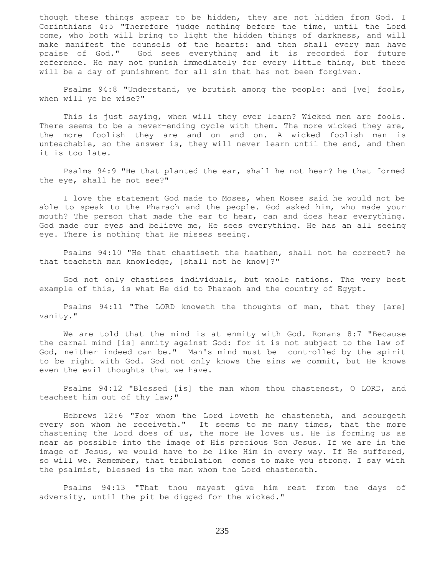though these things appear to be hidden, they are not hidden from God. I Corinthians 4:5 "Therefore judge nothing before the time, until the Lord come, who both will bring to light the hidden things of darkness, and will make manifest the counsels of the hearts: and then shall every man have praise of God." God sees everything and it is recorded for future reference. He may not punish immediately for every little thing, but there will be a day of punishment for all sin that has not been forgiven.

 Psalms 94:8 "Understand, ye brutish among the people: and [ye] fools, when will ye be wise?"

 This is just saying, when will they ever learn? Wicked men are fools. There seems to be a never-ending cycle with them. The more wicked they are, the more foolish they are and on and on. A wicked foolish man is unteachable, so the answer is, they will never learn until the end, and then it is too late.

 Psalms 94:9 "He that planted the ear, shall he not hear? he that formed the eye, shall he not see?"

 I love the statement God made to Moses, when Moses said he would not be able to speak to the Pharaoh and the people. God asked him, who made your mouth? The person that made the ear to hear, can and does hear everything. God made our eyes and believe me, He sees everything. He has an all seeing eye. There is nothing that He misses seeing.

 Psalms 94:10 "He that chastiseth the heathen, shall not he correct? he that teacheth man knowledge, [shall not he know]?"

 God not only chastises individuals, but whole nations. The very best example of this, is what He did to Pharaoh and the country of Egypt.

 Psalms 94:11 "The LORD knoweth the thoughts of man, that they [are] vanity."

We are told that the mind is at enmity with God. Romans 8:7 "Because the carnal mind [is] enmity against God: for it is not subject to the law of God, neither indeed can be." Man's mind must be controlled by the spirit to be right with God. God not only knows the sins we commit, but He knows even the evil thoughts that we have.

 Psalms 94:12 "Blessed [is] the man whom thou chastenest, O LORD, and teachest him out of thy law;"

 Hebrews 12:6 "For whom the Lord loveth he chasteneth, and scourgeth every son whom he receiveth." It seems to me many times, that the more chastening the Lord does of us, the more He loves us. He is forming us as near as possible into the image of His precious Son Jesus. If we are in the image of Jesus, we would have to be like Him in every way. If He suffered, so will we. Remember, that tribulation comes to make you strong. I say with the psalmist, blessed is the man whom the Lord chasteneth.

 Psalms 94:13 "That thou mayest give him rest from the days of adversity, until the pit be digged for the wicked."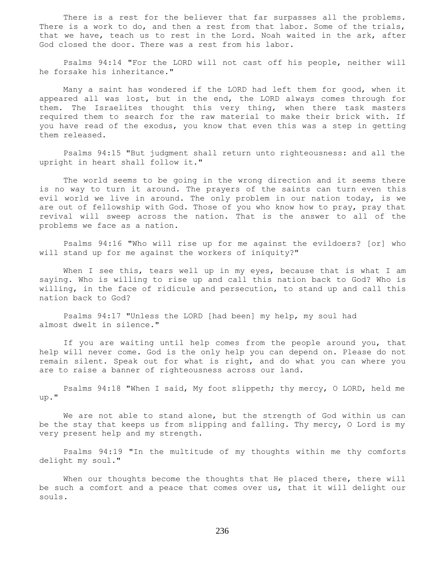There is a rest for the believer that far surpasses all the problems. There is a work to do, and then a rest from that labor. Some of the trials, that we have, teach us to rest in the Lord. Noah waited in the ark, after God closed the door. There was a rest from his labor.

 Psalms 94:14 "For the LORD will not cast off his people, neither will he forsake his inheritance."

 Many a saint has wondered if the LORD had left them for good, when it appeared all was lost, but in the end, the LORD always comes through for them. The Israelites thought this very thing, when there task masters required them to search for the raw material to make their brick with. If you have read of the exodus, you know that even this was a step in getting them released.

 Psalms 94:15 "But judgment shall return unto righteousness: and all the upright in heart shall follow it."

 The world seems to be going in the wrong direction and it seems there is no way to turn it around. The prayers of the saints can turn even this evil world we live in around. The only problem in our nation today, is we are out of fellowship with God. Those of you who know how to pray, pray that revival will sweep across the nation. That is the answer to all of the problems we face as a nation.

 Psalms 94:16 "Who will rise up for me against the evildoers? [or] who will stand up for me against the workers of iniquity?"

When I see this, tears well up in my eyes, because that is what I am saying. Who is willing to rise up and call this nation back to God? Who is willing, in the face of ridicule and persecution, to stand up and call this nation back to God?

 Psalms 94:17 "Unless the LORD [had been] my help, my soul had almost dwelt in silence."

 If you are waiting until help comes from the people around you, that help will never come. God is the only help you can depend on. Please do not remain silent. Speak out for what is right, and do what you can where you are to raise a banner of righteousness across our land.

 Psalms 94:18 "When I said, My foot slippeth; thy mercy, O LORD, held me up."

 We are not able to stand alone, but the strength of God within us can be the stay that keeps us from slipping and falling. Thy mercy, O Lord is my very present help and my strength.

 Psalms 94:19 "In the multitude of my thoughts within me thy comforts delight my soul."

When our thoughts become the thoughts that He placed there, there will be such a comfort and a peace that comes over us, that it will delight our souls.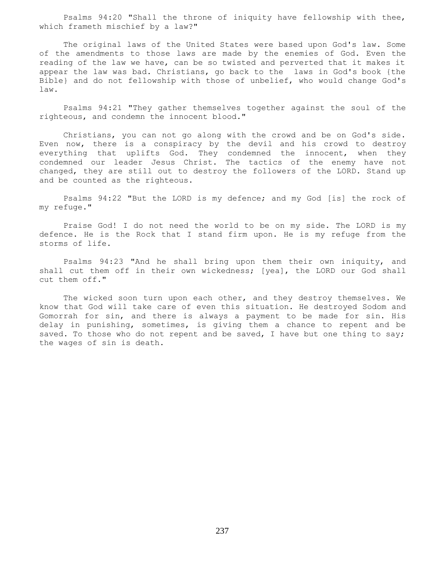Psalms 94:20 "Shall the throne of iniquity have fellowship with thee, which frameth mischief by a law?"

 The original laws of the United States were based upon God's law. Some of the amendments to those laws are made by the enemies of God. Even the reading of the law we have, can be so twisted and perverted that it makes it appear the law was bad. Christians, go back to the laws in God's book {the Bible} and do not fellowship with those of unbelief, who would change God's law.

 Psalms 94:21 "They gather themselves together against the soul of the righteous, and condemn the innocent blood."

 Christians, you can not go along with the crowd and be on God's side. Even now, there is a conspiracy by the devil and his crowd to destroy everything that uplifts God. They condemned the innocent, when they condemned our leader Jesus Christ. The tactics of the enemy have not changed, they are still out to destroy the followers of the LORD. Stand up and be counted as the righteous.

 Psalms 94:22 "But the LORD is my defence; and my God [is] the rock of my refuge."

 Praise God! I do not need the world to be on my side. The LORD is my defence. He is the Rock that I stand firm upon. He is my refuge from the storms of life.

 Psalms 94:23 "And he shall bring upon them their own iniquity, and shall cut them off in their own wickedness; [yea], the LORD our God shall cut them off."

 The wicked soon turn upon each other, and they destroy themselves. We know that God will take care of even this situation. He destroyed Sodom and Gomorrah for sin, and there is always a payment to be made for sin. His delay in punishing, sometimes, is giving them a chance to repent and be saved. To those who do not repent and be saved, I have but one thing to say; the wages of sin is death.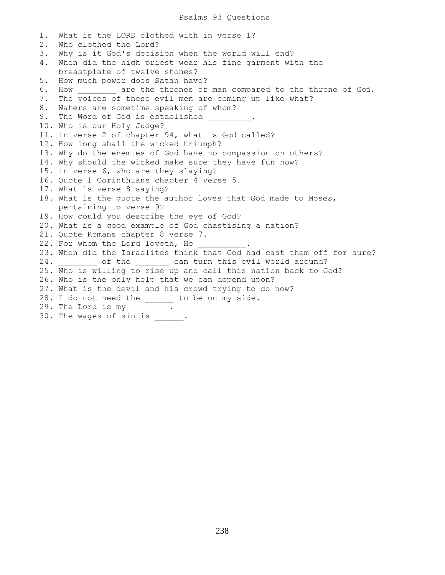1. What is the LORD clothed with in verse 1? 2. Who clothed the Lord? 3. Why is it God's decision when the world will end? 4. When did the high priest wear his fine garment with the breastplate of twelve stones? 5. How much power does Satan have? 6. How \_\_\_\_\_\_\_\_ are the thrones of man compared to the throne of God. 7. The voices of these evil men are coming up like what? 8. Waters are sometime speaking of whom? 9. The Word of God is established \_\_\_\_\_\_\_\_. 10. Who is our Holy Judge? 11. In verse 2 of chapter 94, what is God called? 12. How long shall the wicked triumph? 13. Why do the enemies of God have no compassion on others? 14. Why should the wicked make sure they have fun now? 15. In verse 6, who are they slaying? 16. Quote 1 Corinthians chapter 4 verse 5. 17. What is verse 8 saying? 18. What is the quote the author loves that God made to Moses, pertaining to verse 9? 19. How could you describe the eye of God? 20. What is a good example of God chastising a nation? 21. Quote Romans chapter 8 verse 7. 22. For whom the Lord loveth, He 23. When did the Israelites think that God had cast them off for sure? 24. \_\_\_\_\_\_\_\_ of the \_\_\_\_\_\_\_ can turn this evil world around? 25. Who is willing to rise up and call this nation back to God? 26. Who is the only help that we can depend upon? 27. What is the devil and his crowd trying to do now? 28. I do not need the \_\_\_\_\_\_ to be on my side. 29. The Lord is my 30. The wages of sin is  $\qquad \qquad$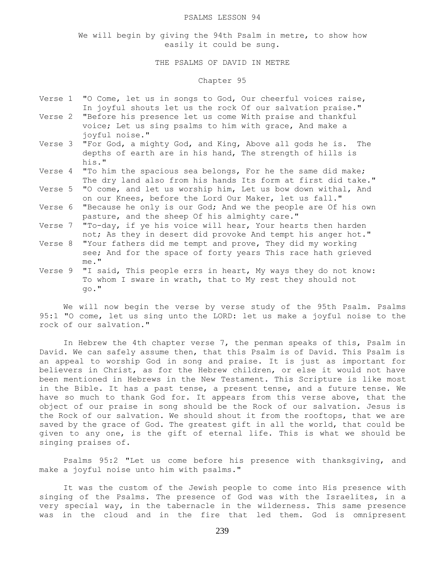#### PSALMS LESSON 94

We will begin by giving the 94th Psalm in metre, to show how easily it could be sung.

# THE PSALMS OF DAVID IN METRE

# Chapter 95

- Verse 1 "O Come, let us in songs to God, Our cheerful voices raise, In joyful shouts let us the rock Of our salvation praise."
- Verse 2 "Before his presence let us come With praise and thankful voice; Let us sing psalms to him with grace, And make a joyful noise."
- Verse 3 "For God, a mighty God, and King, Above all gods he is. The depths of earth are in his hand, The strength of hills is his."
- Verse 4 "To him the spacious sea belongs, For he the same did make; The dry land also from his hands Its form at first did take."
- Verse 5 "O come, and let us worship him, Let us bow down withal, And on our Knees, before the Lord Our Maker, let us fall."
- Verse 6 "Because he only is our God; And we the people are Of his own pasture, and the sheep Of his almighty care."
- Verse 7 "To-day, if ye his voice will hear, Your hearts then harden not; As they in desert did provoke And tempt his anger hot."
- Verse 8 "Your fathers did me tempt and prove, They did my working see; And for the space of forty years This race hath grieved me."
- Verse 9 "I said, This people errs in heart, My ways they do not know: To whom I sware in wrath, that to My rest they should not go."

 We will now begin the verse by verse study of the 95th Psalm. Psalms 95:1 "O come, let us sing unto the LORD: let us make a joyful noise to the rock of our salvation."

 In Hebrew the 4th chapter verse 7, the penman speaks of this, Psalm in David. We can safely assume then, that this Psalm is of David. This Psalm is an appeal to worship God in song and praise. It is just as important for believers in Christ, as for the Hebrew children, or else it would not have been mentioned in Hebrews in the New Testament. This Scripture is like most in the Bible. It has a past tense, a present tense, and a future tense. We have so much to thank God for. It appears from this verse above, that the object of our praise in song should be the Rock of our salvation. Jesus is the Rock of our salvation. We should shout it from the rooftops, that we are saved by the grace of God. The greatest gift in all the world, that could be given to any one, is the gift of eternal life. This is what we should be singing praises of.

 Psalms 95:2 "Let us come before his presence with thanksgiving, and make a joyful noise unto him with psalms."

 It was the custom of the Jewish people to come into His presence with singing of the Psalms. The presence of God was with the Israelites, in a very special way, in the tabernacle in the wilderness. This same presence was in the cloud and in the fire that led them. God is omnipresent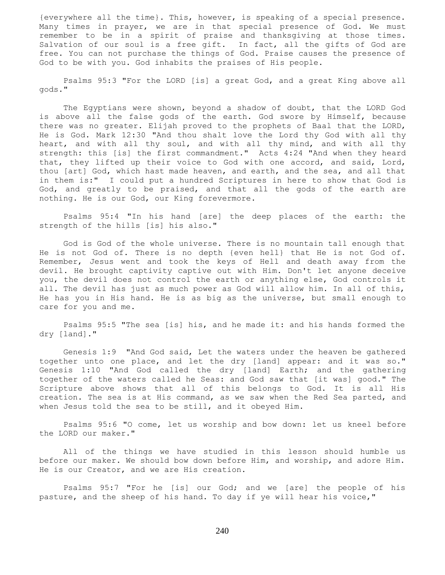{everywhere all the time}. This, however, is speaking of a special presence. Many times in prayer, we are in that special presence of God. We must remember to be in a spirit of praise and thanksgiving at those times. Salvation of our soul is a free gift. In fact, all the gifts of God are free. You can not purchase the things of God. Praise causes the presence of God to be with you. God inhabits the praises of His people.

 Psalms 95:3 "For the LORD [is] a great God, and a great King above all gods."

 The Egyptians were shown, beyond a shadow of doubt, that the LORD God is above all the false gods of the earth. God swore by Himself, because there was no greater. Elijah proved to the prophets of Baal that the LORD, He is God. Mark 12:30 "And thou shalt love the Lord thy God with all thy heart, and with all thy soul, and with all thy mind, and with all thy strength: this [is] the first commandment." Acts 4:24 "And when they heard that, they lifted up their voice to God with one accord, and said, Lord, thou [art] God, which hast made heaven, and earth, and the sea, and all that in them is:" I could put a hundred Scriptures in here to show that God is God, and greatly to be praised, and that all the gods of the earth are nothing. He is our God, our King forevermore.

 Psalms 95:4 "In his hand [are] the deep places of the earth: the strength of the hills [is] his also."

 God is God of the whole universe. There is no mountain tall enough that He is not God of. There is no depth {even hell} that He is not God of. Remember, Jesus went and took the keys of Hell and death away from the devil. He brought captivity captive out with Him. Don't let anyone deceive you, the devil does not control the earth or anything else, God controls it all. The devil has just as much power as God will allow him. In all of this, He has you in His hand. He is as big as the universe, but small enough to care for you and me.

 Psalms 95:5 "The sea [is] his, and he made it: and his hands formed the dry [land]."

 Genesis 1:9 "And God said, Let the waters under the heaven be gathered together unto one place, and let the dry [land] appear: and it was so." Genesis 1:10 "And God called the dry [land] Earth; and the gathering together of the waters called he Seas: and God saw that [it was] good." The Scripture above shows that all of this belongs to God. It is all His creation. The sea is at His command, as we saw when the Red Sea parted, and when Jesus told the sea to be still, and it obeyed Him.

 Psalms 95:6 "O come, let us worship and bow down: let us kneel before the LORD our maker."

 All of the things we have studied in this lesson should humble us before our maker. We should bow down before Him, and worship, and adore Him. He is our Creator, and we are His creation.

 Psalms 95:7 "For he [is] our God; and we [are] the people of his pasture, and the sheep of his hand. To day if ye will hear his voice,"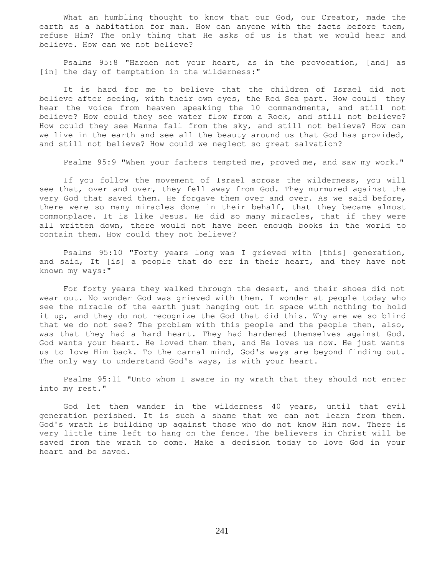What an humbling thought to know that our God, our Creator, made the earth as a habitation for man. How can anyone with the facts before them, refuse Him? The only thing that He asks of us is that we would hear and believe. How can we not believe?

 Psalms 95:8 "Harden not your heart, as in the provocation, [and] as [in] the day of temptation in the wilderness:"

 It is hard for me to believe that the children of Israel did not believe after seeing, with their own eyes, the Red Sea part. How could they hear the voice from heaven speaking the 10 commandments, and still not believe? How could they see water flow from a Rock, and still not believe? How could they see Manna fall from the sky, and still not believe? How can we live in the earth and see all the beauty around us that God has provided, and still not believe? How could we neglect so great salvation?

Psalms 95:9 "When your fathers tempted me, proved me, and saw my work."

 If you follow the movement of Israel across the wilderness, you will see that, over and over, they fell away from God. They murmured against the very God that saved them. He forgave them over and over. As we said before, there were so many miracles done in their behalf, that they became almost commonplace. It is like Jesus. He did so many miracles, that if they were all written down, there would not have been enough books in the world to contain them. How could they not believe?

 Psalms 95:10 "Forty years long was I grieved with [this] generation, and said, It [is] a people that do err in their heart, and they have not known my ways:"

 For forty years they walked through the desert, and their shoes did not wear out. No wonder God was grieved with them. I wonder at people today who see the miracle of the earth just hanging out in space with nothing to hold it up, and they do not recognize the God that did this. Why are we so blind that we do not see? The problem with this people and the people then, also, was that they had a hard heart. They had hardened themselves against God. God wants your heart. He loved them then, and He loves us now. He just wants us to love Him back. To the carnal mind, God's ways are beyond finding out. The only way to understand God's ways, is with your heart.

 Psalms 95:11 "Unto whom I sware in my wrath that they should not enter into my rest."

 God let them wander in the wilderness 40 years, until that evil generation perished. It is such a shame that we can not learn from them. God's wrath is building up against those who do not know Him now. There is very little time left to hang on the fence. The believers in Christ will be saved from the wrath to come. Make a decision today to love God in your heart and be saved.

241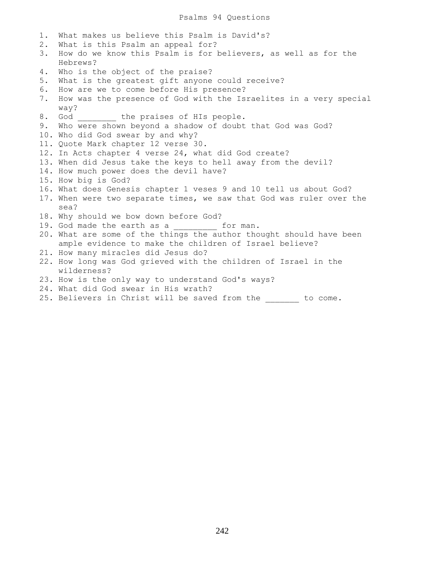- 1. What makes us believe this Psalm is David's? 2. What is this Psalm an appeal for? 3. How do we know this Psalm is for believers, as well as for the Hebrews? 4. Who is the object of the praise? 5. What is the greatest gift anyone could receive? 6. How are we to come before His presence? 7. How was the presence of God with the Israelites in a very special way? 8. God the praises of HIs people. 9. Who were shown beyond a shadow of doubt that God was God? 10. Who did God swear by and why? 11. Quote Mark chapter 12 verse 30. 12. In Acts chapter 4 verse 24, what did God create? 13. When did Jesus take the keys to hell away from the devil? 14. How much power does the devil have? 15. How big is God? 16. What does Genesis chapter 1 veses 9 and 10 tell us about God? 17. When were two separate times, we saw that God was ruler over the sea? 18. Why should we bow down before God? 19. God made the earth as a \_\_\_\_\_\_\_\_\_\_ for man. 20. What are some of the things the author thought should have been ample evidence to make the children of Israel believe? 21. How many miracles did Jesus do? 22. How long was God grieved with the children of Israel in the wilderness? 23. How is the only way to understand God's ways? 24. What did God swear in His wrath?
- 25. Believers in Christ will be saved from the to come.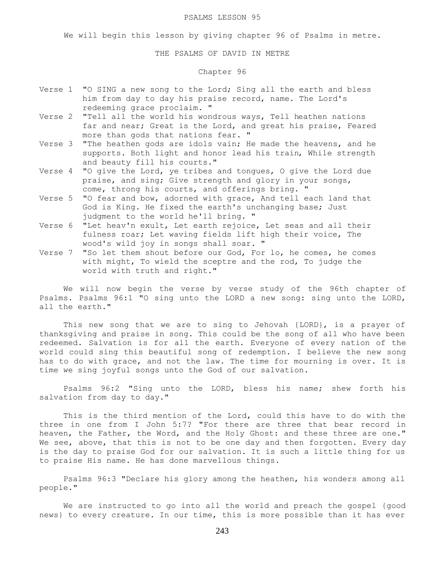#### PSALMS LESSON 95

We will begin this lesson by giving chapter 96 of Psalms in metre.

## THE PSALMS OF DAVID IN METRE

# Chapter 96

- Verse 1 "O SING a new song to the Lord; Sing all the earth and bless him from day to day his praise record, name. The Lord's redeeming grace proclaim. "
- Verse 2 "Tell all the world his wondrous ways, Tell heathen nations far and near; Great is the Lord, and great his praise, Feared more than gods that nations fear. "
- Verse 3 "The heathen gods are idols vain; He made the heavens, and he supports. Both light and honor lead his train, While strength and beauty fill his courts."
- Verse 4 "O give the Lord, ye tribes and tongues, O give the Lord due praise, and sing; Give strength and glory in your songs, come, throng his courts, and offerings bring. "
- Verse 5 "O fear and bow, adorned with grace, And tell each land that God is King. He fixed the earth's unchanging base; Just judgment to the world he'll bring. "
- Verse 6 "Let heav'n exult, Let earth rejoice, Let seas and all their fulness roar; Let waving fields lift high their voice, The wood's wild joy in songs shall soar. "
- Verse 7 "So let them shout before our God, For lo, he comes, he comes with might, To wield the sceptre and the rod, To judge the world with truth and right."

 We will now begin the verse by verse study of the 96th chapter of Psalms. Psalms 96:1 "O sing unto the LORD a new song: sing unto the LORD, all the earth."

 This new song that we are to sing to Jehovah {LORD}, is a prayer of thanksgiving and praise in song. This could be the song of all who have been redeemed. Salvation is for all the earth. Everyone of every nation of the world could sing this beautiful song of redemption. I believe the new song has to do with grace, and not the law. The time for mourning is over. It is time we sing joyful songs unto the God of our salvation.

 Psalms 96:2 "Sing unto the LORD, bless his name; shew forth his salvation from day to day."

 This is the third mention of the Lord, could this have to do with the three in one from I John 5:7? "For there are three that bear record in heaven, the Father, the Word, and the Holy Ghost: and these three are one." We see, above, that this is not to be one day and then forgotten. Every day is the day to praise God for our salvation. It is such a little thing for us to praise His name. He has done marvellous things.

 Psalms 96:3 "Declare his glory among the heathen, his wonders among all people."

 We are instructed to go into all the world and preach the gospel {good news} to every creature. In our time, this is more possible than it has ever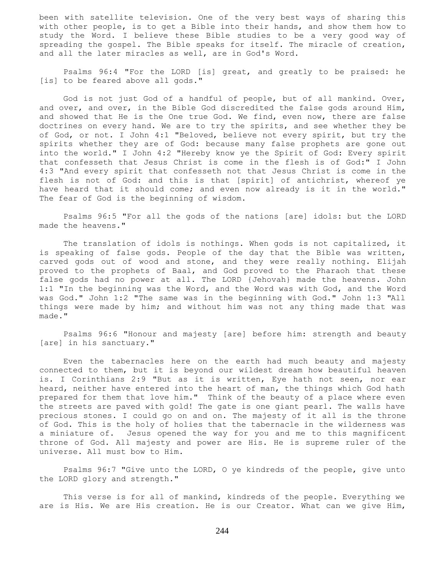been with satellite television. One of the very best ways of sharing this with other people, is to get a Bible into their hands, and show them how to study the Word. I believe these Bible studies to be a very good way of spreading the gospel. The Bible speaks for itself. The miracle of creation, and all the later miracles as well, are in God's Word.

 Psalms 96:4 "For the LORD [is] great, and greatly to be praised: he [is] to be feared above all gods."

 God is not just God of a handful of people, but of all mankind. Over, and over, and over, in the Bible God discredited the false gods around Him, and showed that He is the One true God. We find, even now, there are false doctrines on every hand. We are to try the spirits, and see whether they be of God, or not. I John 4:1 "Beloved, believe not every spirit, but try the spirits whether they are of God: because many false prophets are gone out into the world." I John 4:2 "Hereby know ye the Spirit of God: Every spirit that confesseth that Jesus Christ is come in the flesh is of God:" I John 4:3 "And every spirit that confesseth not that Jesus Christ is come in the flesh is not of God: and this is that [spirit] of antichrist, whereof ye have heard that it should come; and even now already is it in the world." The fear of God is the beginning of wisdom.

 Psalms 96:5 "For all the gods of the nations [are] idols: but the LORD made the heavens."

 The translation of idols is nothings. When gods is not capitalized, it is speaking of false gods. People of the day that the Bible was written, carved gods out of wood and stone, and they were really nothing. Elijah proved to the prophets of Baal, and God proved to the Pharaoh that these false gods had no power at all. The LORD {Jehovah} made the heavens. John 1:1 "In the beginning was the Word, and the Word was with God, and the Word was God." John 1:2 "The same was in the beginning with God." John 1:3 "All things were made by him; and without him was not any thing made that was made."

 Psalms 96:6 "Honour and majesty [are] before him: strength and beauty [are] in his sanctuary."

 Even the tabernacles here on the earth had much beauty and majesty connected to them, but it is beyond our wildest dream how beautiful heaven is. I Corinthians 2:9 "But as it is written, Eye hath not seen, nor ear heard, neither have entered into the heart of man, the things which God hath prepared for them that love him." Think of the beauty of a place where even the streets are paved with gold! The gate is one giant pearl. The walls have precious stones. I could go on and on. The majesty of it all is the throne of God. This is the holy of holies that the tabernacle in the wilderness was a miniature of. Jesus opened the way for you and me to this magnificent throne of God. All majesty and power are His. He is supreme ruler of the universe. All must bow to Him.

 Psalms 96:7 "Give unto the LORD, O ye kindreds of the people, give unto the LORD glory and strength."

 This verse is for all of mankind, kindreds of the people. Everything we are is His. We are His creation. He is our Creator. What can we give Him,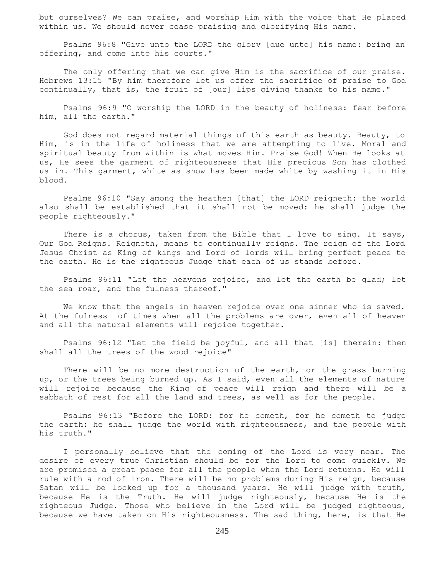but ourselves? We can praise, and worship Him with the voice that He placed within us. We should never cease praising and glorifying His name.

 Psalms 96:8 "Give unto the LORD the glory [due unto] his name: bring an offering, and come into his courts."

The only offering that we can give Him is the sacrifice of our praise. Hebrews 13:15 "By him therefore let us offer the sacrifice of praise to God continually, that is, the fruit of [our] lips giving thanks to his name."

 Psalms 96:9 "O worship the LORD in the beauty of holiness: fear before him, all the earth."

 God does not regard material things of this earth as beauty. Beauty, to Him, is in the life of holiness that we are attempting to live. Moral and spiritual beauty from within is what moves Him. Praise God! When He looks at us, He sees the garment of righteousness that His precious Son has clothed us in. This garment, white as snow has been made white by washing it in His blood.

 Psalms 96:10 "Say among the heathen [that] the LORD reigneth: the world also shall be established that it shall not be moved: he shall judge the people righteously."

There is a chorus, taken from the Bible that I love to sing. It says, Our God Reigns. Reigneth, means to continually reigns. The reign of the Lord Jesus Christ as King of kings and Lord of lords will bring perfect peace to the earth. He is the righteous Judge that each of us stands before.

 Psalms 96:11 "Let the heavens rejoice, and let the earth be glad; let the sea roar, and the fulness thereof."

 We know that the angels in heaven rejoice over one sinner who is saved. At the fulness of times when all the problems are over, even all of heaven and all the natural elements will rejoice together.

 Psalms 96:12 "Let the field be joyful, and all that [is] therein: then shall all the trees of the wood rejoice"

 There will be no more destruction of the earth, or the grass burning up, or the trees being burned up. As I said, even all the elements of nature will rejoice because the King of peace will reign and there will be a sabbath of rest for all the land and trees, as well as for the people.

 Psalms 96:13 "Before the LORD: for he cometh, for he cometh to judge the earth: he shall judge the world with righteousness, and the people with his truth."

 I personally believe that the coming of the Lord is very near. The desire of every true Christian should be for the Lord to come quickly. We are promised a great peace for all the people when the Lord returns. He will rule with a rod of iron. There will be no problems during His reign, because Satan will be locked up for a thousand years. He will judge with truth, because He is the Truth. He will judge righteously, because He is the righteous Judge. Those who believe in the Lord will be judged righteous, because we have taken on His righteousness. The sad thing, here, is that He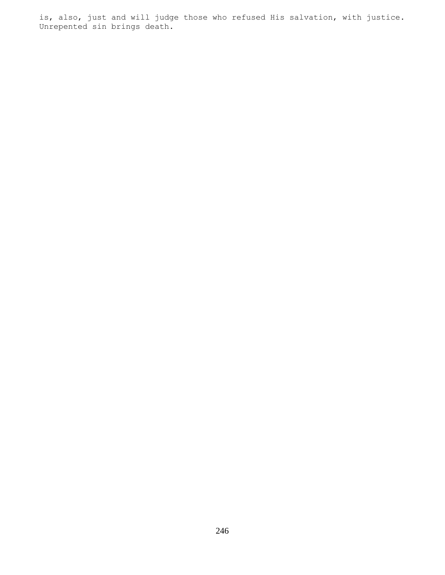is, also, just and will judge those who refused His salvation, with justice. Unrepented sin brings death.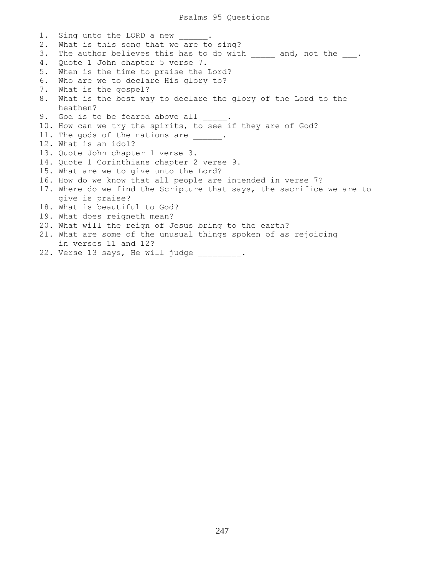1. Sing unto the LORD a new 2. What is this song that we are to sing? 3. The author believes this has to do with \_\_\_\_\_ and, not the \_\_\_. 4. Quote 1 John chapter 5 verse 7. 5. When is the time to praise the Lord? 6. Who are we to declare His glory to? 7. What is the gospel? 8. What is the best way to declare the glory of the Lord to the heathen? 9. God is to be feared above all 10. How can we try the spirits, to see if they are of God? 11. The gods of the nations are . 12. What is an idol? 13. Quote John chapter 1 verse 3. 14. Quote 1 Corinthians chapter 2 verse 9. 15. What are we to give unto the Lord? 16. How do we know that all people are intended in verse 7? 17. Where do we find the Scripture that says, the sacrifice we are to give is praise? 18. What is beautiful to God? 19. What does reigneth mean? 20. What will the reign of Jesus bring to the earth? 21. What are some of the unusual things spoken of as rejoicing in verses 11 and 12?

22. Verse 13 says, He will judge \_\_\_\_\_\_\_\_.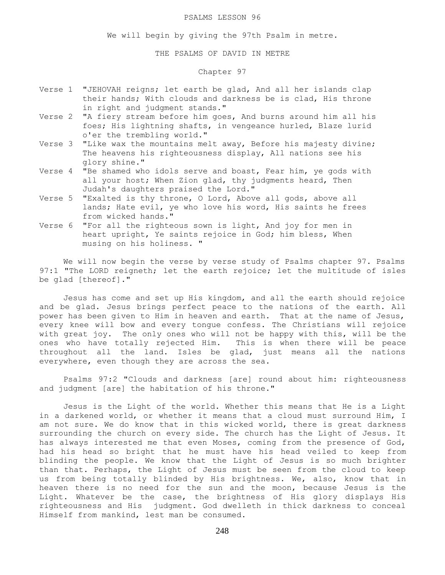### PSALMS LESSON 96

We will begin by giving the 97th Psalm in metre.

THE PSALMS OF DAVID IN METRE

# Chapter 97

- Verse 1 "JEHOVAH reigns; let earth be glad, And all her islands clap their hands; With clouds and darkness be is clad, His throne in right and judgment stands."
- Verse 2 "A fiery stream before him goes, And burns around him all his foes; His lightning shafts, in vengeance hurled, Blaze lurid o'er the trembling world."
- Verse 3 "Like wax the mountains melt away, Before his majesty divine; The heavens his righteousness display, All nations see his glory shine."
- Verse 4 "Be shamed who idols serve and boast, Fear him, ye gods with all your host; When Zion glad, thy judgments heard, Then Judah's daughters praised the Lord."
- Verse 5 "Exalted is thy throne, O Lord, Above all gods, above all lands; Hate evil, ye who love his word, His saints he frees from wicked hands."
- Verse 6 "For all the righteous sown is light, And joy for men in heart upright, Ye saints rejoice in God; him bless, When musing on his holiness. "

 We will now begin the verse by verse study of Psalms chapter 97. Psalms 97:1 "The LORD reigneth; let the earth rejoice; let the multitude of isles be glad [thereof]."

 Jesus has come and set up His kingdom, and all the earth should rejoice and be glad. Jesus brings perfect peace to the nations of the earth. All power has been given to Him in heaven and earth. That at the name of Jesus, every knee will bow and every tongue confess. The Christians will rejoice with great joy. The only ones who will not be happy with this, will be the ones who have totally rejected Him. This is when there will be peace throughout all the land. Isles be glad, just means all the nations everywhere, even though they are across the sea.

 Psalms 97:2 "Clouds and darkness [are] round about him: righteousness and judgment [are] the habitation of his throne."

 Jesus is the Light of the world. Whether this means that He is a Light in a darkened world, or whether it means that a cloud must surround Him, I am not sure. We do know that in this wicked world, there is great darkness surrounding the church on every side. The church has the Light of Jesus. It has always interested me that even Moses, coming from the presence of God, had his head so bright that he must have his head veiled to keep from blinding the people. We know that the Light of Jesus is so much brighter than that. Perhaps, the Light of Jesus must be seen from the cloud to keep us from being totally blinded by His brightness. We, also, know that in heaven there is no need for the sun and the moon, because Jesus is the Light. Whatever be the case, the brightness of His glory displays His righteousness and His judgment. God dwelleth in thick darkness to conceal Himself from mankind, lest man be consumed.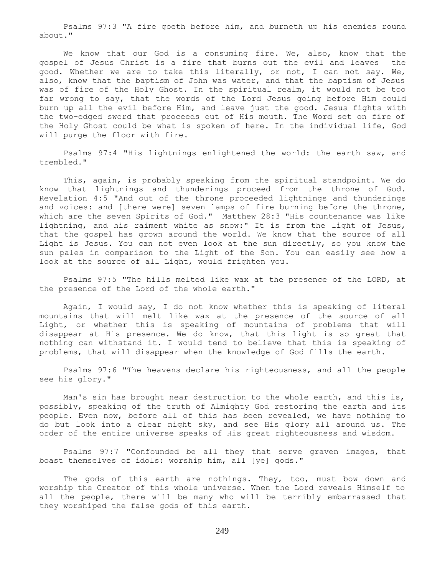Psalms 97:3 "A fire goeth before him, and burneth up his enemies round about."

 We know that our God is a consuming fire. We, also, know that the gospel of Jesus Christ is a fire that burns out the evil and leaves the good. Whether we are to take this literally, or not, I can not say. We, also, know that the baptism of John was water, and that the baptism of Jesus was of fire of the Holy Ghost. In the spiritual realm, it would not be too far wrong to say, that the words of the Lord Jesus going before Him could burn up all the evil before Him, and leave just the good. Jesus fights with the two-edged sword that proceeds out of His mouth. The Word set on fire of the Holy Ghost could be what is spoken of here. In the individual life, God will purge the floor with fire.

 Psalms 97:4 "His lightnings enlightened the world: the earth saw, and trembled."

 This, again, is probably speaking from the spiritual standpoint. We do know that lightnings and thunderings proceed from the throne of God. Revelation 4:5 "And out of the throne proceeded lightnings and thunderings and voices: and [there were] seven lamps of fire burning before the throne, which are the seven Spirits of God." Matthew 28:3 "His countenance was like lightning, and his raiment white as snow:" It is from the light of Jesus, that the gospel has grown around the world. We know that the source of all Light is Jesus. You can not even look at the sun directly, so you know the sun pales in comparison to the Light of the Son. You can easily see how a look at the source of all Light, would frighten you.

 Psalms 97:5 "The hills melted like wax at the presence of the LORD, at the presence of the Lord of the whole earth."

 Again, I would say, I do not know whether this is speaking of literal mountains that will melt like wax at the presence of the source of all Light, or whether this is speaking of mountains of problems that will disappear at His presence. We do know, that this light is so great that nothing can withstand it. I would tend to believe that this is speaking of problems, that will disappear when the knowledge of God fills the earth.

 Psalms 97:6 "The heavens declare his righteousness, and all the people see his glory."

Man's sin has brought near destruction to the whole earth, and this is, possibly, speaking of the truth of Almighty God restoring the earth and its people. Even now, before all of this has been revealed, we have nothing to do but look into a clear night sky, and see His glory all around us. The order of the entire universe speaks of His great righteousness and wisdom.

 Psalms 97:7 "Confounded be all they that serve graven images, that boast themselves of idols: worship him, all [ye] gods."

The gods of this earth are nothings. They, too, must bow down and worship the Creator of this whole universe. When the Lord reveals Himself to all the people, there will be many who will be terribly embarrassed that they worshiped the false gods of this earth.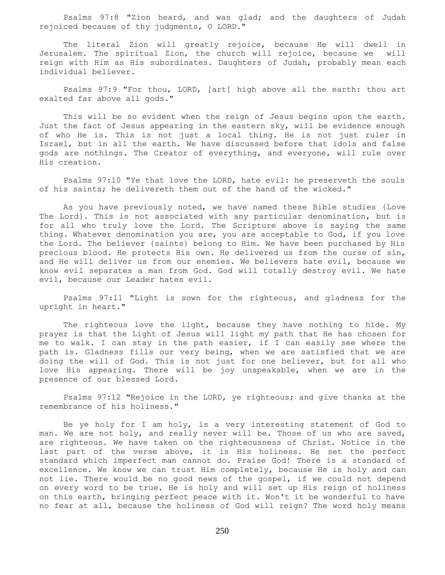Psalms 97:8 "Zion heard, and was glad; and the daughters of Judah rejoiced because of thy judgments, O LORD."

 The literal Zion will greatly rejoice, because He will dwell in Jerusalem. The spiritual Zion, the church will rejoice, because we will reign with Him as His subordinates. Daughters of Judah, probably mean each individual believer.

 Psalms 97:9 "For thou, LORD, [art] high above all the earth: thou art exalted far above all gods."

 This will be so evident when the reign of Jesus begins upon the earth. Just the fact of Jesus appearing in the eastern sky, will be evidence enough of who He is. This is not just a local thing. He is not just ruler in Israel, but in all the earth. We have discussed before that idols and false gods are nothings. The Creator of everything, and everyone, will rule over His creation.

 Psalms 97:10 "Ye that love the LORD, hate evil: he preserveth the souls of his saints; he delivereth them out of the hand of the wicked."

 As you have previously noted, we have named these Bible studies {Love The Lord}. This is not associated with any particular denomination, but is for all who truly love the Lord. The Scripture above is saying the same thing. Whatever denomination you are, you are acceptable to God, if you love the Lord. The believer {saints} belong to Him. We have been purchased by His precious blood. He protects His own. He delivered us from the curse of sin, and He will deliver us from our enemies. We believers hate evil, because we know evil separates a man from God. God will totally destroy evil. We hate evil, because our Leader hates evil.

 Psalms 97:11 "Light is sown for the righteous, and gladness for the upright in heart."

 The righteous love the light, because they have nothing to hide. My prayer is that the Light of Jesus will light my path that He has chosen for me to walk. I can stay in the path easier, if I can easily see where the path is. Gladness fills our very being, when we are satisfied that we are doing the will of God. This is not just for one believer, but for all who love His appearing. There will be joy unspeakable, when we are in the presence of our blessed Lord.

 Psalms 97:12 "Rejoice in the LORD, ye righteous; and give thanks at the remembrance of his holiness."

 Be ye holy for I am holy, is a very interesting statement of God to man. We are not holy, and really never will be. Those of us who are saved, are righteous. We have taken on the righteousness of Christ. Notice in the last part of the verse above, it is His holiness. He set the perfect standard which imperfect man cannot do. Praise God! There is a standard of excellence. We know we can trust Him completely, because He is holy and can not lie. There would be no good news of the gospel, if we could not depend on every word to be true. He is holy and will set up His reign of holiness on this earth, bringing perfect peace with it. Won't it be wonderful to have no fear at all, because the holiness of God will reign? The word holy means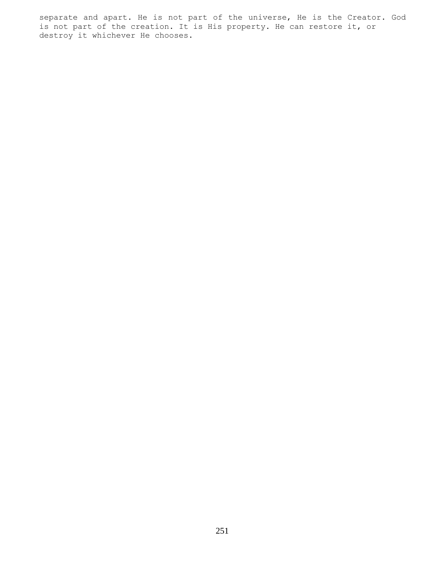separate and apart. He is not part of the universe, He is the Creator. God is not part of the creation. It is His property. He can restore it, or destroy it whichever He chooses.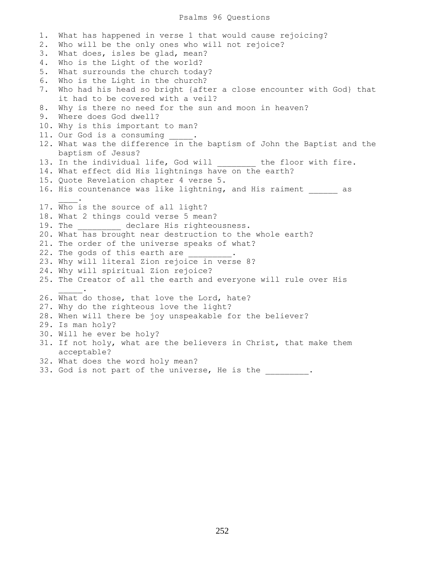### Psalms 96 Questions

1. What has happened in verse 1 that would cause rejoicing? 2. Who will be the only ones who will not rejoice? 3. What does, isles be glad, mean? 4. Who is the Light of the world? 5. What surrounds the church today? 6. Who is the Light in the church? 7. Who had his head so bright {after a close encounter with God} that it had to be covered with a veil? 8. Why is there no need for the sun and moon in heaven? 9. Where does God dwell? 10. Why is this important to man? 11. Our God is a consuming 12. What was the difference in the baptism of John the Baptist and the baptism of Jesus? 13. In the individual life, God will \_\_\_\_\_\_\_ the floor with fire. 14. What effect did His lightnings have on the earth? 15. Quote Revelation chapter 4 verse 5. 16. His countenance was like lightning, and His raiment \_\_\_\_\_\_ as  $\mathcal{L}=\mathcal{L}^{\mathcal{L}}$ 17. Who is the source of all light? 18. What 2 things could verse 5 mean? 19. The \_\_\_\_\_\_\_\_\_\_ declare His righteousness. 20. What has brought near destruction to the whole earth? 21. The order of the universe speaks of what? 22. The gods of this earth are 23. Why will literal Zion rejoice in verse 8? 24. Why will spiritual Zion rejoice? 25. The Creator of all the earth and everyone will rule over His  $\sim$   $\sim$   $\sim$   $\sim$   $\sim$ 26. What do those, that love the Lord, hate? 27. Why do the righteous love the light? 28. When will there be joy unspeakable for the believer? 29. Is man holy? 30. Will he ever be holy? 31. If not holy, what are the believers in Christ, that make them acceptable? 32. What does the word holy mean? 33. God is not part of the universe, He is the  $\qquad \qquad$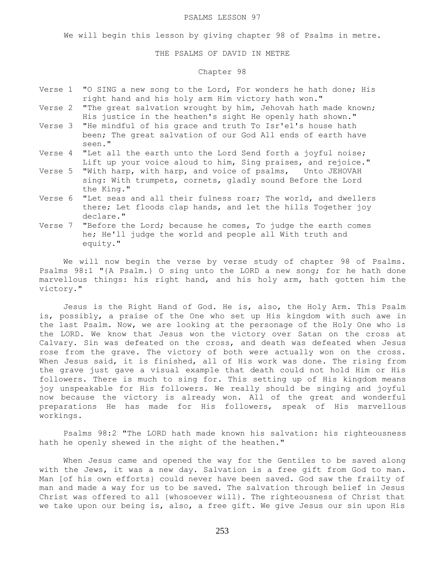#### PSALMS LESSON 97

We will begin this lesson by giving chapter 98 of Psalms in metre.

### THE PSALMS OF DAVID IN METRE

# Chapter 98

- Verse 1 "O SING a new song to the Lord, For wonders he hath done; His right hand and his holy arm Him victory hath won."
- Verse 2 "The great salvation wrought by him, Jehovah hath made known; His justice in the heathen's sight He openly hath shown."
- Verse 3 "He mindful of his grace and truth To Isr'el's house hath been; The great salvation of our God All ends of earth have seen."
- Verse 4 "Let all the earth unto the Lord Send forth a joyful noise; Lift up your voice aloud to him, Sing praises, and rejoice."
- Verse 5 "With harp, with harp, and voice of psalms, Unto JEHOVAH sing: With trumpets, cornets, gladly sound Before the Lord the King."
- Verse 6 "Let seas and all their fulness roar; The world, and dwellers there; Let floods clap hands, and let the hills Together joy declare."
- Verse 7 "Before the Lord; because he comes, To judge the earth comes he; He'll judge the world and people all With truth and equity."

 We will now begin the verse by verse study of chapter 98 of Psalms. Psalms 98:1 "{A Psalm.} O sing unto the LORD a new song; for he hath done marvellous things: his right hand, and his holy arm, hath gotten him the victory."

 Jesus is the Right Hand of God. He is, also, the Holy Arm. This Psalm is, possibly, a praise of the One who set up His kingdom with such awe in the last Psalm. Now, we are looking at the personage of the Holy One who is the LORD. We know that Jesus won the victory over Satan on the cross at Calvary. Sin was defeated on the cross, and death was defeated when Jesus rose from the grave. The victory of both were actually won on the cross. When Jesus said, it is finished, all of His work was done. The rising from the grave just gave a visual example that death could not hold Him or His followers. There is much to sing for. This setting up of His kingdom means joy unspeakable for His followers. We really should be singing and joyful now because the victory is already won. All of the great and wonderful preparations He has made for His followers, speak of His marvellous workings.

 Psalms 98:2 "The LORD hath made known his salvation: his righteousness hath he openly shewed in the sight of the heathen."

 When Jesus came and opened the way for the Gentiles to be saved along with the Jews, it was a new day. Salvation is a free gift from God to man. Man [of his own efforts} could never have been saved. God saw the frailty of man and made a way for us to be saved. The salvation through belief in Jesus Christ was offered to all {whosoever will}. The righteousness of Christ that we take upon our being is, also, a free gift. We give Jesus our sin upon His

253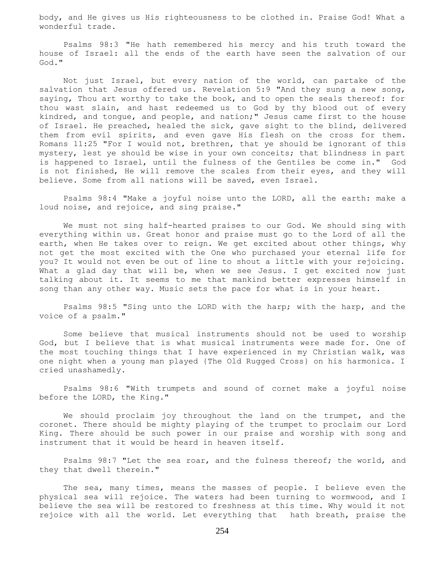body, and He gives us His righteousness to be clothed in. Praise God! What a wonderful trade.

 Psalms 98:3 "He hath remembered his mercy and his truth toward the house of Israel: all the ends of the earth have seen the salvation of our God."

 Not just Israel, but every nation of the world, can partake of the salvation that Jesus offered us. Revelation 5:9 "And they sung a new song, saying, Thou art worthy to take the book, and to open the seals thereof: for thou wast slain, and hast redeemed us to God by thy blood out of every kindred, and tongue, and people, and nation;" Jesus came first to the house of Israel. He preached, healed the sick, gave sight to the blind, delivered them from evil spirits, and even gave His flesh on the cross for them. Romans 11:25 "For I would not, brethren, that ye should be ignorant of this mystery, lest ye should be wise in your own conceits; that blindness in part is happened to Israel, until the fulness of the Gentiles be come in." God is not finished, He will remove the scales from their eyes, and they will believe. Some from all nations will be saved, even Israel.

 Psalms 98:4 "Make a joyful noise unto the LORD, all the earth: make a loud noise, and rejoice, and sing praise."

 We must not sing half-hearted praises to our God. We should sing with everything within us. Great honor and praise must go to the Lord of all the earth, when He takes over to reign. We get excited about other things, why not get the most excited with the One who purchased your eternal life for you? It would not even be out of line to shout a little with your rejoicing. What a glad day that will be, when we see Jesus. I get excited now just talking about it. It seems to me that mankind better expresses himself in song than any other way. Music sets the pace for what is in your heart.

 Psalms 98:5 "Sing unto the LORD with the harp; with the harp, and the voice of a psalm."

 Some believe that musical instruments should not be used to worship God, but I believe that is what musical instruments were made for. One of the most touching things that I have experienced in my Christian walk, was one night when a young man played {The Old Rugged Cross} on his harmonica. I cried unashamedly.

 Psalms 98:6 "With trumpets and sound of cornet make a joyful noise before the LORD, the King."

We should proclaim joy throughout the land on the trumpet, and the coronet. There should be mighty playing of the trumpet to proclaim our Lord King. There should be such power in our praise and worship with song and instrument that it would be heard in heaven itself.

 Psalms 98:7 "Let the sea roar, and the fulness thereof; the world, and they that dwell therein."

 The sea, many times, means the masses of people. I believe even the physical sea will rejoice. The waters had been turning to wormwood, and I believe the sea will be restored to freshness at this time. Why would it not rejoice with all the world. Let everything that hath breath, praise the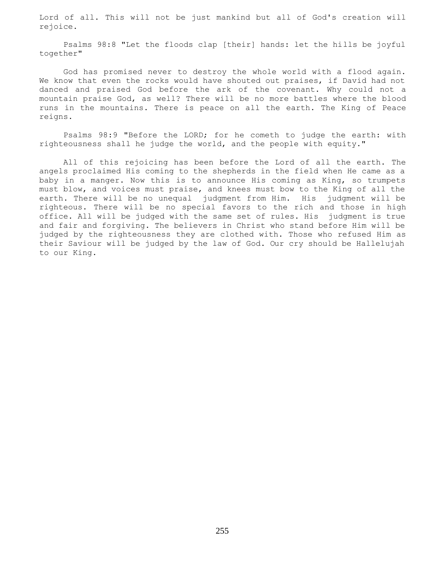Lord of all. This will not be just mankind but all of God's creation will rejoice.

 Psalms 98:8 "Let the floods clap [their] hands: let the hills be joyful together"

 God has promised never to destroy the whole world with a flood again. We know that even the rocks would have shouted out praises, if David had not danced and praised God before the ark of the covenant. Why could not a mountain praise God, as well? There will be no more battles where the blood runs in the mountains. There is peace on all the earth. The King of Peace reigns.

 Psalms 98:9 "Before the LORD; for he cometh to judge the earth: with righteousness shall he judge the world, and the people with equity."

 All of this rejoicing has been before the Lord of all the earth. The angels proclaimed His coming to the shepherds in the field when He came as a baby in a manger. Now this is to announce His coming as King, so trumpets must blow, and voices must praise, and knees must bow to the King of all the earth. There will be no unequal judgment from Him. His judgment will be righteous. There will be no special favors to the rich and those in high office. All will be judged with the same set of rules. His judgment is true and fair and forgiving. The believers in Christ who stand before Him will be judged by the righteousness they are clothed with. Those who refused Him as their Saviour will be judged by the law of God. Our cry should be Hallelujah to our King.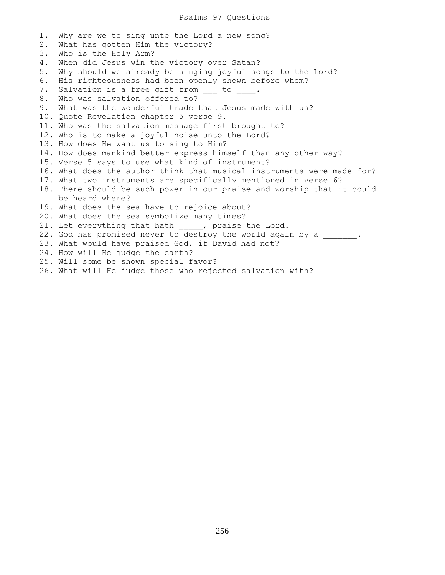1. Why are we to sing unto the Lord a new song? 2. What has gotten Him the victory? 3. Who is the Holy Arm? 4. When did Jesus win the victory over Satan? 5. Why should we already be singing joyful songs to the Lord? 6. His righteousness had been openly shown before whom? 7. Salvation is a free gift from \_\_\_ to \_\_\_\_. 8. Who was salvation offered to? 9. What was the wonderful trade that Jesus made with us? 10. Quote Revelation chapter 5 verse 9. 11. Who was the salvation message first brought to? 12. Who is to make a joyful noise unto the Lord? 13. How does He want us to sing to Him? 14. How does mankind better express himself than any other way? 15. Verse 5 says to use what kind of instrument? 16. What does the author think that musical instruments were made for? 17. What two instruments are specifically mentioned in verse 6? 18. There should be such power in our praise and worship that it could be heard where? 19. What does the sea have to rejoice about? 20. What does the sea symbolize many times? 21. Let everything that hath \_\_\_\_\_, praise the Lord. 22. God has promised never to destroy the world again by a  $\qquad \qquad$ 23. What would have praised God, if David had not? 24. How will He judge the earth? 25. Will some be shown special favor? 26. What will He judge those who rejected salvation with?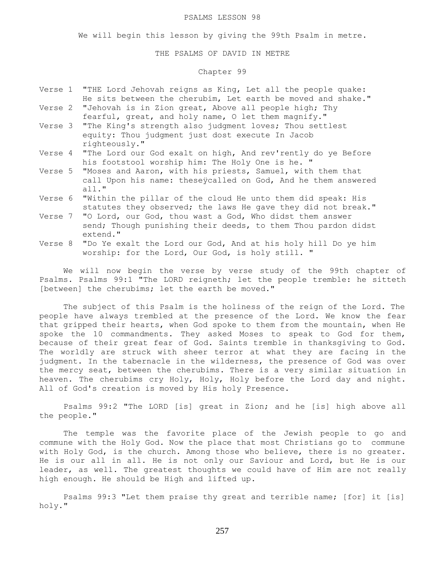### PSALMS LESSON 98

We will begin this lesson by giving the 99th Psalm in metre.

## THE PSALMS OF DAVID IN METRE

# Chapter 99

- Verse 1 "THE Lord Jehovah reigns as King, Let all the people quake: He sits between the cherubim, Let earth be moved and shake." Verse 2 "Jehovah is in Zion great, Above all people high; Thy
- fearful, great, and holy name, O let them magnify."
- Verse 3 "The King's strength also judgment loves; Thou settlest equity: Thou judgment just dost execute In Jacob righteously."
- Verse 4 "The Lord our God exalt on high, And rev'rently do ye Before his footstool worship him: The Holy One is he. "
- Verse 5 "Moses and Aaron, with his priests, Samuel, with them that call Upon his name: theseÿcalled on God, And he them answered all."
- Verse 6 "Within the pillar of the cloud He unto them did speak: His statutes they observed; the laws He gave they did not break."
- Verse 7 "O Lord, our God, thou wast a God, Who didst them answer send; Though punishing their deeds, to them Thou pardon didst extend."
- Verse 8 "Do Ye exalt the Lord our God, And at his holy hill Do ye him worship: for the Lord, Our God, is holy still. "

 We will now begin the verse by verse study of the 99th chapter of Psalms. Psalms 99:1 "The LORD reigneth; let the people tremble: he sitteth [between] the cherubims; let the earth be moved."

 The subject of this Psalm is the holiness of the reign of the Lord. The people have always trembled at the presence of the Lord. We know the fear that gripped their hearts, when God spoke to them from the mountain, when He spoke the 10 commandments. They asked Moses to speak to God for them, because of their great fear of God. Saints tremble in thanksgiving to God. The worldly are struck with sheer terror at what they are facing in the judgment. In the tabernacle in the wilderness, the presence of God was over the mercy seat, between the cherubims. There is a very similar situation in heaven. The cherubims cry Holy, Holy, Holy before the Lord day and night. All of God's creation is moved by His holy Presence.

 Psalms 99:2 "The LORD [is] great in Zion; and he [is] high above all the people."

 The temple was the favorite place of the Jewish people to go and commune with the Holy God. Now the place that most Christians go to commune with Holy God, is the church. Among those who believe, there is no greater. He is our all in all. He is not only our Saviour and Lord, but He is our leader, as well. The greatest thoughts we could have of Him are not really high enough. He should be High and lifted up.

 Psalms 99:3 "Let them praise thy great and terrible name; [for] it [is] holy."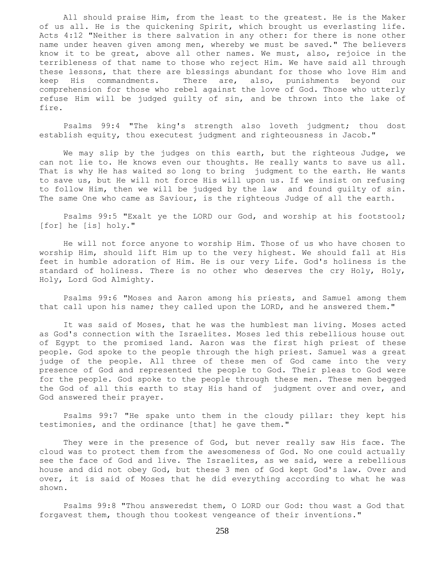All should praise Him, from the least to the greatest. He is the Maker of us all. He is the quickening Spirit, which brought us everlasting life. Acts 4:12 "Neither is there salvation in any other: for there is none other name under heaven given among men, whereby we must be saved." The believers know it to be great, above all other names. We must, also, rejoice in the terribleness of that name to those who reject Him. We have said all through these lessons, that there are blessings abundant for those who love Him and keep His commandments. There are, also, punishments beyond our comprehension for those who rebel against the love of God. Those who utterly refuse Him will be judged guilty of sin, and be thrown into the lake of fire.

 Psalms 99:4 "The king's strength also loveth judgment; thou dost establish equity, thou executest judgment and righteousness in Jacob."

 We may slip by the judges on this earth, but the righteous Judge, we can not lie to. He knows even our thoughts. He really wants to save us all. That is why He has waited so long to bring judgment to the earth. He wants to save us, but He will not force His will upon us. If we insist on refusing to follow Him, then we will be judged by the law and found guilty of sin. The same One who came as Saviour, is the righteous Judge of all the earth.

 Psalms 99:5 "Exalt ye the LORD our God, and worship at his footstool; [for] he [is] holy."

 He will not force anyone to worship Him. Those of us who have chosen to worship Him, should lift Him up to the very highest. We should fall at His feet in humble adoration of Him. He is our very Life. God's holiness is the standard of holiness. There is no other who deserves the cry Holy, Holy, Holy, Lord God Almighty.

 Psalms 99:6 "Moses and Aaron among his priests, and Samuel among them that call upon his name; they called upon the LORD, and he answered them."

 It was said of Moses, that he was the humblest man living. Moses acted as God's connection with the Israelites. Moses led this rebellious house out of Egypt to the promised land. Aaron was the first high priest of these people. God spoke to the people through the high priest. Samuel was a great judge of the people. All three of these men of God came into the very presence of God and represented the people to God. Their pleas to God were for the people. God spoke to the people through these men. These men begged the God of all this earth to stay His hand of judgment over and over, and God answered their prayer.

 Psalms 99:7 "He spake unto them in the cloudy pillar: they kept his testimonies, and the ordinance [that] he gave them."

 They were in the presence of God, but never really saw His face. The cloud was to protect them from the awesomeness of God. No one could actually see the face of God and live. The Israelites, as we said, were a rebellious house and did not obey God, but these 3 men of God kept God's law. Over and over, it is said of Moses that he did everything according to what he was shown.

 Psalms 99:8 "Thou answeredst them, O LORD our God: thou wast a God that forgavest them, though thou tookest vengeance of their inventions."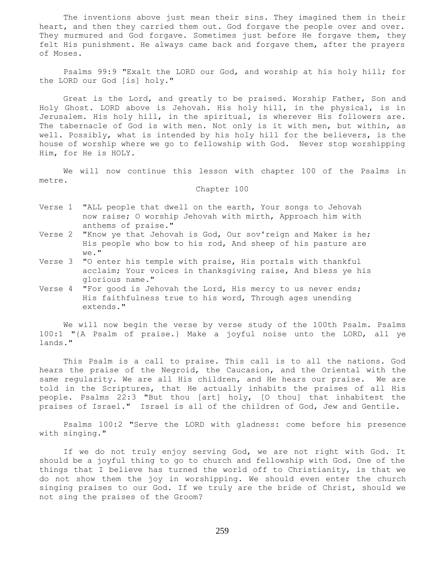The inventions above just mean their sins. They imagined them in their heart, and then they carried them out. God forgave the people over and over. They murmured and God forgave. Sometimes just before He forgave them, they felt His punishment. He always came back and forgave them, after the prayers of Moses.

 Psalms 99:9 "Exalt the LORD our God, and worship at his holy hill; for the LORD our God [is] holy."

 Great is the Lord, and greatly to be praised. Worship Father, Son and Holy Ghost. LORD above is Jehovah. His holy hill, in the physical, is in Jerusalem. His holy hill, in the spiritual, is wherever His followers are. The tabernacle of God is with men. Not only is it with men, but within, as well. Possibly, what is intended by his holy hill for the believers, is the house of worship where we go to fellowship with God. Never stop worshipping Him, for He is HOLY.

 We will now continue this lesson with chapter 100 of the Psalms in metre.

## Chapter 100

- Verse 1 "ALL people that dwell on the earth, Your songs to Jehovah now raise; O worship Jehovah with mirth, Approach him with anthems of praise."
- Verse 2 "Know ye that Jehovah is God, Our sov'reign and Maker is he; His people who bow to his rod, And sheep of his pasture are we."
- Verse 3 "O enter his temple with praise, His portals with thankful acclaim; Your voices in thanksgiving raise, And bless ye his glorious name."
- Verse 4 "For good is Jehovah the Lord, His mercy to us never ends; His faithfulness true to his word, Through ages unending extends."

 We will now begin the verse by verse study of the 100th Psalm. Psalms 100:1 "{A Psalm of praise.} Make a joyful noise unto the LORD, all ye lands."

 This Psalm is a call to praise. This call is to all the nations. God hears the praise of the Negroid, the Caucasion, and the Oriental with the same regularity. We are all His children, and He hears our praise. We are told in the Scriptures, that He actually inhabits the praises of all His people. Psalms 22:3 "But thou [art] holy, [O thou] that inhabitest the praises of Israel." Israel is all of the children of God, Jew and Gentile.

 Psalms 100:2 "Serve the LORD with gladness: come before his presence with singing."

If we do not truly enjoy serving God, we are not right with God. It should be a joyful thing to go to church and fellowship with God. One of the things that I believe has turned the world off to Christianity, is that we do not show them the joy in worshipping. We should even enter the church singing praises to our God. If we truly are the bride of Christ, should we not sing the praises of the Groom?

259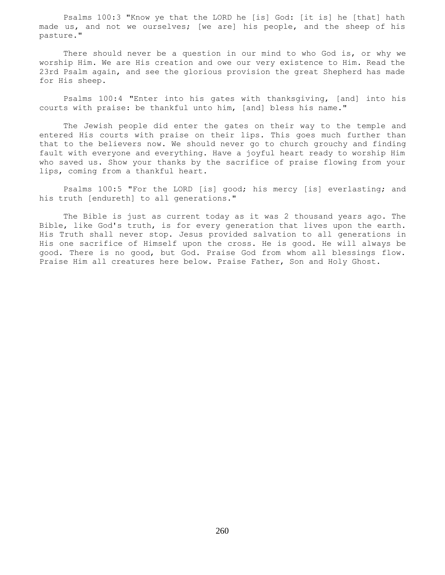Psalms 100:3 "Know ye that the LORD he [is] God: [it is] he [that] hath made us, and not we ourselves; [we are] his people, and the sheep of his pasture."

 There should never be a question in our mind to who God is, or why we worship Him. We are His creation and owe our very existence to Him. Read the 23rd Psalm again, and see the glorious provision the great Shepherd has made for His sheep.

 Psalms 100:4 "Enter into his gates with thanksgiving, [and] into his courts with praise: be thankful unto him, [and] bless his name."

 The Jewish people did enter the gates on their way to the temple and entered His courts with praise on their lips. This goes much further than that to the believers now. We should never go to church grouchy and finding fault with everyone and everything. Have a joyful heart ready to worship Him who saved us. Show your thanks by the sacrifice of praise flowing from your lips, coming from a thankful heart.

 Psalms 100:5 "For the LORD [is] good; his mercy [is] everlasting; and his truth [endureth] to all generations."

 The Bible is just as current today as it was 2 thousand years ago. The Bible, like God's truth, is for every generation that lives upon the earth. His Truth shall never stop. Jesus provided salvation to all generations in His one sacrifice of Himself upon the cross. He is good. He will always be good. There is no good, but God. Praise God from whom all blessings flow. Praise Him all creatures here below. Praise Father, Son and Holy Ghost.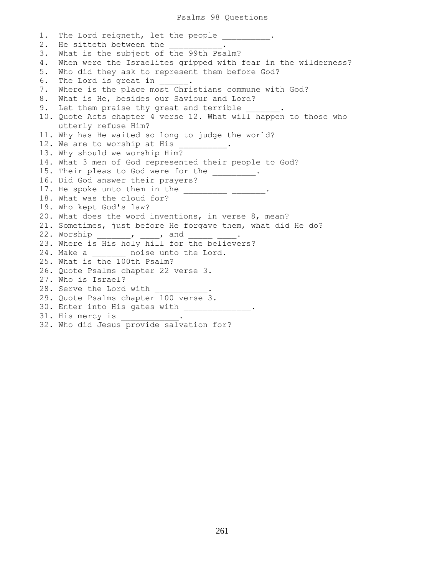1. The Lord reigneth, let the people 2. He sitteth between the 3. What is the subject of the 99th Psalm? 4. When were the Israelites gripped with fear in the wilderness? 5. Who did they ask to represent them before God? 6. The Lord is great in \_\_\_\_\_\_. 7. Where is the place most Christians commune with God? 8. What is He, besides our Saviour and Lord? 9. Let them praise thy great and terrible 10. Quote Acts chapter 4 verse 12. What will happen to those who utterly refuse Him? 11. Why has He waited so long to judge the world? 12. We are to worship at His 13. Why should we worship Him? 14. What 3 men of God represented their people to God? 15. Their pleas to God were for the \_\_\_\_\_\_\_\_\_. 16. Did God answer their prayers? 17. He spoke unto them in the  $\frac{1}{\frac{1}{2} + \frac{1}{2}}$   $\frac{1}{\frac{1}{2} + \frac{1}{2}}$ . 18. What was the cloud for? 19. Who kept God's law? 20. What does the word inventions, in verse 8, mean? 21. Sometimes, just before He forgave them, what did He do? 22. Worship \_\_\_\_\_\_\_, \_\_\_\_, and 23. Where is His holy hill for the believers? 24. Make a \_\_\_\_\_\_ noise unto the Lord. 25. What is the 100th Psalm? 26. Quote Psalms chapter 22 verse 3. 27. Who is Israel? 28. Serve the Lord with 29. Quote Psalms chapter 100 verse 3. 30. Enter into His gates with \_\_\_\_\_\_\_\_\_\_\_\_\_\_. 31. His mercy is 32. Who did Jesus provide salvation for?